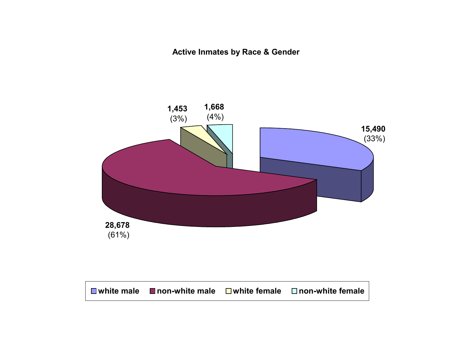**Active Inmates by Race & Gender**

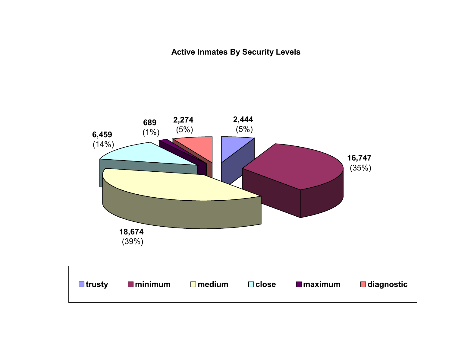**Active Inmates By Security Levels**

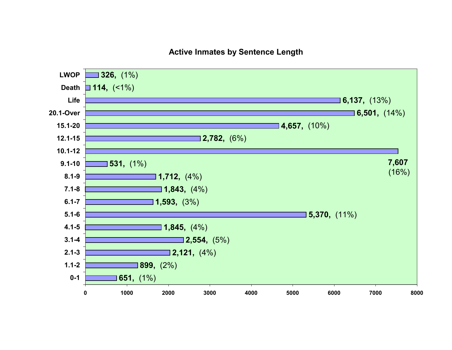#### **Active Inmates by Sentence Length**

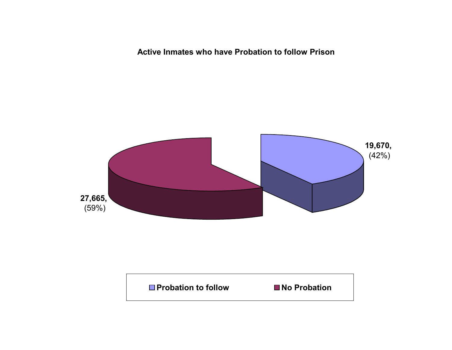**Active Inmates who have Probation to follow Prison**



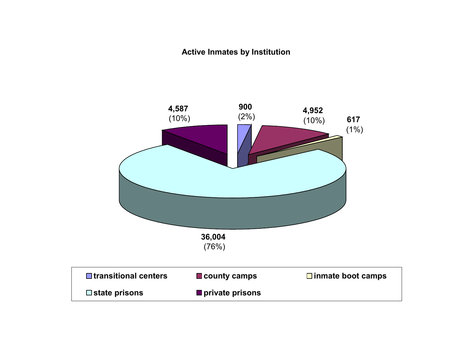#### **Active Inmates by Institution**

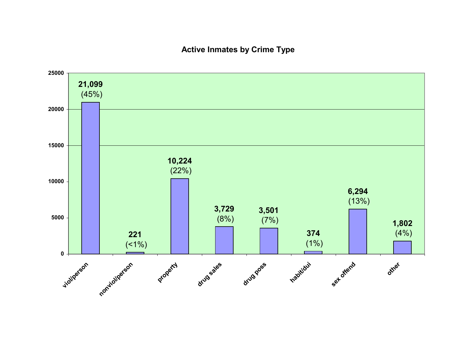#### **Active Inmates by Crime Type**

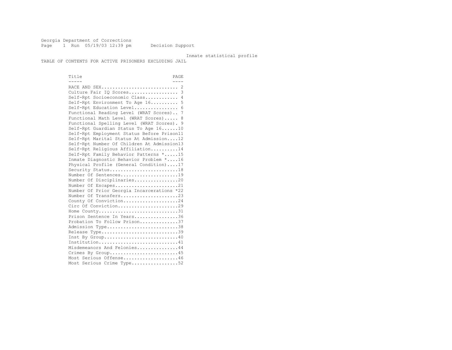Georgia Department of Corrections Page 1 Run 05/19/03 12:39 pm Decision Support

#### Inmate statistical profile

TABLE OF CONTENTS FOR ACTIVE PRISONERS EXCLUDING JAIL

Title PAGE ----- ---- RACE AND SEX............................ 2 Culture Fair IQ Scores.................. 3 Self-Rpt Socioeconomic Class............ 4 Self-Rpt Environment To Age 16.......... 5 Self-Rpt Education Level................ 6 Functional Reading Level (WRAT Scores).. 7 Functional Math Level (WRAT Scores)..... 8 Functional Spelling Level (WRAT Scores). 9 Self-Rpt Guardian Status To Age 16......10 Self-Rpt Employment Status Before Prison11 Self-Rpt Marital Status At Admission....12 Self-Rpt Number Of Children At Admission13 Self-Rpt Religious Affiliation..........14 Self-Rpt Family Behavior Patterns \*.....15 Inmate Diagnostic Behavior Problem \*....16 Physical Profile (General Condition)....17 Security Status...........................18 Number Of Sentences.....................19 Number Of Disciplinaries................20 Number Of Escapes........................21 Number Of Prior Georgia Incarcerations \*22 Number Of Transfers.....................23 County Of Conviction....................24 Circ Of Conviction........................29 Home County...............................31 Prison Sentence In Years.................36 Probation To Follow Prison..............37 Admission Type.............................38 Release Type..............................39 Inst By Group.............................40 Institution.............................41 Misdemeanors And Felonies...............44 Crimes By Group..........................45 Most Serious Offense....................46 Most Serious Crime Type..................52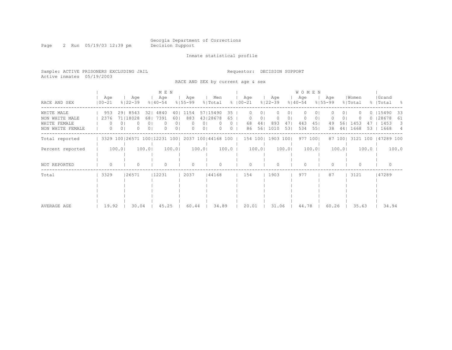Page 2 Run 05/19/03 12:39 pm Decision Support

Inmate statistical profile

Sample: ACTIVE PRISONERS EXCLUDING JAIL Requestor: DECISION SUPPORT Active inmates 05/19/2003

RACE AND SEX by current age & sex

|                                                                  |                                     |                                 | M E N                                       |                                                                        |                                              |                      |                     |                      |                                  |                       | <b>WOMEN</b>                       |                                  |                         |                  |                |                                       |                    |
|------------------------------------------------------------------|-------------------------------------|---------------------------------|---------------------------------------------|------------------------------------------------------------------------|----------------------------------------------|----------------------|---------------------|----------------------|----------------------------------|-----------------------|------------------------------------|----------------------------------|-------------------------|------------------|----------------|---------------------------------------|--------------------|
| RACE AND SEX                                                     | Age<br>$100 - 21$                   | Age<br>$8122 - 39$              | Aqe<br>$8140 - 54$                          | Aqe<br>$8155 - 99$                                                     | Men<br>% Total                               |                      | Age<br>$8100 - 21$  |                      | Age<br>$8122 - 39$               |                       | Aqe<br>$8140 - 54$                 | Age<br>$8155 - 99$               |                         | Women<br>% Total |                | Grand<br>%   Total                    | - 옹                |
| WHITE MALE<br>NON WHITE MALE<br>WHITE FEMALE<br>NON WHITE FEMALE | 953<br>2376<br>$\Omega$<br>$\Omega$ | 29 8543<br>71118028<br>$\Omega$ | 321<br>4840<br>7391<br>681<br>$\Omega$<br>0 | 1154<br>401<br>883<br>601<br>0 <sub>1</sub><br>$\left( \right)$<br>0 I | 57115490<br>43128678<br>01<br>0 <sub>1</sub> | 35<br>65<br>$\Omega$ | $^{()}$<br>68<br>86 | 01<br>01<br>44<br>56 | $\mathbf{0}$<br>0<br>893<br>1010 | 01<br>01<br>47<br>531 | $\Omega$<br>$\Omega$<br>443<br>534 | 0<br>0<br>451<br>49<br>551<br>38 | 01<br>0 I<br>561<br>441 | 1453<br>1668     | ()<br>47<br>53 | $0$ $15490$<br>128678<br>1453<br>1668 | 33<br>61<br>3<br>4 |
| Total reported                                                   |                                     |                                 | 3329 100 26571 100 12231 100                |                                                                        | 2037 100 44168 100                           |                      | 154 100             |                      | 1903 100                         |                       | 977 1001                           |                                  | 87 1001                 | 3121 100         |                | 47289 100                             |                    |
| Percent reported                                                 |                                     | 100.0                           | 100.0                                       | 100.0                                                                  | 100.0                                        | 100.0                |                     | 100.0                |                                  | 100.01                | 100.0                              |                                  | 100.0                   |                  | $100.0$        |                                       | 100.0              |
| NOT REPORTED                                                     | $\Omega$                            |                                 |                                             |                                                                        |                                              |                      | U                   |                      | $\bigcap$                        |                       | U                                  |                                  |                         |                  |                |                                       |                    |
| Total                                                            | 3329                                | 26571                           | 12231                                       | 2037                                                                   | 44168                                        |                      | 154                 |                      | 1903                             |                       | 977                                | 87                               |                         | 3121             |                | 47289                                 |                    |
| AVERAGE AGE                                                      | 19.92                               | 30.04                           | 45.25                                       | 60.44                                                                  | 34.89                                        |                      | 20.01               |                      | 31.06                            |                       | 44.78                              |                                  | 60.26                   | 35.63            |                | 34.94                                 |                    |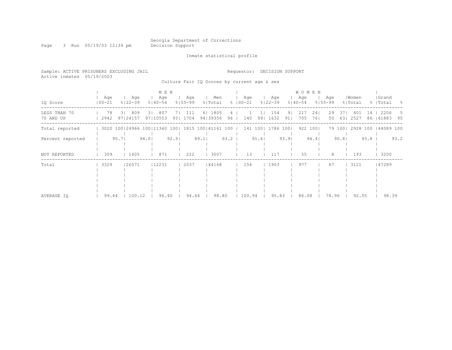# Georgia Department of Corrections<br>Decision Support

Page 3 Run 05/19/03 12:39 pm

Inmate statistical profile

| Sample: ACTIVE PRISONERS EXCLUDING JAIL<br>Active inmates 05/19/2003 |                                                     |      |                    |        |                         |       |                  |      |                                             |                | Requestor:           |        |     | DECISION SUPPORT   |          |                                    |            |                    |       |                  |        |                              |      |
|----------------------------------------------------------------------|-----------------------------------------------------|------|--------------------|--------|-------------------------|-------|------------------|------|---------------------------------------------|----------------|----------------------|--------|-----|--------------------|----------|------------------------------------|------------|--------------------|-------|------------------|--------|------------------------------|------|
|                                                                      |                                                     |      |                    |        |                         |       |                  |      | Culture Fair IQ Scores by current age & sex |                |                      |        |     |                    |          |                                    |            |                    |       |                  |        |                              |      |
| IQ Score                                                             | Age<br>$100 - 21$                                   |      | Age<br>% 22−39     |        | M E N<br>Age<br>% 40-54 |       | Age<br>% 55-99   |      | Men<br>% Total                              |                | Age<br>$8   00 - 21$ |        |     | Age<br>$8122 - 39$ |          | <b>WOMEN</b><br>Age<br>$8140 - 54$ |            | Aqe<br>$8155 - 99$ |       | Women<br>% Total |        | Grand<br>%   Total           | - 8  |
| LESS THAN 70<br>70 AND UP                                            | 78<br>2942                                          |      | 3  809<br>97124157 |        | 3 807<br>97110553       | -71   | 111<br>93   1704 |      | 6   1805<br>94   39356                      | 4<br>$96 \mid$ |                      | 140    | 991 | 154<br>1632        | 91<br>91 | 217<br>705                         | 241<br>761 | 29<br>50           | 371   | 401<br>63 2527   |        | 14   2206<br>86   41883 95   | -5   |
| Total reported                                                       | 3020 100 24966 100 11360 100   1815 100   41161 100 |      |                    |        |                         |       |                  |      |                                             |                |                      |        |     | 141 100  1786 100  |          |                                    | 922 1001   |                    |       |                  |        | 79 100  2928 100   44089 100 |      |
| Percent reported                                                     |                                                     | 90.7 |                    | $94.0$ |                         | 92.91 |                  | 89.1 |                                             | 93.2           |                      | 91.6   |     |                    | 93.91    |                                    | 94.4       |                    | 90.81 |                  | $93.8$ |                              | 93.2 |
| NOT REPORTED                                                         | 309                                                 |      | 1605               |        | 871                     |       | 222              |      | 3007                                        |                |                      | 13     |     | 117                |          | 55                                 |            | 8                  |       | 193              |        | 3200                         |      |
| Total                                                                | 3329                                                |      | 26571              |        | 12231                   |       | 2037             |      | 44168                                       |                |                      | 154    |     | 1903               |          | 977                                |            | 87                 |       | 3121             |        | 47289                        |      |
| AVERAGE IO                                                           | 99.44                                               |      | 100.12             |        | 96.40                   |       | 94.64            |      | 98.80                                       |                |                      | 100.94 |     | 95.83              |          | 86.08                              |            | 78.96              |       | 92.55            |        | 98.39                        |      |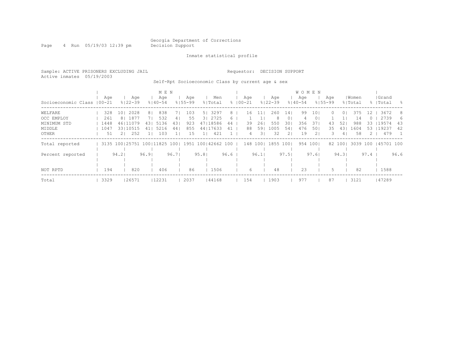Page 4 Run 05/19/03 12:39 pm Decision Support

#### Inmate statistical profile

Sample: ACTIVE PRISONERS EXCLUDING JAIL Requestor: DECISION SUPPORT Active inmates 05/19/2003 Self-Rpt Socioeconomic Class by current age & sex

 | M E N | W O M E N | | Age | Age | Age | Age | Men | Age | Age | Age | Age |Women |Grand Socioeconomic Class |00-21 %|22-39 %|40-54 %|55-99 %|Total % |00-21 %|22-39 %|40-54 %|55-99 %|Total % |Total % ------------------------------------------------------------------------------------------------------------------------------------ WELFARE | 328 10| 2028 8| 838 7| 103 5| 3297 8 | 16 11| 260 14| 99 10| 0 0| 375 12 | 3672 8 OCC EMPLOY | 261 8| 1877 7| 532 4| 55 3| 2725 6 | 1 1| 8 0| 4 0| 1 1| 14 0 | 2739 6 MINIMUM STD | 1448 46|11079 43| 5136 43| 923 47|18586 44 | 39 26| 550 30| 356 37| 43 52| 988 33 |19574 43 MIDDLE | 1047 33|10515 41| 5216 44| 855 44|17633 41 | 88 59| 1005 54| 476 50| 35 43| 1604 53 |19237 42 OTHER | 51 2| 252 1| 103 1| 15 1| 421 1 | 4 3| 32 2| 19 2| 3 4| 58 2 | 479 1 ------------------------------------------------------------------------------------------------------------------------------------ Total reported | 3135 100|25751 100|11825 100| 1951 100|42662 100 | 148 100| 1855 100| 954 100| 82 100| 3039 100 |45701 100 | | | | | | | | | | | Percent reported | 94.2| 96.9| 96.7| 95.8| 96.6 | 96.1| 97.5| 97.6| 94.3| 97.4 | 96.6 | | | | | | | | | | | | | | | | | | | | | | NOT RPTD | 194 | 820 | 406 | 86 | 1506 | 6 | 48 | 23 | 5 | 82 | 1588 ------------------------------------------------------------------------------------------------------------------------------------ Total | 3329 |26571 |12231 | 2037 |44168 | 154 | 1903 | 977 | 87 | 3121 |47289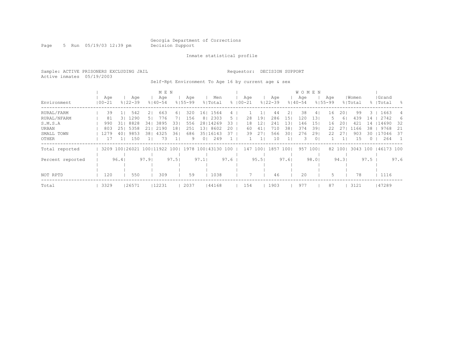Page 5 Run 05/19/03 12:39 pm Decision Support

#### Inmate statistical profile

Sample: ACTIVE PRISONERS EXCLUDING JAIL Requestor: DECISION SUPPORT Active inmates 05/19/2003

Self-Rpt Environment To Age 16 by current age & sex

|                  |                   |      |                    |       | M E N              |                 |                    |                 |                                                     |                |                    |      |                |                    |      | <b>WOMEN</b>       |                 |                    |        |                  |          |                    |      |
|------------------|-------------------|------|--------------------|-------|--------------------|-----------------|--------------------|-----------------|-----------------------------------------------------|----------------|--------------------|------|----------------|--------------------|------|--------------------|-----------------|--------------------|--------|------------------|----------|--------------------|------|
| Environment      | Age<br>$100 - 21$ |      | Aqe<br>$8122 - 39$ |       | Age<br>$8140 - 54$ |                 | Aqe<br>$8155 - 99$ |                 | Men<br>% Total                                      |                | Age<br>$8100 - 21$ |      |                | Age<br>$8122 - 39$ |      | Age<br>$8140 - 54$ |                 | Age<br>$8155 - 99$ |        | Women<br>% Total |          | Grand<br>%   Total | - 옹  |
|                  |                   |      |                    |       |                    |                 |                    |                 |                                                     |                |                    |      |                |                    |      |                    |                 |                    |        |                  |          |                    |      |
| RURAL/FARM       | 39                |      | 542                | 21    | 663                | 61              | 320                | 16 <sub>1</sub> | 1564                                                | 4              |                    |      |                | 44                 | 21   | 38                 | 41              | 16                 | 201    | 99               | 3.       | 1663               | 4    |
| RURAL/NFARM      | 81                | 3 L  | 1290               | -51   | 776                | 7 L             | 156                |                 | 8   2303                                            | 5 <sub>1</sub> |                    | 28   | 191            | 286                | 151  | 120                | 131             |                    | 61     | 439              | 14       | 2742               | 6    |
| S.M.S.A          | 990               | 311  | 8828               | 341   | 3895               | 331             | 556                |                 | 28   14269                                          | 33             |                    | 18   | 121            | 241                | 131  | 146                | 15 <sub>1</sub> | 16                 | 201    | 421              | 14       | 14690              | -32  |
| URBAN            | 803               | 251  | 5358               | 211   | 2190               | 18 <sup>1</sup> | 251                |                 | 13  8602                                            | 20             |                    | 60   | 41             | 710                | 381  | 374                | 391             | 22                 | 27     | 1166             | 38       | 9768               | -21  |
| SMALL TOWN       | 1279              | 401  | 9853               | 381   | 4325               | 361             | 686                |                 | 35   16143                                          | 37             |                    | 39   | 271            | 566                | 301  | 276                | 291             | 22                 | 27     | 903              | 30       | 17046              | - 37 |
| OTHER            |                   |      | 150                |       | 73                 |                 | 9                  | 0 <sub>1</sub>  | 249                                                 |                |                    |      | 1 <sub>1</sub> | 10                 |      | З.                 | $\circ$         |                    |        | 15               | $\Omega$ | 264                |      |
| Total reported   |                   |      |                    |       |                    |                 |                    |                 | 3209 100 26021 100 11922 100   1978 100   43130 100 |                |                    |      |                | 147 100  1857      | 1001 | 957                | 1001            |                    | 82 100 | 3043 100         |          | 46173 100          |      |
|                  |                   |      |                    |       |                    |                 |                    |                 |                                                     |                |                    |      |                |                    |      |                    |                 |                    |        |                  |          |                    |      |
| Percent reported |                   | 96.4 |                    | 97.91 |                    | 97.51           |                    | 97.1            |                                                     | 97.6           |                    | 95.5 |                |                    | 97.6 |                    | 98.01           |                    | 94.31  |                  | 97.5     |                    | 97.6 |
|                  |                   |      |                    |       |                    |                 |                    |                 |                                                     |                |                    |      |                |                    |      |                    |                 |                    |        |                  |          |                    |      |
|                  |                   |      |                    |       |                    |                 |                    |                 |                                                     |                |                    |      |                |                    |      |                    |                 |                    |        |                  |          |                    |      |
| NOT RPTD         | 120               |      | 550                |       | 309                |                 | 59                 |                 | 1038                                                |                |                    |      |                | 46                 |      | 20                 |                 |                    |        | 78               |          | 1116               |      |
| Total            | 3329              |      | 26571              |       | 12231              |                 | 2037               |                 | 44168                                               |                | 154                |      |                | 1903               |      | 977                |                 | 87                 |        | 3121             |          | 47289              |      |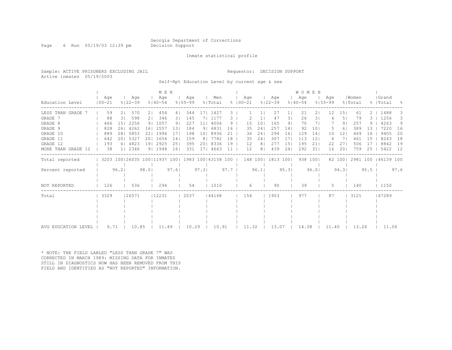Page 6 Run 05/19/03 12:39 pm Decision Support

#### Inmate statistical profile

Sample: ACTIVE PRISONERS EXCLUDING JAIL Requestor: DECISION SUPPORT Active inmates 05/19/2003

Self-Rpt Education Level by current age & sex

|                     |                   |                |                      |        | MEN                |                 |                    |                |                                                     |        |                    |                 |                    |                 | <b>WOMEN</b>       |                 |                      |                |                  |        |                     |                  |
|---------------------|-------------------|----------------|----------------------|--------|--------------------|-----------------|--------------------|----------------|-----------------------------------------------------|--------|--------------------|-----------------|--------------------|-----------------|--------------------|-----------------|----------------------|----------------|------------------|--------|---------------------|------------------|
| Education Level     | Aqe<br>$100 - 21$ |                | i Age<br>$8122 - 39$ |        | Aqe<br>$8140 - 54$ |                 | Aqe<br>$8155 - 99$ |                | Men<br>% Total                                      |        | Aqe<br>$8100 - 21$ |                 | Age<br>$8122 - 39$ |                 | Age<br>$8140 - 54$ |                 | l Age<br>$8155 - 99$ |                | Women<br>% Total |        | Grand<br>%   Total  | $\sim$ $\approx$ |
| LESS THAN GRADE     | 59                | 2 <sub>1</sub> | 570                  | 21     | 454                | 4               | 344                |                | 17  1427                                            | 3.     |                    |                 | 27                 |                 | 21                 | 21              | 12                   | 151            | 61               | 2.     | 1488                | З.               |
| GRADE 7             | 88                | 31             | 598                  | 21     | 346                | 31              | 145                |                | 1177                                                | З.     |                    |                 | 47                 | 31              | 26                 | 31              |                      | 51             | 79               |        | 1256                | 3.               |
| GRADE 8             | 466               | 151            | 2256                 | 91     | 1057               | 91              | 227                | 11             | 4006                                                | 9      | 15                 | 10 <sup>°</sup> | 165                | 9 <sub>1</sub>  | 70                 |                 |                      | 9 <sub>1</sub> | 257              | 9.     | 4263                | 9                |
| GRADE 9             | 828               | 261            | 4262                 | 161    | 1557               | 131             | 184                | 9 <sub>1</sub> | 6831                                                | 16     | 35                 | 24              | 257                | 14 <sub>1</sub> | 92                 | 101             |                      | 61             | 389              | 13     | 7220                | 16               |
| GRADE 10            | 889               | 281            | 5853                 | 221    | 1996               | 171             | 198                | 101            | 8936                                                | 21     | 36                 | 241             | 294                | 161             | 129                | 14              | 10                   | 121            | 469              | -16    | 9405                | 20               |
| GRADE 11            | 642               |                | 20   5327            | 201    | 1654               | 14 <sub>1</sub> | 159                | 8 <sub>1</sub> | 7782                                                | 18     | 35                 | 241             | 307                | 171             | 113                | 12 <sub>1</sub> | 6                    | -7 I           | 461              | 15     | 8243                | 18               |
| GRADE 12            | 193               |                | 6 4823               | 191    | 2925               | 251             | 395                | 201            | 8336                                                | 19     | 12                 | 8 <sub>1</sub>  | 277                | 151             | 195                | 211             | 22                   | 27             | 506              | 17     | 8842                | 19               |
| MORE THAN GRADE 12  | 38                |                | 1  2346              |        | 91 1948            | 16              | 331                | 171            | 4663                                                | 11     | 12                 | 8 <sub>1</sub>  | 439                | 241             | 292                | 311             | 16                   | 201            | 759              | 25     | 5422                | 12               |
| Total reported      |                   |                |                      |        |                    |                 |                    |                | 3203 100 26035 100 11937 100   1983 100   43158 100 |        |                    |                 | 148 100  1813 100  |                 | 938 1001           |                 |                      | 82 100         |                  |        | 2981 100 146139 100 |                  |
| Percent reported    | 96.2              |                |                      | $98.0$ |                    | 97.6            |                    | 97.3           |                                                     | $97.7$ |                    | 96.1            |                    | 95.3            |                    | 96.01           |                      | 94.3           |                  | $95.5$ |                     | 97.6             |
| NOT REPORTED        | 126               |                | 536                  |        | 294                |                 | 54                 |                | 1010                                                |        | 6                  |                 | 90                 |                 | 39                 |                 | 5.                   |                | 140              |        | 1150                |                  |
| Total               | 3329              |                | 26571                |        | 12231              |                 | 2037               |                | 44168                                               |        | 154                |                 | 1903               |                 | 977                |                 | 87                   |                | 3121             |        | 147289              |                  |
|                     |                   |                |                      |        |                    |                 |                    |                |                                                     |        |                    |                 |                    |                 |                    |                 |                      |                |                  |        |                     |                  |
|                     |                   |                |                      |        |                    |                 |                    |                |                                                     |        |                    |                 |                    |                 |                    |                 |                      |                |                  |        |                     |                  |
|                     |                   |                |                      |        |                    |                 |                    |                |                                                     |        |                    |                 |                    |                 |                    |                 |                      |                |                  |        |                     |                  |
| AVG EDUCATION LEVEL | 9.71              |                | 10.85                |        | 11.49              |                 | 10.29              |                | 10.91                                               |        | 11.32              |                 | 13.07              |                 | 14.08              |                 | 11.40                |                | 13.26            |        | 11.06               |                  |

\* NOTE: THE FIELD LABLED "LESS THAN GRADE 7" WAS CORRECTED IN MARCH 1989: MISSING DATA FOR INMATES STILL IN DIAGNOSTICS NOW HAS BEEN REMOVED FROM THIS FIELD AND IDENTIFIED AS "NOT REPORTED" INFORMATION.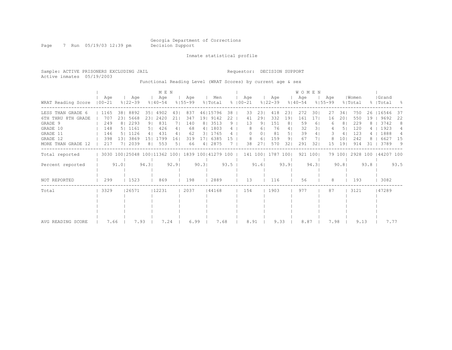Page 7 Run 05/19/03 12:39 pm Decision Support

Inmate statistical profile

Active inmates 05/19/2003

Sample: ACTIVE PRISONERS EXCLUDING JAIL Requestor: DECISION SUPPORT

Functional Reading Level (WRAT Scores) by current age & sex

|                    |                   |      |                    |                | M E N                                                   |      |                    |                |                |      |               |         |                |                    |                | WOMEN              |          |                    |                |                  |      |                    |      |
|--------------------|-------------------|------|--------------------|----------------|---------------------------------------------------------|------|--------------------|----------------|----------------|------|---------------|---------|----------------|--------------------|----------------|--------------------|----------|--------------------|----------------|------------------|------|--------------------|------|
| WRAT Reading Score | Aqe<br>$100 - 21$ |      | Age<br>$8122 - 39$ |                | Age<br>$8140 - 54$                                      |      | Aqe<br>$8155 - 99$ |                | Men<br>% Total |      | $8   00 - 21$ | Aqe     |                | Age<br>$8122 - 39$ |                | Age<br>$8140 - 54$ |          | Aqe<br>$8155 - 99$ |                | Women<br>% Total |      | Grand<br>%   Total | - 8  |
| LESS THAN GRADE 6  | 1165              | 381  | 8892               | 351            | 4902                                                    | 43   | 837                |                | 46   15796     | 38   |               | 33      | 23             | 418                | 231            | 272                | 301      | 27                 | 341            | 750              | 26   | 116546             | 37   |
| 6TH THRU 8TH GRADE | 707               | 231  | 5668               | 231            | 2420                                                    | 21   | 347                |                | 19 9142        | 22   |               | 41      | 291            | 332                | 191            | 161                | 171      | 16                 | 201            | 550              | 19   | 9692               | 22   |
| GRADE 9            | 249               |      | 8   2293           | 91             | 831                                                     |      | 140                | 8 <sub>1</sub> | 3513           | 9    |               | 13      | 9 <sub>1</sub> | 151                | 8 <sup>1</sup> | 59                 | 61       | 6                  | 8 <sub>1</sub> | 229              |      | 3742               | 8    |
| GRADE 10           | 148               |      | 5   1161           | 5 <sub>1</sub> | 426                                                     | 4    | 68                 | 41             | 1803           |      |               | 8       | 61             | 76                 | 4              | 32                 | 31       |                    | 51             | 120              |      | 1923               |      |
| GRADE 11           | 146               |      | 5   1126           | 41             | 431                                                     | 4    | 62                 | 31             | 1765           |      |               |         | 01             | 81                 | 5 <sub>1</sub> | 39                 | 4        |                    | 4              | 123              |      | 1888               | 4    |
| GRADE 12           | 398               | 131  | 3869               | 151            | 1799                                                    | 16   | 319                |                | 6385           | 15   |               | 8       | 6              | 159                | 91             | 67                 |          |                    | 101            | 242              |      | 6627               | 15   |
| MORE THAN GRADE 12 | 217               |      | 7  2039            | 81             | 553                                                     |      | 66                 | 4 I            | 2875           |      |               | 38      | 27             | 570                | 32             | 291                | 32       | 15                 | 191            | 914              | 31   | 3789               | - 9  |
| Total reported     |                   |      |                    |                | 3030 100   25048 100   11362 100   1839 100   41279 100 |      |                    |                |                |      |               | 141 100 |                | 1787 1001          |                |                    | 921 1001 |                    | 79 1001        | 2928 100         |      | 44207 100          |      |
| Percent reported   |                   | 91.0 |                    | 94.3           |                                                         | 92.9 |                    | 90.31          |                | 93.5 |               |         | 91.6           |                    | 93.91          |                    | 94.31    |                    | 90.81          |                  | 93.8 |                    | 93.5 |
| NOT REPORTED       | 299               |      | 1523               |                | 869                                                     |      | 198                |                | 2889           |      |               | 13      |                | 116                |                | 56                 |          | 8                  |                | 193              |      | 3082               |      |
| Total              | 3329              |      | 26571              |                | 12231                                                   |      | 2037               |                | 44168          |      |               | 154     |                | 1903               |                | 977                |          | 87                 |                | 3121             |      | 47289              |      |
|                    |                   |      |                    |                |                                                         |      |                    |                |                |      |               |         |                |                    |                |                    |          |                    |                |                  |      |                    |      |
|                    |                   |      |                    |                |                                                         |      |                    |                |                |      |               |         |                |                    |                |                    |          |                    |                |                  |      |                    |      |
|                    |                   |      |                    |                |                                                         |      |                    |                |                |      |               |         |                |                    |                |                    |          |                    |                |                  |      |                    |      |
|                    |                   |      |                    |                |                                                         |      |                    |                |                |      |               |         |                |                    |                |                    |          |                    |                |                  |      |                    |      |
| AVG READING SCORE  | 7.66              |      | 7.93               |                | 7.24                                                    |      | 6.99               |                | 7.68           |      |               | 8.91    |                | 9.33               |                | 8.87               |          | 7.98               |                | 9.13             |      | 7.77               |      |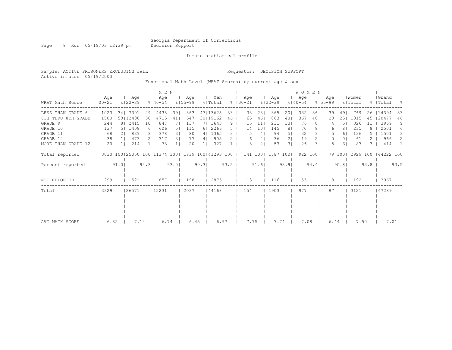Page 8 Run 05/19/03 12:39 pm Decision Support

Inmate statistical profile

Sample: ACTIVE PRISONERS EXCLUDING JAIL Requestor: DECISION SUPPORT Active inmates 05/19/2003

Functional Math Level (WRAT Scores) by current age & sex

|                    |                   |      |                    |       | M E N              |      |                                                         |       |                |      |                      |                 |                    |                | WOMEN              |          |                    |                |                  |      |                    |      |
|--------------------|-------------------|------|--------------------|-------|--------------------|------|---------------------------------------------------------|-------|----------------|------|----------------------|-----------------|--------------------|----------------|--------------------|----------|--------------------|----------------|------------------|------|--------------------|------|
| WRAT Math Score    | Age<br>$100 - 21$ |      | Age<br>$8122 - 39$ |       | Age<br>$8140 - 54$ |      | Aqe<br>$8155 - 99$                                      |       | Men<br>% Total |      | Aqe<br>$8   00 - 21$ |                 | Aqe<br>$8122 - 39$ |                | Age<br>$8140 - 54$ |          | Age<br>$8155 - 99$ |                | Women<br>% Total |      | Grand<br>%   Total | - 양  |
| LESS THAN GRADE 6  | 1023              |      | 34   7301          | 291   | 4438               | 391  | 863                                                     |       | 47   13625     | 33   | 33                   | 23              | 365                | 201            | 332                | 361      | 39                 | 491            | 769              | 26   | 14394              | 33   |
| 6TH THRU 8TH GRADE | 1500              |      | 50   12400         | 501   | 4715               | 41   | 547                                                     |       | 30   19162     | 46   | 65                   | 46              | 863                | 48             | 367                | 40       | 20                 | 251            | 1315             | 45   | 20477              | 46   |
| GRADE 9            | 244               |      | 8   2415           | 101   | 847                |      | 137                                                     |       | 7  3643        | 9    | 15                   | 11              | 231                | 131            | 76                 | 81       |                    | 51             | 326              | 11   | 3969               | 9    |
| GRADE 10           | 137               |      | 5   1408           | 61    | 606                | 51   | 115                                                     |       | 6 2266         | 5.   | 14                   | 10 <sub>1</sub> | 145                | 8 <sup>1</sup> | 70                 | 8        | 6                  | 81             | 235              |      | 2501               | 6    |
| GRADE 11           | 68                |      | 839                | 31    | 378                | 31   | 80                                                      | 41    | 1365           | 3.   | 5                    | 4 <sub>1</sub>  | 94                 | 5 <sub>1</sub> | 32                 | 31       |                    | 61             | 136              |      | 1501               | 3    |
| GRADE 12           | 38                |      | 473                | 21    | 317                | 31   | 77                                                      | 41    | 905            |      | 6                    | 4               | 36                 | 2 <sub>1</sub> | 19                 | 21       | 0                  | 0 <sub>1</sub> | 61               |      | 966                | 2    |
| MORE THAN GRADE 12 | 20                |      | 214                |       | 73                 |      | 20                                                      |       | 327            |      | 3                    | $\overline{2}$  | 53                 | 31             | 26                 | 31       |                    | 61             | 87               | 3.   | 414                |      |
| Total reported     |                   |      |                    |       |                    |      | 3030 100   25050 100   11374 100   1839 100   41293 100 |       |                |      | 141 100              |                 | 1787 1001          |                |                    | 922 1001 |                    | 79 1001        | 2929 100         |      | 44222 100          |      |
| Percent reported   |                   | 91.0 |                    | 94.31 |                    | 93.0 |                                                         | 90.31 |                | 93.5 |                      | 91.6            |                    | 93.91          |                    | 94.4     |                    | 90.81          |                  | 93.8 |                    | 93.5 |
| NOT REPORTED       | 299               |      | 1521               |       | 857                |      | 198                                                     |       | 2875           |      | 13                   |                 | 116                |                | 55                 |          | 8                  |                | 192              |      | 3067               |      |
| Total              | 3329              |      | 26571              |       | 12231              |      | 2037                                                    |       | 44168          |      | 154                  |                 | 1903               |                | 977                |          | 87                 |                | 3121             |      | 47289              |      |
|                    |                   |      |                    |       |                    |      |                                                         |       |                |      |                      |                 |                    |                |                    |          |                    |                |                  |      |                    |      |
|                    |                   |      |                    |       |                    |      |                                                         |       |                |      |                      |                 |                    |                |                    |          |                    |                |                  |      |                    |      |
|                    |                   |      |                    |       |                    |      |                                                         |       |                |      |                      |                 |                    |                |                    |          |                    |                |                  |      |                    |      |
|                    |                   |      |                    |       |                    |      |                                                         |       |                |      |                      |                 |                    |                |                    |          |                    |                |                  |      |                    |      |
| AVG MATH SCORE     | 6.82              |      | 7.14               |       | 6.74               |      | 6.45                                                    |       |                | 6.97 | 7.75                 |                 | 7.74               |                | 7.08               |          | 6.44               |                | 7.50             |      | 7.01               |      |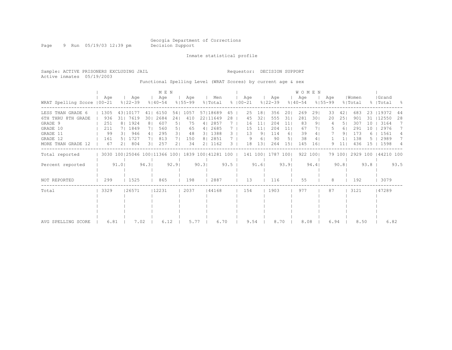Page 9 Run 05/19/03 12:39 pm Decision Support

Inmate statistical profile

Sample: ACTIVE PRISONERS EXCLUDING JAIL Requestor: DECISION SUPPORT Active inmates 05/19/2003

Functional Spelling Level (WRAT Scores) by current age & sex

|                             |      |                |                    |                | M E N                                               |                |                    |       |                |      |                   |                |                    |       | <b>WOMEN</b>       |          |                    |         |                  |      |                    |      |
|-----------------------------|------|----------------|--------------------|----------------|-----------------------------------------------------|----------------|--------------------|-------|----------------|------|-------------------|----------------|--------------------|-------|--------------------|----------|--------------------|---------|------------------|------|--------------------|------|
| WRAT Spelling Score   00-21 | Aqe  |                | Age<br>$8122 - 39$ |                | Age<br>$8140 - 54$                                  |                | Age<br>$8155 - 99$ |       | Men<br>% Total | ွေ   | Age<br>$100 - 21$ |                | Age<br>$8122 - 39$ |       | Age<br>$8140 - 54$ |          | Age<br>$8155 - 99$ |         | Women<br>% Total |      | Grand<br>%   Total | - 옹  |
| LESS THAN GRADE 6           | 1305 |                | 43110177           | 411            | 6150                                                | 541            | 1057               |       | 57118689       | 45   | 25                | 18             | 356                | 201   | 269                | 291      | 33                 | 421     | 683              | 23   | 119372             | 44   |
| 6TH THRU<br>8TH GRADE       | 936  |                | 31  7619           | 301            | 2684                                                | 241            | 410                |       | 22   11649     | 28   | 45                | 32             | 555                | 31    | 281                | 301      | 20                 | 251     | 901              | 31   | 12550              | 28   |
| GRADE 9                     | 251  |                | 8   1924           | 8 <sub>1</sub> | 607                                                 | 51             | 75                 |       | 4   2857       |      | 16                | 11             | 204                | 11    | 83                 | 91       |                    | 51      | 307              | 10   | 3164               |      |
| GRADE 10                    | 211  |                | 7  1849            | 71             | 560                                                 | 5 <sub>1</sub> | 65                 |       | 4   2685       |      | 15                | 11             | 204                | 11    | 67                 |          |                    | 61      | 291              | 10   | 2976               |      |
| GRADE 11                    | 99   | $\overline{3}$ | 946                | 4 <sub>1</sub> | 295                                                 | 3 <sub>1</sub> | 48                 |       | 3   1388       | 3.   | 13                | 9 <sub>1</sub> | 114                | 61    | 39                 | 4        |                    | 91      | 173              |      | 1561               | 4    |
| GRADE 12                    | 161  |                | 1727               |                | 813                                                 |                | 150                |       | 8   2851       |      | 9                 | 6              | 90                 | 51    | 38                 | 4        |                    |         | 138              |      | 2989               | 7    |
| MORE THAN GRADE 12          | 67   |                | 804                | 31             | 257                                                 | 21             | 34                 |       | 2  1162        | 3    | 18                | 13             | 264                | 15    | 145                | 16       | q                  | 11      | 436              | 1.5  | 1598               | 4    |
| Total reported              |      |                |                    |                | 3030 100 25046 100 11366 100   1839 100   41281 100 |                |                    |       |                |      | 141 100           |                | 1787 1001          |       |                    | 922 1001 |                    | 79 1001 | 2929 100         |      | 44210 100          |      |
| Percent reported            |      | 91.0           |                    | 94.31          |                                                     | 92.91          |                    | 90.31 |                | 93.5 |                   | 91.6           |                    | 93.91 |                    | 94.4     |                    | 90.81   |                  | 93.8 |                    | 93.5 |
| NOT REPORTED                | 299  |                | 1525               |                | 865                                                 |                | 198                |       | 2887           |      | 13                |                | 116                |       | 55                 |          | 8                  |         | 192              |      | 3079               |      |
| Total                       | 3329 |                | 26571              |                | 12231                                               |                | 2037               |       | 44168          |      | 154               |                | 1903               |       | 977                |          | 87                 |         | 3121             |      | 47289              |      |
|                             |      |                |                    |                |                                                     |                |                    |       |                |      |                   |                |                    |       |                    |          |                    |         |                  |      |                    |      |
|                             |      |                |                    |                |                                                     |                |                    |       |                |      |                   |                |                    |       |                    |          |                    |         |                  |      |                    |      |
|                             |      |                |                    |                |                                                     |                |                    |       |                |      |                   |                |                    |       |                    |          |                    |         |                  |      |                    |      |
|                             |      |                |                    |                |                                                     |                |                    |       |                |      |                   |                |                    |       |                    |          |                    |         |                  |      |                    |      |
| AVG SPELLING SCORE          | 6.81 |                | 7.02               |                | 6.12                                                |                | 5.77               |       | 6.70           |      | 9.54              |                | 8.70               |       | 8.08               |          | 6.94               |         | 8.50             |      | 6.82               |      |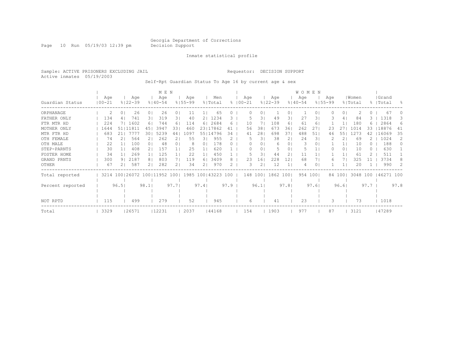Page 10 Run 05/19/03 12:39 pm Decision Support

#### Inmate statistical profile

Sample: ACTIVE PRISONERS EXCLUDING JAIL Requestor: DECISION SUPPORT Active inmates 05/19/2003

Self-Rpt Guardian Status To Age 16 by current age & sex

|                  |                   |                          |                    |                | M E N              |                |                    |      |                  |      |             |          |                |                    |                | WOMEN              |      |                    |                |                  |                  |                    |           |
|------------------|-------------------|--------------------------|--------------------|----------------|--------------------|----------------|--------------------|------|------------------|------|-------------|----------|----------------|--------------------|----------------|--------------------|------|--------------------|----------------|------------------|------------------|--------------------|-----------|
| Guardian Status  | Age<br>$100 - 21$ |                          | Age<br>$8122 - 39$ |                | Age<br>$8140 - 54$ |                | Age<br>$8155 - 99$ |      | Men<br>% Total   |      | $8$   00-21 | Age      |                | Age<br>$8122 - 39$ |                | Age<br>$8140 - 54$ |      | Age<br>$8155 - 99$ |                | Women<br>% Total |                  | Grand<br>%   Total | $\approx$ |
|                  |                   |                          |                    |                |                    |                |                    |      |                  |      |             |          |                |                    |                |                    |      |                    |                |                  |                  |                    |           |
| ORPHANAGE        | 2                 | 0                        | 26                 | 0 <sup>1</sup> | 26                 | 01             | 11                 |      | 65               |      |             |          | 0              |                    | 0.             |                    | 0    |                    | 0 <sub>1</sub> |                  | $\left( \right)$ | 67                 |           |
| FATHER ONLY      | 134               | 4                        | 741                | 31             | 319                | 31             | 40                 | 21   | 1234             | 3.   |             |          | 3              | 49                 | 31             | 27                 | 31   |                    | 4              | 84               |                  | 1318               | З.        |
| FTR MTR HD       | 224               |                          | 7  1602            | 61             | 744                | 61             | 114                | 61   | 2684             | 6    |             | 10       |                | 108                | 6              | 61                 | 6    |                    |                | 180              | 6                | 2864               | 6         |
| MOTHER ONLY      | 1644              | 51   11811               |                    | 45             | 3947               | 33             | 460                |      | 23   17862       | 41   |             | 56       | 38             | 673                | 36             | 262                | 27   | 23                 |                | 1014             | 33               | 18876              | 41        |
| MTR FTR HD       | 683               | 21                       | 7777               | 30             | 5239               | 44             | 1097               |      | 55   14796       | 34   |             | 41       | 28             | 698                | 37             | 488                | 51   | 46                 | 551            | 1273             | 42               | 16069              | 35        |
| OTH FEMALE       | 74                |                          | 564                |                | 262                |                | 55                 | 31   | 955              |      |             | 5        | 31             | 38                 | $\overline{2}$ | 24                 | 3    |                    |                | 69               |                  | 1024               | 2         |
| OTH MALE         | 22                |                          | 100                | 0 <sub>1</sub> | 48                 | 0 <sub>1</sub> | 8                  | 0    | 178              |      |             |          | $\circ$        | 6                  | 01             | 3                  | 0    |                    | 1 <sup>1</sup> | 10               | ()               | 188                | $\Omega$  |
| STEP-PARNTS      | 30                |                          | 408                | 2.             | 157                |                | 25                 |      | 620              |      |             |          | 0              | 5                  | 0              |                    |      |                    | 01             | 10               |                  | 630                |           |
| FOSTER HOME      | 34                |                          | 269                |                | 125                |                | 22                 |      | 450              |      |             |          | 3              | 44                 | 2              | 11                 |      |                    |                | 61               |                  | 511                |           |
| GRAND PRNTS      | 300               | 91                       | 2187               | 8 <sup>1</sup> | 803                |                | 119                | 6    | 3409             |      |             | 23       | 16             | 228                | .2             | 68                 |      | 6                  |                | 325              |                  | 3734               |           |
| <b>OTHER</b>     | 67                |                          | 587                | 21             | 282                | 2 <sub>1</sub> | 34                 | 2    | 970              |      |             |          | $\overline{2}$ | 12                 |                | 4                  |      |                    |                | 20               |                  | 990                |           |
| Total reported   |                   | 3214 100 26072 100 11952 |                    |                |                    | 1001           |                    |      | 1985 100   43223 | 100  |             | 148 1001 |                | 1862               | 1001           | 954                | 1001 |                    | 84 1001        | 3048 100         |                  | 46271 100          |           |
| Percent reported |                   | 96.5                     |                    | 98.1           |                    | 97.7           |                    | 97.4 |                  | 97.9 |             |          | 96.1           |                    | 97.81          |                    | 97.6 |                    | 96.61          |                  | 97.7             |                    | 97.8      |
|                  |                   |                          |                    |                |                    |                |                    |      |                  |      |             |          |                |                    |                |                    |      |                    |                |                  |                  |                    |           |
| NOT RPTD         | 115               |                          | 499                |                | 279                |                | 52                 |      | 945              |      |             | 6        |                | 41                 |                | 23                 |      |                    |                | 73               |                  | 1018               |           |
| Total            | 3329              |                          | 26571              |                | 12231              |                | 2037               |      | 44168            |      |             | 154      |                | 1903               |                | 977                |      | 87                 |                | 3121             |                  | 47289              |           |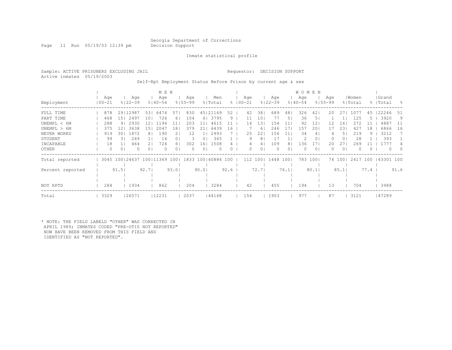Page 11 Run 05/19/03 12:39 pm Decision Support

Inmate statistical profile

Sample: ACTIVE PRISONERS EXCLUDING JAIL Requestor: DECISION SUPPORT Active inmates 05/19/2003

Self-Rpt Employment Status Before Prison by current age & sex

|                  |  |                   |                |                              |                | M E N              |       |                    |       |                |      |             |         |                |                    |      | <b>WOMEN</b>       |                |                    |                |                  |      |                    |          |
|------------------|--|-------------------|----------------|------------------------------|----------------|--------------------|-------|--------------------|-------|----------------|------|-------------|---------|----------------|--------------------|------|--------------------|----------------|--------------------|----------------|------------------|------|--------------------|----------|
| Employment       |  | Age<br>$100 - 21$ |                | Age<br>$8122 - 39$           |                | Age<br>$8140 - 54$ |       | Aqe<br>$8155 - 99$ |       | Men<br>% Total |      | $8100 - 21$ | Aqe     |                | Age<br>$8122 - 39$ |      | Age<br>$8140 - 54$ |                | Age<br>$8155 - 99$ |                | Women<br>% Total |      | Grand<br>%   Total | - 옹      |
| FULL TIME        |  | 878               |                | 29 12987                     | 531            | 6474               | 57    | 830                | 451   | 21169          | 52   |             | 42      | 38             | 689                | 48   | 326                | 421            | 20                 |                | 1077             | 45   | 22246              | -51      |
| PART TIME        |  | 468               | 151            | 2497                         | 101            | 726                | 61    | 104                | 61    | 3795           | 9    |             | 11      | 10             | 77                 | 51   | 36                 | 5              |                    |                | 125              | b.   | 3920               | 9        |
| UNEMPL < 6M      |  | 288               | 9 <sub>1</sub> | 2930                         |                | 1194               | 11    | 203                | 11    | 4615           |      |             | 14      | 13             | 154                | 11   | 92                 | 12             | 12                 | 16             |                  |      | 4887               | -11      |
| UNEMPL > 6M      |  | 375               | 121            | 3638                         | 15 I           | 2047               | 18    | 379                | 21    | 6439           | 16   |             |         | 6              | 246                |      | 157                | 201            | 17                 | 23             | 42.              | 18   | 6866               | 16       |
| NEVER WORKD      |  | 919               | 301            | 1872                         | 81             | 190                |       | 12                 |       | 2993           |      |             | 25      | 22             | 156                | 11   | 34                 | 4              |                    | 5              | 219              | 9.   | 3212               |          |
| STUDENT          |  | 99                | 31             | 249                          |                | 14                 |       | 3                  | 0     | 365            |      |             | 9       | 8              | 17                 |      |                    | 0 <sub>1</sub> |                    | 01             | 28               |      | 393                |          |
| INCAPABLE        |  | 18                |                | 464                          |                | 724                | 61    | 302                | 16    | 1508           |      |             |         | 4              | 109                |      | 136                | 17             | 20                 |                | 269              |      |                    |          |
| OTHER            |  | $\Omega$          | 0 <sub>1</sub> |                              | 0 <sub>1</sub> | $\bigcap$          | 0.    | $\Omega$           | 0     | $\Omega$       | 0    |             | 0       | 0 <sup>1</sup> | $\Omega$           | 01   |                    | 0 <sub>1</sub> |                    | 0 <sub>1</sub> |                  |      | $\Omega$           | $\Omega$ |
| Total reported   |  |                   |                | 3045 100 24637 100 11369 100 |                |                    |       |                    |       | 1833 100 40884 | 100  |             | 112 100 |                | 1448               | 1001 | 783                | $100$          |                    | 74 1001        | 2417 100         |      | 143301 100         |          |
| Percent reported |  |                   | 91.5           |                              | 92.71          |                    | 93.01 |                    | 90.01 |                | 92.6 |             |         | 72.71          |                    | 76.1 |                    | 80.1           |                    | 85.1           |                  | 77.4 |                    | 91.6     |
|                  |  |                   |                |                              |                |                    |       |                    |       |                |      |             |         |                |                    |      |                    |                |                    |                |                  |      |                    |          |
| NOT RPTD         |  | 284               |                | 1934                         |                | 862                |       | 204                |       | 3284           |      |             | 42      |                | 455                |      | 194                |                | 13                 |                | 704              |      | 3988               |          |
| Total            |  | 3329              |                | 26571                        |                | 12231              |       | 2037               |       | 44168          |      |             | 154     |                | 1903               |      | 977                |                | 87                 |                | 3121             |      | 47289              |          |

\* NOTE: THE FIELD LABELD "OTHER" WAS CORRECTED IN APRIL 1989; INMATES CODED "PRE-OTIS NOT REPORTED" NOW HAVE BEEN REMOVED FROM THIS FIELD AND IDENTIFIED AS "NOT REPORTED".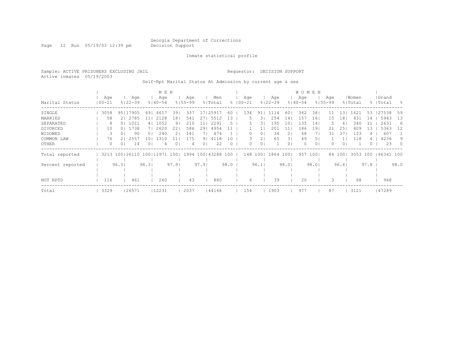Page 12 Run 05/19/03 12:39 pm Decision Support

Inmate statistical profile

Sample: ACTIVE PRISONERS EXCLUDING JAIL Requestor: DECISION SUPPORT Active inmates 05/19/2003

Self-Rpt Marital Status At Admission by current age & sex

|                  |            |                        | M E N               |             |                      |          |             |                |                | WOMEN       |       |             |               |           |           |      |
|------------------|------------|------------------------|---------------------|-------------|----------------------|----------|-------------|----------------|----------------|-------------|-------|-------------|---------------|-----------|-----------|------|
|                  | Age        | Age                    | Age                 | Aqe         | Men                  |          | Age         |                | Age            | Age         |       | Age         | Women         |           | Grand     |      |
| Marital Status   | $100 - 21$ | $8122 - 39$            | $8140 - 54$         | $8155 - 99$ | % Total              |          | $8100 - 21$ | $8122 - 39$    |                | $8140 - 54$ |       | $8155 - 99$ | % Total       |           | %   Total | - 옹  |
| SINGLE           | 3058       | 95   17905             | 461<br>69           | 39<br>337   | 25917<br>17          | 60       | 134         | 91             | 60.<br>-4      | 362         | 38    |             | 1621<br>. 3 I | 53        | 27538     | 59   |
| MARRIED          | 58         | 2   2785               | 2128                | 541<br>18   | 27<br>5512           | 3        |             |                | 254<br>14      | 157         | 16    | 15          | .8<br>431     | 14        | 5943      | 13   |
| SEPARATED        | 8          | 1021<br>0 <sup>1</sup> | 1052<br>41          | 210<br>9    | 2291<br>11           |          | 5.          | 3              | 195<br>10      | 135         | 14    |             | 6             | 340       | 2631      | 6    |
| DIVORCED         | 10         | 1738<br>0 <sup>1</sup> | 2620                | 586<br>22   | 29<br>4954           |          |             |                | 201            | 186         | 19    | 21          | 251           | 409<br>13 | 5363      | 12   |
| WIDOWED          | 3          | 90                     | 240<br>01           | 141         | 474                  |          |             | 01             | 34<br>2.       | 68          |       | 31          | 37            | 133       | 607       |      |
| COMMON LAW       | 76         | 2557                   | 1310<br>10          | 175         | 91<br>4118           | 10       |             | $\overline{2}$ | 65<br>31       | 49          | 5.    |             |               | 118       | 4236      | 9    |
| OTHER            | $\Omega$   | 14<br>01               | 0 <sup>1</sup><br>4 | 4           | 22<br>0 <sub>1</sub> | $\Omega$ | 0           | $\circ$        | 0 <sub>1</sub> | $\Omega$    | 0     |             | 01            | ()        | 23        | - 0  |
| Total reported   |            | 3213 100 26110         | 100   11971         | 1001        | 1994 100   43288     | 100      | 148 100     | 1864           | 1001           | 957         | 1001  |             | 84 100        | 3053 100  | 46341 100 |      |
| Percent reported |            | 96.51                  | 98.31               | 97.91       | 97.91                | 98.0     |             | 96.1           | 98.01          |             | 98.01 |             | 96.6          | 97.8      |           | 98.0 |
|                  |            |                        |                     |             |                      |          |             |                |                |             |       |             |               |           |           |      |
|                  |            |                        |                     |             |                      |          |             |                |                |             |       |             |               |           |           |      |
| NOT RPTD         | 116        | 461                    | 260                 | 43          | 880                  |          | 6           |                | 39             | 20          |       |             |               | 68        | 948       |      |
| Total            | 3329       | 26571                  | 12231               | 2037        | 44168                |          | 154         | 1903           |                | 977         |       | 87          | 3121          |           | 47289     |      |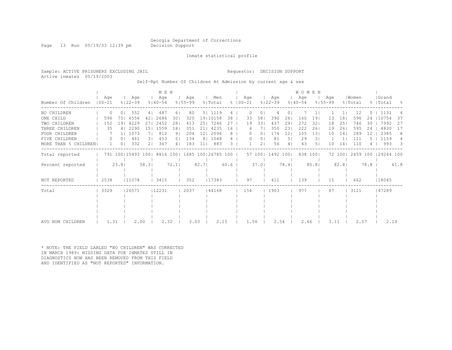Page 13 Run 05/19/03 12:39 pm Decision Support

Inmate statistical profile

Active inmates 05/19/2003

#### Sample: ACTIVE PRISONERS EXCLUDING JAIL Requestor: DECISION SUPPORT

Self-Rpt Number Of Children At Admission by current age & sex

|                      |                   |                |                    |      | MEN                |                |                                                       |        |                |      |                      |                     |                    |                 | <b>WOMEN</b>       |          |                    |         |                  |      |                     |      |
|----------------------|-------------------|----------------|--------------------|------|--------------------|----------------|-------------------------------------------------------|--------|----------------|------|----------------------|---------------------|--------------------|-----------------|--------------------|----------|--------------------|---------|------------------|------|---------------------|------|
| Number Of Children   | Age<br>$100 - 21$ |                | Age<br>$8122 - 39$ |      | Age<br>$8140 - 54$ |                | Aqe<br>$8155 - 99$                                    |        | Men<br>% Total |      | Age<br>$8   00 - 21$ |                     | Age<br>$8122 - 39$ |                 | Age<br>$8140 - 54$ |          | Aqe<br>$8155 - 99$ |         | Women<br>% Total |      | Grand<br>%   Total  | - 양  |
| NO CHILDREN          | $\Omega$          |                | 552                | 4    | 487                | 61             | 80                                                    |        | 5   1119       | 4    |                      | 0                   | 4                  |                 |                    |          |                    |         | 12               |      | 1131                |      |
| ONE CHILD            | 596               | 751            | 6556               | 421  | 2686               | 301            | 320                                                   |        | 19 10158       | 38   | 33                   | 58                  | 390                | 26              | 160                | 19       | 13                 | 18      | 596              | 24   | 10754               | 37   |
| TWO CHILDREN         | 152               | 191            | 4229               | 27   | 2452               | 281            | 413                                                   |        | 25   7246      | 27   | 19                   | 331                 | 437                | 29              | 272                | 32       | 18                 | 251     | 746              | 30   | 7992                | -27  |
| THREE CHILDREN       | 35                | 4              | 2290               | 151  | 1559               | 181            | 351                                                   | 211    | 4235           | 16   |                      | 4                   | 350                | 23              | 222                | 261      | 19                 | 261     | 595              | 24   | 4830                | 17   |
| FOUR CHILDREN        |                   |                | 1073               | 71   | 812                | 91             | 204                                                   | 12     | 2096           | 8    |                      | 01<br>0             | 174                | 12 <sub>2</sub> | 105                | 131      | 10                 | 14      | 289              |      | 2385                | 8    |
| FIVE CHILDREN        | $\left( \right)$  | 0 <sub>1</sub> | 461                | 31   | 453                | 5 I            | 134                                                   |        | 8   1048       | 4    |                      | $\Omega$<br>$\circ$ | 81                 | 51              | 29                 | 31       |                    |         | 111              |      | 1159                |      |
| MORE THAN 5 CHILDREN |                   | 0 <sub>1</sub> | 332                | 21   | 367                | 4 <sub>1</sub> | 183                                                   | 11     | 883            | 3    |                      | 2 <sub>1</sub>      | 56                 | 4               | 43                 | 51       | 10                 | 14      | 110              |      | 993                 | - 3  |
| Total reported       |                   |                |                    |      |                    |                | 791 100   15493 100   8816 100   1685 100   26785 100 |        |                |      |                      | 57 100              | 1492 1001          |                 |                    | 838 1001 |                    | 72 1001 |                  |      | 2459 100 129244 100 |      |
| Percent reported     |                   | 23.8           |                    | 58.3 |                    | 72.1           |                                                       | $82.7$ |                | 60.6 |                      | 37.01               |                    | 78.4            |                    | 85.8     |                    | 82.8    |                  | 78.8 |                     | 61.8 |
| NOT REPORTED         | 2538              |                | 11078              |      | 3415               |                | 352                                                   |        | 17383          |      | 97                   |                     | 411                |                 | 139                |          | 15                 |         | 662              |      | 18045               |      |
| Total                | 3329              |                | 26571              |      | 12231              |                | 2037                                                  |        | 44168          |      | 154                  |                     | 1903               |                 | 977                |          | 87                 |         | 3121             |      | 47289               |      |
|                      |                   |                |                    |      |                    |                |                                                       |        |                |      |                      |                     |                    |                 |                    |          |                    |         |                  |      |                     |      |
|                      |                   |                |                    |      |                    |                |                                                       |        |                |      |                      |                     |                    |                 |                    |          |                    |         |                  |      |                     |      |
|                      |                   |                |                    |      |                    |                |                                                       |        |                |      |                      |                     |                    |                 |                    |          |                    |         |                  |      |                     |      |
|                      |                   |                |                    |      |                    |                |                                                       |        |                |      |                      |                     |                    |                 |                    |          |                    |         |                  |      |                     |      |
| AVG NUM CHILDREN     | 1.31              |                | 2.00               |      | 2.32               |                | 3.03                                                  |        | 2.15           |      |                      | 1.56                |                    | 2.54            | 2.66               |          | 3.11               |         | 2.57             |      | 2.19                |      |

\* NOTE: THE FIELD LABLED "NO CHILDREN" WAS CORRECTED IN MARCH 1989: MISSING DATA FOR INMATES STILL IN DIAGNOSTICS NOW HAS BEEN REMOVED FROM THIS FIELD AND IDENTIFIED AS "NOT REPORTED" INFORMATION.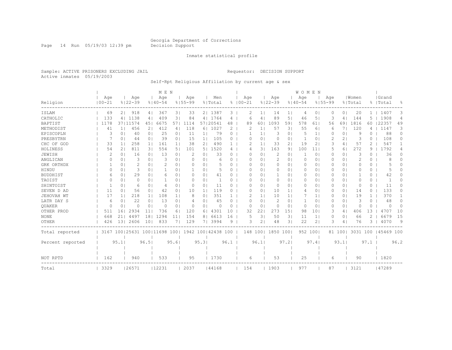Page 14 Run 05/19/03 12:39 pm Decision Support

#### Inmate statistical profile

Sample: ACTIVE PRISONERS EXCLUDING JAIL Requestor: DECISION SUPPORT Active inmates 05/19/2003

Self-Rpt Religious Affiliation by current age & sex

|                  |            |                |                                                         |                | M E N       |                |              |                |          |              |             |                       |              |                 | W O M E N    |                 |                |                |          |                |            |          |
|------------------|------------|----------------|---------------------------------------------------------|----------------|-------------|----------------|--------------|----------------|----------|--------------|-------------|-----------------------|--------------|-----------------|--------------|-----------------|----------------|----------------|----------|----------------|------------|----------|
|                  | Age        |                | Age                                                     |                | Age         |                | Age          |                | Men      |              | Age         |                       | Age          |                 | Age          |                 | Age            |                | Women    |                | Grand      |          |
| Religion         | $100 - 21$ |                | $8122 - 39$                                             |                | $8140 - 54$ |                | $8155 - 99$  |                | % Total  |              | $8100 - 21$ |                       | $8122 - 39$  |                 | $8140 - 54$  |                 | $8155 - 99$    |                | % Total  |                | %   Total  | 욲        |
| ISLAM            | 69         | 21             | 918                                                     | 41             | 367         | 31             | 33           |                | 2   1387 | 3            | 2           | 1 <sup>1</sup>        | 14           | ı.              | 4            | 0               | $\Omega$       | $\Omega$       | 20       | $\mathbf{1}$   | 1407       | 3        |
| CATHOLIC         | 133        |                | 4   1138                                                | 4 <sup>1</sup> | 409         | 3 <sup>1</sup> | 84           |                | 4   1764 | 4            | 6           | 4                     | 89           | 5.              | 46           | 5               | 3              | 41             | 144      |                | 1908       | 4        |
| BAPTIST          | 1178       |                | 37111574                                                | 451            | 6675        | 571            | 1114         |                | 57120541 | 48           | 89          | 60                    | 1093         | 591             | 578          | 61              | 56             | 691            | 1816     | 60             | 22357      | 49       |
| METHODIST        | 41         | 11             | 456                                                     | 2 <sub>1</sub> | 412         | 4              | 118          |                | 6   1027 | 2            | 2           | $\mathbf{1}$          | 57           | 31              | 55           | 6               | 6              | 7 I            | 120      | 4              | 1147       | 3        |
| EPISCOPLN        | 3          | 0              | 40                                                      | 0 <sub>1</sub> | 25          | 0 <sub>1</sub> | 11           | 1 <sub>1</sub> | 79       | $\Omega$     | -1          | 1 <sup>1</sup>        | 3            | $\circ$         | 5            | 1 <sub>1</sub>  | 0              | 0 <sub>1</sub> | 9        | $\Omega$       | 88         | $\Omega$ |
| PRESBYTRN        |            | 0 <sup>1</sup> | 44                                                      | 0 <sub>1</sub> | 39          | 0 <sub>1</sub> | 15           | 1 <sub>1</sub> | 105      | 0            | 0           | $\circ$               | 0            | 0 <sub>1</sub>  | $\mathbf{1}$ | $\circ$         | $\overline{2}$ | 2 <sub>1</sub> | 3        | $\Omega$       | 108        | $\Omega$ |
| CHC OF GOD       | 33         | 1 <sub>1</sub> | 258                                                     | 1 <sup>1</sup> | 161         | 1 <sub>1</sub> | 38           | 2 <sub>1</sub> | 490      | $\mathbf{1}$ | 2           | 1 <sup>1</sup>        | 33           | 21              | 19           | $\overline{2}$  | 3              | 4              | 57       | 2              | 547        |          |
| HOLINESS         | 54         | $\overline{2}$ | 811                                                     | 31             | 554         | 51             | 101          | 5 <sub>1</sub> | 1520     | 4            | 4           | 31                    | 163          | 91              | 100          | 11              |                | 61             | 272      | 9              | 1792       | 4        |
| JEWISH           | 2          | $\Omega$       | 16                                                      | 0 <sub>1</sub> | 13          | 0 <sub>1</sub> | 2            | 0              | 33       | $\Omega$     | O           | 0                     | 2            | $\Omega$        | -1           | 0               | 0              | 0 <sup>1</sup> | 3        | 0              | 36         | 0        |
| ANGLICAN         | $\Omega$   | 0              | 3                                                       | 0 <sub>1</sub> | 3           | 0 <sub>1</sub> | <sup>o</sup> | $\Omega$       |          | 0            | O           | $\Omega$              | 2            | 01              | 0            | 0               | 0              | 0 <sup>1</sup> | 2        | 0              | 8          | $\Omega$ |
| GRK ORTHDX       |            | 0              | 2                                                       | 0 <sub>1</sub> | 2           | 0 <sub>1</sub> | $\Omega$     | 0              |          | 0            | O           | $\Omega$              | 0            | $\Omega$        | $\Omega$     | 0               | 0              | 0 <sup>1</sup> | O        | 0              | 5          | 0        |
| HINDU            | $\Omega$   | 0              | 3                                                       | $\Omega$       |             | 0 <sup>1</sup> |              | 0 <sup>1</sup> | 5        | $\Omega$     | O           | $\Omega$              | 0            | 0 <sub>1</sub>  | 0            | $\circ$         | 0              | 0 <sup>1</sup> | O        | 0              | 5          | 0        |
| <b>BUDDHIST</b>  | 6          | 0 <sup>1</sup> | 29                                                      | 0 <sub>1</sub> | 6           | 0 <sub>1</sub> | $\Omega$     | 0 <sub>1</sub> | 41       | $\Omega$     | O           | $\Omega$              | $\mathbf{1}$ | 0 <sub>1</sub>  | 0            | $\circ$         | 0              | 0 <sup>1</sup> | -1       | 0              | 42         | 0        |
| TAOIST           | $\Omega$   | 0 <sub>1</sub> | 0                                                       | 0 <sub>1</sub> |             | 0 <sub>1</sub> | $\Omega$     | 0 <sub>1</sub> |          | $\Omega$     | 0           | $\Omega$              | $\circ$      | 01              | $\circ$      | $\circ$         | $\Omega$       | 0 <sup>1</sup> | $\Omega$ | 0              |            | O        |
| SHINTOIST        |            | $\Omega$       | 6                                                       | 0              | 4           | 0 <sub>1</sub> | $\Omega$     | 0              | 11       | $\Omega$     | O           | 0                     | 0            | 01              | 0            | 0               | 0              | 0 <sup>1</sup> | $\Omega$ | 0              | 11         | 0        |
| SEVEN D AD       | 11         | $\Omega$       | 56                                                      | 0 <sub>1</sub> | 42          | 0 <sub>1</sub> | 10           | 1 <sub>1</sub> | 119      | $\Omega$     | O           | $\Omega$              | 10           | 1 <sup>1</sup>  | 4            | $\Omega$        | $\Omega$       | 0 <sup>1</sup> | 14       | $\Omega$       | 133        | 0        |
| JEHOVAH WT       | 17         | 1 <sup>1</sup> | 218                                                     | 1 <sup>1</sup> | 108         | 1 <sub>1</sub> | 8            | 0              | 351      |              | 2           | 1 <sup>1</sup>        | 10           | 1 <sup>1</sup>  | 7            | 1 <sup>1</sup>  | 0              | 0 <sup>1</sup> | 19       | 1.             | 370        |          |
| LATR DAY S       | 6          | 0              | 22                                                      | 0              | 13          | 0 <sub>1</sub> | 4            | 0              | 45       | O            | O           | 0                     | 2            | 01              | $\mathbf{1}$ | 0               | 0              | 0 <sup>1</sup> | 3        | 0              | 48         | O        |
| OUAKER           | $\Omega$   | 0              | O                                                       | 0              | $\Omega$    | 0 <sub>1</sub> | 0            | 0              | $\Omega$ | 0            | 0           | 0                     | 0            | $\circ$         | $\circ$      | 0               | 0              | 0 <sup>1</sup> | 0        | 0              | $\Omega$   | $\Omega$ |
| OTHER PROD       | 511        | 161            | 2934                                                    | 11             | 736         | 61             | 120          | 6.             | 4301     | 10           | 32          | 22                    | 273          | 15 <sup>1</sup> | 98           | 10 <sup>°</sup> | 3              | 4              | 406      | 13             | 4707       | 10       |
| <b>NONE</b>      | 668        | 211            | 4497                                                    | 18             | 1294        | 11             | 154          | 8              | 6613     | 16           | 5           | 3                     | 50           | 3 <sup>1</sup>  | 11           | $1\vert$        | 0              | 0 <sub>1</sub> | 66       | $\overline{2}$ | 6679       | 15       |
| OTHER            | 426        | 131            | 2606                                                    | 101            | 833         | 71             | 129          | 71             | 3994     | 9            | 3           | $\mathbf{2}^{\prime}$ | 48           | 31              | 22           | $\overline{2}$  | 3              | 4              | 76       | 3              | 4070       | 9        |
| Total reported   |            |                | 3167 100   25631 100   11698 100   1942 100   42438 100 |                |             |                |              |                |          |              |             | 148 100               | 1850 100     |                 |              | 952 100         |                | 81 1001        | 3031 100 |                | 145469 100 |          |
|                  |            |                |                                                         |                |             |                |              |                |          |              |             |                       |              |                 |              |                 |                |                |          |                |            |          |
| Percent reported |            | 95.1           |                                                         | 96.5           |             | 95.6           |              | 95.31          |          | 96.1         |             | 96.1                  |              | 97.2            |              | 97.4            |                | 93.1           |          | 97.1           |            | 96.2     |
|                  |            |                |                                                         |                |             |                |              |                |          |              |             |                       |              |                 |              |                 |                |                |          |                |            |          |
| NOT RPTD         | 162        |                | 940                                                     |                | 533         |                | 95           |                | 1730     |              | 6           |                       | 53           |                 | 25           |                 | 6              |                | 90       |                | 1820       |          |
| Total            | 3329       |                | 26571                                                   |                | 12231       |                | 2037         |                | 44168    |              | 154         |                       | 1903         |                 | 977          |                 | 87             |                | 3121     |                | 47289      |          |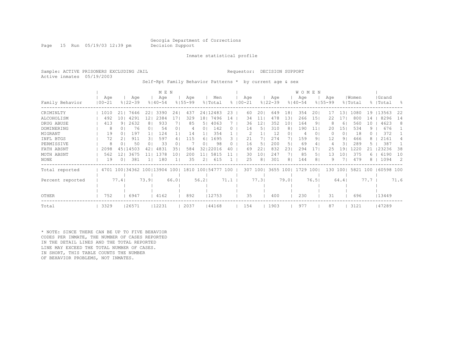Page 15 Run 05/19/03 12:39 pm Decision Support

#### Inmate statistical profile

Sample: ACTIVE PRISONERS EXCLUDING JAIL **Requestor: DECISION SUPPORT** Active inmates 05/19/2003

Self-Rpt Family Behavior Patterns \* by current age & sex

|                  |                   |                 |                              |                | M E N              |       |                    |                |                |      |                    |          |    |                    |      | <b>WOMEN</b>       |                |                    |                 |                  |        |                    |           |
|------------------|-------------------|-----------------|------------------------------|----------------|--------------------|-------|--------------------|----------------|----------------|------|--------------------|----------|----|--------------------|------|--------------------|----------------|--------------------|-----------------|------------------|--------|--------------------|-----------|
| Family Behavior  | Age<br>$100 - 21$ |                 | Age<br>$8122 - 39$           |                | Age<br>$8140 - 54$ |       | Age<br>$8155 - 99$ |                | Men<br>% Total |      | Aqe<br>$8100 - 21$ |          |    | Age<br>$8122 - 39$ |      | Age<br>$8140 - 54$ |                | Aqe<br>$8155 - 99$ |                 | Women<br>% Total |        | Grand<br>%   Total | $\approx$ |
| CRIMINLTY        | 1010              | 211             | 7646                         | 221            | 3390               | 241   | 437                |                | 24   12483     | 23   |                    | 60       | 20 | 649                | 181  | 354                | 201            | 17                 | 131             | 1080             | 19     | 13563              | 22        |
| ALCOHOLISM       | 492               | 10 <sub>1</sub> | 4291                         | 121            | 2384               | 17    | 329                | 181            | 7496           | 14   |                    | 34       | 11 | 478                | 131  | 266                | 151            | 22                 |                 | 800              | 14     | 8296               | 14        |
| DRUG ABUSE       | 413               | 91              | 2632                         | 8 <sub>1</sub> | 933                |       | 85                 | 5.             | 4063           |      |                    | 36       | 12 | 352                | 10   | 164                | 91             |                    | 6               | 560              | 10     | 4623               | 8         |
| DOMINERING       | 8                 |                 | 76                           | 0 <sub>1</sub> | 54                 | 0     | 4                  | 0              | 142            | 0    |                    | 14       | 5. | 310                |      | 190                | 11             | 20                 | 15 <sub>1</sub> | 534              | 9.     | 676                |           |
| MIGRANT          | 19                | 01              | 197                          |                | 124                |       | 14                 |                | 354            |      |                    |          |    | 12                 |      | 4                  | 0 <sub>1</sub> |                    | 0 <sub>1</sub>  | 18               |        | 372                |           |
| INFL BTGS        | 72                |                 | 911                          | 31             | 597                |       | 115                | 6.             | 1695           |      |                    | 21       |    | 274                |      | 159                | 9 <sub>1</sub> | 12                 | 91              | 466              |        | 2161               | 4         |
| PERMISSIVE       | 8                 |                 | 50                           | 0 <sub>1</sub> | 33                 |       |                    | 0              | 98             |      |                    | 16       | 5. | 200                | 51   | 69                 | 4              | 4                  | 31              | 289              |        | 387                |           |
| FATH ABSNT       | 2098              |                 | 45   14503                   |                | 4831               | 35    | 584                | 32             | 22016          | 40   |                    | 69       | 22 | 832                | 23   | 294                | 17             | 25                 | -9              | 1220             |        | 23236              | 38        |
| MOTH ABSNT       | 562               | 121             | 3675                         |                | 1378               | 10    | 200                | 11             | 5815           |      |                    | 30       | 10 | 247                |      | 85                 | 5.             | 13                 | 101             | 375              | h      | 6190               | 10        |
| NONE             | 19                | 01              | 381                          |                | 180                |       | 35                 | $\overline{2}$ | 615            |      |                    | 25       | 8  | 301                | 81   | 144                | 8 <sub>1</sub> |                    |                 | 479              |        | 1094               | -2        |
| Total reported   |                   |                 | 4701 100 34362 100 13904 100 |                |                    |       | 1810 100 54777 100 |                |                |      |                    | 307 1001 |    | 3655 1001          |      | 1729               | 1001           | 130                | 1001            | 5821 100         |        | 60598 100          |           |
| Percent reported |                   | 77.4            |                              | 73.91          |                    | 66.01 |                    | 56.21          |                | 71.1 |                    | 77.3     |    |                    | 79.0 |                    | 76.5           |                    | 64.4            |                  | $77.7$ |                    | 71.6      |
|                  |                   |                 |                              |                |                    |       |                    |                |                |      |                    |          |    |                    |      |                    |                |                    |                 |                  |        |                    |           |
| <b>OTHER</b>     | 752               |                 | 6947                         |                | 4162               |       | 892                |                | 12753          |      |                    | 35       |    | 400                |      | 230                |                | 31                 |                 | 696              |        | 13449              |           |
| Total            | 3329              |                 | 26571                        |                | 12231              |       | 2037               |                | 44168          |      |                    | 154      |    | 1903               |      | 977                |                | 87                 |                 | 3121             |        | 47289              |           |

\* NOTE: SINCE THERE CAN BE UP TO FIVE BEHAVIOR CODES PER INMATE, THE NUMBER OF CASES REPORTED IN THE DETAIL LINES AND THE TOTAL REPORTED LINE MAY EXCEED THE TOTAL NUMBER OF CASES. IN SHORT, THIS TABLE COUNTS THE NUMBER OF BEHAVIOR PROBLEMS, NOT INMATES.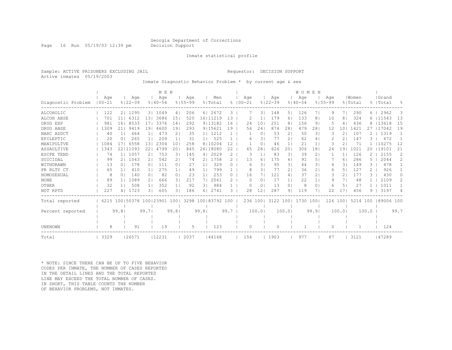Page 16 Run 05/19/03 12:39 pm Decision Support

#### Inmate statistical profile

Sample: ACTIVE PRISONERS EXCLUDING JAIL Requestor: DECISION SUPPORT Active inmates 05/19/2003

Inmate Diagnostic Behavior Problem \* by current age & sex

|                    |            |                |                         | M E N       |                |             |                |                    |               |            |              |             |                | WOMEN       |                |             |                          |         |       |            |                |
|--------------------|------------|----------------|-------------------------|-------------|----------------|-------------|----------------|--------------------|---------------|------------|--------------|-------------|----------------|-------------|----------------|-------------|--------------------------|---------|-------|------------|----------------|
|                    | Aqe        |                | Age                     | Age         |                | Age         |                | Men                |               | Aqe        |              | Age         |                | Age         |                | Age         |                          | Women   |       | Grand      |                |
| Diagnostic Problem | $100 - 21$ | $8122 - 39$    |                         | $8140 - 54$ |                | $8155 - 99$ |                | % Total            | $\approx$     | $100 - 21$ |              | $8122 - 39$ |                | $8140 - 54$ |                | $8155 - 99$ |                          | % Total | 昙     | Total      | $\frac{6}{10}$ |
| ALCOHOLIC          | 122        | 21             | 1295                    | 31 1049     | 4              | 206         |                | 61 2672            | 3             |            | 31           | 148         | 51             | 126         | 71             | 9           | 7 I                      | 290     | 6.    | 2962       | 3              |
| ALCOH ABSE         | 701        | 11             | 6312<br>13 <sup>1</sup> | 3686        | 151            | 520         |                | 16 11219           | 13            |            |              | 179         | 61             | 133         | 8              | 10          | 8                        | 324     | 6     | 11543      | 13             |
| DRUG EXP           | 981        | 161            | 8533<br>17.             | 3376        | 141            | 292         |                | 9   13182          | 16            | 24         | 10           | 251         | 8              | 156         | 9              |             | 4                        | 436     | 8     | 13618      | 15             |
| DRUG ABSE          | 1309       | 21             | 191<br>9419             | 4600        | 191            | 293         |                | 9   15621          | 19            | 56         | 24           | 874         | 28             | 479         | 28             | 12          | 101                      | 1421    |       | 17042      | 19             |
| NARC ADDCT         | 40         |                | 664                     | 473         | $\overline{2}$ | 35          |                | 1  1212            |               |            | 0            | 53          | 2              | 50          | 31             | 3           | $\overline{2}$           | 107     |       | 1319       |                |
| EPILEPTIC          | 20         | 0 <sub>1</sub> | 265<br>1 <sub>1</sub>   | 209         |                | 31          | 1 <sub>1</sub> | 525                |               | 6          | 31           | 77          | 21             | 62          | 4              |             | 21                       | 147     |       | 672        |                |
| MANIPULTVE         | 1084       | 17             | 6558<br>1.3             | 2304        | 101            | 258         |                | 8110204            | 12            |            | $\Omega$     | 46          |                | 21          | $\mathbf{1}$   | 3           | 2                        | 71      |       | 10275      | 12             |
| ASSAULTIVE         | 1343       | 22111093       | 22                      | 4799        | 20             | 845         |                | 26 18080           | 22            | 65         | 28           | 626         | 20             | 306         | 18             | 24          | 19                       | 1021    | 20    | 19101      | 21             |
| ESCPE TEND         | 74         | 1  1057        | $\overline{2}$          | 753         | 31             | 145         | 4              | 2029               | 2             | 3          | $\mathbf{1}$ | 83          | 31             | 39          | 2              |             | $\mathbf{1}$             | 126     |       | 2155       | 2              |
| SUICIDAL           | 99         | 21             | 1043<br>21              | 542         | $\overline{2}$ | 74          | 2              | 1758               | 2             | 13         | 6            | 175         | 61             | 91          | 5.             |             | 6                        | 286     | 5     | 2044       | $\overline{2}$ |
| WITHDRAWN          | 13         | 0 <sub>1</sub> | 178<br>$\Omega$         | 111         | 0 <sup>1</sup> | 27          | 1 <sub>1</sub> | 329                | $\Omega$      | 6          | 31           | 95          | 31             | 44          | 31             | 4           | $\overline{\mathcal{E}}$ | 149     | 3     | 478        |                |
| PR RLTY CT         | 65         |                | 410<br>1 <sup>1</sup>   | 275         | 1 <sup>1</sup> | 49          | 1 <sub>1</sub> | 799                |               | 8          | 31           | 77          | 2 <sub>1</sub> | 36          | $\overline{2}$ | 6           | 5 <sub>1</sub>           | 127     | 2.    | 926        |                |
| HOMOSEXUAL         | 8          | $\Omega$       | 140<br>0 <sub>1</sub>   | 82          | 0 <sub>1</sub> | 23          | 1 <sub>1</sub> | 253                | $\Omega$      | 16         | 71           | 121         | 41             | 37          | $\overline{2}$ | 3           | 21                       | 177     | 3     | 430        | $\Omega$       |
| <b>NONE</b>        | 89         |                | 1089<br>2 <sup>1</sup>  | 666         | 31             | 217         | 71             | 2061               | $\mathcal{L}$ | $\Omega$   | $\Omega$     | 17          | 1 <sup>1</sup> | 22          | $\mathbf{1}$   | 9           | 71                       | 48      |       | 2109       | $\mathcal{L}$  |
| OTHER              | 32         |                | 508<br>1 <sub>1</sub>   | 352         |                | 92          | 31             | 984                |               | $\Omega$   | $\Omega$     | 13          | $\Omega$       | 8           | 0              | 6           | 5                        | 27      |       | 1011       |                |
| NOT RPTD           | 227        | 4              | 1723<br>31              | 605         | 31             | 186         | 6.             | 2741               | 3             | 28         | 12           | 287         | 91             | 119         | 7              | 22          | 17                       | 456     | q     | 3197       | 4              |
| Total reported     | 6215       |                | 100   50378 100   23901 |             | 1001           |             |                | 3298 100 83792 100 |               |            | 236 100      | 3122        | 1001           | 1730 100    |                | 126 1001    |                          | 5214    | 100   | 189006 100 |                |
|                    |            |                |                         |             |                |             |                |                    |               |            |              |             |                |             |                |             |                          |         |       |            |                |
| Percent reported   |            | 99.81          | 99.71                   |             | 99.81          |             | 99.81          |                    | 99.7          |            | 100.0        |             | 100.01         |             | 99.9           |             | 100.01                   |         | 100.0 |            | 99.7           |
|                    |            |                |                         |             |                |             |                |                    |               |            |              |             |                |             |                |             |                          |         |       |            |                |
|                    |            |                |                         |             |                |             |                |                    |               |            |              |             |                |             |                |             |                          |         |       |            |                |
| UNKNOWN            | 8          |                | 91                      | 19          |                | 5           |                | 123                |               | $\Omega$   |              | $\Omega$    |                |             |                | $\Omega$    |                          |         |       | 124        |                |
| Total              | 3329       | 26571          |                         | 12231       |                | 2037        |                | 44168              |               | 154        |              | 1903        |                | 977         |                | 87          |                          | 3121    |       | 147289     |                |

\* NOTE: SINCE THERE CAN BE UP TO FIVE BEHAVIOR CODES PER INMATE, THE NUMBER OF CASES REPORTED IN THE DETAIL LINES AND THE TOTAL REPORTED LINE MAY EXCEED THE TOTAL NUMBER OF CASES. IN SHORT, THIS TABLE COUNTS THE NUMBER OF BEHAVIOR PROBLEMS, NOT INMATES.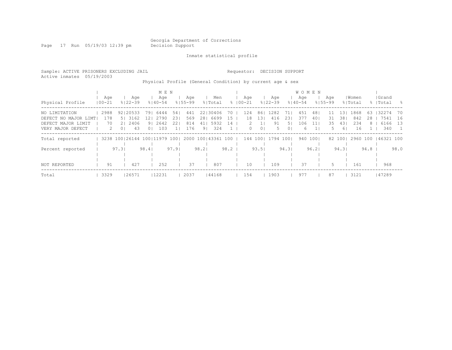Page 17 Run 05/19/03 12:39 pm Decision Support

Inmate statistical profile

Sample: ACTIVE PRISONERS EXCLUDING JAIL Requestor: DECISION SUPPORT Active inmates 05/19/2003 Physical Profile (General Condition) by current age & sex

|                      |               |                | M E N                                               |                        |                       |         |             |                |           | <b>WOMEN</b> |          |             |                 |          |      |           |      |
|----------------------|---------------|----------------|-----------------------------------------------------|------------------------|-----------------------|---------|-------------|----------------|-----------|--------------|----------|-------------|-----------------|----------|------|-----------|------|
|                      | Aqe           | Aqe            | Aqe                                                 | Aqe                    | Men                   |         | Age         | Age            |           | Age          |          | Aqe         |                 | Women    |      | Grand     |      |
| Physical Profile     | $100 - 21$    | $8122 - 39$    | $8140 - 54$                                         | $8155 - 99$            | % Total               |         | $8100 - 21$ | $8122 - 39$    |           | $8140 - 54$  |          | $8155 - 99$ |                 | % Total  |      | %   Total | - 옹  |
| NO LIMITATION        | 2988          | 92120533       | 791<br>6444                                         | 441<br>54 <sub>1</sub> | 22130406              | 70      | 124         | 1282<br>861    | 71 I      | 451          | 481      | $\pm\pm$    | 13 <sub>1</sub> | 1868     | 63   | 132274    | - 70 |
| DEFECT NO MAJOR LIMT | 178           | 5 3162         | 2790<br>12 I                                        | 231<br>569             | 28 6699               | 15      | 18          | 131<br>416     | 231       | 377          | 401      | 31          | 381             | 842      | 28   | 7541      | 16   |
| DEFECT MAJOR LIMIT   | 70            | 21 2406        | 91 2642                                             | 221<br>814             | 41   5932             | 14      | 2           | 1 <sup>1</sup> | 91<br>51  | 106          | 11       | 35          | 431             | 234      | 8    | 6166      | 13   |
| VERY MAJOR DEFECT    | $\mathcal{L}$ | 0 <sup>1</sup> | 103<br>43<br>0 <sub>1</sub>                         | 176<br>11              | 324<br>9 <sub>1</sub> | $\perp$ | $\Omega$    | $\overline{0}$ | 5<br>01   | 6            |          | 5.          | 61              | 16       |      | 340       |      |
| Total reported       |               |                | 3238 100 26144 100 11979 100   2000 100   43361 100 |                        |                       |         | 144 100     |                | 1794 1001 |              | 940 1001 |             | 82 1001         | 2960 100 |      | 46321 100 |      |
|                      |               |                |                                                     |                        |                       |         |             |                |           |              |          |             |                 |          |      |           |      |
| Percent reported     |               | 97.3           | 98.4                                                | 97.91                  | 98.2                  | 98.2    |             | 93.51          | 94.31     |              | 96.21    |             | 94.31           |          | 94.8 |           | 98.0 |
|                      |               |                |                                                     |                        |                       |         |             |                |           |              |          |             |                 |          |      |           |      |
|                      |               |                |                                                     |                        |                       |         |             |                |           |              |          |             |                 |          |      |           |      |
| NOT REPORTED         | 91            | 427            | 252                                                 | 37                     | 807                   |         | 10          | 109            |           | 37           |          | 5.          |                 | 161      |      | 968       |      |
| Total                | 3329          | 26571          | 12231                                               | 2037                   | 44168                 |         | 154         | 1903           |           | 977          |          | 87          |                 | 3121     |      | 147289    |      |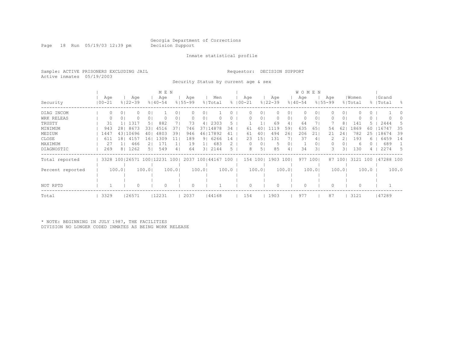Page 18 Run 05/19/03 12:39 pm Decision Support

#### Inmate statistical profile

Sample: ACTIVE PRISONERS EXCLUDING JAIL Requestor: DECISION SUPPORT Active inmates 05/19/2003

Security Status by current age & sex

|                  |            |        |             |          | M E N                        |       |             |       |            |       |             |        |             |        | <b>WOMEN</b> |       |             |                |          |       |           |       |
|------------------|------------|--------|-------------|----------|------------------------------|-------|-------------|-------|------------|-------|-------------|--------|-------------|--------|--------------|-------|-------------|----------------|----------|-------|-----------|-------|
|                  | Age        |        | Age         |          | Age                          |       | Age         |       | Men        |       | Age         |        | Age         |        | Age          |       | Age         |                | Women    |       | Grand     |       |
| Security         | $100 - 21$ |        | $8122 - 39$ |          | $8140 - 54$                  |       | $8155 - 99$ |       | % Total    |       | $8100 - 21$ |        | $8122 - 39$ |        | $8140 - 54$  |       | $8155 - 99$ |                | % Total  |       | %   Total | - 옹   |
| DIAG INCOM       |            | 0      |             | $\cup$ 1 |                              |       |             |       |            |       |             | 0.     |             | 01     |              |       |             | 01             |          |       |           |       |
| WRK RELEAS       |            | 0      |             | 01       |                              |       |             | 0     |            |       |             | 0      |             | 01     |              | 01    |             | 01             |          |       |           |       |
| TRUSTY           | 31         |        | 1317        | 51       | 882                          |       | 73          | 4     | 2303       | 5.    |             |        | 69          | 41     | 64           |       |             | 8 <sub>1</sub> | 141      | $5 -$ | 2444      | 5     |
| MINIMUM          | 943        | 281    | 8673        | 331      | 4516                         | 37    | 746         | 371   | 14878      | 34    | 61          |        | 1119        | 59     | 635          | 65    | 54          | 62             | 1869     | 60    | 16747     | 35    |
| MEDIUM           | 1447       |        | 43110696    | 401      | 4803                         | 39    | 946         |       | 46   17892 | 41    | 61          | 40     | 494         | 261    | 206          | 211   | 21          | 24             | 782      | 25    | 18674     | 39    |
| CLOSE            | 611        | 181    | 4157        | L 6 I    | 1309                         | 11    | 189         | 91    | 6266       | 14    | 23          | 15     | 131         |        | 37           | 41    |             | $\overline{2}$ | 193      | 6     | 6459      | 14    |
| MAXIMUM          | 27         | 11     | 466         |          | 171                          |       | 19          |       | 683        |       | 0           | 0      | .5          | 01     |              | 01    |             | 0 <sub>1</sub> | 6        |       | 689       |       |
| DIAGNOSTIC       | 269        | 81     | 1262        | 51       | 549                          | 41    | 64          | 31    | 2144       |       |             | 5      | 85          | 41     | 34           | 31    |             | 31             | 130      |       | 2274      | 5     |
| Total reported   |            |        |             |          | 3328 100 26571 100 12231 100 |       | 2037        |       | 100144167  | 100   | 154 100     |        | 1903        | 1001   | 977          | 1001  |             | 87 1001        | 3121 100 |       | 47288 100 |       |
|                  |            |        |             |          |                              |       |             |       |            |       |             |        |             |        |              |       |             |                |          |       |           |       |
| Percent reported |            | 100.01 |             | 100.01   |                              | 100.0 |             | 100.0 |            | 100.0 |             | 100.01 |             | 100.01 |              | 100.0 |             | 100.01         |          | 100.0 |           | 100.0 |
|                  |            |        |             |          |                              |       |             |       |            |       |             |        |             |        |              |       |             |                |          |       |           |       |
|                  |            |        |             |          |                              |       |             |       |            |       |             |        |             |        |              |       |             |                |          |       |           |       |
| NOT RPTD         |            |        |             |          | 0                            |       | 0           |       |            |       |             |        |             |        |              |       |             |                |          |       |           |       |
| Total            | 3329       |        | 26571       |          | 12231                        |       | 2037        |       | 44168      |       | 154         |        | 1903        |        | 977          |       | 87          |                | 3121     |       | 47289     |       |

\* NOTE: BEGINNING IN JULY 1987, THE FACILITIES DIVISION NO LONGER CODED INMATES AS BEING WORK RELEASE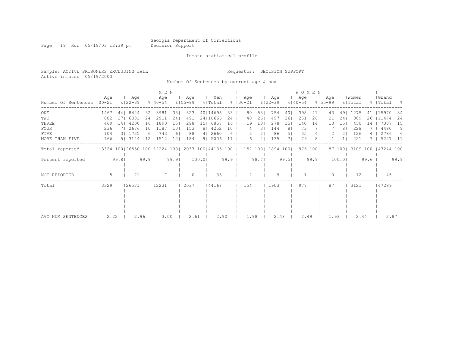Page 19 Run 05/19/03 12:39 pm Decision Support

#### Inmate statistical profile

Sample: ACTIVE PRISONERS EXCLUDING JAIL Requestor: DECISION SUPPORT Active inmates 05/19/2003

Number Of Sentences by current age & sex

|                             |      |       |                              |      | M E N              |                 |                    |       |                    |      |                    |       |                    |       |                    | <b>WOMEN</b> |                    |                |                  |      |                    |      |
|-----------------------------|------|-------|------------------------------|------|--------------------|-----------------|--------------------|-------|--------------------|------|--------------------|-------|--------------------|-------|--------------------|--------------|--------------------|----------------|------------------|------|--------------------|------|
| Number Of Sentences   00-21 | Age  |       | Age<br>$8122 - 39$           |      | Age<br>$8140 - 54$ |                 | Age<br>$8155 - 99$ |       | Men<br>% Total     |      | Age<br>$8100 - 21$ |       | Age<br>$8122 - 39$ |       | Age<br>$8140 - 54$ |              | Age<br>$8155 - 99$ |                | Women<br>% Total |      | Grand<br>%   Total | - 옹  |
| ONE                         | 1467 |       | 44   8424                    |      | 32   3981          | 331             | 823                |       | 40114695           | 33   | 80                 | 53    | 754                | 40    | 398                | 41           | 43                 | 491            | 1275             | 41   | 115970             | 34   |
| TWO                         | 882  | 27    | 6381                         | 241  | 2911               | 241             | 491                |       | 24   10665         | 24   | 40                 | 26    | 497                | 26    | 251                | 261          | 21                 | 24             | 809              | 26   | 111474             | 24   |
| THREE                       | 469  | 14    | 4200                         | 161  | 1890               | 151             | 298                | 151   | 6857               | 16   | 19                 | 13    | 278                | 15    | 140                | 14           | 13                 | 151            | 450              | 14   | 7307               | 15   |
| <b>FOUR</b>                 | 236  |       | 2676                         | 101  | 1187               | 101             | 153                |       | 8   4252           | 10   |                    | 31    | 144                | 8     | 73                 |              |                    | 8 <sup>1</sup> | 228              |      | 4480               | 9    |
| FIVE                        | 104  |       | 3   1725                     |      | 743                | б.              | 88                 |       | 4   2660           | 6    |                    | 21    | 86                 | 51    | 35                 | 4            |                    |                | 126              |      | 2786               | 6    |
| MORE THAN FIVE              | 166  |       | 5 3 3 1 4 4                  | 121  | 1512               | 12 <sup>°</sup> | 184                |       | 9 5006             |      | 6                  | 4     | 135                |       | 79                 | 8            |                    |                | 221              |      | 5227               | - 11 |
| Total reported              |      |       | 3324 100 26550 100 12224 100 |      |                    |                 |                    |       | 2037 100 44135 100 |      | 152 100            |       | 1894 100           |       |                    | 976 100      |                    | 87 1001        | 3109 100         |      | 147244 100         |      |
| Percent reported            |      | 99.81 |                              | 99.9 |                    | 99.9            |                    | 100.0 |                    | 99.9 |                    | 98.71 |                    | 99.51 |                    | 99.9         |                    | 100.0          |                  | 99.6 |                    | 99.9 |
| NOT REPORTED                | 5.   |       | 21                           |      |                    |                 |                    |       | 33                 |      | $\mathfrak{D}$     |       | 9                  |       |                    |              | 0                  |                | 12               |      | 45                 |      |
| Total                       | 3329 |       | 26571                        |      | 12231              |                 | 2037               |       | 44168              |      | 154                |       | 1903               |       | 977                |              | 87                 |                | 3121             |      | 47289              |      |
|                             |      |       |                              |      |                    |                 |                    |       |                    |      |                    |       |                    |       |                    |              |                    |                |                  |      |                    |      |
|                             |      |       |                              |      |                    |                 |                    |       |                    |      |                    |       |                    |       |                    |              |                    |                |                  |      |                    |      |
|                             |      |       |                              |      |                    |                 |                    |       |                    |      |                    |       |                    |       |                    |              |                    |                |                  |      |                    |      |
|                             |      |       |                              |      |                    |                 |                    |       |                    |      |                    |       |                    |       |                    |              |                    |                |                  |      |                    |      |
| AVG NUM SENTENCES           | 2.22 |       | 2.96                         |      | 3.00               |                 | 2.61               |       | 2.90               |      | 1.98               |       | 2.48               |       | 2.49               |              | 1.93               |                | 2.44             |      | 2.87               |      |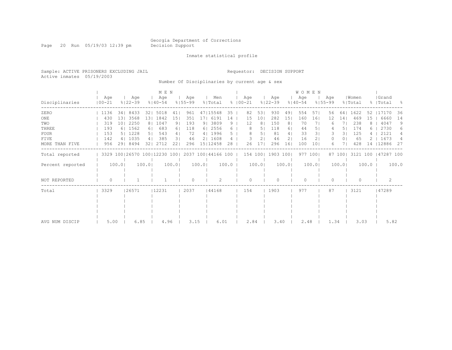Page 20 Run 05/19/03 12:39 pm Decision Support

#### Inmate statistical profile

Sample: ACTIVE PRISONERS EXCLUDING JAIL Requestor: DECISION SUPPORT Active inmates 05/19/2003

Number Of Disciplinaries by current age & sex

|                  |                   |                 |                    |                | M E N                        |                |                    |                |                    |       |               |          |                 |                    |                | <b>WOMEN</b>       |                 |                    |                 |                  |       |                     |       |
|------------------|-------------------|-----------------|--------------------|----------------|------------------------------|----------------|--------------------|----------------|--------------------|-------|---------------|----------|-----------------|--------------------|----------------|--------------------|-----------------|--------------------|-----------------|------------------|-------|---------------------|-------|
| Disciplinaries   | Age<br>$100 - 21$ |                 | Age<br>$8122 - 39$ |                | Age<br>$8140 - 54$           |                | Age<br>$8155 - 99$ |                | Men<br>% Total     |       | $8   00 - 21$ | Age      |                 | Age<br>$8122 - 39$ |                | Age<br>$8140 - 54$ |                 | Age<br>$8155 - 99$ |                 | Women<br>% Total |       | Grand<br>%   Total  | - 8   |
| ZERO             | 1136              | $34$            | 8433               | 321            | 5018                         | 41             | 961                |                | 47115548           | 35    |               | 82       | 531             | 930                | 491            | 554                | 571             | 56                 | 641             | 1622             | 52    | 17170               | 36    |
| ONE              | 430               | 131             | 3568               | 131            | 1842                         | 151            | 351                | 171            | 6191               | 14    |               | 15       | 10 <sub>1</sub> | 282                | 151            | 160                | 161             | 12                 | 14 <sub>1</sub> | 469              | 15    | 6660                | 14    |
| TWO              | 319               | 10 <sub>1</sub> | 2250               | 8 <sub>1</sub> | 1047                         | 9 <sub>1</sub> | 193                | 9 <sub>1</sub> | 3809               | 9     |               | 12       | 8 <sup>1</sup>  | 150                | 8 <sub>1</sub> | 70                 | 71              | 6                  | 71              | 238              | 8     | 4047                | 9     |
| THREE            | 193               |                 | 6   1562           | 61             | 683                          | 61             | 118                | 61             | 2556               | 6.    |               | 8        | 51              | 118                | 61             | 44                 | 51              |                    | 51              | 174              | 6     | 2730                | 6     |
| <b>FOUR</b>      | 153               |                 | 5   1228           | 5 <sub>1</sub> | 543                          | 4              | 72                 |                | 4   1996           | 5.    |               | 8        | 51              | 81                 | 4              | 33                 | 31              | 3                  | 31              | 125              |       | 2121                | 4     |
| FIVE             | 142               |                 | 4   1035           | 4              | 385                          | 31             | 46                 |                | 2   1608           |       |               | 3        | $\overline{2}$  | 46                 | 21             | 16                 | 21              | 0                  | 0 <sub>1</sub>  | 65               |       | 1673                |       |
| MORE THAN FIVE   | 956               | 291             | 8494               | 321            | 2712                         | 22             | 296                |                | 15   12458         | 28    |               | 26       | 17              | 296                | 161            | 100                | 10 <sub>1</sub> | 6                  |                 | 428              | 14    | 12886               | 27    |
| Total reported   |                   |                 |                    |                | 3329 100 26570 100 12230 100 |                |                    |                | 2037 100 44166 100 |       |               |          |                 | 154 100 1903 100   |                |                    | 977 1001        |                    | 87 100          |                  |       | 3121 100 147287 100 |       |
| Percent reported |                   | 100.0           |                    | 100.0          |                              | 100.01         |                    | 100.01         |                    | 100.0 |               |          | 100.0           |                    | 100.0          |                    | 100.0           |                    | 100.01          |                  | 100.0 |                     | 100.0 |
| NOT REPORTED     | $\Omega$          |                 |                    |                |                              |                | $\Omega$           |                | $\mathfrak{D}$     |       |               | $\Omega$ |                 | $\bigcap$          |                | $\cap$             |                 | U                  |                 | $\Omega$         |       |                     |       |
| Total            | 3329              |                 | 26571              |                | 12231                        |                | 2037               |                | 44168              |       |               | 154      |                 | 1903               |                | 977                |                 | 87                 |                 | 3121             |       | 47289               |       |
|                  |                   |                 |                    |                |                              |                |                    |                |                    |       |               |          |                 |                    |                |                    |                 |                    |                 |                  |       |                     |       |
|                  |                   |                 |                    |                |                              |                |                    |                |                    |       |               |          |                 |                    |                |                    |                 |                    |                 |                  |       |                     |       |
|                  |                   |                 |                    |                |                              |                |                    |                |                    |       |               |          |                 |                    |                |                    |                 |                    |                 |                  |       |                     |       |
|                  |                   |                 |                    |                |                              |                |                    |                |                    |       |               |          |                 |                    |                |                    |                 |                    |                 |                  |       |                     |       |
| AVG NUM DISCIP   | 5.00              |                 | 6.85               |                | 4.96                         |                | 3.15               |                | 6.01               |       |               | 2.84     |                 | 3.40               |                | 2.48               |                 | 1.34               |                 | 3.03             |       | 5.82                |       |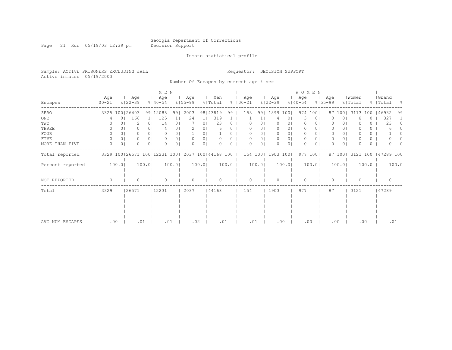Page 21 Run 05/19/03 12:39 pm Decision Support

Inmate statistical profile

Sample: ACTIVE PRISONERS EXCLUDING JAIL Requestor: DECISION SUPPORT Active inmates 05/19/2003

Number Of Escapes by current age & sex

|                  |                   |                |                              |                | M E N              |                |                    |                |                    |       |                      |                |                    |                | <b>WOMEN</b>       |         |                    |                |                  |          |                      |          |
|------------------|-------------------|----------------|------------------------------|----------------|--------------------|----------------|--------------------|----------------|--------------------|-------|----------------------|----------------|--------------------|----------------|--------------------|---------|--------------------|----------------|------------------|----------|----------------------|----------|
| Escapes          | Age<br>$100 - 21$ |                | Age<br>$8122 - 39$           |                | Age<br>$8140 - 54$ |                | Age<br>$8155 - 99$ |                | Men<br>% Total     |       | Age<br>$8   00 - 21$ |                | Age<br>$8122 - 39$ |                | Age<br>$8140 - 54$ |         | Age<br>$8155 - 99$ |                | Women<br>% Total |          | Grand<br>%   Total   | - 8      |
| ZERO             |                   |                | 3325 100   26403             |                | 99 12088           | 991            | 2003               |                | 98   43819         | 99    | 153                  | 991            | 1899 1001          |                | 974                | 100     | 87                 | 1001           | 3113             | 100      | 146932               | 99       |
| ONE              |                   | 0 <sub>1</sub> | 166                          | 1 <sup>1</sup> | 125                |                | 24                 | 11             | 319                |       |                      |                |                    | 0              |                    | $\circ$ |                    | 0              |                  | U        | 327                  |          |
| TWO              |                   |                | 2                            | 0 <sub>1</sub> | 14                 | 0 <sub>1</sub> |                    | 0 <sub>1</sub> | 23                 | 0     |                      | 01             |                    | 0              | 0                  | $\circ$ |                    | 0 <sub>1</sub> |                  | 0        | 23                   | $^{(1)}$ |
| THREE            | 0                 |                |                              | 0 <sub>1</sub> |                    | 01             |                    | 0              |                    |       |                      | 01             |                    | 0              | 0                  | 01      |                    | 0 <sub>1</sub> |                  | 0        |                      |          |
| FOUR             | $\Omega$          | 0 <sub>1</sub> | 0                            | 0 <sub>1</sub> | 0                  | 0 <sub>1</sub> |                    | 01             |                    | 0.    |                      | 0 <sub>1</sub> | $\Omega$           | 0 <sub>1</sub> | 0                  | 01      | 0                  | 0 <sub>1</sub> |                  | 0        |                      |          |
| FIVE             | 0                 | 01             | 0.                           | 0 <sub>1</sub> | 0                  | 01             | 0                  | 0              |                    |       |                      | 0 <sub>1</sub> | 0                  | 0 <sub>1</sub> | $\circ$            | 01      | 0                  | 0 <sub>1</sub> |                  | 0        |                      |          |
| MORE THAN FIVE   | $\Omega$          | 0 <sub>1</sub> | Λ                            | 0 <sub>1</sub> | $\Omega$           | 0 <sub>1</sub> | $\Omega$           | 0              |                    | 0     |                      | 0 <sub>1</sub> | $\Omega$           | 0 <sub>1</sub> | $\Omega$           | $\circ$ |                    | 0 <sup>1</sup> |                  | $\Omega$ |                      |          |
| Total reported   |                   |                | 3329 100 26571 100 12231 100 |                |                    |                |                    |                | 2037 100 44168 100 |       |                      |                | 154 100   1903 100 |                |                    | 977 100 |                    | 87 100         |                  |          | 3121 100   47289 100 |          |
| Percent reported |                   | 100.0          |                              | 100.0          |                    | 100.0          |                    | 100.0          |                    | 100.0 |                      | 100.0          |                    | 100.0          |                    | 100.0   |                    | 100.0          |                  | 100.0    |                      | 100.0    |
| NOT REPORTED     | $\Omega$          |                | U                            |                | $\Omega$           |                | $\Omega$           |                | ∩                  |       | U                    |                | $\bigcap$          |                | $\Omega$           |         | 0                  |                | $\Omega$         |          | $\bigcap$            |          |
| Total            | 3329              |                | 26571                        |                | 12231              |                | 2037               |                | 44168              |       | 154                  |                | 1903               |                | 977                |         | 87                 |                | 3121             |          | 47289                |          |
|                  |                   |                |                              |                |                    |                |                    |                |                    |       |                      |                |                    |                |                    |         |                    |                |                  |          |                      |          |
|                  |                   |                |                              |                |                    |                |                    |                |                    |       |                      |                |                    |                |                    |         |                    |                |                  |          |                      |          |
|                  |                   |                |                              |                |                    |                |                    |                |                    |       |                      |                |                    |                |                    |         |                    |                |                  |          |                      |          |
|                  |                   |                |                              |                |                    |                |                    |                |                    |       |                      |                |                    |                |                    |         |                    |                |                  |          |                      |          |
| AVG NUM ESCAPES  |                   | .00            | .01                          |                | .01                |                | .02                |                | .01                |       | .01                  |                |                    | .00            |                    | .00     | .00                |                | .00              |          |                      | .01      |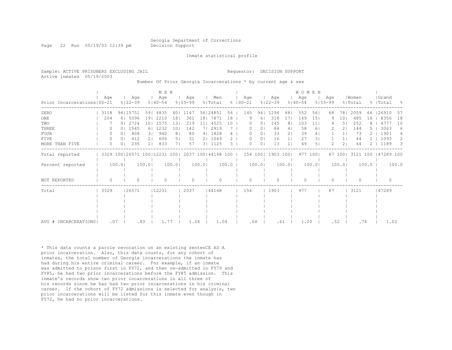Page 22 Run 05/19/03 12:39 pm Decision Support

Inmate statistical profile

| Sample: ACTIVE PRISONERS EXCLUDING JAIL<br>Active inmates 05/19/2003 |  |  |                                                               | Requestor: DECISION SUPPORT |  |  |
|----------------------------------------------------------------------|--|--|---------------------------------------------------------------|-----------------------------|--|--|
|                                                                      |  |  | Number Of Prior Georgia Incarcerations * by current age & sex |                             |  |  |

|                              |  |          |                |           |       | M E N                            |       |                    |                 |                    |               |                      |                |                    |                | WOMEN              |                 |                    |                |                  |       |                    |                |
|------------------------------|--|----------|----------------|-----------|-------|----------------------------------|-------|--------------------|-----------------|--------------------|---------------|----------------------|----------------|--------------------|----------------|--------------------|-----------------|--------------------|----------------|------------------|-------|--------------------|----------------|
| Prior Incarcerations   00-21 |  | Age      | $8122 - 39$    | Age       |       | Age<br>$8140 - 54$               |       | Age<br>$8155 - 99$ |                 | Men<br>% Total     |               | Age<br>$8   00 - 21$ |                | Age<br>$8122 - 39$ |                | Age<br>$8140 - 54$ |                 | Age<br>$8155 - 99$ |                | Women<br>% Total |       | Grand<br>%   Total | $\frac{6}{10}$ |
| ZERO                         |  | 3118     | 94   15751     |           | 59    | 4835                             |       | 40   1147          |                 | 56   24851         | 56            | 145                  | 941            | 1294               | 68             | 552                | 561             | 68                 | 781            | 2059             | 66    | 126910             | 57             |
| ONE                          |  | 204      | 6  5096        |           | 191   | 2210                             | 181   | 361                | 181             | 7871               | 18            |                      | 6              | 318                | 17             | 149                | 151             | 9                  | 101            | 485              | 16    | 8356               | 18             |
| TWO                          |  |          | $\Omega$       | 2724      | 101   | 1575                             | 131   | 219                | 11 <sup>1</sup> | 4525               | 10            |                      | $\circ$        | 145                | 81             | 103                | 11 <sub>1</sub> |                    | 51             | 252              | 8     | 4777               | 10             |
| THREE                        |  | $\Omega$ | 0 <sub>1</sub> | 1545      | 61    | 1232                             | 101   | 142                |                 | 7  2919            |               | $\Omega$             | 0              | 84                 | 4              | 58                 | 61              | 2                  | $\overline{2}$ | 144              |       | 3063               | 6              |
| FOUR                         |  | 0        | $\Omega$       | 808       | 31    | 940                              | 81    | 80                 |                 | 4   1828           | 4             | $\Omega$             | 0 <sub>1</sub> | 33                 | 2 <sub>1</sub> | 39                 | 4               |                    |                | 73               |       | 1901               | 4              |
| FIVE                         |  | 0        | 0 <sup>1</sup> | 412       | 21    | 606                              | 51    | 31                 |                 | 2   1049           | $\mathcal{L}$ | $\Omega$             | 0 <sub>1</sub> | 16                 |                | 27                 | 31              |                    |                | 44               |       | 1093               | 2              |
| MORE THAN FIVE               |  | 0        | 0 <sub>1</sub> | 235       |       | 833                              | 71    | 57                 |                 | 3   1125           | 3             | $\cap$               | $\circ$        | 13                 |                | 49                 | 5               | 2                  | 2 <sub>1</sub> | 64               |       | 1189               | 3              |
| Total reported               |  |          |                |           |       | 3329 100   26571 100   12231 100 |       |                    |                 | 2037 100 44168 100 |               | 154 100              |                | 1903 1001          |                |                    | 977 1001        |                    | 87 1001        | 3121 100         |       | 147289 100         |                |
| Percent reported             |  | 100.0    |                |           | 100.0 |                                  | 100.0 |                    | 100.0           |                    | 100.0         |                      | 100.0          |                    | 100.0          |                    | 100.0           |                    | 100.0          |                  | 100.0 |                    | 100.0          |
| NOT REPORTED                 |  | $\Omega$ |                | $\bigcap$ |       | $\Omega$                         |       | $\bigcap$          |                 | <sup>n</sup>       |               | $\cap$               |                | $\cap$             |                | $\bigcap$          |                 | Λ                  |                | $\bigcap$        |       | $\cap$             |                |
| Total                        |  | 3329     |                | 26571     |       | 12231                            |       | 2037               |                 | 44168              |               | 154                  |                | 1903               |                | 977                |                 | 87                 |                | 3121             |       | 47289              |                |
|                              |  |          |                |           |       |                                  |       |                    |                 |                    |               |                      |                |                    |                |                    |                 |                    |                |                  |       |                    |                |
|                              |  |          |                |           |       |                                  |       |                    |                 |                    |               |                      |                |                    |                |                    |                 |                    |                |                  |       |                    |                |
|                              |  |          |                |           |       |                                  |       |                    |                 |                    |               |                      |                |                    |                |                    |                 |                    |                |                  |       |                    |                |
|                              |  |          |                |           |       |                                  |       |                    |                 |                    |               |                      |                |                    |                |                    |                 |                    |                |                  |       |                    |                |
| AVG # INCARCERATIONS         |  | .07      |                | .83       |       | 1.77                             |       | 1.04               |                 | 1.04               |               | .06                  |                | .61                |                | 1.20               |                 | .52                |                | .76              |       | 1.02               |                |

\* This data counts a parole revocation on an existing sentenCE AS A prior incarceration. Also, this data counts, for any cohort of inmates, the total number of Georgia incarcerations the inmate has had during his entire criminal career. For example, if an inmate was admitted to prison first in FY72, and then re-admitted in FY79 and FY85, he had two prior incarcerations before the FY85 admission. This inmate's records show two prior incarcerations in all three of his records since he has had two prior incarcerations in his criminal career. If the cohort of FY72 admissions is selected for analysis, two prior incarcerations will be listed for this inmate even though in FY72, he had no prior incarcerations.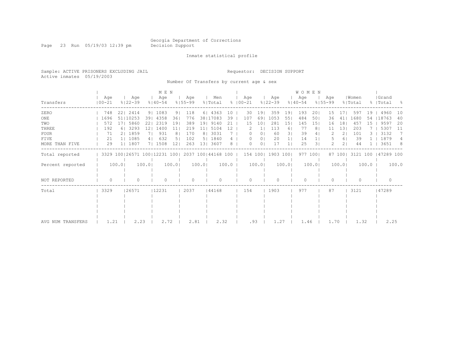Page 23 Run 05/19/03 12:39 pm Decision Support

#### Inmate statistical profile

Sample: ACTIVE PRISONERS EXCLUDING JAIL Requestor: DECISION SUPPORT Active inmates 05/19/2003

Number Of Transfers by current age & sex

|                   |                                                  |       |                    |                | M E N              |                |                    |                |                |                 |                      |                |                    |                | <b>WOMEN</b>       |                |                    |         |                  |         |                     |       |
|-------------------|--------------------------------------------------|-------|--------------------|----------------|--------------------|----------------|--------------------|----------------|----------------|-----------------|----------------------|----------------|--------------------|----------------|--------------------|----------------|--------------------|---------|------------------|---------|---------------------|-------|
| Transfers         | Age<br>$100 - 21$                                |       | Age<br>$8122 - 39$ |                | Age<br>$8140 - 54$ |                | Age<br>$8155 - 99$ |                | Men<br>% Total |                 | Aqe<br>$8   00 - 21$ |                | Aqe<br>$8122 - 39$ |                | Age<br>$8140 - 54$ |                | Aqe<br>$8155 - 99$ |         | Women<br>% Total |         | Grand<br>%   Total  | - 옹   |
| ZERO              | 748                                              |       | 22   2414          |                | 9   1083           | 9 <sub>1</sub> | 118                |                | 6 4363         | 10              | 30                   | 191            | 359                | 191            | 193                | 201            | 15                 | 171     | 597              | 19      | 4960                | 10    |
| ONE               | 1696                                             |       | 51   10253         | 391            | 4358               | 36             | 776                |                | 38   17083     | 39              | 107                  | 69             | 1053               | 551            | 484                | 501            | 36                 | 411     | 1680             | 54      | 18763               | 40    |
| TWO               | 572                                              |       | 17  5860           | 221            | 2319               | 191            | 389                | 191            | 9140           | 21              | 15                   | 10             | 281                | 151            | 145                | 151            | 16                 | 181     | 457              | 15      | 9597                | 20    |
| THREE             | 192                                              |       | 6 3293             | 121            | 1400               | 11             | 219                | 11             | 5104           | 12 <sup>°</sup> |                      |                | 113                | 61             | 77                 | 8 <sub>1</sub> |                    | 131     | 203              |         | 5307                | -11   |
| <b>FOUR</b>       | 71                                               |       | 2   1859           | 71             | 931                | 8              | 170                | 8 <sub>1</sub> | 3031           |                 | $\Omega$             | $\circ$        | 60                 | 31             | 39                 | 4              |                    | 21      | 101              |         | 3132                | 7     |
| <b>FIVE</b>       | 21                                               |       | 1  1085            | 4 <sub>1</sub> | 632                | 51             | 102                | 5              | 1840           | 4               | $\Omega$             | 0 <sub>1</sub> | 20                 | 1 <sub>1</sub> | 14                 | 1 <sub>1</sub> |                    | 61      | 39               |         | 1879                | 4     |
| MORE THAN FIVE    | 29                                               |       | 1 1807             |                | 7  1508            | 121            | 263                | 131            | 3607           | 8               | 0                    | $\Omega$       | 17                 |                | 25                 | 31             | $\mathcal{L}$      | 21      | 44               |         | 3651                | - 8   |
| Total reported    | 3329 100 26571 100 12231 100  2037 100 44168 100 |       |                    |                |                    |                |                    |                |                |                 |                      |                | 154 100   1903 100 |                |                    | 977 1001       |                    | 87 1001 |                  |         | 3121 100 147289 100 |       |
| Percent reported  |                                                  | 100.0 |                    | 100.0          |                    | 100.0          |                    | 100.0          |                | 100.0           |                      | 100.0          |                    | 100.0          |                    | 100.0          |                    | 100.0   |                  | $100.0$ |                     | 100.0 |
| NOT REPORTED      | 0                                                |       |                    |                | $\Omega$           |                | 0                  |                | $\Omega$       |                 | 0                    |                |                    |                | $\bigcap$          |                |                    |         | $\Omega$         |         | $\Omega$            |       |
| Total             | 3329                                             |       | 26571              |                | 12231              |                | 2037               |                | 44168          |                 | 154                  |                | 1903               |                | 977                |                | 87                 |         | 3121             |         | 47289               |       |
|                   |                                                  |       |                    |                |                    |                |                    |                |                |                 |                      |                |                    |                |                    |                |                    |         |                  |         |                     |       |
|                   |                                                  |       |                    |                |                    |                |                    |                |                |                 |                      |                |                    |                |                    |                |                    |         |                  |         |                     |       |
| AVG NUM TRANSFERS | 1.21                                             |       | 2.23               |                | 2.72               |                | 2.81               |                | 2.32           |                 |                      | .93            | 1.27               |                | 1.46               |                | 1.70               |         | 1.32             |         | 2.25                |       |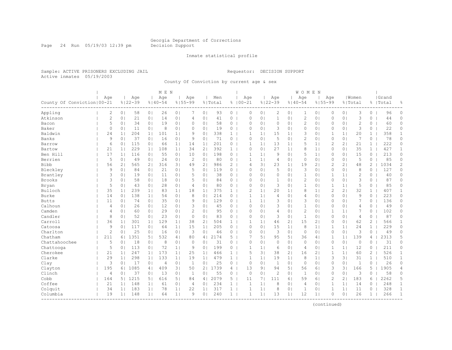Page 24 Run 05/19/03 12:39 pm Decision Support

#### Inmate statistical profile

Sample: ACTIVE PRISONERS EXCLUDING JAIL Requestor: DECISION SUPPORT Active inmates 05/19/2003

County Of Conviction by current age & sex

|                              |                |                |                    |                | M E N              |                |                    |                |                |                |                    |                |                    |                | WOMEN              |                |                |                |                  |              |                    |              |
|------------------------------|----------------|----------------|--------------------|----------------|--------------------|----------------|--------------------|----------------|----------------|----------------|--------------------|----------------|--------------------|----------------|--------------------|----------------|----------------|----------------|------------------|--------------|--------------------|--------------|
| County Of Conviction   00-21 | Age            |                | Age<br>$8122 - 39$ |                | Age<br>$8140 - 54$ |                | Age<br>$8155 - 99$ |                | Men<br>% Total |                | Age<br>$8100 - 21$ |                | Age<br>$8122 - 39$ |                | Age<br>$8140 - 54$ | $8155 - 99$    | Age            |                | Women<br>% Total |              | Grand<br>%   Total | 昙            |
| Appling                      | 2              | 0 <sub>1</sub> | 58                 | 0 <sub>1</sub> | 26                 | 0 <sub>1</sub> | 7                  | 0 <sub>1</sub> | 93             | $\overline{0}$ | $\circ$            | 0 <sub>1</sub> | $\mathbf{2}$       | 0 <sub>1</sub> | 1                  | 0 <sub>1</sub> | 0              | 0 <sub>1</sub> | 3                | 0            | 96                 | $\circ$      |
| Atkinson                     | $\mathbf{2}$   | 0 <sub>1</sub> | 21                 | 0 <sup>1</sup> | 14                 | 0 <sup>1</sup> | 4                  | 0 <sub>1</sub> | 41             | 0              | $\circ$            | 0 <sub>1</sub> | $\mathbf{1}$       | 0 <sup>1</sup> | $\overline{c}$     | 0 <sub>1</sub> | 0              | 0 <sub>1</sub> | 3                | $\circ$      | 44                 | 0            |
| Bacon                        | 5              | 0 <sub>1</sub> | 34                 | 0 <sub>1</sub> | 19                 | 0 <sub>1</sub> | 0                  | 0 <sub>1</sub> | 58             | 0 <sub>1</sub> | $\Omega$           | 0 <sub>1</sub> | $\circ$            | 0 <sub>1</sub> | 2                  | 0 <sub>1</sub> | 0              | 0 <sub>1</sub> | $\overline{2}$   | 0            | 60                 | 0            |
| Baker                        | $\Omega$       | 0 <sup>1</sup> | 11                 | 0 <sub>1</sub> | 8                  | 0 <sup>1</sup> | $\Omega$           | 0              | 19             | $\circ$        | $\Omega$           | 0 <sup>1</sup> | 3                  | 0 <sup>1</sup> | $\Omega$           | 0 <sub>1</sub> | $\Omega$       | 0 <sub>1</sub> | 3                | 0            | 22                 | 0            |
| Baldwin                      | 24             | 1 <sub>1</sub> | 204                | 1 <sup>1</sup> | 101                | 1 <sub>1</sub> | 9                  | 0              | 338            | $\mathbf{1}$   | 1                  | $\mathbf{1}$   | 15                 | 1 <sub>1</sub> | 3                  | $\circ$        | $\mathbf{1}$   | 1              | 20               | $\mathbf{1}$ | 358                | $\mathbf{1}$ |
| Banks                        | 9              | 0 <sub>1</sub> | 37                 | 0 <sub>1</sub> | 16                 | 0 <sub>1</sub> | 9                  | 0 <sub>1</sub> | 71             | 0              | $\circ$            | 0 <sub>1</sub> | 5                  | 0 <sub>1</sub> | $\overline{c}$     | 0 <sub>1</sub> | 0              | 0 <sub>1</sub> | 7                | 0            | 78                 | 0            |
| Barrow                       | 6              | 0 <sub>1</sub> | 115                | 0 <sub>1</sub> | 66                 | 1 <sub>1</sub> | 14                 | 1 <sub>1</sub> | 201            | 0              | 1                  | 1 <sup>1</sup> | 13                 | 1 <sub>1</sub> | 5                  | 1 <sub>1</sub> | 2              | 21             | 21               | $\mathbf{1}$ | 222                | 0            |
| Bartow                       | 21             | 1 <sup>1</sup> | 229                | 11             | 108                | 11             | 34                 | 2 <sub>1</sub> | 392            | 1              | $\Omega$           | $\Omega$       | 27                 | 1 <sub>1</sub> | 8                  | 11             | $\mathbf{0}$   | 0 <sub>1</sub> | 35               | $\mathbf{1}$ | 427                | $\mathbf{1}$ |
| Ben Hill                     | 17             | 1 <sub>1</sub> | 116                | 0 <sub>1</sub> | 55                 | 0 <sub>1</sub> | 10                 | 0 <sub>1</sub> | 198            | $\overline{0}$ | $\mathbf{1}$       | 1 <sup>1</sup> | 9                  | 0 <sub>1</sub> | 5                  | 11             | 0              | 0 <sub>1</sub> | 15               | 0            | 213                | $\circ$      |
| Berrien                      | 5              | 0 <sup>1</sup> | 49                 | 0 <sub>1</sub> | 24                 | 0 <sub>1</sub> | $\overline{2}$     | 0              | 80             | $\circ$        |                    | 1 <sub>1</sub> | $\overline{4}$     | 0 <sup>1</sup> | $\Omega$           | 0 <sub>1</sub> | $\Omega$       | 0 <sub>1</sub> | 5                | 0            | 85                 | 0            |
| <b>Bibb</b>                  | 56             | 2 <sub>1</sub> | 565                | 21             | 316                | 31             | 49                 | $\overline{2}$ | 986            | 2              | $\overline{4}$     | 31             | 23                 | 1 <sub>1</sub> | 19                 | 2 <sub>1</sub> | $\overline{c}$ | 21             | 48               | 2            | 1034               | 2            |
| Bleckley                     | 9              | 0 <sub>1</sub> | 84                 | 0 <sub>1</sub> | 21                 | 0 <sub>1</sub> | 5                  | 0 <sub>1</sub> | 119            | $\circ$        | $\Omega$           | $\Omega$       | 5                  | 0 <sub>1</sub> | 3                  | 0 <sub>1</sub> | $\Omega$       | 0 <sub>1</sub> | 8                | $\Omega$     | 127                | 0            |
| Brantley                     | 3              | 0 <sup>1</sup> | 19                 | 0 <sub>1</sub> | 11                 | 0 <sub>1</sub> | 5                  | 0 <sub>1</sub> | 38             | $\overline{0}$ | $\Omega$           | 0 <sub>1</sub> | $\circ$            | 0 <sub>1</sub> | $\mathbf{1}$       | 0 <sub>1</sub> | 1              | 1 <sub>1</sub> | $\overline{c}$   | 0            | 40                 | 0            |
| <b>Brooks</b>                | 3              | 0 <sub>1</sub> | 58                 | 0 <sub>1</sub> | 18                 | 0 <sub>1</sub> | 5                  | 0 <sub>1</sub> | 84             | 0 <sub>1</sub> | $\Omega$           | $\Omega$       | $\mathbf{1}$       | 0 <sub>1</sub> | $\overline{c}$     | 0 <sub>1</sub> | $\mathbf{0}$   | 0 <sub>1</sub> | 3                | $\Omega$     | 87                 | 0            |
| Bryan                        | 5              | 0 <sub>1</sub> | 43                 | 0 <sub>1</sub> | 28                 | 0 <sub>1</sub> | 4                  | 0 <sub>1</sub> | 80             | $0-1$          | $\circ$            | 0 <sub>1</sub> | 3                  | 0 <sup>1</sup> | $\mathbf{1}$       | 0 <sub>1</sub> | 1              | 11             | 5                | 0            | 85                 | 0            |
| Bulloch                      | 35             | 1 <sub>1</sub> | 239                | 1 <sub>1</sub> | 83                 | 1 <sub>1</sub> | 18                 | 1 <sub>1</sub> | 375            | $\mathbf{1}$   | $\overline{c}$     | $\mathbf{1}$   | 20                 | 1 <sub>1</sub> | 8                  | 1 <sub>1</sub> | $\overline{c}$ | 2 <sub>1</sub> | 32               | 1            | 407                | $\mathbf{1}$ |
| Burke                        | 14             | 0 <sub>1</sub> | 138                | 1 <sup>1</sup> | 54                 | 0 <sup>1</sup> | 8                  | 0              | 214            | 0              | $\mathbf{1}$       | 1 <sup>1</sup> | $\overline{4}$     | $\Omega$       | 4                  | 0 <sub>1</sub> | $\Omega$       | 0 <sub>1</sub> | 9                | $\Omega$     | 223                | 0            |
| <b>Butts</b>                 | 11             | 0 <sub>1</sub> | 74                 | 0 <sub>1</sub> | 35                 | 0 <sub>1</sub> | 9                  | 0 <sub>1</sub> | 129            | 0 <sub>1</sub> | 1                  | 1 <sup>1</sup> | 3                  | 0 <sup>1</sup> | 3                  | 0 <sub>1</sub> | $\Omega$       | 0 <sub>1</sub> | 7                | 0            | 136                | 0            |
| Calhoun                      | $\overline{4}$ | 0 <sub>1</sub> | 26                 | 0 <sub>1</sub> | 12                 | 0 <sub>1</sub> | 3                  | 0 <sub>1</sub> | 45             | $\overline{0}$ | $\circ$            | 0 <sub>1</sub> | 3                  | 0 <sub>1</sub> | 1                  | 0 <sub>1</sub> | $\Omega$       | 0 <sub>1</sub> | 4                | 0            | 49                 | 0            |
| Camden                       | $\overline{4}$ | 0 <sub>1</sub> | 60                 | 0 <sub>1</sub> | 29                 | 0 <sub>1</sub> | $\overline{c}$     | 0 <sub>1</sub> | 95             | $\circ$        | $\Omega$           | 0 <sub>1</sub> | $\overline{4}$     | 0 <sup>1</sup> | $\overline{c}$     | 0 <sub>1</sub> | 1              | 1              | 7                | $\circ$      | 102                | 0            |
| Candler                      | 8              | 0 <sub>1</sub> | 52                 | 0 <sub>1</sub> | 23                 | 0 <sub>1</sub> | $\Omega$           | 0 <sub>1</sub> | 83             | 0 <sub>1</sub> | $\Omega$           | $\Omega$       | 3                  | $\Omega$       | $\mathbf{1}$       | 0 <sub>1</sub> | $\mathbf{0}$   | 0 <sub>1</sub> | 4                | $\Omega$     | 87                 | 0            |
| Carroll                      | 36             | 1 <sub>1</sub> | 301                | 1              | 129                | 1 <sub>1</sub> | 38                 | 2 <sub>1</sub> | 504            | 1              |                    | 1 <sub>1</sub> | 46                 | 2 <sub>1</sub> | 15                 | 2 <sub>1</sub> | 0              | 0 <sub>1</sub> | 62               | 2            | 566                | $\mathbf{1}$ |
| Catoosa                      | 9              | 0 <sub>1</sub> | 117                | 0 <sub>1</sub> | 64                 | 1 <sub>1</sub> | 15                 | 1 <sub>1</sub> | 205            | 0              | $\Omega$           | 0 <sup>1</sup> | 15                 | 1 <sub>1</sub> | 8                  | 1 <sub>1</sub> | 1              | 1              | 24               | $\mathbf{1}$ | 229                | 0            |
| Charlton                     | $\overline{c}$ | 0 <sup>1</sup> | 25                 | 0 <sub>1</sub> | 16                 | 0 <sub>1</sub> | 3                  | 0              | 46             | 0              | $\circ$            | 0 <sup>1</sup> | 3                  | 0 <sup>1</sup> | $\circ$            | 0 <sub>1</sub> | $\Omega$       | 0 <sub>1</sub> | 3                | $\circ$      | 49                 | 0            |
| Chatham                      | 211            | 61             | 1351               | 51             | 532                | 4              | 80                 | 4 <sub>1</sub> | 2174           | $5-1$          |                    | 51             | 95                 | 51             | 36                 | 4              | 1              | 1 <sub>1</sub> | 139              | 4            | 2313               | 5            |
| Chattahoochee                | 5              | 0 <sub>1</sub> | 18                 | 0 <sub>1</sub> | 8                  | 0 <sub>1</sub> | $\circ$            | 0              | 31             | 0              | 0                  | 0 <sup>1</sup> | $\circ$            | 0 <sup>1</sup> | $\circ$            | 0 <sub>1</sub> | 0              | 0 <sub>1</sub> | $\mathbb O$      | 0            | 31                 | 0            |
| Chattooga                    | 5              | 0 <sub>1</sub> | 113                | 0 <sub>1</sub> | 72                 | 1 <sup>1</sup> | 9                  | 0 <sub>1</sub> | 199            | 0 <sub>1</sub> | 1                  | 1 <sup>1</sup> | 6                  | 0 <sub>1</sub> | 4                  | 0 <sub>1</sub> | $\mathbf{1}$   | 1 <sup>1</sup> | 12               | $\circ$      | 211                | 0            |
| Cherokee                     | 21             | 1 <sub>1</sub> | 247                | 1 <sup>1</sup> | 173                | 1 <sup>1</sup> | 25                 | 1 <sub>1</sub> | 466            | 1              | 5                  | 31             | 38                 | 2 <sub>1</sub> | 16                 | 2 <sub>1</sub> | 1              | 1 <sup>1</sup> | 60               | 2            | 526                | $\mathbf{1}$ |
| Clarke                       | 29             | 1 <sup>1</sup> | 298                | 1 <sup>1</sup> | 133                | 1 <sub>1</sub> | 19                 | 1 <sub>1</sub> | 479            | $\mathbf{1}$   | 1                  | 1 <sup>1</sup> | 19                 | 1 <sub>1</sub> | 8                  | 1 <sub>1</sub> | 3              | 31             | 31               | $\mathbf{1}$ | 510                | $\mathbf{1}$ |
| Clay                         | 3              | 0 <sub>1</sub> | 17                 | 0 <sub>1</sub> | $\overline{4}$     | 0 <sup>1</sup> | 1                  | 0              | 25             | 0              | $\mathbf{0}$       | 0 <sup>1</sup> | $\mathbf{1}$       | 0 <sup>1</sup> | $\circ$            | 0 <sub>1</sub> | $\mathbf{0}$   | 0 <sub>1</sub> | $\mathbf{1}$     | 0            | 26                 | 0            |
| Clayton                      | 195            | 61             | 1085               | 4              | 409                | 3 <sup>1</sup> | 50                 | 2 <sub>1</sub> | 1739           | 41             | 13                 | 9 <sub>1</sub> | 94                 | 5 <sub>1</sub> | 56                 | 6              | 3              | 3 <sup>1</sup> | 166              | 5            | 1905               | 4            |
| Clinch                       | $\overline{4}$ | 0 <sub>1</sub> | 37                 | 0 <sub>1</sub> | 13                 | 0 <sub>1</sub> | $\mathbf{1}$       | $\circ$        | 55             | $\overline{0}$ | $\mathbf{0}$       | 0 <sup>1</sup> | $\mathbf{2}$       | 0 <sup>1</sup> | $\mathbf{1}$       | 0 <sub>1</sub> | $\Omega$       | 0 <sub>1</sub> | 3                | $\circ$      | 58                 | 0            |
| Cobb                         | 164            | 5 <sub>1</sub> | 1215               | 51             | 616                | 5 <sub>1</sub> | 84                 | 4              | 2079           | 5.             | 11                 | 7 <sub>1</sub> | 111                | 61             | 59                 | 61             | $\overline{c}$ | 21             | 183              | 6            | 2262               | 5            |
| Coffee                       | 21             | 11             | 148                | 1              | 61                 | 0 <sub>1</sub> | 4                  | 0 <sub>1</sub> | 234            | $1 \mid$       | -1                 | 1 <sub>1</sub> | 8                  | 0 <sup>1</sup> | $\overline{4}$     | 0 <sub>1</sub> | 1              | 1 <sub>1</sub> | 14               | 0            | 248                | $\mathbf{1}$ |
| Colquit                      | 34             | 1 <sub>1</sub> | 183                | 1 <sub>1</sub> | 78                 | 1              | 22                 | 1 <sub>1</sub> | 317            | $\mathbf{1}$   | 1                  | $\mathbf{1}$   | 8                  | $\circ$        | 1                  | 0              | 1              | 1 <sub>1</sub> | 11               | 0            | 328                | $\mathbf{1}$ |
| Columbia                     | 19             | 1 <sup>1</sup> | 148                | 1 <sup>1</sup> | 64                 | 1 <sup>1</sup> | 9                  | 0 <sub>1</sub> | 240            | 1 <sup>1</sup> | 1                  | 1 <sup>1</sup> | 13                 | 1 <sub>1</sub> | 12                 | 1 <sub>1</sub> | $\Omega$       | 0 <sub>1</sub> | 26               | $\mathbf{1}$ | 266                | $\mathbf{1}$ |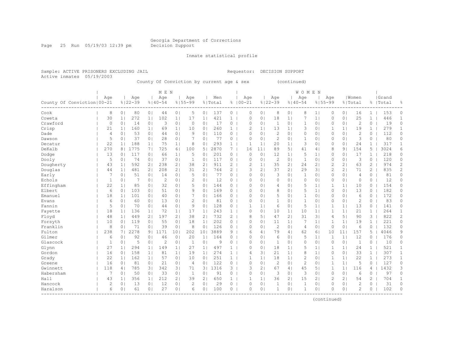Page 25 Run 05/19/03 12:39 pm Decision Support

Inmate statistical profile

Active inmates 05/19/2003

Sample: ACTIVE PRISONERS EXCLUDING JAIL Requestor: DECISION SUPPORT

County Of Conviction by current age & sex (continued)

|                                      |                |                |             |                | M E N          |                 |                |                       |         |                |                |                |                |                | WOMEN          |                |                |                 |                |                       |           |                |
|--------------------------------------|----------------|----------------|-------------|----------------|----------------|-----------------|----------------|-----------------------|---------|----------------|----------------|----------------|----------------|----------------|----------------|----------------|----------------|-----------------|----------------|-----------------------|-----------|----------------|
|                                      | Age            |                | Age         |                | Age            |                 | Age            |                       | Men     |                | Age            |                | Age            |                | Age            |                | Age            |                 | Women          |                       | Grand     |                |
| County Of Conviction   00-21         |                |                | $8122 - 39$ |                | $8140 - 54$    |                 | $8155 - 99$    |                       | % Total |                | $8100 - 21$    |                | $8122 - 39$    |                | $8140 - 54$    |                | $8155 - 99$    |                 | % Total        |                       | %   Total | 욲              |
| Cook                                 | 8              | 0 <sub>1</sub> | 80          | 0 <sub>1</sub> | 44             | 0 <sub>1</sub>  | 5              | 0 <sub>1</sub>        | 137     | 0              | $\Omega$       | 0 <sup>1</sup> | 8              | 0 <sub>1</sub> | 8              | 1 <sub>1</sub> | 0              | 0 <sub>1</sub>  | 16             | $\mathbf{1}$          | 153       | 0              |
| Coweta                               | 30             | 1 <sub>1</sub> | 272         | 1 <sub>1</sub> | 102            | 1 <sub>1</sub>  | 17             | 1 <sub>1</sub>        | 421     | $\mathbf{1}$   | $\Omega$       | $\circ$        | 18             | 1 <sub>1</sub> | 7              | 1 <sub>1</sub> | $\Omega$       | 0 <sub>1</sub>  | 25             | $\mathbf{1}$          | 446       | $\mathbf{1}$   |
| Crawford                             | 0              | 0 <sub>1</sub> | 14          | 0 <sub>1</sub> | 3              | 0 <sub>1</sub>  | $\circ$        | 0 <sub>1</sub>        | 17      | 0              | $\mathbf 0$    | 0 <sub>1</sub> | 1              | 0 <sub>1</sub> | 1              | 0 <sub>1</sub> | $\Omega$       | 0 <sub>1</sub>  | $\overline{c}$ | 0                     | 19        | $\circ$        |
| Crisp                                | 21             | 1 <sub>1</sub> | 160         | 1 <sup>1</sup> | 69             | 1 <sub>1</sub>  | 10             | 0 <sub>1</sub>        | 260     | $\mathbf{1}$   | $\overline{2}$ | 1 <sup>1</sup> | 13             | 1 <sub>1</sub> | 3              | 0 <sub>1</sub> | 1              | 1 <sub>1</sub>  | 19             | $\mathbf{1}$          | 279       | $\mathbf{1}$   |
| Dade                                 | $\overline{4}$ | 0 <sub>1</sub> | 53          | 0 <sub>1</sub> | 44             | 0 <sup>1</sup>  | 9              | 0 <sup>1</sup>        | 110     | $\overline{0}$ | $\Omega$       | 0 <sub>1</sub> | $\mathbf{2}$   | 0 <sup>1</sup> | 0              | 0 <sub>1</sub> | $\mathbf{0}$   | 0 <sub>1</sub>  | $\overline{2}$ | 0                     | 112       | 0              |
| Dawson                               | 5              | 0 <sub>1</sub> | 37          | 0 <sub>1</sub> | 28             | 0 <sub>1</sub>  |                | 0 <sub>1</sub>        | 77      | 0              | $\mathbf{0}$   | 0 <sub>1</sub> | $\mathbf{2}$   | 0 <sub>1</sub> | 1              | 0 <sub>1</sub> | 0              | 0 <sub>1</sub>  | 3              | 0                     | 80        | $\circ$        |
| Decatur                              | 22             | 1 <sub>1</sub> | 188         | 1 <sub>1</sub> | 75             | 1 <sub>1</sub>  | 8              | 0 <sub>1</sub>        | 293     | 1              |                | $\mathbf{1}$   | 20             | 1 <sub>1</sub> | 3              | 0 <sup>1</sup> | $\Omega$       | 0 <sub>1</sub>  | 24             | 1                     | 317       | 1              |
| DeKalb                               | 270            | 8              | 1775        | 7 <sub>1</sub> | 725            | 6 <sup>1</sup>  | 100            | 5 <sub>1</sub>        | 2870    | 7 <sup>7</sup> | 16             | 11             | 89             | 51             | 41             | 4              | 8              | 91              | 154            | 5                     | 3024      | 6              |
| Dodge                                | 13             | 0 <sub>1</sub> | 117         | 0 <sub>1</sub> | 66             | 1 <sub>1</sub>  | 5              | 0                     | 201     | 0              | $\Omega$       | 0 <sup>1</sup> | 12             | 1 <sub>1</sub> | 5              | 1 <sub>1</sub> | $\Omega$       | 0 <sub>1</sub>  | 17             | $\mathbf{1}$          | 218       | 0              |
| Dooly                                | 5              | 0 <sub>1</sub> | 74          | 0 <sub>1</sub> | 37             | 0 <sup>1</sup>  | 1              | 0                     | 117     | 0              | $\Omega$       | 0 <sup>1</sup> | $\overline{c}$ | 0 <sup>1</sup> | $\mathbf{1}$   | $\circ$        | 0              | 0 <sub>1</sub>  | 3              | 0                     | 120       | 0              |
| Dougherty                            | 43             | 1 <sub>1</sub> | 592         | 2 <sub>1</sub> | 238            | 2 <sub>1</sub>  | 38             | 2                     | 911     | $\overline{2}$ | 2              | $\mathbf{1}$   | 35             | 2 <sub>1</sub> | 24             | 2 <sub>1</sub> | $\overline{c}$ | 21              | 63             | $\mathbf{2}^-$        | 974       | $\overline{c}$ |
| Douglas                              | 44             | 1 <sup>1</sup> | 481         | 2 <sub>1</sub> | 208            | 2 <sub>1</sub>  | 31             | $\mathbf{2}^{\prime}$ | 764     | $\overline{2}$ | 3              | 2 <sub>1</sub> | 37             | 2 <sub>1</sub> | 29             | 31             | $\overline{c}$ | 21              | 71             | $\mathbf{2}^{\prime}$ | 835       | $\overline{c}$ |
| Early                                | 7              | 0 <sub>1</sub> | 51          | 0 <sub>1</sub> | 14             | 0 <sub>1</sub>  | 5              | 0 <sub>1</sub>        | 77      | 0              | $\Omega$       | $\Omega$       | 3              | 0 <sub>1</sub> | $\mathbf{1}$   | 0 <sub>1</sub> | $\Omega$       | 0 <sub>1</sub>  | 4              | $\Omega$              | 81        | $\Omega$       |
| Echols                               | $\mathbf{1}$   | 0 <sub>1</sub> | 7           | 0 <sub>1</sub> | $\overline{c}$ | 0 <sub>1</sub>  | $\mathcal{D}$  | 0 <sub>1</sub>        | 12      | $0-1$          | $\Omega$       | $\Omega$       | $\circ$        | $\Omega$       | $\Omega$       | 0 <sub>1</sub> | 0              | 0 <sub>1</sub>  | $\Omega$       | $\Omega$              | 12        | $\circ$        |
| Effingham                            | 22             | 1 <sup>1</sup> | 85          | 0 <sub>1</sub> | 32             | 0 <sub>1</sub>  | 5              | 0 <sub>1</sub>        | 144     | $\overline{0}$ | $\Omega$       | 0 <sub>1</sub> | $\overline{4}$ | 0 <sub>1</sub> | 5              | 1 <sub>1</sub> | 1              | 1 <sup>1</sup>  | 10             | 0                     | 154       | 0              |
| Elbert                               | 6              | 0 <sub>1</sub> | 103         | 0 <sub>1</sub> | 51             | 0 <sub>1</sub>  | 9              | 0 <sub>1</sub>        | 169     | $\mathbf{0}$   | $\Omega$       | 0 <sub>1</sub> | 8              | 0 <sup>1</sup> | 5              | 1 <sub>1</sub> | 0              | 0 <sub>1</sub>  | 13             | 0                     | 182       | 0              |
| Emanuel                              | 18             | 1 <sub>1</sub> | 101         | 0 <sub>1</sub> | 40             | 0 <sup>1</sup>  |                | 0                     | 166     | 0              | $\Omega$       | 0 <sup>1</sup> | 5              | 0 <sup>1</sup> | 1              | $\circ$        | 0              | 0 <sub>1</sub>  | 6              | 0                     | 172       | 0              |
| Evans                                | 6              | 0 <sub>1</sub> | 60          | 0 <sub>1</sub> | 13             | 0 <sup>1</sup>  | $\overline{c}$ | 0                     | 81      | 0              | $\Omega$       | 0 <sup>1</sup> | $\mathbf{1}$   | 0 <sup>1</sup> | $\mathbf{1}$   | $\circ$        | $\Omega$       | 0 <sub>1</sub>  | $\overline{2}$ | $\Omega$              | 83        | $\Omega$       |
| Fannin                               | 5              | 0 <sub>1</sub> | 70          | 0 <sub>1</sub> | 44             | 0 <sub>1</sub>  | 9              | 0                     | 128     | 0              |                | $\mathbf{1}$   | 6              | 0 <sup>1</sup> | 5              | 1 <sub>1</sub> | 1              | 1 <sup>1</sup>  | 13             | 0                     | 141       | 0              |
| Fayette                              | 18             | 1 <sub>1</sub> | 136         | 1 <sub>1</sub> | 72             | 1 <sub>1</sub>  | 17             | 1 <sub>1</sub>        | 243     | $\mathbf{1}$   | $\circ$        | 0 <sub>1</sub> | 10             | 1 <sub>1</sub> | 10             | 1 <sub>1</sub> | 1              | 1               | 21             | 1                     | 264       | 1              |
| Floyd                                | 48             | 1 <sub>1</sub> | 449         | 21             | 197            | 2 <sub>1</sub>  | 38             | $\mathbf{2}^{\prime}$ | 732     | $\overline{2}$ | 8              | 5 <sub>1</sub> | 47             | 2 <sub>1</sub> | 31             | 31             | 4              | 5 <sub>1</sub>  | 90             | 3                     | 822       | $\overline{c}$ |
| Forsyth                              | 10             | 0 <sub>1</sub> | 119         | 0 <sub>1</sub> | 55             | 0 <sup>1</sup>  | 18             | 1 <sub>1</sub>        | 202     | $\overline{0}$ | $\Omega$       | 0 <sup>1</sup> | 11             | 1 <sub>1</sub> | 7              | 1 <sub>1</sub> | 1              | 1 <sup>1</sup>  | 19             | $\mathbf{1}$          | 221       | 0              |
| Franklin                             | 8              | 0 <sub>1</sub> | 71          | 0 <sub>1</sub> | 39             | 0 <sup>1</sup>  | 8              | 0 <sup>1</sup>        | 126     | $\overline{0}$ | $\bigcap$      | 0 <sup>1</sup> | $\overline{c}$ | 0 <sup>1</sup> | $\overline{4}$ | 0 <sub>1</sub> | $\circ$        | 0 <sub>1</sub>  | 6              | $\circ$               | 132       | 0              |
| Fulton                               | 238            | 71             | 2278        | 9 <sub>1</sub> | 1171           | 10 <sup>1</sup> | 202            | 101                   | 3889    | 9              | 6              | 4 <sub>1</sub> | 79             | 41             | 62             | 61             | 10             | 11 <sup>1</sup> | 157            | 5                     | 4046      | 9              |
| Gilmer                               | 6              | 0 <sub>1</sub> | 92          | 0 <sub>1</sub> | 46             | 0 <sup>1</sup>  | 20             | 1 <sub>1</sub>        | 164     | 0              | $\Omega$       | 0 <sup>1</sup> | 6              | 0 <sup>1</sup> | 5              | 1 <sub>1</sub> | 1              | 1               | 12             | 0                     | 176       | 0              |
| Glascock                             | $\mathbf{1}$   | 0 <sub>1</sub> | 5           | 0 <sub>1</sub> | 2              | 0 <sup>1</sup>  | 1              | 0                     | 9       | 0              | $\Omega$       | 0              | 1              | 01             | $\Omega$       | $\circ$        | $\Omega$       | 0 <sub>1</sub>  | 1              | 0                     | 10        | 0              |
| Glynn                                | 27             | 1 <sub>1</sub> | 294         | 1 <sup>1</sup> | 149            | 1 <sub>1</sub>  | 27             | 1 <sup>1</sup>        | 497     | 1              | $\Omega$       | $\Omega$       | 18             | 1 <sub>1</sub> | 5              | 1 <sub>1</sub> | 1              | 1 <sup>1</sup>  | 24             | 1                     | 521       | $\mathbf{1}$   |
| Gordon                               | 16             | 0 <sub>1</sub> | 158         | 1 <sub>1</sub> | 81             | 1 <sub>1</sub>  | 19             | 1 <sub>1</sub>        | 274     | $\mathbf{1}$   | 4              | 31             | 21             | 1 <sub>1</sub> | 8              | 1 <sub>1</sub> | $\Omega$       | 0 <sub>1</sub>  | 33             | $\mathbf{1}$          | 307       | $\mathbf{1}$   |
| Grady                                | 22             | 1 <sub>1</sub> | 162         | 1 <sup>1</sup> | 57             | 0 <sub>1</sub>  | 10             | 0 <sub>1</sub>        | 251     | $\mathbf{1}$   |                | $\mathbf{1}$   | 18             | 1 <sub>1</sub> | $\mathbf{2}$   | 0 <sub>1</sub> | 1              | 1 <sup>1</sup>  | 22             | $\mathbf{1}$          | 273       | $\mathbf{1}$   |
| Greene                               | 16             | 0 <sub>1</sub> | 81          | 0 <sub>1</sub> | 21             | 0 <sub>1</sub>  | $\overline{4}$ | 0 <sub>1</sub>        | 122     | 0              | $\mathbb O$    | 0 <sup>1</sup> | $\overline{c}$ | 0 <sub>1</sub> | $\overline{c}$ | 0 <sub>1</sub> | $\mathbf{1}$   | 1 <sub>1</sub>  | 5              | $\circ$               | 127       | 0              |
| Gwinnett                             | 118            | 4              | 785         | 3              | 342            | 3 <sup>1</sup>  | 71             | 3                     | 1316    | 3 <sup>1</sup> | 3              | 2 <sub>1</sub> | 67             | 4 <sub>1</sub> | 45             | 5 <sub>1</sub> | 1              | 1               | 116            | 4                     | 1432      | 3              |
| Habersham                            | 7              | 0 <sub>1</sub> | 50          | 0 <sub>1</sub> | 33             | 0 <sub>1</sub>  | $\mathbf{1}$   | 0                     | 91      | 0              | $\mathbf{0}$   | 0 <sub>1</sub> | 3              | 0 <sup>1</sup> | 3              | 0 <sub>1</sub> | $\mathbf{0}$   | 0 <sub>1</sub>  | 6              | $\circ$               | 97        | $\circ$        |
| Hall                                 | 43             | 1 <sub>1</sub> | 356         | 1 <sub>1</sub> | 212            | 2 <sub>1</sub>  | 39             | 2 <sub>1</sub>        | 650     | 1              | $\mathbf{1}$   | 1 <sub>1</sub> | 36             | 2 <sub>1</sub> | 15             | 21             | $\overline{2}$ | 2 <sub>1</sub>  | 54             | $\overline{c}$        | 704       | $\mathbf{1}$   |
| Hancock                              | $\overline{c}$ | 0 <sub>1</sub> | 13          | 0 <sub>1</sub> | 12             | 0 <sub>1</sub>  | 2              | 0                     | 29      | 0              | $\Omega$       | 0 <sub>1</sub> | 1              | 0 <sub>1</sub> | 1              | 0 <sub>1</sub> | $\Omega$       | 0 <sub>1</sub>  | $\overline{2}$ | 0                     | 31        | $\circ$        |
| Haralson<br>________________________ | 6              | 0 <sub>1</sub> | 61          | 0 <sub>1</sub> | 27             | 0 <sub>1</sub>  | 6              | 0 <sub>1</sub>        | 100     | $\overline{0}$ | $\Omega$       | 0 <sub>1</sub> | $\mathbf{1}$   | 0 <sub>1</sub> | 1              | 0 <sub>1</sub> | $\Omega$       | 0 <sub>1</sub>  | $\overline{2}$ | 0                     | 102       | $\circ$        |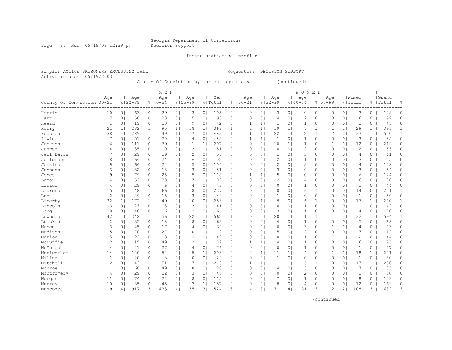Page 26 Run 05/19/03 12:39 pm Decision Support

Inmate statistical profile

Active inmates 05/19/2003

Sample: ACTIVE PRISONERS EXCLUDING JAIL Requestor: DECISION SUPPORT

County Of Conviction by current age & sex (continued)

| Age<br>Men<br>  Women<br>Grand<br>Age<br>Age<br>Age<br>Age<br>Age<br>Age<br>Age<br>$8122 - 39$<br>$8100 - 21$<br>$8122 - 39$<br>$8155 - 99$<br>County Of Conviction   00-21<br>$8140 - 54$<br>$8155 - 99$<br>% Total<br>$8140 - 54$<br>% Total<br>%   Total<br>10<br>29<br>3<br>105<br>$\circ$<br>3<br>$\Omega$<br>3<br>108<br>Harris<br>0 <sub>1</sub><br>63<br>0 <sub>1</sub><br>0 <sub>1</sub><br>0 <sub>1</sub><br>$\Omega$<br>0 <sup>1</sup><br>01<br>0<br>0 <sub>1</sub><br>0 <sub>1</sub><br>$\Omega$<br>23<br>93<br>0 <sub>1</sub><br>6<br>99<br>7<br>58<br>0 <sub>1</sub><br>0 <sup>1</sup><br>5<br>0<br>0<br>$\Omega$<br>0 <sup>1</sup><br>0 <sup>1</sup><br>2<br>0 <sub>1</sub><br>$\Omega$<br>Hart<br>0 <sub>1</sub><br>$\overline{4}$<br>0<br>42<br>3<br>45<br>1<br>19<br>0 <sub>1</sub><br>13<br>0 <sub>1</sub><br>9<br>0 <sub>1</sub><br>0<br>1<br>0 <sub>1</sub><br>1<br>0 <sub>1</sub><br>0 <sub>1</sub><br>0<br>Heard<br>0 <sub>1</sub><br>$\mathbf{1}$<br>0<br>232<br>1 <br>21<br>1 <sub>1</sub><br>1 <sub>1</sub><br>95<br>18<br>1 <sub>1</sub><br>366<br>$\mathbf{1}$<br>$\overline{c}$<br>1 <sup>1</sup><br>19<br>7<br>1 <sub>1</sub><br>1<br>29<br>$\mathbf{1}$<br>395<br>1 <sub>1</sub><br>1 <sub>1</sub><br>Henry<br>38<br>289<br>7<br>483<br>22<br>12<br>2<br>2 <sub>1</sub><br>37<br>520<br>1 <sub>1</sub><br>1 <sup>1</sup><br>149<br>1 <sub>1</sub><br>0 <sub>1</sub><br>$\mathbf{1}$<br>1<br>1 <sub>1</sub><br>1 <sub>1</sub><br>1 <sub>1</sub><br>$\mathbf{1}$<br>Houston<br>20<br>82<br>3<br>85<br>Irwin<br>7<br>51<br>0 <sub>1</sub><br>0 <sub>1</sub><br>0<br>1 <sup>1</sup><br>-1<br>0 <sub>1</sub><br>$\mathbf{1}$<br>0 <sub>1</sub><br>0<br>0 <sub>1</sub><br>$\Omega$<br>0 <sub>1</sub><br>$\overline{4}$<br>0 <sub>1</sub><br>-1<br>207<br>12<br>219<br>Jackson<br>6<br>111<br>79<br>$\Omega$<br>0 <sub>1</sub><br>1<br>1 <sup>1</sup><br>0 <sub>1</sub><br>0 <sub>1</sub><br>1 <sub>1</sub><br>11<br>1 <sub>1</sub><br>0<br>10<br>1 <sub>1</sub><br>0 <sub>1</sub><br>1<br>0<br>$\overline{c}$<br>$\overline{c}$<br>53<br>35<br>2<br>51<br>$\circ$<br>0 <sub>1</sub><br>$\Omega$<br>0 <sub>1</sub><br>Jasper<br>4<br>0 <sub>1</sub><br>0 <sub>1</sub><br>10<br>0 <sub>1</sub><br>0<br>0<br>$\Omega$<br>0 <sup>1</sup><br>0 <sup>1</sup><br>0 |              |
|--------------------------------------------------------------------------------------------------------------------------------------------------------------------------------------------------------------------------------------------------------------------------------------------------------------------------------------------------------------------------------------------------------------------------------------------------------------------------------------------------------------------------------------------------------------------------------------------------------------------------------------------------------------------------------------------------------------------------------------------------------------------------------------------------------------------------------------------------------------------------------------------------------------------------------------------------------------------------------------------------------------------------------------------------------------------------------------------------------------------------------------------------------------------------------------------------------------------------------------------------------------------------------------------------------------------------------------------------------------------------------------------------------------------------------------------------------------------------------------------------------------------------------------------------------------------------------------------------------------------------------------------------------------------------------------------------------------------------------------------------------------------------------------------------------------------------------------------------------------------------------------------------------------------------------------------------------------------------------------------------------------------------------------------------------------------------------------------------------------------------------------------------------------------------------------------------------------------------------------------------------------------------------------|--------------|
|                                                                                                                                                                                                                                                                                                                                                                                                                                                                                                                                                                                                                                                                                                                                                                                                                                                                                                                                                                                                                                                                                                                                                                                                                                                                                                                                                                                                                                                                                                                                                                                                                                                                                                                                                                                                                                                                                                                                                                                                                                                                                                                                                                                                                                                                                      |              |
|                                                                                                                                                                                                                                                                                                                                                                                                                                                                                                                                                                                                                                                                                                                                                                                                                                                                                                                                                                                                                                                                                                                                                                                                                                                                                                                                                                                                                                                                                                                                                                                                                                                                                                                                                                                                                                                                                                                                                                                                                                                                                                                                                                                                                                                                                      | 욲            |
|                                                                                                                                                                                                                                                                                                                                                                                                                                                                                                                                                                                                                                                                                                                                                                                                                                                                                                                                                                                                                                                                                                                                                                                                                                                                                                                                                                                                                                                                                                                                                                                                                                                                                                                                                                                                                                                                                                                                                                                                                                                                                                                                                                                                                                                                                      | 0            |
|                                                                                                                                                                                                                                                                                                                                                                                                                                                                                                                                                                                                                                                                                                                                                                                                                                                                                                                                                                                                                                                                                                                                                                                                                                                                                                                                                                                                                                                                                                                                                                                                                                                                                                                                                                                                                                                                                                                                                                                                                                                                                                                                                                                                                                                                                      | 0            |
|                                                                                                                                                                                                                                                                                                                                                                                                                                                                                                                                                                                                                                                                                                                                                                                                                                                                                                                                                                                                                                                                                                                                                                                                                                                                                                                                                                                                                                                                                                                                                                                                                                                                                                                                                                                                                                                                                                                                                                                                                                                                                                                                                                                                                                                                                      | 0            |
|                                                                                                                                                                                                                                                                                                                                                                                                                                                                                                                                                                                                                                                                                                                                                                                                                                                                                                                                                                                                                                                                                                                                                                                                                                                                                                                                                                                                                                                                                                                                                                                                                                                                                                                                                                                                                                                                                                                                                                                                                                                                                                                                                                                                                                                                                      | $\mathbf{1}$ |
|                                                                                                                                                                                                                                                                                                                                                                                                                                                                                                                                                                                                                                                                                                                                                                                                                                                                                                                                                                                                                                                                                                                                                                                                                                                                                                                                                                                                                                                                                                                                                                                                                                                                                                                                                                                                                                                                                                                                                                                                                                                                                                                                                                                                                                                                                      | $\mathbf{1}$ |
|                                                                                                                                                                                                                                                                                                                                                                                                                                                                                                                                                                                                                                                                                                                                                                                                                                                                                                                                                                                                                                                                                                                                                                                                                                                                                                                                                                                                                                                                                                                                                                                                                                                                                                                                                                                                                                                                                                                                                                                                                                                                                                                                                                                                                                                                                      | 0            |
|                                                                                                                                                                                                                                                                                                                                                                                                                                                                                                                                                                                                                                                                                                                                                                                                                                                                                                                                                                                                                                                                                                                                                                                                                                                                                                                                                                                                                                                                                                                                                                                                                                                                                                                                                                                                                                                                                                                                                                                                                                                                                                                                                                                                                                                                                      | 0            |
|                                                                                                                                                                                                                                                                                                                                                                                                                                                                                                                                                                                                                                                                                                                                                                                                                                                                                                                                                                                                                                                                                                                                                                                                                                                                                                                                                                                                                                                                                                                                                                                                                                                                                                                                                                                                                                                                                                                                                                                                                                                                                                                                                                                                                                                                                      | 0            |
| 7<br>$\mathbf{1}$<br>Jeff Davis<br>29<br>2<br>57<br>$\Omega$<br>3<br>0 <sub>1</sub><br>0 <sub>1</sub><br>61<br>0 <sub>1</sub><br>0 <sub>1</sub><br>19<br>0 <sup>1</sup><br>0<br>0<br>0 <sup>1</sup><br>$\circ$<br>$\Omega$<br>4<br>$\Omega$                                                                                                                                                                                                                                                                                                                                                                                                                                                                                                                                                                                                                                                                                                                                                                                                                                                                                                                                                                                                                                                                                                                                                                                                                                                                                                                                                                                                                                                                                                                                                                                                                                                                                                                                                                                                                                                                                                                                                                                                                                          | 0            |
| 102<br>$\mathbf{2}$<br>Jefferson<br>8<br>24<br>$\Omega$<br>$\Omega$<br>0 <sub>1</sub><br>3<br>105<br>0 <sub>1</sub><br>64<br>0 <sub>1</sub><br>0 <sub>1</sub><br>6<br>0 <sub>1</sub><br>$\mathbf{0}$<br>$\Omega$<br>0 <sup>1</sup><br>1<br>0 <sub>1</sub><br>0                                                                                                                                                                                                                                                                                                                                                                                                                                                                                                                                                                                                                                                                                                                                                                                                                                                                                                                                                                                                                                                                                                                                                                                                                                                                                                                                                                                                                                                                                                                                                                                                                                                                                                                                                                                                                                                                                                                                                                                                                       | 0            |
| $\overline{c}$<br>Jenkins<br>24<br>104<br>9<br>0 <sup>1</sup><br>66<br>0 <sub>1</sub><br>0 <sub>1</sub><br>5<br>0 <sub>1</sub><br>0 <sub>1</sub><br>2<br>0 <sub>1</sub><br>$\Omega$<br>0 <sub>1</sub><br>4<br>108<br>0 <sub>1</sub><br>$\overline{0}$<br>$\circ$<br>0                                                                                                                                                                                                                                                                                                                                                                                                                                                                                                                                                                                                                                                                                                                                                                                                                                                                                                                                                                                                                                                                                                                                                                                                                                                                                                                                                                                                                                                                                                                                                                                                                                                                                                                                                                                                                                                                                                                                                                                                                | 0            |
| 3<br>3<br>51<br>3<br>54<br>0 <sup>1</sup><br>32<br>0 <sub>1</sub><br>13<br>0 <sub>1</sub><br>3<br>0 <sub>1</sub><br>$\circ$<br>$\Omega$<br>0 <sub>1</sub><br>$\Omega$<br>0 <sub>1</sub><br>$\Omega$<br>0 <sub>1</sub><br>$\circ$<br>Johnson<br>0 <sub>1</sub>                                                                                                                                                                                                                                                                                                                                                                                                                                                                                                                                                                                                                                                                                                                                                                                                                                                                                                                                                                                                                                                                                                                                                                                                                                                                                                                                                                                                                                                                                                                                                                                                                                                                                                                                                                                                                                                                                                                                                                                                                        | 0            |
| 5<br>79<br>25<br>5<br>118<br>6<br>124<br>9<br>0 <sub>1</sub><br>0 <sub>1</sub><br>0 <sub>1</sub><br>0<br>1<br>1 <sup>1</sup><br>0<br>0 <sub>1</sub><br>$\Omega$<br>0 <sub>1</sub><br>$\Omega$<br>Jones<br>0 <sub>1</sub><br>01                                                                                                                                                                                                                                                                                                                                                                                                                                                                                                                                                                                                                                                                                                                                                                                                                                                                                                                                                                                                                                                                                                                                                                                                                                                                                                                                                                                                                                                                                                                                                                                                                                                                                                                                                                                                                                                                                                                                                                                                                                                       | 0            |
| 38<br>102<br>$\overline{2}$<br>108<br>53<br>0 <sub>1</sub><br>7<br>$\Omega$<br>0 <sub>1</sub><br>0 <sub>1</sub><br>0<br>0 <sub>1</sub><br>6<br>Lamar<br>0 <sub>1</sub><br>0 <sub>1</sub><br>0 <sub>1</sub><br>$\circ$<br>01<br>4<br>$\Omega$<br>4                                                                                                                                                                                                                                                                                                                                                                                                                                                                                                                                                                                                                                                                                                                                                                                                                                                                                                                                                                                                                                                                                                                                                                                                                                                                                                                                                                                                                                                                                                                                                                                                                                                                                                                                                                                                                                                                                                                                                                                                                                    | 0            |
| Lanier<br>0 <sub>1</sub><br>29<br>0 <sub>1</sub><br>6<br>0 <sub>1</sub><br>43<br>0 <sub>1</sub><br>$\circ$<br>0 <sub>1</sub><br>1<br>44<br>$\overline{4}$<br>$\overline{4}$<br>0<br>0 <sup>1</sup><br>$\Omega$<br>0 <sup>1</sup><br>$\mathbf{1}$<br>0 <sub>1</sub><br>$\Omega$<br>0                                                                                                                                                                                                                                                                                                                                                                                                                                                                                                                                                                                                                                                                                                                                                                                                                                                                                                                                                                                                                                                                                                                                                                                                                                                                                                                                                                                                                                                                                                                                                                                                                                                                                                                                                                                                                                                                                                                                                                                                  | 0            |
| 251<br>15<br>148<br>237<br>8<br>0 <sub>1</sub><br>14<br>0 <sub>1</sub><br>1 <sub>1</sub><br>66<br>1 <sub>1</sub><br>8<br>0 <sub>1</sub><br>$\mathbf{1}$<br>$\Omega$<br>0 <sub>1</sub><br>0 <sup>1</sup><br>6<br>1 <sub>1</sub><br>0<br>0<br>Laurens                                                                                                                                                                                                                                                                                                                                                                                                                                                                                                                                                                                                                                                                                                                                                                                                                                                                                                                                                                                                                                                                                                                                                                                                                                                                                                                                                                                                                                                                                                                                                                                                                                                                                                                                                                                                                                                                                                                                                                                                                                  | $\mathbf{1}$ |
| $\mathbf{2}$<br>50<br>29<br>15<br>0 <sup>1</sup><br>3<br>49<br>$\Omega$<br>$\mathbf{1}$<br>$\circ$<br>0 <sub>1</sub><br>$\Omega$<br>0 <sub>1</sub><br>1<br>0 <sup>1</sup><br>0 <sub>1</sub><br>0<br>0<br>0 <sup>1</sup><br>0<br>0<br>Lee                                                                                                                                                                                                                                                                                                                                                                                                                                                                                                                                                                                                                                                                                                                                                                                                                                                                                                                                                                                                                                                                                                                                                                                                                                                                                                                                                                                                                                                                                                                                                                                                                                                                                                                                                                                                                                                                                                                                                                                                                                             | 0            |
| 22<br>172<br>253<br>17<br>270<br>10<br>$\overline{2}$<br>9<br>$\Omega$<br>0 <sub>1</sub><br>Liberty<br>1 <sub>1</sub><br>1 <sup>1</sup><br>49<br>0 <sup>1</sup><br>0<br>$\mathbf{1}$<br>1 <sup>1</sup><br>0 <sup>1</sup><br>6<br>1 <sub>1</sub><br>$\mathbf{1}$                                                                                                                                                                                                                                                                                                                                                                                                                                                                                                                                                                                                                                                                                                                                                                                                                                                                                                                                                                                                                                                                                                                                                                                                                                                                                                                                                                                                                                                                                                                                                                                                                                                                                                                                                                                                                                                                                                                                                                                                                      | $\mathbf{1}$ |
| 42<br>Lincoln<br>3<br>23<br>13<br>0 <sub>1</sub><br>2<br>41<br>0 <sub>1</sub><br>$\circ$<br>0 <sup>1</sup><br>0 <sub>1</sub><br>0 <sub>1</sub><br>1<br>0 <sub>1</sub><br>0 <sub>1</sub><br>0 <sub>1</sub><br>0<br>$\Omega$<br>1<br>$\Omega$<br>0                                                                                                                                                                                                                                                                                                                                                                                                                                                                                                                                                                                                                                                                                                                                                                                                                                                                                                                                                                                                                                                                                                                                                                                                                                                                                                                                                                                                                                                                                                                                                                                                                                                                                                                                                                                                                                                                                                                                                                                                                                     | 0            |
| 3<br>8<br>40<br>0 <sub>1</sub><br>16<br>$\overline{c}$<br>66<br>0 <sub>1</sub><br>0 <sub>1</sub><br>0 <sub>1</sub><br>70<br>0 <sub>1</sub><br>0 <sub>1</sub><br>0 <sub>1</sub><br>0<br>$\circ$<br>1<br>0 <sub>1</sub><br>$\Omega$<br>4<br>0<br>Long                                                                                                                                                                                                                                                                                                                                                                                                                                                                                                                                                                                                                                                                                                                                                                                                                                                                                                                                                                                                                                                                                                                                                                                                                                                                                                                                                                                                                                                                                                                                                                                                                                                                                                                                                                                                                                                                                                                                                                                                                                  | 0            |
| 562<br>32<br>594<br>Lowndes<br>42<br>342<br>156<br>22<br>1 <sub>1</sub><br>0 <sub>1</sub><br>20<br>1 <sub>1</sub><br>$\mathbf{1}$<br>1 <sub>1</sub><br>1 <sub>1</sub><br>1 <br>$\mathbf{1}$<br>$\Omega$<br>1 <sub>1</sub><br>11<br>1 <sub>1</sub><br>1                                                                                                                                                                                                                                                                                                                                                                                                                                                                                                                                                                                                                                                                                                                                                                                                                                                                                                                                                                                                                                                                                                                                                                                                                                                                                                                                                                                                                                                                                                                                                                                                                                                                                                                                                                                                                                                                                                                                                                                                                               | 1            |
| Lumpkin<br>$\mathbf{2}$<br>63<br>$\mathbf{1}$<br>5<br>0 <sub>1</sub><br>35<br>0 <sub>1</sub><br>18<br>0 <sup>1</sup><br>8<br>0 <sub>1</sub><br>0<br>$\Omega$<br>0 <sub>1</sub><br>$\overline{4}$<br>0 <sup>1</sup><br>0 <sub>1</sub><br>$\Omega$<br>0 <sub>1</sub><br>0<br>68                                                                                                                                                                                                                                                                                                                                                                                                                                                                                                                                                                                                                                                                                                                                                                                                                                                                                                                                                                                                                                                                                                                                                                                                                                                                                                                                                                                                                                                                                                                                                                                                                                                                                                                                                                                                                                                                                                                                                                                                        | 0            |
| 3<br>73<br>Macon<br>45<br>17<br>69<br>$\Omega$<br>3<br>0 <sub>1</sub><br>1 <sub>1</sub><br>0 <sub>1</sub><br>0 <sub>1</sub><br>0 <sub>1</sub><br>$\overline{4}$<br>0 <sub>1</sub><br>0<br>0 <sub>1</sub><br>$\circ$<br>0 <sup>1</sup><br>1<br>4<br>0                                                                                                                                                                                                                                                                                                                                                                                                                                                                                                                                                                                                                                                                                                                                                                                                                                                                                                                                                                                                                                                                                                                                                                                                                                                                                                                                                                                                                                                                                                                                                                                                                                                                                                                                                                                                                                                                                                                                                                                                                                 | 0            |
| Madison<br>5<br>70<br>27<br>10<br>112<br>5<br>2<br>0<br>0 <sub>1</sub><br>7<br>119<br>0 <sub>1</sub><br>0 <sub>1</sub><br>0 <sub>1</sub><br>0 <sub>1</sub><br>0<br>$\Omega$<br>0 <sub>1</sub><br>0 <sub>1</sub><br>0 <sub>1</sub><br>0                                                                                                                                                                                                                                                                                                                                                                                                                                                                                                                                                                                                                                                                                                                                                                                                                                                                                                                                                                                                                                                                                                                                                                                                                                                                                                                                                                                                                                                                                                                                                                                                                                                                                                                                                                                                                                                                                                                                                                                                                                               | 0            |
| Marion<br>5<br>$\overline{2}$<br>$\overline{2}$<br>22<br>42<br>$\Omega$<br>1<br>1 <sub>1</sub><br>0 <sub>1</sub><br>0 <sub>1</sub><br>13<br>0 <sup>1</sup><br>0<br>0<br>0 <sup>1</sup><br>$\circ$<br>0 <sup>1</sup><br>0 <sub>1</sub><br>0<br>44<br>1                                                                                                                                                                                                                                                                                                                                                                                                                                                                                                                                                                                                                                                                                                                                                                                                                                                                                                                                                                                                                                                                                                                                                                                                                                                                                                                                                                                                                                                                                                                                                                                                                                                                                                                                                                                                                                                                                                                                                                                                                                | 0            |
| McDuffie<br>12<br>115<br>13<br>189<br>$\mathbf{1}$<br>0 <sub>1</sub><br>6<br>195<br>0 <sub>1</sub><br>49<br>0 <sup>1</sup><br>0<br>1 <sub>1</sub><br>$\circ$<br>$\circ$<br>0<br>0<br>01<br>1 <sub>1</sub><br>4                                                                                                                                                                                                                                                                                                                                                                                                                                                                                                                                                                                                                                                                                                                                                                                                                                                                                                                                                                                                                                                                                                                                                                                                                                                                                                                                                                                                                                                                                                                                                                                                                                                                                                                                                                                                                                                                                                                                                                                                                                                                       | 0            |
| 76<br>77<br>McIntosh<br>27<br>$\Omega$<br>$\Omega$<br>0 <sub>1</sub><br>$\mathbf{1}$<br>4<br>0 <sub>1</sub><br>41<br>0 <sub>1</sub><br>0 <sup>1</sup><br>0<br>0<br>0 <sup>1</sup><br>$\circ$<br>0 <sup>1</sup><br>1<br>0 <sub>1</sub><br>0<br>4                                                                                                                                                                                                                                                                                                                                                                                                                                                                                                                                                                                                                                                                                                                                                                                                                                                                                                                                                                                                                                                                                                                                                                                                                                                                                                                                                                                                                                                                                                                                                                                                                                                                                                                                                                                                                                                                                                                                                                                                                                      | 0            |
| 221<br>Meriwether<br>14<br>120<br>54<br>203<br>$\mathbf{2}$<br>18<br>0 <sub>1</sub><br>0 <sub>1</sub><br>15<br>1 <sub>1</sub><br>0<br>1 <sup>1</sup><br>11<br>1 <sub>1</sub><br>0 <sub>1</sub><br>1<br>1 <sub>1</sub><br>0 <sub>1</sub><br>4<br>$\mathbf{1}$                                                                                                                                                                                                                                                                                                                                                                                                                                                                                                                                                                                                                                                                                                                                                                                                                                                                                                                                                                                                                                                                                                                                                                                                                                                                                                                                                                                                                                                                                                                                                                                                                                                                                                                                                                                                                                                                                                                                                                                                                         | 0            |
| 30<br>Miller<br>1<br>20<br>8<br>0 <sub>1</sub><br>0 <sub>1</sub><br>29<br>0<br>0 <sub>1</sub><br>-1<br>0 <sub>1</sub><br>0 <sub>1</sub><br>0<br>0 <sub>1</sub><br>1<br>0 <sub>1</sub><br>0 <sub>1</sub><br>$\circ$<br>$\overline{0}$<br>0<br>0                                                                                                                                                                                                                                                                                                                                                                                                                                                                                                                                                                                                                                                                                                                                                                                                                                                                                                                                                                                                                                                                                                                                                                                                                                                                                                                                                                                                                                                                                                                                                                                                                                                                                                                                                                                                                                                                                                                                                                                                                                       | 0            |
| Mitchell<br>12<br>17<br>230<br>143<br>1 <sub>1</sub><br>51<br>213<br>$\circ$<br>1 <sup>1</sup><br>11<br>5<br>1 <sub>1</sub><br>$\Omega$<br>0 <sub>1</sub><br>$\mathbf{1}$<br>0 <sub>1</sub><br>0 <sub>1</sub><br>0 <sub>1</sub><br>1<br>1 <sub>1</sub>                                                                                                                                                                                                                                                                                                                                                                                                                                                                                                                                                                                                                                                                                                                                                                                                                                                                                                                                                                                                                                                                                                                                                                                                                                                                                                                                                                                                                                                                                                                                                                                                                                                                                                                                                                                                                                                                                                                                                                                                                               | 0            |
| 11<br>128<br>3<br>7<br>135<br>60<br>0 <sub>1</sub><br>49<br>0 <sub>1</sub><br>8<br>$\Omega$<br>0 <sub>1</sub><br>4<br>0 <sub>1</sub><br>0 <sub>1</sub><br>$\Omega$<br>0 <sub>1</sub><br>$\Omega$<br>0 <sub>1</sub><br>0 <sub>1</sub><br>0 <sub>1</sub><br>Monroe                                                                                                                                                                                                                                                                                                                                                                                                                                                                                                                                                                                                                                                                                                                                                                                                                                                                                                                                                                                                                                                                                                                                                                                                                                                                                                                                                                                                                                                                                                                                                                                                                                                                                                                                                                                                                                                                                                                                                                                                                     | 0            |
| $\mathbf{2}$<br>29<br>12<br>48<br>$\overline{c}$<br>0 <sub>1</sub><br>50<br>0 <sub>1</sub><br>0 <sub>1</sub><br>0 <sub>1</sub><br>3<br>$\circ$<br>0 <sub>1</sub><br>$\Omega$<br>0 <sub>1</sub><br>$\circ$<br>0 <sup>1</sup><br>0 <sub>1</sub><br>0<br>0<br>Montgomery<br>4                                                                                                                                                                                                                                                                                                                                                                                                                                                                                                                                                                                                                                                                                                                                                                                                                                                                                                                                                                                                                                                                                                                                                                                                                                                                                                                                                                                                                                                                                                                                                                                                                                                                                                                                                                                                                                                                                                                                                                                                           | $\circ$      |
| 74<br>22<br>115<br>8<br>123<br>11<br>0 <sup>1</sup><br>0 <sub>1</sub><br>0 <sub>1</sub><br>8<br>$\overline{0}$<br>$\Omega$<br>0 <sub>1</sub><br>7<br>0 <sub>1</sub><br>1<br>0 <sub>1</sub><br>0<br>0 <sub>1</sub><br>$\circ$<br>Morgan<br>0 <sub>1</sub>                                                                                                                                                                                                                                                                                                                                                                                                                                                                                                                                                                                                                                                                                                                                                                                                                                                                                                                                                                                                                                                                                                                                                                                                                                                                                                                                                                                                                                                                                                                                                                                                                                                                                                                                                                                                                                                                                                                                                                                                                             | $\circ$      |
| 10<br>157<br>12<br>169<br>85<br>45<br>0 <sub>1</sub><br>17<br>$\Omega$<br>$\circ$<br>8<br>0 <sup>1</sup><br>0 <sub>1</sub><br>0<br>0 <sub>1</sub><br>Murray<br>0 <sub>1</sub><br>0 <sub>1</sub><br>1 <sub>1</sub><br>$\circ$<br>4<br>0                                                                                                                                                                                                                                                                                                                                                                                                                                                                                                                                                                                                                                                                                                                                                                                                                                                                                                                                                                                                                                                                                                                                                                                                                                                                                                                                                                                                                                                                                                                                                                                                                                                                                                                                                                                                                                                                                                                                                                                                                                               |              |
| 917<br>433<br>1524<br>71<br>$\overline{c}$<br>21<br>108<br>1632<br>119<br>31<br>55<br>3 <sup>1</sup><br>3 <sup>1</sup><br>31<br>31<br>31<br>4 <sup>1</sup><br>$\overline{4}$<br>4 <sub>1</sub><br>3<br>4  <br>Muscogee<br>-------------                                                                                                                                                                                                                                                                                                                                                                                                                                                                                                                                                                                                                                                                                                                                                                                                                                                                                                                                                                                                                                                                                                                                                                                                                                                                                                                                                                                                                                                                                                                                                                                                                                                                                                                                                                                                                                                                                                                                                                                                                                              | 0            |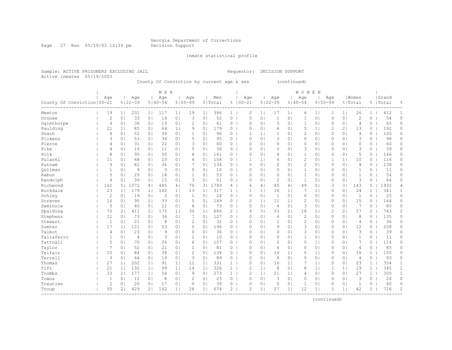Page 27 Run 05/19/03 12:39 pm Decision Support

Inmate statistical profile

Active inmates 05/19/2003

Sample: ACTIVE PRISONERS EXCLUDING JAIL Requestor: DECISION SUPPORT

County Of Conviction by current age & sex (continued)

|                              |                |                |                |                | M E N       |                |                |                |         |                |                |                |                |                | WOMEN          |                |                |                |                |                |           |              |
|------------------------------|----------------|----------------|----------------|----------------|-------------|----------------|----------------|----------------|---------|----------------|----------------|----------------|----------------|----------------|----------------|----------------|----------------|----------------|----------------|----------------|-----------|--------------|
|                              | Age            |                | Age            |                | Age         |                | Age            |                | Men     |                | Age            |                | Age            |                | Age            |                | Age            |                | Women          |                | Grand     |              |
| County Of Conviction   00-21 |                |                | $8122 - 39$    |                | $8140 - 54$ |                | $8155 - 99$    |                | % Total |                | $8100 - 21$    |                | $8122 - 39$    |                | $8140 - 54$    |                | $8155 - 99$    |                | % Total        |                | %   Total | 욲            |
| Newton                       | 19             | 1 <sup>1</sup> | 231            | 1 <sub>1</sub> | 117         | 1 <sub>1</sub> | 19             | 1 <sub>1</sub> | 386     | $\mathbf{1}$   | 2              | 1 <sup>1</sup> | 17             | 1 <sub>1</sub> | 6              | 1 <sub>1</sub> | 1              | 1 <sub>1</sub> | 26             | $\mathbf{1}$   | 412       | -1           |
| Oconee                       | $\mathbf{2}$   | 0 <sup>1</sup> | 33             | 0 <sub>1</sub> | 14          | 0 <sup>1</sup> | 3              | 0 <sub>1</sub> | 52      | 0              | $\circ$        | 0 <sub>1</sub> | 1              | 0 <sub>1</sub> | 1              | 0 <sub>1</sub> | $\Omega$       | 0 <sub>1</sub> | $\overline{c}$ | 0              | 54        | 0            |
| Oqlethorpe                   | 4              | 0 <sub>1</sub> | 36             | 0 <sub>1</sub> | 19          | 0 <sub>1</sub> | 2              | 0 <sub>1</sub> | 61      | 0              | $\Omega$       | 0 <sub>1</sub> | 3              | 0 <sub>1</sub> | 1              | 0 <sub>1</sub> | $\Omega$       | 0 <sub>1</sub> | 4              | 0              | 65        | 0            |
| Paulding                     | 21             | 1 <sub>1</sub> | 85             | 0 <sub>1</sub> | 64          | 1 <sub>1</sub> | 9              | 0 <sub>1</sub> | 179     | 0              | $\Omega$       | 0 <sub>1</sub> | 6              | 0 <sub>1</sub> | 5              | 1 <sub>1</sub> | $\overline{c}$ | 2 <sub>1</sub> | 13             | $\Omega$       | 192       | $\circ$      |
| Peach                        | $\overline{4}$ | 0 <sub>1</sub> | 52             | 0 <sub>1</sub> | 39          | 0 <sub>1</sub> | $\mathbf{1}$   | 0 <sub>1</sub> | 96      | 0              | $\mathbf{1}$   | 1 <sup>1</sup> | $\mathbf{1}$   | 0 <sup>1</sup> | $\overline{c}$ | 0 <sub>1</sub> | $\mathbf{0}$   | 0 <sub>1</sub> | $\overline{4}$ | 0              | 100       | $\circ$      |
| Pickens                      | 3              | 0 <sub>1</sub> | 53             | 0 <sub>1</sub> | 34          | 0 <sub>1</sub> | 5              | 0 <sub>1</sub> | 95      | 0              | $\Omega$       | 0 <sub>1</sub> | 3              | 0 <sub>1</sub> | 0              | 0 <sub>1</sub> | 0              | 0 <sub>1</sub> | 3              | 0              | 98        | 0            |
| Pierce                       | 4              | 0 <sub>1</sub> | 31             | 0 <sub>1</sub> | 22          | 0 <sub>1</sub> | 3              | 0 <sub>1</sub> | 60      | $\circ$        | $\Omega$       | 0 <sub>1</sub> | $\circ$        | 0 <sup>1</sup> | $\Omega$       | 0 <sub>1</sub> | $\Omega$       | 0 <sub>1</sub> | $\mathbf{0}$   | 0              | 60        | 0            |
| Pike                         | $\overline{4}$ | 0 <sub>1</sub> | 16             | 0 <sub>1</sub> | 11          | 0 <sup>1</sup> | 5              | 0              | 36      | 0              | $\Omega$       | 0 <sup>1</sup> | $\circ$        | 0 <sup>1</sup> | 3              | 0 <sub>1</sub> | 0              | 0 <sub>1</sub> | 3              | 0              | 39        | 0            |
| Polk                         | 8              | 0 <sub>1</sub> | 95             | 0 <sub>1</sub> | 50          | 0 <sup>1</sup> | 8              | 0              | 161     | $\circ$        | $\Omega$       | 0 <sup>1</sup> | 4              | 0 <sup>1</sup> | $\mathbf{1}$   | 0 <sub>1</sub> | $\Omega$       | 0 <sub>1</sub> | 5              | 0              | 166       | 0            |
| Pulaski                      | 11             | 0 <sub>1</sub> | 68             | 0 <sub>1</sub> | 23          | 0 <sub>1</sub> | 4              | 0              | 106     | $\circ$        | 1              | $\mathbf{1}$   | 6              | 0 <sup>1</sup> | $\overline{c}$ | 0 <sub>1</sub> | 1              | 1 <sup>1</sup> | 10             | 0              | 116       | 0            |
| Putnam                       | 9              | 0 <sub>1</sub> | 82             | 0 <sub>1</sub> | 36          | 0 <sub>1</sub> | 7              | 0 <sub>1</sub> | 134     | $\overline{0}$ | $\circ$        | 0 <sub>1</sub> | $\overline{c}$ | 0 <sub>1</sub> | $\overline{c}$ | 0 <sub>1</sub> | 0              | 0 <sub>1</sub> | $\overline{4}$ | 0              | 138       | 0            |
| Ouitman                      | 1              | 0 <sub>1</sub> | 9              | 0 <sub>1</sub> | $\circ$     | 0 <sub>1</sub> | 0              | 0 <sub>1</sub> | 10      | $\overline{0}$ | $\mathbf 0$    | 0 <sub>1</sub> | $\circ$        | 0 <sub>1</sub> | $\mathbf{1}$   | 0 <sub>1</sub> | 0              | 0 <sub>1</sub> | $\mathbf{1}$   | 0              | 11        | 0            |
| Rabun                        | 5              | 0 <sub>1</sub> | 29             | 0 <sub>1</sub> | 18          | 0 <sub>1</sub> | $\mathbf{1}$   | 0 <sub>1</sub> | 53      | $0-1$          | $\Omega$       | $\Omega$       | $\circ$        | 0 <sub>1</sub> | $\mathbf{1}$   | 0 <sub>1</sub> | $\Omega$       | 0 <sub>1</sub> | $\mathbf{1}$   | $\Omega$       | 54        | $\Omega$     |
| Randolph                     | 4              | 0 <sub>1</sub> | 39             | 0 <sub>1</sub> | 15          | 0 <sub>1</sub> | 3              | 0 <sub>1</sub> | 61      | 0 <sub>1</sub> | $\Omega$       | $\Omega$       | 2              | $\Omega$       | $\mathbf{1}$   | 0 <sub>1</sub> | 0              | 0 <sub>1</sub> | 3              | $\Omega$       | 64        | $\Omega$     |
| Richmond                     | 162            | 5 <sub>1</sub> | 1072           | 4              | 485         | 4              | 70             | 3 <sup>1</sup> | 1789    | $4 \mid$       | 6              | 4              | 85             | 4              | 49             | 5 <sub>1</sub> | 3              | 31             | 143            | 5              | 1932      | 4            |
| Rockdale                     | 23             | 1 <sub>1</sub> | 179            | 1 <sub>1</sub> | 102         | 1              | 13             | 1 <sub>1</sub> | 317     | 1              |                | 1 <sub>1</sub> | 16             | 1 <sub>1</sub> | 7              | 1 <sub>1</sub> | 0              | 0 <sub>1</sub> | 24             | 1              | 341       | $\mathbf{1}$ |
| Schley                       | $\mathbf{2}$   | 0 <sub>1</sub> | 19             | 0 <sub>1</sub> | 2           | 0 <sub>1</sub> | $\mathbf{1}$   | 0              | 24      | 0              | $\Omega$       | 0 <sup>1</sup> | -1             | 0 <sup>1</sup> | 0              | $\circ$        | $\Omega$       | 0 <sub>1</sub> | 1              | 0              | 25        | 0            |
| Screven                      | 16             | 0 <sub>1</sub> | 95             | 0 <sub>1</sub> | 33          | 0 <sub>1</sub> | 5              | 0              | 149     | 0              | $\overline{c}$ | 1 <sup>1</sup> | 11             | 1 <sub>1</sub> | 2              | 0 <sub>1</sub> | $\Omega$       | 0 <sub>1</sub> | 15             | $\Omega$       | 164       | $\Omega$     |
| Seminole                     | 5              | 0 <sub>1</sub> | 40             | 0 <sub>1</sub> | 22          | 0 <sub>1</sub> | 6              | 0 <sub>1</sub> | 73      | 0              | $\circ$        | 0 <sub>1</sub> | $\overline{4}$ | 0 <sup>1</sup> | 3              | 0 <sub>1</sub> | $\Omega$       | 0 <sub>1</sub> | 7              | 0              | 80        | 0            |
| Spalding                     | 70             | 2 <sub>1</sub> | 411            | 2 <sub>1</sub> | 175         | 1              | 30             | 1 <sub>1</sub> | 686     | $\overline{2}$ | 4              | 31             | 33             | 2 <sub>1</sub> | 18             | 2 <sub>1</sub> | 2              | 21             | 57             | $\mathbf{2}^-$ | 743       | 2            |
| Stephens                     | 11             | 0 <sub>1</sub> | 73             | 0 <sub>1</sub> | 36          | 0 <sub>1</sub> | 7              | 0 <sub>1</sub> | 127     | $\overline{0}$ | $\circ$        | 0 <sub>1</sub> | 6              | 0 <sub>1</sub> | $\overline{c}$ | 0 <sub>1</sub> | 0              | 0 <sub>1</sub> | 8              | 0              | 135       | 0            |
| Stewart                      | $\mathbf{1}$   | 0 <sub>1</sub> | 21             | 0 <sub>1</sub> | 8           | 0 <sub>1</sub> | $\overline{c}$ | 0 <sub>1</sub> | 32      | 0              | $\mathbf{0}$   | 0 <sub>1</sub> | $\overline{2}$ | 0 <sub>1</sub> | $\overline{c}$ | 0 <sub>1</sub> | 0              | 0 <sub>1</sub> | 4              | 0              | 36        | 0            |
| Sumter                       | 17             | 1 <sub>1</sub> | 121            | 0 <sub>1</sub> | 53          | 0 <sup>1</sup> | 5              | 0 <sub>1</sub> | 196     | $\mathbf{0}$   | $\Omega$       | 0 <sub>1</sub> | 9              | 0 <sup>1</sup> | 3              | 0 <sub>1</sub> | $\mathbf{0}$   | 0 <sub>1</sub> | 12             | 0              | 208       | $\circ$      |
| Talbot                       | 4              | 0 <sub>1</sub> | 23             | 0 <sub>1</sub> | 9           | 0 <sub>1</sub> | 0              | 0 <sub>1</sub> | 36      | $\circ$        | $\Omega$       | 0 <sub>1</sub> | $\circ$        | 0 <sub>1</sub> | 3              | 0 <sub>1</sub> | 0              | 0 <sub>1</sub> | 3              | 0              | 39        | $\circ$      |
| Taliaferro                   | 1              | 0 <sub>1</sub> | $\overline{4}$ | 0 <sub>1</sub> | 3           | 0 <sup>1</sup> | $\overline{c}$ | 0              | 10      | 0              | $\Omega$       | 0 <sub>1</sub> | $\circ$        | 0 <sup>1</sup> | $\mathbf{1}$   | 0 <sub>1</sub> | 0              | 0 <sub>1</sub> | $\mathbf{1}$   | 0              | 11        | 0            |
| Tattnall                     | 5              | 0 <sub>1</sub> | 70             | 0 <sub>1</sub> | 26          | 0 <sub>1</sub> | 6              | 0 <sub>1</sub> | 107     | 0              | $\Omega$       | 0 <sup>1</sup> | $\overline{2}$ | 01             | 5              | 1 <sub>1</sub> | 0              | 0 <sub>1</sub> | 7              | 0              | 114       | 0            |
| Taylor                       | 7              | 0 <sub>1</sub> | 52             | 0 <sub>1</sub> | 21          | 0 <sup>1</sup> | $\mathbf{1}$   | $\Omega$       | 81      | 0              | $\Omega$       | $\Omega$       | $\overline{4}$ | $\Omega$       | $\Omega$       | 0 <sub>1</sub> | $\Omega$       | 0 <sub>1</sub> | 4              | 0              | 85        | $\Omega$     |
| Telfair                      | 10             | 0 <sub>1</sub> | 84             | 0 <sub>1</sub> | 38          | 0 <sub>1</sub> | $\overline{c}$ | 0              | 134     | 0              | $\Omega$       | 0 <sup>1</sup> | 10             | 1 <sub>1</sub> | 6              | 1 <sub>1</sub> | $\Omega$       | 0 <sub>1</sub> | 16             | $\mathbf{1}$   | 150       | $\Omega$     |
| Terrell                      | 3              | 0 <sub>1</sub> | 64             | 0 <sub>1</sub> | 19          | 0 <sub>1</sub> | 3              | 0 <sub>1</sub> | 89      | 0              | $\circ$        | 0 <sub>1</sub> | $\overline{4}$ | 0 <sub>1</sub> | 0              | 0 <sub>1</sub> | $\Omega$       | 0 <sub>1</sub> | $\overline{4}$ | 0              | 93        | 0            |
| Thomas                       | 27             | 1 <sub>1</sub> | 202            | 1 <sub>1</sub> | 91          | 1 <sub>1</sub> | 11             | 1 <sub>1</sub> | 331     | $\mathbf{1}$   | 0              | 0 <sup>1</sup> | 16             | 1 <sub>1</sub> | 7              | 1 <sub>1</sub> | $\Omega$       | 0 <sub>1</sub> | 23             | $\mathbf{1}$   | 354       | 1            |
| Tift                         | 21             | 1              | 192            | 1 <sub>1</sub> | 99          | 1 <sub>1</sub> | 14             | 1 <sub>1</sub> | 326     | $\mathbf{1}$   | $\overline{c}$ | 1 <sup>1</sup> | 8              | 0 <sub>1</sub> | 8              | 1 <sub>1</sub> | 1              | 1 <sub>1</sub> | 19             | $\mathbf{1}$   | 345       | $\mathbf{1}$ |
| Toombs                       | 33             | 1              | 177            | 1 <sub>1</sub> | 54          | 0 <sub>1</sub> | 9              | 0 <sub>1</sub> | 273     | 1              | $\overline{c}$ | 1 <sup>1</sup> | 21             | 1 <sub>1</sub> | 4              | 0 <sub>1</sub> | $\mathbf{0}$   | 0 <sub>1</sub> | 27             | $\mathbf{1}$   | 300       | $\mathbf{1}$ |
| Towns                        | $\mathbf{1}$   | 0 <sub>1</sub> | 12             | 0 <sub>1</sub> | 8           | 0 <sub>1</sub> | $\overline{c}$ | 0 <sub>1</sub> | 23      | $\overline{0}$ | $\Omega$       | 0 <sub>1</sub> | 3              | 0 <sub>1</sub> | 0              | 0 <sub>1</sub> | 0              | 0 <sub>1</sub> | 3              | 0              | 26        | $\circ$      |
| Treutlen                     | $\overline{c}$ | 0              | 20             | 0 <sub>1</sub> | 17          | 0 <sub>1</sub> | $\circ$        | 0              | 39      | 0              | $\Omega$       | 0 <sub>1</sub> | $\circ$        | 0 <sub>1</sub> | 1              | 0 <sub>1</sub> | $\Omega$       | 0 <sub>1</sub> | 1              | $\circ$        | 40        | $\circ$      |
| Troup                        | 55             | 2 <sub>1</sub> | 429            | 2 <sub>1</sub> | 162         | 1 <sub>1</sub> | 28             | 1 <sub>1</sub> | 674     | $\overline{2}$ | $\overline{c}$ | 1              | 27             | 1 <sub>1</sub> | 12             | 1              |                | 1 <sub>1</sub> | 42             | $\mathbf{1}$   | 716       | 2            |
|                              |                |                |                |                |             |                |                |                |         |                |                |                |                |                |                |                |                |                |                |                |           |              |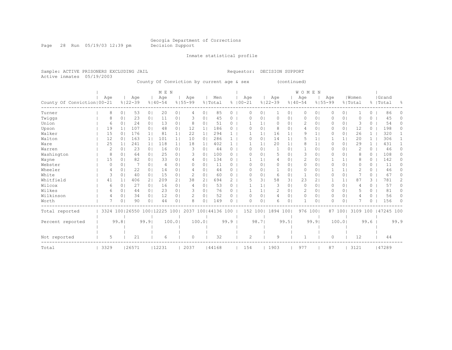Page 28 Run 05/19/03 12:39 pm Decision Support

Inmate statistical profile

Active inmates 05/19/2003

Sample: ACTIVE PRISONERS EXCLUDING JAIL Requestor: DECISION SUPPORT

County Of Conviction by current age & sex (continued)

|                              |      |    |                                                        | M E N          |             |                |             |                |                    |              |             |              |                | <b>WOMEN</b>   |             |                |             |                |               |              |            |          |
|------------------------------|------|----|--------------------------------------------------------|----------------|-------------|----------------|-------------|----------------|--------------------|--------------|-------------|--------------|----------------|----------------|-------------|----------------|-------------|----------------|---------------|--------------|------------|----------|
|                              | Age  |    | Age                                                    |                | Age         |                | Age         |                | Men                |              | Age         |              | Age            |                | Age         |                | Age         |                | Women         |              | Grand      |          |
| County Of Conviction   00-21 |      |    | $8122 - 39$                                            |                | $8140 - 54$ |                | $8155 - 99$ |                | % Total            |              | $8100 - 21$ |              | $8122 - 39$    |                | $8140 - 54$ |                | $8155 - 99$ |                | % Total       |              | %   Total  | ႜ        |
| Turner                       |      | 8  | 53<br>0 <sup>1</sup>                                   | 0 <sub>1</sub> | 20          | 0 <sub>1</sub> | 4           | 0 <sup>1</sup> | 85                 | $\circ$      | 0           | $\circ$      | 1              | 0 <sub>1</sub> | 0           | 0 <sup>1</sup> | 0           | $\overline{0}$ |               | $\circ$      | 86         | 0        |
| Twiggs                       |      | 8  | 23<br>0.                                               | 0 <sub>1</sub> | 11          | 01             |             | 0              | 45                 | 0            | O           | $\circ$      | 0              | 01             | $\Omega$    | 0 <sub>1</sub> |             | 0 <sup>1</sup> | O             | 0            | 45         | 0        |
| Union                        |      | 6  | 24<br>$\circ$                                          | 0 <sub>1</sub> | 13          | 0 <sub>1</sub> | 8           | 0 <sup>1</sup> | 51                 | 0            |             |              | 0              | $\Omega$       | 2           | 0 <sub>1</sub> | 0           | 0 <sup>1</sup> | 3             | $\Omega$     | 54         | 0        |
| Upson                        |      | 19 | 107<br>1 <sup>1</sup>                                  | 0 <sub>1</sub> | 48          | 0 <sub>1</sub> | 12          | $1\vert$       | 186                | 0            |             | $\circ$      | 8              | 01             |             | 0 <sub>1</sub> | 0           | 0 <sub>1</sub> | 12            | 0            | 198        | 0        |
| Walker                       |      | 15 | 176<br>0 <sup>1</sup>                                  | 1 <sub>1</sub> | 81          | 1              | 22          | $1\vert$       | 294                | $\mathbf{1}$ |             | $\mathbf{1}$ | 16             | 1 <sup>1</sup> | 9           | 1 <sub>1</sub> | U           | 0 <sup>1</sup> | 26            | $\mathbf{1}$ | 320        |          |
| Walton                       |      | 12 | 163<br>0 <sup>1</sup>                                  | 1 <sub>1</sub> | 101         | 1 <sub>1</sub> | 10          | 0 <sup>1</sup> | 286                | $\mathbf{1}$ | $\Omega$    | $\circ$      | 14             | 1 <sub>1</sub> | 5           | 1 <sup>1</sup> |             | 1              | 20            | $\mathbf{1}$ | 306        |          |
| Ware                         |      | 25 | 241                                                    | 1 <sub>1</sub> | 118         | 1 <sub>1</sub> | 18          | $1\vert$       | 402                | 1            |             |              | 20             | 1 <sup>1</sup> | 8           | 1 <sup>1</sup> | 0           | 0 <sup>1</sup> | 29            | $\mathbf{1}$ | 431        |          |
| Warren                       |      | 2  | 23<br>$\Omega$                                         | 0 <sub>1</sub> | 16          | 0 <sub>1</sub> | 3           | 0              | 44                 | $\Omega$     | $\Omega$    | $\circ$      |                | 01             |             | 0 <sub>1</sub> | 0           | 0 <sup>1</sup> | 2             | $\circ$      | 46         | 0        |
| Washington                   |      | 8  | 64<br>0 <sup>1</sup>                                   | 0 <sub>1</sub> | 25          | 0 <sub>1</sub> | 3           | 0              | 100                | $\circ$      |             | $\Omega$     | 5              | 01             | 3           | 0 <sub>1</sub> | 0           | 0 <sup>1</sup> | 8             | 0            | 108        | 0        |
| Wayne                        |      | 15 | 82<br>0                                                | 0 <sub>1</sub> | 33          | 0 <sub>1</sub> | 4           | 0 <sup>1</sup> | 134                | 0            |             |              | $\overline{4}$ | 0 <sup>1</sup> | 2           | 0 <sub>1</sub> |             | 1 <sup>1</sup> | 8             | $\circ$      | 142        | 0        |
| Webster                      |      | 0  | 0 <sup>1</sup>                                         | 0 <sub>1</sub> | 4           | 0              | $\Omega$    | $\circ$        | 11                 | $\Omega$     | O           | $\Omega$     | 0              | 01             | $\Omega$    | 0 <sub>1</sub> | 0           | 0 <sub>1</sub> | $\Omega$      | $\Omega$     | 11         | 0        |
| Wheeler                      |      | 4  | 22<br>0                                                | 0 <sup>1</sup> | 14          | 0              |             | $\Omega$       | 44                 | $\Omega$     | ∩           | $\Omega$     | -1             | $\Omega$       | $\Omega$    | $\Omega$       |             | $\mathbf{1}$   | $\mathcal{D}$ | $\Omega$     | 46         |          |
| White                        |      | 3  | 40<br>0                                                | 0 <sub>1</sub> | 15          | 01             | 2           | 0              | 60                 | 0            | $\bigcap$   | $\circ$      | 6              | 01             | 1           | $\circ$        | Ω           | 0 <sup>1</sup> |               | 0            | 67         | 0        |
| Whitfield                    |      | 41 | 406                                                    | 2 <sub>1</sub> | 209         | 2 <sub>1</sub> | 38          | 2 <sub>1</sub> | 694                | 2            |             | 3            | 58             | 3 <sub>1</sub> | 23          | 2 <sub>1</sub> |             | 1              | 87            | 3            | 781        | 2        |
| Wilcox                       |      | 6  | 27<br>$\circ$                                          | 0 <sub>1</sub> | 16          | 0 <sub>1</sub> | 4           | 0              | 53                 | 0            |             |              | 3              | 0 <sub>1</sub> | $\Omega$    | 0 <sub>1</sub> | 0           | 0 <sup>1</sup> | 4             | 0            | 57         | 0        |
| Wilkes                       |      | 6  | 0 <sup>1</sup><br>44                                   | 0 <sub>1</sub> | 23          | 0 <sub>1</sub> |             | 0 <sub>1</sub> | 76                 | 0            |             |              | 2              | 0 <sub>1</sub> | 2           | 0 <sub>1</sub> | $\Omega$    | $\overline{0}$ | 5             | $\Omega$     | 81         | 0        |
| Wilkinson                    |      | 4  | 34<br>0                                                | 0 <sub>1</sub> | 12          | 0 <sub>1</sub> |             | 0              | 52                 | 0            | ∩           | $\Omega$     | 4              | 0 <sup>1</sup> | $\Omega$    | 0 <sub>1</sub> | $\Omega$    | 0 <sup>1</sup> | 4             | $\Omega$     | 56         | 0        |
| Worth                        |      | 7  | 0<br>90                                                | 0 <sub>1</sub> | 44          | 01             | 8           | 0 <sup>1</sup> | 149                | 0            | $\Omega$    | $\circ$      | 6              | 0 <sup>1</sup> | 1           | 0 <sub>1</sub> | O           | 0 <sub>1</sub> |               | 0            | 156        | $\Omega$ |
| Total reported               |      |    |                                                        |                |             |                |             |                | 2037 100 44136 100 |              | 152         | 1001         | 1894 100       |                | 976 1001    |                |             | 87 1001        | 3109 100      |              | 147245 100 |          |
| Percent reported             |      |    | 3324 100 26550 100 12225 100<br>99.8<br>99.9<br>100.01 |                |             |                | 100.01      |                | 99.9               |              | 98.7        |              | 99.51          |                | 99.9        |                | 100.01      |                | 99.6          |              | 99.9       |          |
|                              |      |    |                                                        |                |             |                |             |                |                    |              |             |              |                |                |             |                |             |                |               |              |            |          |
| Not reported                 |      | 5  | 21                                                     |                | 6           |                | $\Omega$    |                | 32                 |              | 2           |              | 9              |                |             |                | 0           |                | 12            |              | 44         |          |
| Total                        | 3329 |    | 26571                                                  |                | 112231      |                | 2037        |                | 44168              |              | 154         |              | 1903           |                | 977         |                | 87          |                | 3121          |              | 47289      |          |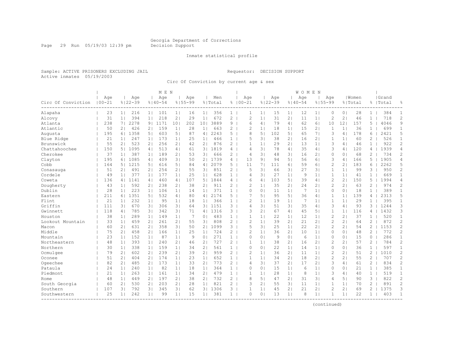Page 29 Run 05/19/03 12:39 pm Decision Support

#### Inmate statistical profile

Sample: ACTIVE PRISONERS EXCLUDING JAIL Requestor: DECISION SUPPORT Active inmates 05/19/2003

Circ Of Conviction by current age & sex

|                    |                   |                |                    |                | M E N              |                |                    |                |                |                       |                    |                |                    |                | <b>WOMEN</b>       |                |                    |                |                  |                |                    |                |
|--------------------|-------------------|----------------|--------------------|----------------|--------------------|----------------|--------------------|----------------|----------------|-----------------------|--------------------|----------------|--------------------|----------------|--------------------|----------------|--------------------|----------------|------------------|----------------|--------------------|----------------|
| Circ Of Conviction | Age<br>$100 - 21$ |                | Age<br>$8122 - 39$ |                | Age<br>$8140 - 54$ |                | Aqe<br>$8155 - 99$ |                | Men<br>% Total |                       | Age<br>$8100 - 21$ |                | Age<br>$8122 - 39$ |                | Age<br>$8140 - 54$ |                | Age<br>$8155 - 99$ |                | Women<br>% Total |                | Grand<br>%   Total | 욲              |
| Alapaha            | 23                | 1 <sup>1</sup> | 216                | 1 <sup>1</sup> | 101                | 1 <sub>1</sub> | 16                 | 1 <sup>1</sup> | 356            | $1 \mid$              | 1                  | 1 <sub>1</sub> | 15                 | 1 <sup>1</sup> | 12                 | 1 <sup>1</sup> | $\circ$            | 0 <sub>1</sub> | 28               | $\mathbf{1}$   | 384                | 1              |
| Alcovy             | 31                | 1 <sup>1</sup> | 394                | 1 <sub>1</sub> | 218                | 2 <sub>1</sub> | 29                 | 1 <sub>1</sub> | 672            | $\mathbf{2}^{\prime}$ | $\overline{2}$     | 1 <sup>1</sup> | 31                 | 21             | 11                 | 1 <sub>1</sub> | $\overline{2}$     | 21             | 46               | $\mathbf{1}$   | 718                | $\overline{c}$ |
| Atlanta            | 238               | 71             | 2278               | 9 <sub>1</sub> | 1171               | 101            | 202                | 101            | 3889           | 9                     | 6                  | $\overline{4}$ | 79                 | 4 <sub>1</sub> | 62                 | 6 <sup>1</sup> | 10                 | 121            | 157              | 5              | 4046               | 9              |
| Atlantic           | 50                | 21             | 426                | 2 <sub>1</sub> | 159                | 1 <sub>1</sub> | 28                 | $1\vert$       | 663            | 2                     | $\overline{c}$     | $\mathbf{1}$   | 18                 | 1 <sub>1</sub> | 15                 | 2 <sub>1</sub> | $\mathbf 1$        | $\mathbf{1}$   | 36               | 1              | 699                | $\mathbf{1}$   |
| Augusta            | 195               | 61             | 1358               | 5 <sub>1</sub> | 603                | 51             | 87                 | 4 <sub>1</sub> | 2243           | $5-1$                 | 8                  | 5 <sub>1</sub> | 102                | 51             | 65                 | 7 <sub>1</sub> | 3                  | 4 <sub>1</sub> | 178              | 6              | 2421               | 5              |
| Blue Ridge         | 21                | 1 <sup>1</sup> | 247                | 1 <sub>1</sub> | 173                | 1 <sub>1</sub> | 25                 | 1 <sub>1</sub> | 466            | 1 <sup>1</sup>        | 5                  | 31             | 38                 | 21             | 16                 | 2 <sub>1</sub> | 1                  | 1 <sup>1</sup> | 60               | 2              | 526                | $\mathbf{1}$   |
| Brunswick          | 55                | 21             | 523                | 2 <sub>1</sub> | 256                | 21             | 42                 | 2 <sub>1</sub> | 876            | $2-1$                 | $\mathbf{1}$       | 1 <sup>1</sup> | 29                 | 21             | 13                 | 1 <sub>1</sub> | 3                  | 4 <sub>1</sub> | 46               | $\mathbf{1}$   | 922                | $\overline{c}$ |
| Chattahoochee      | 150               | 51             | 1095               | 4 <sub>1</sub> | 513                | 4              | 61                 | 3 <sub>1</sub> | 1819           | 4                     | $\overline{4}$     | 3 <sup>1</sup> | 78                 | 4 <sub>1</sub> | 35                 | 4              | 3                  | 4              | 120              | 4              | 1939               | 4              |
| Cherokee           | 37                | 1 <sub>1</sub> | 387                | 1 <sub>1</sub> | 189                | 2 <sub>1</sub> | 53                 | 3 <sub>1</sub> | 666            | $\overline{2}$        | $\overline{4}$     | 31             | 48                 | 31             | 16                 | 2 <sub>1</sub> | $\mathbf{0}$       | 0 <sub>1</sub> | 68               | 2              | 734                | 2              |
| Clayton            | 195               | 61             | 1085               | 4 <sub>1</sub> | 409                | 31             | 50                 | 2 <sub>1</sub> | 1739           | 4                     | 13                 | 9              | 94                 | 51             | 56                 | 61             | 3                  | 4 <sub>1</sub> | 166              | 5              | 1905               | $\overline{4}$ |
| Cobb               | 164               | 51             | 1215               | 51             | 616                | 5 <sub>1</sub> | 84                 | 4              | 2079           | 5.                    | 11                 | 7 <sup>1</sup> | 111                | 61             | 59                 | 61             | 2                  | $\overline{2}$ | 183              | 6              | 2262               | 5              |
| Conasauga          | 51                | 2 <sub>1</sub> | 491                | 2 <sub>1</sub> | 254                | 2 <sub>1</sub> | 55                 | 3 <sub>1</sub> | 851            | $\mathbf{2}^{\prime}$ | 5                  | 31             | 66                 | 31             | 27                 | 3 <sup>1</sup> | 1                  | 1              | 99               | 3              | 950                | $\overline{c}$ |
| Cordele            | 49                | 1 <sup>1</sup> | 377                | 11             | 177                | 11             | 25                 | 1 <sub>1</sub> | 628            | $\mathbf{1}$          | $\overline{4}$     | 31             | 27                 | 1 <sub>1</sub> | 9                  | 1 <sub>1</sub> | $\mathbf{1}$       | 1 <sup>1</sup> | 41               | $\mathbf{1}$   | 669                | $\mathbf{1}$   |
| Coweta             | 136               | 41             | 1141               | 4 <sub>1</sub> | 460                | 4              | 107                | 5 <sub>1</sub> | 1844           | 4                     | 6                  | 4 <sub>1</sub> | 103                | 5 <sub>1</sub> | 39                 | 4              | 2                  | 21             | 150              | 5              | 1994               | 4              |
| Dougherty          | 43                | 1 <sup>1</sup> | 592                | 2 <sub>1</sub> | 238                | 2 <sub>1</sub> | 38                 | 2 <sub>1</sub> | 911            | 2                     | $\overline{c}$     | 1 <sup>1</sup> | 35                 | 2 <sub>1</sub> | 24                 | 2 <sub>1</sub> | $\overline{2}$     | 21             | 63               | 2              | 974                | $\overline{c}$ |
| Dublin             | 28                | 1 <sup>1</sup> | 223                | 1 <sub>1</sub> | 106                | 1 <sub>1</sub> | 14                 | 1 <sub>1</sub> | 371            | $\mathbf{1}$          | $\Omega$           | $\circ$        | 11                 | 1 <sup>1</sup> | 7                  | 1 <sub>1</sub> | $\Omega$           | 0 <sub>1</sub> | 18               | $\mathbf{1}$   | 389                | $\mathbf{1}$   |
| Eastern            | 211               | 61             | 1351               | 51             | 532                | 4 <sub>1</sub> | 80                 | 4 <sub>1</sub> | 2174           | 5.                    | 7                  | 5              | 95                 | 51             | 36                 | 4 <sub>1</sub> | $\mathbf{1}$       | 1 <sup>1</sup> | 139              | 4              | 2313               | 5              |
| Flint              | 21                | 1 <sup>1</sup> | 232                | 11             | 95                 | 1 <sub>1</sub> | 18                 | 1 <sub>1</sub> | 366            | $\mathbf{1}$          | $\overline{2}$     | 1              | 19                 | 1 <sub>1</sub> | 7                  | 1 <sub>1</sub> | 1                  | 1 <sup>1</sup> | 29               |                | 395                | $\mathbf{1}$   |
| Griffin            | 111               | 31             | 670                | 31             | 306                | 31             | 64                 | 3 <sub>1</sub> | 1151           | $3-1$                 | $\overline{4}$     | 31             | 51                 | 31             | 35                 | 4              | 3                  | 4              | 93               | 3              | 1244               | 3              |
| Gwinnett           | 118               | 4              | 785                | 3 <sup>1</sup> | 342                | 3 <sub>1</sub> | 71                 | 4              | 1316           | 3 <sub>1</sub>        | 3                  | 2 <sub>1</sub> | 67                 | 4 <sub>1</sub> | 45                 | 5 <sub>1</sub> | $\mathbf{1}$       | 1 <sup>1</sup> | 116              | 4              | 1432               | 3              |
| Houston            | 38                | 1 <sup>1</sup> | 289                | 1 <sub>1</sub> | 149                | 1 <sub>1</sub> | 7                  | 0 <sup>1</sup> | 483            | 1                     | 1                  | $\mathbf{1}$   | 22                 | 1 <sup>1</sup> | 12                 | 1 <sup>1</sup> | $\overline{2}$     | 21             | 37               | $\mathbf{1}$   | 520                | $\mathbf{1}$   |
| Lookout Mountain   | 33                | 11             | 459                | 21             | 261                | 2 <sub>1</sub> | 55                 | 3 <sup>1</sup> | 808            | $\mathbf{2}^{\prime}$ | $\overline{c}$     | 1 <sup>1</sup> | 39                 | 21             | 21                 | 21             | $\overline{2}$     | 21             | 64               | 2              | 872                | 2              |
| Macon              | 60                | $\overline{2}$ | 631                | 21             | 358                | 31             | 50                 | $\overline{c}$ | 1099           | 3                     | 5                  | 31             | 25                 | 1 <sub>1</sub> | 22                 | 21             | $\overline{c}$     | 21             | 54               | $\overline{c}$ | 1153               | $\overline{c}$ |
| Middle             | 75                | 2 <sub>1</sub> | 458                | 2 <sub>1</sub> | 166                | 1 <sub>1</sub> | 25                 | 1 <sub>1</sub> | 724            | $\overline{c}$        | $\overline{c}$     | 1 <sup>1</sup> | 36                 | 2 <sub>1</sub> | 10                 | 1 <sup>1</sup> | $\mathbf 0$        | 0 <sub>1</sub> | 48               | $\overline{c}$ | 772                | $\overline{c}$ |
| Mountain           | 23                | 1              | 152                | 1 <sub>1</sub> | 87                 | 1 <sub>1</sub> | 9                  | 0 <sub>1</sub> | 271            | $\mathbf{1}$          | $\Omega$           | 0 <sub>1</sub> | 9                  | 0 <sub>1</sub> | 6                  | 1 <sub>1</sub> | $\Omega$           | 0 <sub>1</sub> | 15               | $\circ$        | 286                | $\mathbf{1}$   |
| Northeastern       | 48                | 1 <sup>1</sup> | 393                | 11             | 240                | 21             | 46                 | 2 <sup>1</sup> | 727            | $\overline{2}$        | $\mathbf{1}$       | 1 <sup>1</sup> | 38                 | 21             | 16                 | 2 <sub>1</sub> | $\overline{c}$     | 21             | 57               | $\overline{2}$ | 784                | $\overline{c}$ |
| Northern           | 30                | 1 <sup>1</sup> | 338                | 11             | 159                | 1              | 34                 | $\overline{2}$ | 561            | 1                     | $\Omega$           | 0 <sup>1</sup> | 22                 | 1 <sup>1</sup> | 14                 | 1 <sub>1</sub> | $\Omega$           | 0 <sub>1</sub> | 36               | $\mathbf{1}$   | 597                | $\mathbf{1}$   |
| Ocmulgee           | 79                | 2 <sub>1</sub> | 602                | 2 <sub>1</sub> | 239                | 2 <sub>1</sub> | 39                 | $\overline{2}$ | 959            | $\mathbf{2}^{\prime}$ | $\overline{c}$     | 1 <sup>1</sup> | 36                 | 2 <sub>1</sub> | 11                 | 1 <sub>1</sub> | $\overline{2}$     | 21             | 51               | $\overline{c}$ | 1010               | $\overline{c}$ |
| Oconee             | 51                | $\overline{2}$ | 404                | 2 <sub>1</sub> | 174                | 1 <sub>1</sub> | 23                 | 1 <sup>1</sup> | 652            | $\mathbf{1}$          | 1                  | $\mathbf{1}$   | 34                 | 21             | 18                 | 21             | $\overline{c}$     | 21             | 55               | 2              | 707                | 2              |
| Ogeechee           | 82                | 21             | 485                | 2 <sub>1</sub> | 173                | 1 <sub>1</sub> | 33                 | 2              | 773            | 2                     | 4                  | 31             | 37                 | 21             | 17                 | 2 <sub>1</sub> | 3                  | 4              | 61               | 2              | 834                | $\overline{c}$ |
| Pataula            | 24                | 1 <sup>1</sup> | 240                | 11             | 82                 | 1 <sub>1</sub> | 18                 | 1 <sub>1</sub> | 364            | $\mathbf{1}$          | $\Omega$           | 0 <sup>1</sup> | 15                 | 1 <sub>1</sub> | 6                  | 1 <sub>1</sub> | $\Omega$           | 0 <sub>1</sub> | 21               | $\mathbf{1}$   | 385                | $\mathbf{1}$   |
| Piedmont           | 21                | 1 <sup>1</sup> | 263                | 11             | 161                | 1 <sub>1</sub> | 34                 | 21             | 479            | $\mathbf{1}$          | $\mathbf{1}$       | 1 <sup>1</sup> | 28                 | 1              | 8                  | 1 <sub>1</sub> | 3                  | 4              | 40               | 1              | 519                | $1\,$          |
| Rome               | 48                | 11             | 449                | 21             | 197                | 21             | 38                 | 2 <sup>1</sup> | 732            | $\overline{2}$        | 8                  | 51             | 47                 | 21             | 31                 | 31             | 4                  | 51             | 90               | 3              | 822                | $\overline{c}$ |
| South Georgia      | 60                | 2 <sub>1</sub> | 530                | 2 <sub>1</sub> | 203                | 2 <sub>1</sub> | 28                 | 1 <sub>1</sub> | 821            | $\overline{2}$        | 3                  | 2 <sub>1</sub> | 55                 | 31             | 11                 | 1 <sub>1</sub> | 1                  | 1              | 70               | 2              | 891                | 2              |
| Southern           | 107               | 31             | 792                | 3              | 345                | 31             | 62                 | 3 <sub>1</sub> | 1306           | 3                     | $\mathbf{1}$       | $\mathbf{1}$   | 45                 | 2 <sub>1</sub> | 21                 | 2 <sub>1</sub> | $\overline{c}$     | 21             | 69               | $\overline{c}$ | 1375               | 3              |
| Southwestern       | 25                | 1 <sup>1</sup> | 242                | 1 <sup>1</sup> | 99                 | 1 <sub>1</sub> | 15                 | 1 <sub>1</sub> | 381            | 1 <sup>1</sup>        | $\Omega$           | $\circ$        | 13                 | 1 <sup>1</sup> | 8                  | 1 <sup>1</sup> | 1                  | 1 <sup>1</sup> | 22               | 1.             | 403                | $\mathbf{1}$   |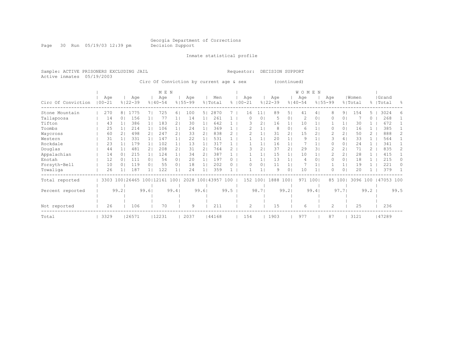Page 30 Run 05/19/03 12:39 pm Decision Support

Inmate statistical profile

Active inmates 05/19/2003

#### Sample: ACTIVE PRISONERS EXCLUDING JAIL Requestor: DECISION SUPPORT

Circ Of Conviction by current age & sex (continued)

|                    |                   |                |                             |                | M E N              |                |                    |       |                      |               |                   |       |                    |                | WOMEN              |      |                    |                |                  |      |                 |      |
|--------------------|-------------------|----------------|-----------------------------|----------------|--------------------|----------------|--------------------|-------|----------------------|---------------|-------------------|-------|--------------------|----------------|--------------------|------|--------------------|----------------|------------------|------|-----------------|------|
| Circ Of Conviction | Age<br>$100 - 21$ |                | Age<br>$8122 - 39$          |                | Age<br>$8140 - 54$ |                | Age<br>$8155 - 99$ |       | Men<br>% Total       | $\frac{5}{6}$ | Age<br>$100 - 21$ |       | Age<br>$8122 - 39$ |                | Age<br>$8140 - 54$ |      | Age<br>$8155 - 99$ |                | Women<br>% Total | ⊱    | Grand<br> Total | ွေ   |
| Stone Mountain     | 270               | 8 <sub>1</sub> | 1775                        |                | 725                | 61             | 100                | 5     | 2870                 |               | 16                | 11    | 89                 | 5              | 41                 | 4    | 8                  | 91             | 154              |      | 3024            |      |
| Tallapoosa         | 14                | $\Omega$       | 156                         |                | 77                 |                | 14                 |       | 261                  |               | 0                 | 0     | 5                  | 0              | 2                  | 0    |                    | $\circ$        |                  |      | 268             |      |
| Tifton             | 43                |                | 386                         |                | 183                | 2 <sub>1</sub> | 30                 |       | 642                  |               | Β                 | 2     | 16                 | 1.             | 10                 |      |                    | $\mathbf{1}$   | 30               |      | 672             |      |
| Toombs             | 25                |                | 214                         |                | 106                |                | 24                 |       | 369                  |               |                   |       | 8                  | 01             | 6                  |      |                    | $\circ$        | 16               |      | 385             |      |
| Waycross           | 60                |                | 498                         |                | 247                | 2 <sub>1</sub> | 33                 | 2     | 838                  |               |                   |       | 31                 | 2 <sub>1</sub> | 15                 | 2    |                    | 2 <sub>1</sub> | 50               |      | 888             |      |
| Western            | 31                |                | 331                         |                | 147                |                | 22                 |       | 531                  |               |                   |       | 20                 |                | 9                  |      |                    | 4 <sup>1</sup> | 33               |      | 564             |      |
| Rockdale           | 23                |                | 179                         |                | 102                |                | 13                 |       | 317                  |               |                   |       | 16                 |                |                    |      |                    | 0              | 2.4              |      | 341             |      |
| Douglas            | 44                |                | 481                         | 2 <sub>1</sub> | 208                | 21             | 31                 | 2     | 764                  |               | Β                 |       | 37                 | 2 <sub>1</sub> | 29                 | 3    |                    | 2 <sub>1</sub> | 71               |      | 835             | 2.   |
| Appalachian        | 14                |                | 215                         |                | 124                |                | 34                 | 2.    | 387                  |               |                   |       | 15                 |                | 10                 |      |                    | 2 <sub>1</sub> | 28               |      | 415             |      |
| Enotah             | 12                |                | 111                         | $\Omega$       | 54                 | 0 <sub>1</sub> | 20                 |       | 197                  |               |                   |       | 13                 |                | 4                  | 0    | 0                  | 0 <sup>1</sup> | 18               |      | 215             | 0    |
| Forsyth-Bell       | 10                |                | 119                         | 0              | 55                 | 0 <sub>1</sub> | 18                 |       | 202                  |               | O                 | 0     | 11                 |                |                    |      |                    | 1 <sub>1</sub> | 19               |      | 221             |      |
| Towaliga           | 26                |                | 187                         |                | 122                |                | 24                 |       | 359                  |               |                   |       | 9                  | 0 <sup>1</sup> | 10                 |      | 0                  | 0 <sup>1</sup> | 20               |      | 379             |      |
| Total reported     | 3303              |                | 100   26465 100   12161 100 |                |                    |                |                    |       | 2028 100   43957 100 |               | 152 1001          |       | 1888               | 1001           | 971                | 1001 |                    | 85 100         | 3096 100         |      | 47053 100       |      |
|                    |                   |                |                             |                |                    |                |                    |       |                      |               |                   |       |                    |                |                    |      |                    |                |                  |      |                 |      |
| Percent reported   |                   | 99.21          |                             | 99.61          |                    | 99.41          |                    | 99.61 |                      | 99.5          |                   | 98.71 |                    | 99.21          |                    | 99.4 |                    | 97.71          |                  | 99.2 |                 | 99.5 |
|                    |                   |                |                             |                |                    |                |                    |       |                      |               |                   |       |                    |                |                    |      |                    |                |                  |      |                 |      |
|                    |                   |                |                             |                |                    |                |                    |       |                      |               |                   |       |                    |                |                    |      |                    |                |                  |      |                 |      |
| Not reported       | 26                |                | 106                         |                | 70                 |                | 9                  |       | 211                  |               | $\mathcal{D}$     |       | 15                 |                | 6                  |      | $\overline{c}$     |                | 25               |      | 236             |      |
| Total              | 3329              |                | 26571                       |                | 12231              |                | 2037               |       | 44168                |               | 154               |       | 1903               |                | 977                |      | 87                 |                | 3121             |      | 47289           |      |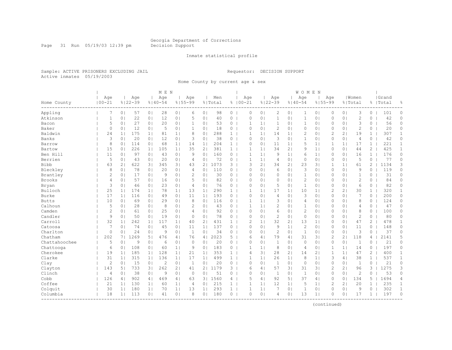Page 31 Run 05/19/03 12:39 pm Decision Support

#### Inmate statistical profile

Sample: ACTIVE PRISONERS EXCLUDING JAIL Requestor: DECISION SUPPORT Active inmates 05/19/2003

Home County by current age & sex

|               |                   |                |                    |                | M E N              |                |                    |                |                |                |                    |                |                    |                | WOMEN              |                |                |                |                  |                       |                    |                |
|---------------|-------------------|----------------|--------------------|----------------|--------------------|----------------|--------------------|----------------|----------------|----------------|--------------------|----------------|--------------------|----------------|--------------------|----------------|----------------|----------------|------------------|-----------------------|--------------------|----------------|
| Home County   | Age<br>$100 - 21$ |                | Age<br>$8122 - 39$ |                | Age<br>$8140 - 54$ |                | Age<br>$8155 - 99$ |                | Men<br>% Total |                | Age<br>$8100 - 21$ |                | Age<br>$8122 - 39$ |                | Age<br>$8140 - 54$ | $8155 - 99$    | Age            |                | Women<br>% Total |                       | Grand<br>%   Total | 昙              |
| Appling       | 7                 | 0 <sub>1</sub> | 57                 | 0 <sub>1</sub> | 28                 | 0 <sub>1</sub> | 6                  | 0 <sub>1</sub> | 98             | $\circ$        | $\circ$            | 0 <sub>1</sub> | $\overline{c}$     | 0 <sub>1</sub> | 1                  | 0 <sub>1</sub> | 0              | 0 <sub>1</sub> | 3                | 0                     | 101                | $\circ$        |
| Atkinson      | $\mathbf{1}$      | 0              | 22                 | 0 <sub>1</sub> | 12                 | 0              | 5                  | 0 <sup>1</sup> | 40             | $\circ$        | $\Omega$           | $\circ$        | $\mathbf{1}$       | 0 <sub>1</sub> | $\mathbf{1}$       | 0 <sub>1</sub> | 0              | 0 <sub>1</sub> | $\mathbf{2}$     | $\circ$               | 42                 | 0              |
| Bacon         | 5                 | 0 <sub>1</sub> | 27                 | 0 <sub>1</sub> | 20                 | 0 <sub>1</sub> | $\mathbf{1}$       | 0 <sub>1</sub> | 53             | $\circ$        | 1                  | 1 <sup>1</sup> | 1                  | 0 <sub>1</sub> | $\mathbf{1}$       | 0 <sub>1</sub> | 0              | 0 <sub>1</sub> | 3                | 0                     | 56                 | 0              |
| Baker         | $\circ$           | 0              | 12                 | 0 <sub>1</sub> | 5                  | 0 <sub>1</sub> | $\mathbf{1}$       | 0              | 18             | $\circ$        | $\Omega$           | 0 <sup>1</sup> | $\mathbf{2}$       | 0 <sub>1</sub> | $\Omega$           | 0 <sub>1</sub> | 0              | 0 <sub>1</sub> | $\mathcal{D}$    | $\Omega$              | 20                 | 0              |
| Baldwin       | 24                | 1 <sub>1</sub> | 175                | 1 <sub>1</sub> | 81                 | 1 <sub>1</sub> | 8                  | 0              | 288            | $\mathbf{1}$   | 1                  | $\mathbf{1}$   | 14                 | 1 <sub>1</sub> | $\overline{c}$     | 0 <sub>1</sub> | $\overline{c}$ | $\overline{2}$ | 19               | $\mathbf{1}$          | 307                | $\mathbf{1}$   |
| Banks         | 3                 | 0 <sub>1</sub> | 20                 | 0 <sub>1</sub> | 12                 | 0 <sub>1</sub> | 3                  | 0 <sub>1</sub> | 38             | 0              | $\circ$            | $\circ$        | 3                  | 0 <sub>1</sub> | 1                  | 0 <sub>1</sub> | 0              | 0 <sub>1</sub> | 4                | 0                     | 42                 | 0              |
| Barrow        | 8                 | 0 <sub>1</sub> | 114                | 0 <sub>1</sub> | 68                 | 1 <sub>1</sub> | 14                 | 1 <sub>1</sub> | 204            | 1 <sup>1</sup> | 0                  | 0 <sub>1</sub> | 11                 | 1 <sub>1</sub> | 5                  | 1 <sub>1</sub> | 1              | 1 <sub>1</sub> | 17               | $\mathbf{1}$          | 221                | 1              |
| Bartow        | 15                | 0 <sup>1</sup> | 226                | 11             | 105                | 1 <sub>1</sub> | 35                 | 21             | 381            | 1              | $\mathbf{1}$       | 1 <sup>1</sup> | 34                 | 2 <sub>1</sub> | 9                  | 1 <sub>1</sub> | $\mathbf{0}$   | 0 <sub>1</sub> | 44               | $\mathbf{2}^{\prime}$ | 425                | $\mathbf{1}$   |
| Ben Hill      | 11                | 0 <sub>1</sub> | 97                 | 0 <sub>1</sub> | 43                 | 0 <sub>1</sub> | 9                  | 0 <sub>1</sub> | 160            | $\circ$        | $\mathbf{1}$       | 1 <sup>1</sup> | 9                  | 1 <sup>1</sup> | 6                  | 1 <sub>1</sub> | 0              | 0 <sub>1</sub> | 16               | $\mathbf{1}$          | 176                | $\circ$        |
| Berrien       | 5                 | 0 <sub>1</sub> | 43                 | 0 <sub>1</sub> | 20                 | 0 <sub>1</sub> | 4                  | 0 <sub>1</sub> | 72             | $\circ$        | 1                  | 1 <sub>1</sub> | $\overline{4}$     | 0 <sub>1</sub> | $\circ$            | 0 <sub>1</sub> | $\Omega$       | 0 <sub>1</sub> | 5                | $\circ$               | 77                 | 0              |
| Bibb          | 63                | 2 <sub>1</sub> | 622                | 31             | 345                | 3 <sub>1</sub> | 43                 | 2 <sub>1</sub> | 1073           | 3              | 3                  | 2 <sub>1</sub> | 34                 | 2 <sub>1</sub> | 23                 | 3 <sup>1</sup> | 1              | 1 <sup>1</sup> | 61               | 2                     | 1134               | 3              |
| Bleckley      | 8                 | 0 <sup>1</sup> | 78                 | 0 <sub>1</sub> | 20                 | 0 <sub>1</sub> | $\overline{4}$     | 0 <sub>1</sub> | 110            | $0-1$          | $\Omega$           | $\Omega$       | 6                  | 0 <sub>1</sub> | 3                  | 0 <sub>1</sub> | $\mathbf{0}$   | 0 <sub>1</sub> | 9                | $\Omega$              | 119                | 0              |
| Brantley      | 2                 | 0 <sub>1</sub> | 17                 | 0 <sub>1</sub> | 9                  | 0 <sub>1</sub> | 2                  | 0 <sub>1</sub> | 30             | $0-1$          | $\Omega$           | 0 <sub>1</sub> | $\circ$            | 0 <sub>1</sub> | $\mathbf{1}$       | 0 <sub>1</sub> | $\Omega$       | 0 <sub>1</sub> | $\mathbf{1}$     | 0                     | 31                 | 0              |
| Brooks        | 4                 | 0 <sup>1</sup> | 57                 | 0 <sub>1</sub> | 16                 | 0 <sub>1</sub> | 5                  | 0 <sup>1</sup> | 82             | $\circ$        | $\Omega$           | 0 <sub>1</sub> | $\circ$            | 0 <sub>1</sub> | $\overline{c}$     | 0 <sub>1</sub> | $\Omega$       | 0 <sub>1</sub> | $\mathbf{2}$     | $\Omega$              | 84                 | $\circ$        |
| Bryan         | 3                 | 0 <sup>1</sup> | 46                 | 0 <sub>1</sub> | 23                 | 0 <sub>1</sub> | 4                  | 0 <sup>1</sup> | 76             | $0-1$          | $\Omega$           | $\circ$        | 5                  | 0 <sub>1</sub> | $\mathbf{1}$       | 0 <sub>1</sub> | 0              | 0 <sup>1</sup> | 6                | 0                     | 82                 | $\circ$        |
| Bulloch       | 25                | 1 <sub>1</sub> | 174                | 1 <sub>1</sub> | 78                 | 1 <sub>1</sub> | 13                 | 1 <sub>1</sub> | 290            | 1 <sup>1</sup> |                    | $\mathbf{1}$   | 17                 | 1 <sub>1</sub> | 10                 | 1 <sub>1</sub> | $\overline{2}$ | 21             | 30               | 1                     | 320                | $\mathbf{1}$   |
| Burke         | 17                | 1 <sup>1</sup> | 116                | 0 <sub>1</sub> | 49                 | 0 <sub>1</sub> | 11                 | 1 <sub>1</sub> | 193            | $\circ$        | $\bigcap$          | $\circ$        | $\overline{4}$     | 0 <sup>1</sup> | 3                  | 0 <sub>1</sub> | 0              | 0 <sup>1</sup> | 7                | 0                     | 200                | 0              |
| <b>Butts</b>  | 10                | 0              | 69                 | 0 <sub>1</sub> | 29                 | 0 <sub>1</sub> | 8                  | 0 <sub>1</sub> | 116            | $0-1$          | 1                  | $\mathbf{1}$   | 3                  | 0 <sub>1</sub> | 4                  | 0 <sub>1</sub> | $\Omega$       | 0 <sub>1</sub> | 8                | 0                     | 124                | 0              |
| Calhoun       | 5                 | 0 <sub>1</sub> | 28                 | 0 <sub>1</sub> | 8                  | 0 <sub>1</sub> | 2                  | 0 <sub>1</sub> | 43             | $\circ$        | 1                  | 1 <sup>1</sup> | $\mathbf{2}$       | 01             | 1                  | 0 <sub>1</sub> | $\Omega$       | 0 <sub>1</sub> | 4                | 0                     | 47                 | 0              |
| Camden        | 2                 | 0 <sub>1</sub> | 61                 | 0 <sub>1</sub> | 25                 | 0 <sub>1</sub> | 4                  | 0 <sub>1</sub> | 92             | 0              | $\Omega$           | 0 <sup>1</sup> | 6                  | 0 <sub>1</sub> | $\overline{c}$     | 0 <sub>1</sub> | $\Omega$       | 0 <sub>1</sub> | 8                | $\circ$               | 100                | 0              |
| Candler       | 9                 | 0 <sup>1</sup> | 50                 | 0 <sub>1</sub> | 19                 | 0 <sub>1</sub> | $\Omega$           | 0 <sub>1</sub> | 78             | $0-1$          | $\Omega$           | $\Omega$       | $\overline{c}$     | 0 <sub>1</sub> | $\circ$            | 0 <sub>1</sub> | 0              | 0 <sub>1</sub> | $\overline{c}$   | $\circ$               | 80                 | $\circ$        |
| Carroll       | 32                | 1 <sub>1</sub> | 242                | 1 <sub>1</sub> | 117                | 1 <sub>1</sub> | 40                 | 2 <sub>1</sub> | 431            | $1 \mid$       | $\overline{c}$     | 1 <sub>1</sub> | 32                 | 2 <sub>1</sub> | 13                 | 1 <sub>1</sub> | 0              | 0 <sub>1</sub> | 47               | 2                     | 478                | $\mathbf{1}$   |
| Catoosa       | 7                 | 0 <sub>1</sub> | 74                 | 0 <sub>1</sub> | 45                 | 0 <sub>1</sub> | 11                 | 1 <sub>1</sub> | 137            | 0              | $\Omega$           | $\circ$        | 9                  | 1 <sup>1</sup> | $\overline{c}$     | 0 <sub>1</sub> | 0              | 0 <sub>1</sub> | 11               | 0                     | 148                | 0              |
| Charlton      | 0                 | 0              | 24                 | 0 <sub>1</sub> | 9                  | 0 <sub>1</sub> | 1                  | 0              | 34             | $\circ$        | $\circ$            | $\circ$        | 2                  | 0 <sub>1</sub> | $\mathbf{1}$       | 0 <sub>1</sub> | 0              | 0 <sub>1</sub> | 3                | $\circ$               | 37                 | 0              |
| Chatham       | 202               | 71             | 1269               | 5 <sub>1</sub> | 476                | 4              | 76                 | 4 <sub>1</sub> | 2023           | 5              | 6                  | 4 <sub>1</sub> | 79                 | 4 <sub>1</sub> | 31                 | 3              | 2              | $\overline{2}$ | 118              | 4                     | 2141               | 5              |
| Chattahoochee | 5                 | 0 <sub>1</sub> | 9                  | 0 <sub>1</sub> | 6                  | 0 <sub>1</sub> | $\circ$            | 0              | 20             | $\circ$        | $\mathbf 0$        | 0 <sub>1</sub> | $\mathbf{1}$       | 0 <sub>1</sub> | 0                  | 0 <sub>1</sub> | $\mathbf 0$    | 0 <sub>1</sub> | 1                | 0                     | 21                 | 0              |
| Chattooga     | 6                 | 0 <sup>1</sup> | 108                | 0 <sub>1</sub> | 60                 | 1 <sup>1</sup> | 9                  | 0 <sup>1</sup> | 183            | $0-1$          | 1                  | 1 <sup>1</sup> | 8                  | 0 <sub>1</sub> | 4                  | 0 <sub>1</sub> | $\mathbf{1}$   | 1 <sup>1</sup> | 14               | 0                     | 197                | 0              |
| Cherokee      | 19                | 1 <sup>1</sup> | 185                | 1 <sub>1</sub> | 128                | 1 <sub>1</sub> | 21                 | 1 <sub>1</sub> | 353            | 1 <sup>1</sup> | $\overline{4}$     | 31             | 28                 | 2 <sub>1</sub> | 14                 | 2 <sub>1</sub> | 1              | 1 <sup>1</sup> | 47               | 2                     | 400                | $\mathbf{1}$   |
| Clarke        | 31                | 1 <sup>1</sup> | 315                | 1 <sup>1</sup> | 136                | 1 <sub>1</sub> | 17                 | 1 <sub>1</sub> | 499            | $\mathbf{1}$   | -1                 | 1 <sup>1</sup> | 26                 | 1 <sub>1</sub> | 8                  | 1 <sub>1</sub> | 3              | 4 <sub>1</sub> | 38               | $\mathbf{1}$          | 537                | $\mathbf{1}$   |
| Clay          | $\mathbf{2}$      | 0              | 15                 | 0 <sup>1</sup> | $\overline{2}$     | 0 <sub>1</sub> | 1                  | 0              | 20             | $\circ$        | $\circ$            | $\circ$        | 1                  | 0 <sub>1</sub> | $\circ$            | 0 <sub>1</sub> | $\mathbf{0}$   | 0 <sub>1</sub> | $\mathbf{1}$     | $\circ$               | 21                 | 0              |
| Clayton       | 143               | 5              | 733                | 3              | 262                | 2 <sub>1</sub> | 41                 | 2 <sub>1</sub> | 1179           | 3 <sup>1</sup> | 6                  | 4 <sup>1</sup> | 57                 | 3 <sub>1</sub> | 31                 | 3              | $\overline{c}$ | 21             | 96               | 3                     | 1275               | 3              |
| Clinch        | $\overline{4}$    | 0 <sub>1</sub> | 38                 | 0 <sub>1</sub> | 9                  | 0 <sub>1</sub> | $\circ$            | $\circ$        | 51             | $\circ$        | $\Omega$           | 0 <sup>1</sup> | 1                  | 0 <sub>1</sub> | $\mathbf{1}$       | 0 <sub>1</sub> | $\Omega$       | 0 <sub>1</sub> | $\overline{2}$   | $\circ$               | 53                 | $\Omega$       |
| Cobb          | 126               | 4              | 902                | 4 <sub>1</sub> | 469                | 4 <sub>1</sub> | 63                 | 3 <sub>1</sub> | 1560           | 4              | 5                  | $\overline{4}$ | 92                 | 51             | 37                 | 4              | $\circ$        | 0 <sup>1</sup> | 134              | 5                     | 1694               | $\overline{4}$ |
| Coffee        | 21                | 11             | 130                | 1 <sub>1</sub> | 60                 | 1 <sub>1</sub> | 4                  | 0 <sub>1</sub> | 215            | $\mathbf{1}$   | $\mathbf{1}$       | 1 <sub>1</sub> | 12                 | 1 <sub>1</sub> | 5                  | 1 <sub>1</sub> | $\overline{2}$ | 21             | 20               | 1                     | 235                | $\mathbf{1}$   |
| Colquit       | 30                | 1 <sub>1</sub> | 180                | 1 <sub>1</sub> | 70                 | 1 <sub>1</sub> | 13                 | $1\vert$       | 293            | $\mathbf{1}$   | 1                  | 1 <sub>1</sub> | 7                  | 0 <sub>1</sub> | 1                  | 0 <sub>1</sub> | 0              | 0 <sub>1</sub> | 9                | 0                     | 302                | $\mathbf{1}$   |
| Columbia      | 18                | 1 <sup>1</sup> | 113                | 0 <sub>1</sub> | 41                 | 0 <sub>1</sub> | 8                  | 0 <sub>1</sub> | 180            | $0-1$          | $\Omega$           | 0 <sub>1</sub> | 4                  | 0 <sub>1</sub> | 13                 | 1 <sub>1</sub> | $\Omega$       | 0 <sub>1</sub> | 17               | $\mathbf{1}$          | 197                | $\Omega$       |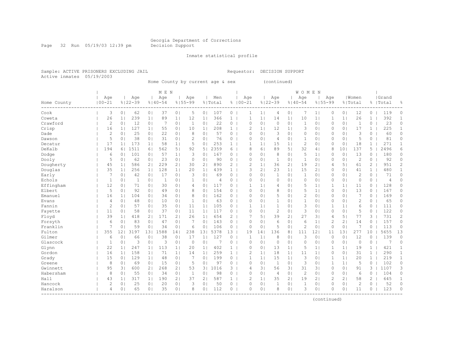Page 32 Run 05/19/03 12:39 pm Decision Support

#### Inmate statistical profile

Sample: ACTIVE PRISONERS EXCLUDING JAIL Requestor: DECISION SUPPORT Active inmates 05/19/2003

Home County by current age & sex (continued)

|             |                |                |              |                | M E N        |                |              |                       |         |                       |                |                |                |                | <b>WOMEN</b>   |                |                |                |                |                       |                |                |
|-------------|----------------|----------------|--------------|----------------|--------------|----------------|--------------|-----------------------|---------|-----------------------|----------------|----------------|----------------|----------------|----------------|----------------|----------------|----------------|----------------|-----------------------|----------------|----------------|
|             | Age            |                | Age          |                | Age          |                | Age          |                       | Men     |                       | Age            |                | Age            |                | Age            |                | Age            |                | Women          |                       | Grand          |                |
| Home County | $100 - 21$     |                | $8122 - 39$  |                | $8140 - 54$  |                | $8155 - 99$  |                       | % Total |                       | $8100 - 21$    |                | $8122 - 39$    |                | $8140 - 54$    |                | $8155 - 99$    |                | % Total        |                       | %   Total      | 욲              |
| Cook        | 3              | 0 <sub>1</sub> | 62           | 0 <sub>1</sub> | 37           | 0 <sub>1</sub> | 5            | 0 <sub>1</sub>        | 107     | $0-1$                 | 1              | 1 <sub>1</sub> | 4              | 0 <sub>1</sub> | 7              | 1 <sub>1</sub> | 0              | 0 <sub>1</sub> | 12             | 0                     | 119            | 0              |
| Coweta      | 26             | 1 <sub>1</sub> | 239          | 1 <sub>1</sub> | 89           | 1 <sub>1</sub> | 12           | 1 <sub>1</sub>        | 366     | $\mathbf{1}$          |                | $\mathbf{1}$   | 14             | 1 <sub>1</sub> | 10             | $\mathbf{1}$   | 1              | 1              | 26             | $\mathbf{1}$          | 392            | $\mathbf 1$    |
| Crawford    | $\mathbf{2}$   | 0 <sub>1</sub> | 12           | 0 <sub>1</sub> | 7            | 0 <sub>1</sub> | $\mathbf{1}$ | 0                     | 22      | $\circ$               | $\mathbf 0$    | 0 <sub>1</sub> | $\circ$        | 0 <sub>1</sub> | $\mathbf{1}$   | 0 <sub>1</sub> | $\mathbf 0$    | 0 <sub>1</sub> | 1              | $\circ$               | 23             | $\circ$        |
| Crisp       | 16             | 1 <sub>1</sub> | 127          | 1 <sub>1</sub> | 55           | 0 <sub>1</sub> | 10           | 1 <sub>1</sub>        | 208     | 1                     | $\overline{c}$ | 1 <sub>1</sub> | 12             | 1 <sub>1</sub> | 3              | 0 <sub>1</sub> | 0              | 0 <sub>1</sub> | 17             | $\mathbf{1}$          | 225            | $\mathbf{1}$   |
| Dade        | 2              | 0 <sup>1</sup> | 25           | 0 <sup>1</sup> | 22           | 0 <sub>1</sub> | 8            | $\circ$               | 57      | 0 <sub>1</sub>        | $\Omega$       | 0 <sub>1</sub> | 3              | 0 <sub>1</sub> | $\circ$        | 0 <sub>1</sub> | $\circ$        | 0 <sup>1</sup> | 3              | 0                     | 60             | $\circ$        |
| Dawson      | 5              | 0 <sup>1</sup> | 38           | 0 <sub>1</sub> | 31           | 0 <sub>1</sub> | 2            | 0                     | 76      | $\circ$               | $\Omega$       | 0 <sub>1</sub> | $\overline{4}$ | 0 <sub>1</sub> | $\mathbf{1}$   | 0 <sub>1</sub> | 0              | 0 <sup>1</sup> | 5              | 0                     | 81             | $\circ$        |
| Decatur     | 17             | 1 <sub>1</sub> | 173          | 1 <sup>1</sup> | 58           | 1              | 5            | 0                     | 253     | $\mathbf{1}$          | 1              | 1 <sup>1</sup> | 15             | 1 <sub>1</sub> | $\overline{c}$ | $\circ$        | $\Omega$       | 0 <sup>1</sup> | 18             | $\mathbf{1}$          | 271            | 1              |
| DeKalb      | 194            | 61             | 1511         | 6 <sup>1</sup> | 562          | 5              | 92           | 5                     | 2359    | 6                     | 8              | 6              | 89             | 5              | 32             | 4              | 8              | 101            | 137            | 5                     | 2496           | 6              |
| Dodge       | 6              | 0 <sup>1</sup> | 101          | 0 <sup>1</sup> | 57           | 1 <sub>1</sub> | 3            | 0                     | 167     | $0-1$                 | $\Omega$       | 0 <sub>1</sub> | 8              | 0 <sub>1</sub> | 5              | $\mathbf{1}$   | $\Omega$       | $\circ$        | 13             | 0                     | 180            | 0              |
| Dooly       | 5              | 0 <sup>1</sup> | 62           | 0 <sub>1</sub> | 23           | 0 <sub>1</sub> | $\circ$      | 0                     | 90      | $0-1$                 | $\Omega$       | 0 <sub>1</sub> | 1              | 01             | 1              | 0 <sub>1</sub> | $\Omega$       | 0 <sup>1</sup> | $\overline{2}$ | 0                     | 92             | 0              |
| Dougherty   | 45             | 1 <sub>1</sub> | 586          | 2 <sub>1</sub> | 229          | 2 <sub>1</sub> | 30           | $\mathbf{2}^{\prime}$ | 890     | $\mathbf{2}^{\prime}$ | $\overline{c}$ | 1              | 36             | 21             | 19             | 2 <sub>1</sub> | 4              | 5 <sub>1</sub> | 61             | $\mathbf{2}^{\prime}$ | 951            | 2              |
| Douglas     | 35             | 1 <sub>1</sub> | 256          | 1              | 128          | 1              | 20           | 1                     | 439     | $\mathbf{1}$          | 3              | 21             | 23             | 1 <sub>1</sub> | 15             | 2 <sub>1</sub> | 0              | 0 <sub>1</sub> | 41             | 1                     | 480            | $\mathbf{1}$   |
| Early       | 7              | 0 <sup>1</sup> | 42           | 0 <sup>1</sup> | 17           | 0 <sub>1</sub> | 3            | $\circ$               | 69      | $\circ$               | $\Omega$       | 0 <sub>1</sub> | $\mathbf{1}$   | 0 <sub>1</sub> | $\mathbf{1}$   | 0 <sub>1</sub> | $\circ$        | 0 <sup>1</sup> | $\overline{c}$ | $\circ$               | 71             | $\circ$        |
| Echols      | 1              | 0 <sup>1</sup> | $\mathbf{1}$ | 0 <sup>1</sup> | $\mathbf{1}$ | 0 <sub>1</sub> | $\mathbf{1}$ | 0                     | 4       | $\circ$               | $\Omega$       | 0 <sub>1</sub> | $\circ$        | 0 <sub>1</sub> | $\circ$        | 0 <sub>1</sub> | $\circ$        | 0 <sup>1</sup> | $\mathbf{0}$   | 0                     | $\overline{4}$ | 0              |
| Effingham   | 12             | 0 <sup>1</sup> | 71           | 0 <sup>1</sup> | 30           | 0 <sub>1</sub> | 4            | 0                     | 117     | $0-1$                 | 1              | 1 <sub>1</sub> | 4              | 0 <sub>1</sub> | 5              | 1 <sup>1</sup> | 1              | 11             | 11             | 0                     | 128            | 0              |
| Elbert      | 5              | 0 <sub>1</sub> | 92           | 0 <sup>1</sup> | 49           | 0 <sub>1</sub> | 8            | 0                     | 154     | $0-1$                 | $\Omega$       | 0 <sub>1</sub> | 8              | 0 <sub>1</sub> | 5              | 1 <sub>1</sub> | 0              | 0 <sub>1</sub> | 13             | 0                     | 167            | 0              |
| Emanuel     | 16             | 1 <sub>1</sub> | 104          | 0 <sup>1</sup> | 34           | 0 <sub>1</sub> | 8            | 0                     | 162     | 0                     | $\Omega$       | 0 <sub>1</sub> | 5              | 01             | $\overline{c}$ | $\circ$        | 0              | 0 <sup>1</sup> | 7              | 0                     | 169            | 0              |
| Evans       | $\overline{4}$ | $\circ$        | 48           | 0 <sup>1</sup> | 10           | 0 <sub>1</sub> | 1            | 0                     | 63      | 0                     | $\Omega$       | 0 <sub>1</sub> | 1              | 01             | 1              | $\circ$        | $\Omega$       | 0 <sup>1</sup> | $\overline{2}$ | $\Omega$              | 65             | $\Omega$       |
| Fannin      | $\mathbf{2}$   | 0 <sub>1</sub> | 57           | 0 <sub>1</sub> | 35           | 0 <sub>1</sub> | 11           | 1 <sub>1</sub>        | 105     | $0-1$                 | 1              | 1 <sub>1</sub> | $\mathbf{1}$   | 01             | 3              | 0 <sub>1</sub> | $\mathbf 1$    | 1              | 6              | 0                     | 111            | 0              |
| Fayette     | 11             | 0 <sup>1</sup> | 58           | 0 <sup>1</sup> | 37           | 0 <sub>1</sub> | 11           | 1 <sup>1</sup>        | 117     | $\circ$               | $\Omega$       | 0 <sub>1</sub> | $\overline{c}$ | 01             | 3              | 0 <sub>1</sub> | 0              | 0 <sup>1</sup> | 5              | 0                     | 122            | 0              |
| Floyd       | 39             | 1 <sub>1</sub> | 418          | 2 <sub>1</sub> | 171          | 2 <sub>1</sub> | 26           | 1 <sub>1</sub>        | 654     | $\overline{2}$        |                | 51             | 39             | 21             | 27             | 3 <sub>1</sub> | 4              | 5 <sub>1</sub> | 77             | 3                     | 731            | $\overline{c}$ |
| Forsyth     | 6              | 0 <sub>1</sub> | 83           | 0 <sup>1</sup> | 47           | 0 <sub>1</sub> | 7            | 0                     | 143     | $\circ$               | $\Omega$       | 0 <sub>1</sub> | 6              | 01             | 6              | 1 <sub>1</sub> | $\overline{c}$ | 2 <sub>1</sub> | 14             | 0                     | 157            | 0              |
| Franklin    | 7              | 0              | 59           | 0 <sup>1</sup> | 34           | 0 <sub>1</sub> | 6            | 0                     | 106     | $\circ$               | $\circ$        | 0 <sub>1</sub> | 5              | 0 <sub>1</sub> | $\overline{2}$ | 0 <sub>1</sub> | $\circ$        | 0 <sub>1</sub> | 7              | 0                     | 113            | $\circ$        |
| Fulton      | 355            | 121            | 3197         | 131            | 1588         | 14             | 238          | 131                   | 5378    | 13                    | 19             | 14             | 136            | 81             | 111            | 12             | 11             | 131            | 277            | 10                    | 5655           | 13             |
| Gilmer      | 6              | 0 <sub>1</sub> | 66           | 0 <sup>1</sup> | 38           | 0 <sub>1</sub> | 17           | 1 <sub>1</sub>        | 127     | 0                     | 1              | 1              | 8              | 0              | 3              | 0 <sub>1</sub> | 0              | 0 <sup>1</sup> | 12             | 0                     | 139            | 0              |
| Glascock    | $\mathbf 1$    | 0 <sup>1</sup> | 3            | $\circ$        | 3            | 0 <sub>1</sub> | 0            | 0                     |         | $\circ$               | $\Omega$       | 0 <sub>1</sub> | $\circ$        | 01             | $\circ$        | $\circ$        | 0              | 0 <sup>1</sup> | $\circ$        | 0                     | 7              | 0              |
| Glynn       | 22             | 1 <sub>1</sub> | 247          | 1 <sup>1</sup> | 113          | 1 <sub>1</sub> | 20           | $\mathbf{1}$          | 402     | $\mathbf{1}$          | $\Omega$       | 0 <sub>1</sub> | 13             | 1 <sub>1</sub> | 5              | $\mathbf{1}$   |                | 1              | 19             | $\mathbf{1}$          | 421            | $\mathbf{1}$   |
| Gordon      | 16             | 1 <sub>1</sub> | 158          | $1\vert$       | 71           | 1 <sub>1</sub> | 14           | 1 <sub>1</sub>        | 259     | $\mathbf{1}$          | $\overline{2}$ | 1 <sup>1</sup> | 18             | 1 <sub>1</sub> | 11             | $\mathbf{1}$   | 0              | 0 <sup>1</sup> | 31             | $\mathbf{1}$          | 290            | $\mathbf{1}$   |
| Grady       | 15             | 0 <sup>1</sup> | 129          | 1 <sub>1</sub> | 48           | 0 <sub>1</sub> | 7            | 0 <sup>1</sup>        | 199     | $\circ$               | 1              | 1 <sup>1</sup> | 15             | 1 <sub>1</sub> | 3              | 0 <sub>1</sub> | 1              | 1              | 20             | $\mathbf{1}$          | 219            | $\mathbf{1}$   |
| Greene      | 8              | 0 <sub>1</sub> | 69           | 0 <sub>1</sub> | 15           | 0 <sub>1</sub> | 5            | 0                     | 97      | $\circ$               | $\Omega$       | 0 <sub>1</sub> | 1              | 0 <sub>1</sub> | 3              | 0 <sub>1</sub> | $\mathbf{1}$   | 1 <sub>1</sub> | 5              | 0                     | 102            | 0              |
| Gwinnett    | 95             | 3              | 600          | 21             | 268          | 2 <sub>1</sub> | 53           | 3 <sub>1</sub>        | 1016    | 3                     | 4              | 3              | 56             | 31             | 31             | 3 <sub>1</sub> | $\circ$        | 0 <sub>1</sub> | 91             | 3                     | 1107           | 3              |
| Habersham   | 8              | 0 <sub>1</sub> | 55           | 0 <sub>1</sub> | 34           | 0 <sub>1</sub> | $\mathbf{1}$ | 0                     | 98      | $\circ$               | $\Omega$       | 0 <sub>1</sub> | $\overline{4}$ | 0 <sub>1</sub> | $\overline{2}$ | 0 <sub>1</sub> | $\mathbf 0$    | 0 <sub>1</sub> | 6              | $\circ$               | 104            | 0              |
| Hall        | 43             | 1 <sub>1</sub> | 317          | 1 <sub>1</sub> | 190          | 2 <sub>1</sub> | 37           | $\mathbf{2}^{\prime}$ | 587     | 1 <sup>1</sup>        | $\overline{2}$ | 1 <sub>1</sub> | 35             | 21             | 19             | 21             | 2              | 21             | 58             | 2                     | 645            | $\mathbf{1}$   |
| Hancock     | $\overline{c}$ | 0 <sup>1</sup> | 25           | 0 <sub>1</sub> | 20           | 0 <sub>1</sub> | 3            | 0                     | 50      | $\circ$               | $\Omega$       | 0 <sub>1</sub> | 1              | 0 <sub>1</sub> | $\mathbf{1}$   | 0 <sub>1</sub> | 0              | 0 <sup>1</sup> | $\overline{2}$ | 0                     | 52             | 0              |
| Haralson    | 4              | 0 <sub>1</sub> | 65           | 0 <sub>1</sub> | 35           | 0 <sub>1</sub> | 8            | 0 <sub>1</sub>        | 112     | $0-1$                 | $\Omega$       | 0 <sub>1</sub> | 8              | 0 <sub>1</sub> | 3              | 0 <sub>1</sub> | $\Omega$       | 0 <sub>1</sub> | 11             | 0                     | 123            | $\circ$        |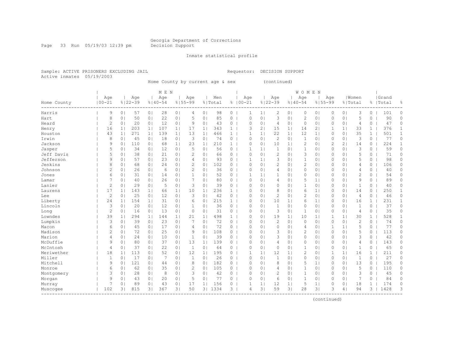Page 33 Run 05/19/03 12:39 pm Decision Support

#### Inmate statistical profile

Sample: ACTIVE PRISONERS EXCLUDING JAIL Requestor: DECISION SUPPORT Active inmates 05/19/2003

Home County by current age & sex (continued)

|             |                |                |             |                | M E N       |                |                |                |         |              |            |                |                |                | <b>WOMEN</b>   |                |                |                |                |              |           |              |
|-------------|----------------|----------------|-------------|----------------|-------------|----------------|----------------|----------------|---------|--------------|------------|----------------|----------------|----------------|----------------|----------------|----------------|----------------|----------------|--------------|-----------|--------------|
|             | Age            |                | Age         |                | Age         |                | Age            |                | Men     |              | Age        |                | Age            |                | Age            |                | Age            |                | Women          |              | Grand     |              |
| Home County | $100 - 21$     |                | $8122 - 39$ |                | $8140 - 54$ |                | $8155 - 99$    |                | % Total | ⊱            | $100 - 21$ |                | $8122 - 39$    |                | $8140 - 54$    |                | $8155 - 99$    |                | % Total        |              | %   Total | 욲            |
| Harris      | 9              | 0 <sub>1</sub> | 57          | 0 <sub>1</sub> | 28          | 0 <sub>1</sub> | 4              | 0 <sub>1</sub> | 98      | $\circ$      | 1          | $\mathbf{1}$   | 2              | 0 <sub>1</sub> | 0              | 0 <sub>1</sub> | 0              | 0 <sub>1</sub> | 3              | 0            | 101       | 0            |
| Hart        | 8              | 0 <sub>1</sub> | 50          | 0 <sub>1</sub> | 22          | 0 <sub>1</sub> | 5              | 0 <sub>1</sub> | 85      | 0            | 0          | 0 <sub>1</sub> | 3              | 0 <sub>1</sub> | 2              | 0 <sup>1</sup> | 0              | 0 <sup>1</sup> | 5              | 0            | 90        | 0            |
| Heard       | $\overline{c}$ | 0 <sub>1</sub> | 20          | 0 <sub>1</sub> | 12          | 0 <sub>1</sub> | 9              | 0 <sub>1</sub> | 43      | $\circ$      | 0          | 0 <sub>1</sub> | $\overline{4}$ | 0 <sub>1</sub> | $\mathbb O$    | 0 <sup>1</sup> | 0              | 0 <sub>1</sub> | 4              | 0            | 47        | 0            |
| Henry       | 16             | 1 <sub>1</sub> | 203         | 1 <sub>1</sub> | 107         | 1 <sub>1</sub> | 17             | 1 <sub>1</sub> | 343     | $\mathbf{1}$ | 3          | 2 <sub>1</sub> | 15             | 1              | 14             | 2 <sub>1</sub> | 1              | 1              | 33             | $\mathbf{1}$ | 376       | $\mathbf{1}$ |
| Houston     | 43             | 1 <sub>1</sub> | 271         | 1 <sup>1</sup> | 139         | 1 <sub>1</sub> | 13             | 1 <sub>1</sub> | 466     | $\mathbf{1}$ | 1          | 1 <sup>1</sup> | 22             | 1 <sup>1</sup> | 12             | 1 <sup>1</sup> | $\circ$        | 0 <sup>1</sup> | 35             | $\mathbf{1}$ | 501       | $\mathbf{1}$ |
| Irwin       | 8              | 0 <sub>1</sub> | 45          | 0 <sub>1</sub> | 18          | 0 <sub>1</sub> | 3              | 0 <sub>1</sub> | 74      | 0            | $\Omega$   | 0 <sub>1</sub> | $\overline{c}$ | 0 <sub>1</sub> | $\mathbf{1}$   | 0 <sup>1</sup> | $\circ$        | 0 <sup>1</sup> | 3              | 0            | 77        | 0            |
| Jackson     | 9              | 0 <sub>1</sub> | 110         | 0 <sub>1</sub> | 68          | 1 <sub>1</sub> | 23             | 1 <sub>1</sub> | 210     | $\mathbf{1}$ | $\Omega$   | $\circ$        | 10             | 1 <sub>1</sub> | $\overline{2}$ | 0              | $\overline{c}$ | 21             | 14             | 0            | 224       | $\mathbf{1}$ |
| Jasper      | 5              | 0              | 34          | 0 <sub>1</sub> | 12          | 0 <sub>1</sub> | 5              | 0              | 56      | 0            | 1          | $\mathbf{1}$   | $\mathbf{1}$   | 01             | 1              | 0              | 0              | 0 <sup>1</sup> | 3              | 0            | 59        | 0            |
| Jeff Davis  | 5              | 0 <sub>1</sub> | 38          | 0 <sub>1</sub> | 21          | 0 <sub>1</sub> | 2              | 0 <sup>1</sup> | 66      | $\Omega$     | $\Omega$   | $\Omega$       | $\overline{c}$ | 0 <sub>1</sub> | 3              | 0              | $\Omega$       | 0 <sup>1</sup> | 5              | $\Omega$     | 71        | $\Omega$     |
| Jefferson   | 9              | 0 <sub>1</sub> | 57          | 0 <sub>1</sub> | 23          | 0 <sub>1</sub> | 4              | 0 <sup>1</sup> | 93      | $\circ$      | 1          | $\mathbf{1}$   | 3              | 0 <sub>1</sub> | $\mathbf{1}$   | 0 <sup>1</sup> | $\Omega$       | 0 <sup>1</sup> | 5              | 0            | 98        | $\Omega$     |
| Jenkins     | 8              | 0 <sub>1</sub> | 68          | 0 <sub>1</sub> | 24          | 0 <sub>1</sub> | $\overline{c}$ | 0 <sub>1</sub> | 102     | 0            | $\Omega$   | 0 <sub>1</sub> | $\overline{c}$ | 0 <sub>1</sub> | $\overline{2}$ | 0 <sub>1</sub> | 0              | 0 <sub>1</sub> | 4              | 0            | 106       | 0            |
| Johnson     | $\overline{c}$ | 0 <sub>1</sub> | 26          | 0 <sub>1</sub> | 6           | 0 <sub>1</sub> | $\overline{c}$ | 0 <sub>1</sub> | 36      | $\circ$      | $\Omega$   | 0 <sub>1</sub> | $\overline{4}$ | 0 <sub>1</sub> | 0              | 0 <sub>1</sub> | 0              | 0 <sub>1</sub> | 4              | $\circ$      | 40        | 0            |
| Jones       | 6              | 0 <sub>1</sub> | 31          | 0 <sub>1</sub> | 14          | 0 <sub>1</sub> | $\mathbf{1}$   | 0 <sub>1</sub> | 52      | $\circ$      | 1          | 1 <sup>1</sup> | $\mathbf{1}$   | 0 <sub>1</sub> | $\mathbf{0}$   | 0 <sup>1</sup> | $\circ$        | 0 <sup>1</sup> | $\overline{c}$ | 0            | 54        | 0            |
| Lamar       |                | 0 <sub>1</sub> | 40          | 0 <sub>1</sub> | 26          | 0 <sub>1</sub> | 7              | 0 <sub>1</sub> | 80      | $\circ$      | $\Omega$   | 0 <sub>1</sub> | $\overline{4}$ | 0 <sub>1</sub> | 5              | 1 <sub>1</sub> | $\circ$        | 0 <sup>1</sup> | 9              | 0            | 89        | $\circ$      |
| Lanier      | $\overline{c}$ | 0 <sub>1</sub> | 29          | 0 <sub>1</sub> | 5           | 0 <sub>1</sub> | 3              | 0 <sub>1</sub> | 39      | $\circ$      | $\Omega$   | 0 <sub>1</sub> | $\mathbf 0$    | 0 <sub>1</sub> | 1              | 0 <sup>1</sup> | $\circ$        | 0 <sup>1</sup> | 1              | 0            | 40        | 0            |
| Laurens     | 17             | 1 <sub>1</sub> | 143         | 1 <sub>1</sub> | 66          | 1 <sub>1</sub> | 10             | 1 <sub>1</sub> | 236     | 1            | $\Omega$   | 0 <sub>1</sub> | 8              | 0 <sub>1</sub> | 6              | 1 <sub>1</sub> | 0              | 0 <sub>1</sub> | 14             | 0            | 250       | $\mathbf{1}$ |
| Lee         | $\overline{c}$ | 0 <sub>1</sub> | 25          | 0 <sub>1</sub> | 12          | 0 <sub>1</sub> | 3              | 0              | 42      | 0            | $\Omega$   | $\circ$        | $\overline{c}$ | 0 <sub>1</sub> | 2              | 0              | 0              | 0 <sup>1</sup> | 4              | 0            | 46        | 0            |
| Liberty     | 24             | 1 <sub>1</sub> | 154         | 1 <sub>1</sub> | 31          | 0 <sub>1</sub> | 6              | 0 <sub>1</sub> | 215     | $\mathbf{1}$ | $\Omega$   | $\circ$        | 10             | 1 <sub>1</sub> | 6              | $1\vert$       | $\Omega$       | 0 <sup>1</sup> | 16             | $\mathbf{1}$ | 231       | 1            |
| Lincoln     | 3              | 0 <sub>1</sub> | 20          | 0 <sub>1</sub> | 12          | 0 <sub>1</sub> | 1              | 0 <sub>1</sub> | 36      | $\circ$      | $\Omega$   | 0 <sub>1</sub> | $\mathbf{1}$   | 0 <sub>1</sub> | 0              | 0 <sup>1</sup> | 0              | 0 <sup>1</sup> | $\mathbf{1}$   | 0            | 37        | 0            |
| Long        | $\overline{2}$ | 0 <sub>1</sub> | 16          | 0 <sub>1</sub> | 13          | 0 <sub>1</sub> | $\circ$        | 0 <sub>1</sub> | 31      | $\circ$      | $\Omega$   | 0 <sub>1</sub> | 3              | 0 <sub>1</sub> | $\mathbf{1}$   | 0 <sup>1</sup> | $\circ$        | 0 <sup>1</sup> | 4              | 0            | 35        | 0            |
| Lowndes     | 39             | 1 <sub>1</sub> | 294         | 1 <sub>1</sub> | 144         | 1 <sub>1</sub> | 21             | 1 <sub>1</sub> | 498     | $\mathbf{1}$ | $\Omega$   | 0 <sub>1</sub> | 19             | 1 <sub>1</sub> | 10             | $1\vert$       | 1              | 1              | 30             | $\mathbf{1}$ | 528       | 1            |
| Lumpkin     | 3              | 0 <sub>1</sub> | 39          | 0 <sub>1</sub> | 23          | 0 <sub>1</sub> | 7              | 0 <sub>1</sub> | 72      | 0            | $\Omega$   | 0 <sub>1</sub> | $\overline{c}$ | 0 <sub>1</sub> | $\circ$        | $\circ$        | $\circ$        | 0 <sub>1</sub> | $\overline{c}$ | 0            | 74        | 0            |
| Macon       | 6              | 0 <sub>1</sub> | 45          | 0 <sub>1</sub> | 17          | 0 <sub>1</sub> | $\overline{4}$ | 0 <sub>1</sub> | 72      | $\circ$      | $\Omega$   | $\Omega$       | $\circ$        | 01             | 4              | 0 <sup>1</sup> | 1              | 1              | 5              | 0            | 77        | 0            |
| Madison     | 2              | 0 <sub>1</sub> | 72          | 0 <sub>1</sub> | 25          | 0 <sub>1</sub> | 9              | 0 <sub>1</sub> | 108     | $\circ$      | $\Omega$   | 0 <sub>1</sub> | 3              | 0 <sub>1</sub> | 2              | $\circ$        | 0              | 0 <sup>1</sup> | 5              | 0            | 113       | 0            |
| Marion      | 4              | 0 <sub>1</sub> | 24          | 0 <sub>1</sub> | 10          | 0 <sub>1</sub> | $\mathbf 1$    | 0              | 39      | 0            | $\Omega$   | $\Omega$       | 3              | 0 <sub>1</sub> | $\circ$        | $\circ$        | $\mathbf 0$    | 0 <sub>1</sub> | 3              | 0            | 42        | 0            |
| McDuffie    | 9              | 0 <sub>1</sub> | 80          | 0 <sub>1</sub> | 37          | 0 <sub>1</sub> | 13             | 1 <sub>1</sub> | 139     | 0            | $\Omega$   | 0 <sub>1</sub> | $\overline{4}$ | 0 <sub>1</sub> | $\circ$        | 0              | 0              | 0 <sup>1</sup> | 4              | 0            | 143       | 0            |
| McIntosh    | 4              | 0 <sup>1</sup> | 37          | 0 <sup>1</sup> | 22          | 0 <sub>1</sub> | 1              | 0              | 64      | 0            | $\Omega$   | $\circ$        | $\mathbf 0$    | 0 <sub>1</sub> | $\mathbf{1}$   | 0              | 0              | 0 <sup>1</sup> | 1              | 0            | 65        | 0            |
| Meriwether  | 18             | 1 <sup>1</sup> | 113         | 0 <sub>1</sub> | 52          | 0 <sub>1</sub> | 12             | 1 <sub>1</sub> | 195     | 0            | 1          | $\mathbf{1}$   | 12             | $1\vert$       | 2              | 0              | 1              | 1              | 16             | $\mathbf{1}$ | 211       | 0            |
| Miller      | 1              | 0 <sub>1</sub> | 17          | 0 <sub>1</sub> | -7          | 0 <sub>1</sub> | 1              | 0 <sub>1</sub> | 26      | $\circ$      | $\Omega$   | 0 <sub>1</sub> | $\mathbf{1}$   | 0 <sub>1</sub> | $\circ$        | 0 <sup>1</sup> | $\circ$        | 0 <sup>1</sup> | 1              | 0            | 27        | $\Omega$     |
| Mitchell    | 9              | 0 <sub>1</sub> | 121         | 0 <sub>1</sub> | 44          | 0 <sub>1</sub> | 8              | 0 <sub>1</sub> | 182     | $\circ$      | $\Omega$   | 0 <sub>1</sub> | 8              | 0 <sub>1</sub> | 5              | 1              | 0              | 0 <sub>1</sub> | 13             | 0            | 195       | 0            |
| Monroe      | 6              | 0 <sub>1</sub> | 62          | 0 <sub>1</sub> | 35          | 0 <sub>1</sub> | 2              | 0 <sub>1</sub> | 105     | 0            | $\Omega$   | 0 <sub>1</sub> | $\overline{4}$ | 0 <sub>1</sub> | $\mathbf{1}$   | 0 <sub>1</sub> | 0              | 0 <sub>1</sub> | 5              | 0            | 110       | 0            |
| Montgomery  | 3              | 0 <sub>1</sub> | 28          | 0 <sub>1</sub> | 8           | 0 <sub>1</sub> | 3              | 0 <sub>1</sub> | 42      | $\circ$      | $\Omega$   | 0 <sub>1</sub> | $\overline{2}$ | 0 <sub>1</sub> | $\mathbf{1}$   | 0 <sub>1</sub> | 0              | 0 <sub>1</sub> | 3              | 0            | 45        | 0            |
| Morgan      | 9              | 0 <sub>1</sub> | 43          | 0 <sub>1</sub> | 20          | 0 <sub>1</sub> | 5              | 0 <sub>1</sub> | 77      | $\circ$      | $\Omega$   | 0 <sub>1</sub> | 6              | 0 <sub>1</sub> | $\mathbf{1}$   | $\circ$        | 0              | 0 <sub>1</sub> | 7              | 0            | 84        | 0            |
| Murray      |                | 0 <sub>1</sub> | 89          | 0 <sub>1</sub> | 43          | 0 <sub>1</sub> | 17             | 11             | 156     | $\circ$      | 1          | $\mathbf{1}$   | 12             | $1\vert$       | 5              | 1 <sub>1</sub> | 0              | 0 <sup>1</sup> | 18             | 1            | 174       | 0            |
| Muscogee    | 102            | 3 <sub>1</sub> | 815         | 31             | 367         | 3 <sup>1</sup> | 50             | 3 <sub>1</sub> | 1334    | 3            | 4          | 31             | 59             | 31             | 28             | 31             | 3              | 4              | 94             | 3            | 1428      | 3            |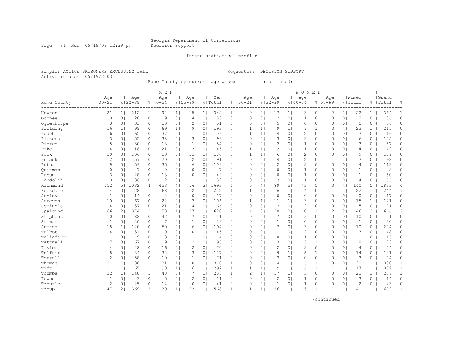Page 34 Run 05/19/03 12:39 pm Decision Support

#### Inmate statistical profile

Sample: ACTIVE PRISONERS EXCLUDING JAIL Requestor: DECISION SUPPORT Active inmates 05/19/2003

Home County by current age & sex (continued)

|             |                |                |             |                | M E N          |                |                |                |         |                |                |                |                |                | <b>WOMEN</b>   |                |                |                |                |              |           |              |
|-------------|----------------|----------------|-------------|----------------|----------------|----------------|----------------|----------------|---------|----------------|----------------|----------------|----------------|----------------|----------------|----------------|----------------|----------------|----------------|--------------|-----------|--------------|
|             | Age            |                | Age         |                | Age            |                | Aqe            |                | Men     |                | Age            |                | Age            |                | Age            |                | Age            |                | l Women        |              | Grand     |              |
| Home County | $100 - 21$     |                | $8122 - 39$ |                | $8140 - 54$    |                | $8155 - 99$    |                | % Total |                | $8100 - 21$    |                | $8122 - 39$    |                | $8140 - 54$    | $8155 - 99$    |                |                | % Total        |              | %   Total | 욲            |
| Newton      | 21             | 1 <sup>1</sup> | 212         | 1 <sub>1</sub> | 94             | 1 <sub>1</sub> | 15             | 1 <sub>1</sub> | 342     | $1 \mid$       | 0              | 0 <sup>1</sup> | 17             | 1 <sub>1</sub> | 3              | 0 <sub>1</sub> | 2              | 2 <sub>1</sub> | 22             | $\mathbf{1}$ | 364       | 1            |
| Oconee      | 0              | 0 <sub>1</sub> | 20          | 0 <sub>1</sub> | 9              | 0 <sup>1</sup> | 4              | 0 <sub>1</sub> | 33      | 0              | 0              | 0 <sub>1</sub> | $\overline{2}$ | 0 <sub>1</sub> | 1              | 0 <sub>1</sub> | 0              | 0 <sub>1</sub> | 3              | 0            | 36        | 0            |
| Oglethorpe  | 3              | 0 <sub>1</sub> | 33          | 0 <sub>1</sub> | 13             | 0 <sup>1</sup> | $\overline{c}$ | 0 <sub>1</sub> | 51      | $\circ$        | $\circ$        | 0 <sub>1</sub> | 5              | 0 <sub>1</sub> | 0              | 0 <sub>1</sub> | 0              | 0 <sub>1</sub> | 5              | $\circ$      | 56        | $\circ$      |
| Paulding    | 16             | 1              | 99          | 0 <sub>1</sub> | 69             | 1 <sub>1</sub> | 9              | 0 <sub>1</sub> | 193     | $\overline{0}$ | 1              | 1 <sup>1</sup> | 9              | 1 <sub>1</sub> | 9              | 1              | 3              | 4              | 22             | $\mathbf{1}$ | 215       | $\circ$      |
| Peach       | 6              | 0 <sub>1</sub> | 65          | 0 <sub>1</sub> | 37             | 0 <sub>1</sub> | $\mathbf{1}$   | 0 <sub>1</sub> | 109     | $\circ$        | 1              | 1 <sup>1</sup> | 4              | 0 <sup>1</sup> | $\overline{c}$ | 0 <sub>1</sub> | $\mathbf{0}$   | 0 <sub>1</sub> | 7              | 0            | 116       | 0            |
| Pickens     | 3              | 0 <sub>1</sub> | 55          | 0 <sub>1</sub> | 38             | 0 <sub>1</sub> | 3              | 0 <sup>1</sup> | 99      | 0              | $\Omega$       | 0 <sub>1</sub> | 3              | 0 <sup>1</sup> | 3              | 0 <sub>1</sub> | 0              | 0 <sub>1</sub> | 6              | 0            | 105       | 0            |
| Pierce      | 5              | 0 <sub>1</sub> | 30          | 0 <sub>1</sub> | 18             | 0 <sup>1</sup> | 1              | 0              | 54      | 0              | $\Omega$       | 0 <sup>1</sup> | $\overline{c}$ | 0 <sup>1</sup> | 1              | 0 <sub>1</sub> | $\Omega$       | 0 <sub>1</sub> | 3              | 0            | 57        | 0            |
| Pike        | $\overline{4}$ | 0 <sub>1</sub> | 18          | 0 <sub>1</sub> | 21             | 0 <sup>1</sup> | $\overline{c}$ | 0              | 45      | 0              | 1              | 1 <sup>1</sup> | $\overline{c}$ | 0 <sup>1</sup> | 1              | $\circ$        | 0              | 0 <sub>1</sub> | 4              | 0            | 49        | $\Omega$     |
| Polk        | 10             | 0 <sub>1</sub> | 106         | 0 <sup>1</sup> | 53             | 0 <sup>1</sup> | 11             | 1 <sub>1</sub> | 180     | 0              | 1              | 1 <sup>1</sup> | 6              | 0 <sup>1</sup> | $\mathbf{2}$   | 0 <sub>1</sub> | $\Omega$       | 0 <sub>1</sub> | 9              | $\Omega$     | 189       | $\Omega$     |
| Pulaski     | 12             | 0 <sub>1</sub> | 57          | 0 <sup>1</sup> | 20             | 0 <sub>1</sub> | 2              | 0 <sup>1</sup> | 91      | 0              | $\Omega$       | 0 <sub>1</sub> | 4              | 0 <sup>1</sup> | 2              | 0 <sub>1</sub> | 1              | 1 <sub>1</sub> | 7              | 0            | 98        | 0            |
| Putnam      | 9              | 0 <sub>1</sub> | 59          | 0 <sub>1</sub> | 35             | 0 <sub>1</sub> | 6              | 0 <sub>1</sub> | 109     | 0              | $\circ$        | 0 <sub>1</sub> | $\overline{2}$ | 0 <sub>1</sub> | $\overline{c}$ | 0 <sub>1</sub> | 0              | 0 <sub>1</sub> | 4              | 0            | 113       | 0            |
| Ouitman     | 0              | 0 <sub>1</sub> |             | 0 <sub>1</sub> | $\circ$        | 0 <sub>1</sub> | $\Omega$       | 0 <sub>1</sub> | 7       | 0              | $\Omega$       | 0 <sub>1</sub> | $\circ$        | 0 <sub>1</sub> | $\mathbf{1}$   | 0 <sub>1</sub> | 0              | 0 <sub>1</sub> | $\mathbf{1}$   | 0            | 8         | 0            |
| Rabun       | 3              | 0 <sub>1</sub> | 28          | 0 <sub>1</sub> | 18             | 0 <sub>1</sub> | $\Omega$       | 0 <sub>1</sub> | 49      | 0              | $\circ$        | 0 <sub>1</sub> | $\circ$        | 0 <sub>1</sub> | $\mathbf{1}$   | 0 <sub>1</sub> | 0              | 0 <sub>1</sub> | $\mathbf{1}$   | 0            | 50        | $\circ$      |
| Randolph    | 3              | 0 <sub>1</sub> | 36          | 0 <sub>1</sub> | 12             | 0 <sub>1</sub> | $\mathbf{1}$   | 0 <sub>1</sub> | 52      | $0-1$          | $\Omega$       | 0 <sub>1</sub> | 3              | 0 <sup>1</sup> | $\mathbf{1}$   | 0 <sub>1</sub> | 0              | 0 <sub>1</sub> | 4              | $\circ$      | 56        | $\circ$      |
| Richmond    | 152            | 5              | 1032        | 4              | 453            | 4              | 56             | 3 <sup>1</sup> | 1693    | 4 <sup>1</sup> | 5              | 4              | 89             | 51             | 43             | 51             | 3              | 4              | 140            | 5            | 1833      | 4            |
| Rockdale    | 14             | 0 <sub>1</sub> | 128         | 1              | 68             | 1              | 12             | 1 <sub>1</sub> | 222     | 1              |                | 1 <sub>1</sub> | 16             | 1 <sub>1</sub> | 4              | 0 <sub>1</sub> | 1              | 1 <sub>1</sub> | 22             | 1            | 244       | $\mathbf{1}$ |
| Schley      | 1              | 0 <sub>1</sub> | 14          | 0 <sub>1</sub> | $\overline{c}$ | 0 <sup>1</sup> | $\Omega$       | 0              | 17      | $\circ$        | $\Omega$       | 0 <sup>1</sup> | $\circ$        | 0 <sup>1</sup> | 0              | $\circ$        | $\Omega$       | 0 <sub>1</sub> | $\circ$        | 0            | 17        | 0            |
| Screven     | 10             | 0 <sub>1</sub> | 67          | 0 <sup>1</sup> | 22             | 0 <sub>1</sub> |                | 0              | 106     | 0              | 1              | 1 <sup>1</sup> | 11             | 1 <sub>1</sub> | 3              | $\circ$        | $\Omega$       | 0 <sub>1</sub> | 15             | $\mathbf{1}$ | 121       | 0            |
| Seminole    | 4              | 0 <sub>1</sub> | 37          | 0 <sub>1</sub> | 21             | 0 <sub>1</sub> | 4              | 0              | 66      | 0              | $\mathbf{0}$   | 0 <sub>1</sub> | 3              | 0 <sup>1</sup> | $\overline{c}$ | 0 <sub>1</sub> | $\Omega$       | 0 <sub>1</sub> | 5              | 0            | 71        | 0            |
| Spalding    | 66             | 21             | 374         | 2 <sub>1</sub> | 153            | 1              | 27             | 1 <sub>1</sub> | 620     | $\overline{2}$ | 4              | 31             | 30             | 2 <sub>1</sub> | 10             | 1 <sub>1</sub> | $\overline{c}$ | 21             | 46             | 2            | 666       | 2            |
| Stephens    | 10             | 0 <sub>1</sub> | 82          | 0 <sub>1</sub> | 42             | 0 <sub>1</sub> | 7              | 0 <sub>1</sub> | 141     | $\circ$        | $\circ$        | 0 <sub>1</sub> | 7              | 0 <sub>1</sub> | 3              | 0 <sub>1</sub> | $\Omega$       | 0 <sub>1</sub> | 10             | $\Omega$     | 151       | 0            |
| Stewart     | 1              | 0 <sub>1</sub> | 20          | 0 <sub>1</sub> | 7              | 0 <sup>1</sup> | $\mathbf{1}$   | 0 <sub>1</sub> | 29      | 0              | $\Omega$       | 0 <sub>1</sub> | $\mathbf{1}$   | 01             | $\Omega$       | 0 <sub>1</sub> | $\Omega$       | 0 <sub>1</sub> | $\mathbf{1}$   | 0            | 30        | $\Omega$     |
| Sumter      | 18             | 1 <sub>1</sub> | 120         | 0 <sub>1</sub> | 50             | 0 <sub>1</sub> | 6              | 0 <sub>1</sub> | 194     | $\circ$        | $\Omega$       | $\Omega$       | 7              | 01             | 3              | 0 <sub>1</sub> | 0              | 0 <sub>1</sub> | 10             | $\Omega$     | 204       | $\Omega$     |
| Talbot      | 4              | 0 <sub>1</sub> | 31          | 0 <sub>1</sub> | 10             | 0 <sub>1</sub> | 0              | 0 <sub>1</sub> | 45      | 0              | $\Omega$       | 0 <sub>1</sub> | 1              | 0 <sup>1</sup> | $\overline{c}$ | 0 <sub>1</sub> | $\Omega$       | 0 <sub>1</sub> | 3              | 0            | 48        | 0            |
| Taliaferro  | 1              | 0 <sub>1</sub> | 9           | 0 <sub>1</sub> | 3              | 0 <sub>1</sub> |                | 0 <sub>1</sub> | 14      | $\circ$        | $\Omega$       | 0 <sub>1</sub> | $\circ$        | 0 <sup>1</sup> | 1              | 0 <sub>1</sub> | 0              | 0 <sub>1</sub> | 1              | 0            | 15        | 0            |
| Tattnall    | 7              | 0 <sub>1</sub> | 67          | 0 <sup>1</sup> | 19             | 0 <sub>1</sub> | $\overline{c}$ | 0 <sup>1</sup> | 95      | 0              | $\Omega$       | 0 <sup>1</sup> | 3              | 0 <sup>1</sup> | 5              | 1 <sub>1</sub> | 0              | 0 <sub>1</sub> | 8              | 0            | 103       | 0            |
| Taylor      | 4              | 0 <sub>1</sub> | 48          | 0 <sup>1</sup> | 16             | 0 <sup>1</sup> | $\overline{c}$ | 0 <sup>1</sup> | 70      | 0              | $\Omega$       | 0 <sup>1</sup> | $\overline{c}$ | 0 <sup>1</sup> | $\overline{c}$ | 0 <sub>1</sub> | $\Omega$       | 0 <sub>1</sub> | 4              | 0            | 74        | 0            |
| Telfair     | 8              | 0 <sub>1</sub> | 84          | 0 <sup>1</sup> | 32             | 0 <sup>1</sup> | 3              | 0              | 127     | 0              | $\Omega$       | 0 <sup>1</sup> | 9              | 1 <sub>1</sub> | 5              | 1 <sub>1</sub> | $\Omega$       | 0 <sub>1</sub> | 14             | 0            | 141       | 0            |
| Terrell     | $\overline{c}$ | 0 <sub>1</sub> | 58          | 0 <sub>1</sub> | 10             | 0 <sub>1</sub> | $\mathbf{1}$   | 0 <sup>1</sup> | 71      | 0              | $\Omega$       | 0 <sub>1</sub> | 3              | 0 <sub>1</sub> | 0              | 0 <sub>1</sub> | $\Omega$       | 0 <sub>1</sub> | 3              | 0            | 74        | 0            |
| Thomas      | 31             | 1 <sub>1</sub> | 188         | 1 <sub>1</sub> | 81             | 1 <sub>1</sub> | 10             | 1 <sub>1</sub> | 310     | $\mathbf{1}$   | 0              | 0 <sub>1</sub> | 14             | 1 <sub>1</sub> | 6              | 1 <sub>1</sub> | 0              | 0 <sub>1</sub> | 20             | $\mathbf{1}$ | 330       | 1            |
| Tift        | 21             | 1              | 165         | 1 <sub>1</sub> | 90             | 1 <sub>1</sub> | 16             | 1 <sub>1</sub> | 292     | $\mathbf{1}$   | 1              | 1 <sup>1</sup> | 9              | 1 <sub>1</sub> | 6              | 1 <sub>1</sub> | 1              | 1 <sub>1</sub> | 17             | $\mathbf{1}$ | 309       | $\mathbf{1}$ |
| Toombs      | 32             | 1              | 148         | 1 <sub>1</sub> | 48             | 0 <sub>1</sub> | 7              | 0 <sub>1</sub> | 235     | 1              | $\overline{2}$ | 1              | 17             | 1 <sub>1</sub> | 3              | 0 <sub>1</sub> | 0              | 0 <sub>1</sub> | 22             | 1            | 257       | $\mathbf{1}$ |
| Towns       | $\mathbf{1}$   | 0 <sub>1</sub> | 3           | 0 <sub>1</sub> | 5              | 0 <sub>1</sub> | $\overline{c}$ | 0 <sub>1</sub> | 11      | $0-1$          | $\mathbf{0}$   | 0 <sub>1</sub> | $\mathbf{2}$   | 0 <sub>1</sub> | $\mathbf{1}$   | 0 <sub>1</sub> | 0              | 0 <sub>1</sub> | 3              | $\circ$      | 14        | $\circ$      |
| Treutlen    | $\overline{c}$ | 0 <sub>1</sub> | 25          | 0 <sub>1</sub> | 14             | 0 <sub>1</sub> | $\circ$        | 0 <sup>1</sup> | 41      | 0              | $\Omega$       | 0 <sub>1</sub> | $\mathbf{1}$   | 0 <sup>1</sup> | 1              | 0 <sub>1</sub> | $\Omega$       | 0 <sub>1</sub> | $\overline{c}$ | 0            | 43        | $\circ$      |
| Troup       | 47             | 21             | 369         | 21             | 130            | 1 <sub>1</sub> | 22             | 1 <sub>1</sub> | 568     | 1 <sup>1</sup> |                | 1 <sup>1</sup> | 26             | 1 <sub>1</sub> | 13             | 1 <sub>1</sub> | 1              | 1 <sub>1</sub> | 41             | $\mathbf{1}$ | 609       | $\mathbf{1}$ |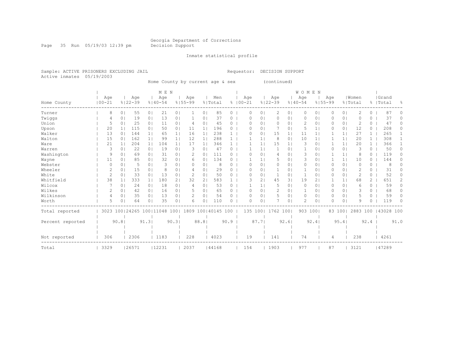Page 35 Run 05/19/03 12:39 pm Decision Support

#### Inmate statistical profile

Sample: ACTIVE PRISONERS EXCLUDING JAIL Requestor: DECISION SUPPORT Active inmates 05/19/2003

Home County by current age & sex (continued)

|                  |           |               |                       |                | M E N          |                |             |                |                    |              |             |                |             |                | <b>WOMEN</b>   |                |             |                |               |                |           |                |
|------------------|-----------|---------------|-----------------------|----------------|----------------|----------------|-------------|----------------|--------------------|--------------|-------------|----------------|-------------|----------------|----------------|----------------|-------------|----------------|---------------|----------------|-----------|----------------|
|                  | Age       |               | Age                   |                | Age            |                | Age         |                | Men                |              | Age         |                | Age         |                | Age            |                | Age         |                | Women         |                | Grand     |                |
| Home County      | $00 - 21$ |               | $8122 - 39$           |                | $8140 - 54$    |                | $8155 - 99$ |                | % Total            |              | $8100 - 21$ |                | $8122 - 39$ |                | $8140 - 54$    |                | $8155 - 99$ |                | % Total       |                | %   Total | $\frac{6}{10}$ |
| Turner           |           | 8             | 55<br>0               | 0 <sub>1</sub> | 21             | 0 <sub>1</sub> |             | 0 <sub>1</sub> | 85                 | 0            | $\Omega$    | 0              | 2           | 0 <sub>1</sub> | 0              | 0 <sub>1</sub> | 0           | 0 <sub>1</sub> | 2             | 0              | 87        |                |
| Twiggs           |           | 4             | 19<br>$\Omega$        | 0 <sub>1</sub> | 13             | 0              |             | 0              | 37                 | 0            | O           | 01             | 0           | 01             | $\Omega$       | 0 <sub>1</sub> |             | 0 <sub>1</sub> | $\Omega$      | 0              | 37        | 0              |
| Union            |           | 5             | 25<br>0 <sub>1</sub>  | 0 <sub>1</sub> | 11             | 0 <sub>1</sub> | 4           | 0 <sup>1</sup> | 45                 | 0            | $\Omega$    | 0 <sub>1</sub> | $\Omega$    | 01             | $\overline{c}$ | 0 <sub>1</sub> | $\Omega$    | 0 <sup>1</sup> | 2             | $\Omega$       | 47        | 0              |
| Upson            |           | 20            | 115<br>1 <sup>1</sup> | 0 <sub>1</sub> | 50             | 0 <sub>1</sub> | 11          | 1 <sup>1</sup> | 196                | 0            | O           | $\circ$        |             | 0 <sup>1</sup> | 5              | 1 <sub>1</sub> | 0           | 0 <sub>1</sub> | 12            | 0              | 208       | 0              |
| Walker           |           | 13            | 144<br>$\Omega$       | 1 <sub>1</sub> | 65             | 1 <sub>1</sub> | 16          | $1\vert$       | 238                | 1            | O           | $\circ$        | 15          | $1\vert$       | 11             | 1 <sub>1</sub> |             | $\mathbf{1}$   | 27            |                | 265       |                |
| Walton           |           | 15            | 162<br>$\circ$        | 1 <sub>1</sub> | 99             | 1 <sub>1</sub> | 12          | $1\vert$       | 288                |              |             | 1              | 8           | $\circ$        | 10             | 1 <sup>1</sup> |             | 1 <sub>1</sub> | 20            |                | 308       |                |
| Ware             |           | 21            | 204                   | 1 <sub>1</sub> | 104            | 1              | 17          | 1 <sup>1</sup> | 346                | $\mathbf{1}$ |             |                | 15          | 1              | 3              | 0 <sub>1</sub> |             | 1              | 20            |                | 366       |                |
| Warren           |           | 3             | 22<br>$\Omega$        | 0 <sub>1</sub> | 19             | 0 <sub>1</sub> | 3           | 0              | 47                 | 0            |             |                |             | 01             | 1              | 0 <sub>1</sub> | 0           | 0 <sup>1</sup> | 3             | 0              | 50        | 0              |
| Washington       |           | 9             | 69<br>0 <sub>1</sub>  | 0 <sub>1</sub> | 31             | 0 <sub>1</sub> |             | 0              | 111                | 0            | $\Omega$    | $\circ$        | 4           | 01             | 3              | 0 <sub>1</sub> |             | 1 <sup>1</sup> | 8             | 0              | 119       | $\Omega$       |
| Wayne            |           | 11            | 85<br>0               | 0 <sub>1</sub> | 32             | 01             | 6           | 0              | 134                | 0            |             |                | 5           | 0 <sup>1</sup> | 3              | 0 <sub>1</sub> |             | 1              | 10            | $\Omega$       | 144       | 0              |
| Webster          |           | $\Omega$      | $\Omega$<br>5         | 0 <sub>1</sub> | 3              | 0              | $\Omega$    | 0              | 8                  | $\Omega$     | $\Omega$    | $\Omega$       | 0           | 01             | 0              | 0 <sub>1</sub> | 0           | 0 <sub>1</sub> | $\Omega$      | $\circ$        | 8         | 0              |
| Wheeler          |           | 2             | 15<br>0               | 01             | 8              | 01             |             | 0              | 29                 | 0            | O           | $\circ$        |             | 01             |                | 0 <sub>1</sub> | Ω           | 0 <sup>1</sup> | 2             | 0              | 31        |                |
| White            |           | $\mathcal{D}$ | 33<br>0               | 0 <sub>1</sub> | 13             | 01             | 2           | 0 <sup>1</sup> | 50                 | $\Omega$     | $\bigcap$   | $\circ$        |             | $\Omega$       | 1              | 0 <sub>1</sub> | 0           | 0 <sub>1</sub> | $\mathcal{D}$ | 0              | 52        | 0              |
| Whitfield        |           | 38            | 333                   | 1 <sub>1</sub> | 180            | 2 <sub>1</sub> | 32          | 2 <sub>1</sub> | 583                |              | 3           | $\overline{2}$ | 45          | 31             | 19             | 21             |             | 1 <sup>1</sup> | 68            | $\overline{2}$ | 651       | 2              |
| Wilcox           |           |               | 24<br>0               | 0 <sub>1</sub> | 18             | 0 <sub>1</sub> | 4           | 0              | 53                 | 0            |             |                | 5           | 0 <sub>1</sub> | $\Omega$       | 0 <sub>1</sub> | 0           | 0 <sup>1</sup> | 6             | 0              | 59        | 0              |
| Wilkes           |           | 2             | 0 <sup>1</sup><br>42  | 0 <sub>1</sub> | 16             | 0 <sub>1</sub> |             | $\circ$        | 65                 | 0            | $\Omega$    | $\circ$        | 2           | 01             | 1              | 0 <sub>1</sub> | 0           | 0 <sup>1</sup> | 3             | 0              | 68        | 0              |
| Wilkinson        |           | 4             | 35<br>0 <sub>1</sub>  | 0 <sub>1</sub> | 13             | 0 <sub>1</sub> |             | $\Omega$       | 54                 | $\Omega$     | ∩           | $\circ$        | 5           | 01             | $\Omega$       | 0 <sub>1</sub> | 0           | 0 <sup>1</sup> | 5             | $\Omega$       | 59        | 0              |
| Worth            |           | 5             | 0<br>64               | 0 <sub>1</sub> | 35             | 0              | 6           | 0              | 110                | 0            | $\Omega$    | $\circ$        |             | 01             | $\mathcal{D}$  | 0 <sub>1</sub> | N           | 0 <sup>1</sup> | 9             | 0              | 119       | $\Omega$       |
| Total reported   |           |               | 3023 100 24265        |                | 100111048 1001 |                |             |                | 1809 100 40145 100 |              | 135         | 1001           | 1762 100    |                | 903 1001       |                |             | 83 1001        | 2883 100      |                | 43028 100 |                |
| Percent reported |           | 90.8          |                       | 91.3           |                | 90.31          |             | 88.8           |                    | 90.9         |             | 87.7           |             | 92.6           |                | 92.4           |             | 95.4           |               | 92.4           |           | 91.0           |
|                  |           |               |                       |                |                |                |             |                |                    |              |             |                |             |                |                |                |             |                |               |                |           |                |
|                  |           |               |                       |                |                |                |             |                |                    |              |             |                |             |                |                |                |             |                |               |                |           |                |
| Not reported     | 306       |               | 2306                  |                | 1183           |                | 228         |                | 4023               |              | 19          |                | 141         |                | 74             |                | 4           |                | 238           |                | 4261      |                |
| Total            | 3329      |               | 26571                 |                | 12231          |                | 2037        |                | 44168              |              | 154         |                | 1903        |                | 977            |                | 87          |                | 3121          |                | 47289     |                |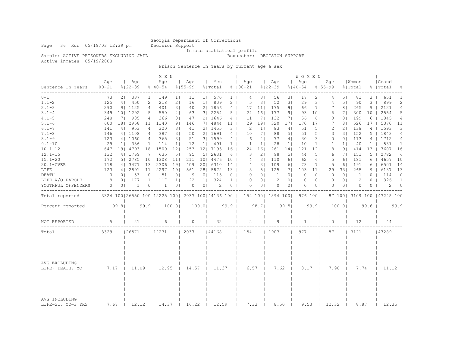Page 36 Run 05/19/03 12:39 pm Decision Support

Inmate statistical profile

Sample: ACTIVE PRISONERS EXCLUDING JAIL **Requestor: DECISION SUPPORT** 

Active inmates 05/19/2003

Prison Sentence In Years by current age & sex

|                                    |                                                         |                |                    | M E N           |                    |                 |                    |                |                |                 |                    |                 |                    | W O M E N      |                    |                 |                    |                |                  |                |                              |              |
|------------------------------------|---------------------------------------------------------|----------------|--------------------|-----------------|--------------------|-----------------|--------------------|----------------|----------------|-----------------|--------------------|-----------------|--------------------|----------------|--------------------|-----------------|--------------------|----------------|------------------|----------------|------------------------------|--------------|
| Sentence In Years                  | Age<br>$100 - 21$                                       |                | Age<br>$8122 - 39$ |                 | Aqe<br>$8140 - 54$ |                 | Age<br>$8155 - 99$ |                | Men<br>% Total |                 | Age<br>$8100 - 21$ |                 | Aqe<br>$8122 - 39$ |                | Aqe<br>$8140 - 54$ |                 | Age<br>$8155 - 99$ |                | Women<br>% Total |                | Grand<br>%   Total           | ႜ            |
| $0 - 1$                            | 73                                                      | 2 <sub>1</sub> | 337                | $1 \mid$        | 149                | 1 <sub>1</sub>  | 11                 | $1 \mid$       | 570            | $1 \mid$        | 4                  | 3               | 56                 | 3 <sub>1</sub> | 17                 | 2 <sub>1</sub>  | 4                  | 5 <sub>1</sub> | 81               | 3 <sup>1</sup> | 651                          | 1            |
| $1.1 - 2$                          | 125                                                     | 4              | 450                | 2 <sub>1</sub>  | 218                | 2 <sub>1</sub>  | 16                 | 1 <sup>1</sup> | 809            | $2-1$           | 5                  | 31              | 52                 | 3 <sub>1</sub> | 29                 | 3               | 4                  | 5 <sub>1</sub> | 90               | 3              | 899                          | 2            |
| $2.1 - 3$                          | 290                                                     |                | 9   1125           | 4 <sub>1</sub>  | 401                | 3 <sub>1</sub>  | 40                 |                | 2  1856        | $4 \mid$        | 17                 | 11 <sub>1</sub> | 175                | 9 <sub>1</sub> | 66                 | 7 <sub>1</sub>  | 7                  | 8 <sub>1</sub> | 265              | 9              | 2121                         | 4            |
| $3.1 - 4$                          | 349                                                     |                | 10   1292          | 5 <sub>1</sub>  | 550                | 4               | 63                 |                | 3   2254       | 5 <sub>1</sub>  | 24                 | 161             | 177                | 91             | 93                 | 101             | 6                  | 7 <sub>1</sub> | 300              | 10             | 2554                         | 5            |
| $4.1 - 5$                          | 248                                                     | 71             | 985                | 4               | 366                | 3 <sup>1</sup>  | 47                 |                | 21 1646        | 4 <sup>1</sup>  | 11                 | 71              | 132                | 71             | 56                 | 61              | $\Omega$           | 0 <sub>1</sub> | 199              | 6              | 1845                         | 4            |
| $5.1 - 6$                          | 600                                                     |                | 18   2958          | 11 <sub>1</sub> | 1140               | 9 <sub>1</sub>  | 146                |                | 7   4844       | 11 <sup>1</sup> | 29                 | 191             | 320                | 171            | 170                | 171             | 7                  | 8 <sub>1</sub> | 526              | 17             | 5370                         | 11           |
| $6.1 - 7$                          | 141                                                     | 4 <sup>1</sup> | 953                | 4               | 320                | 3 <sup>1</sup>  | 41                 |                | 2   1455       | 3 <sub>1</sub>  | 2                  | 1 <sup>1</sup>  | 83                 | 4 <sub>1</sub> | 51                 | 5 <sub>1</sub>  | 2                  | 21             | 138              | 4              | 1593                         | 3            |
| $7.1 - 8$                          | 146                                                     |                | 4   1108           | 4 <sub>1</sub>  | 387                | 3 <sub>1</sub>  | 50                 |                | 2   1691       | $4 \mid$        | 10                 | 7 <sub>1</sub>  | 88                 | 51             | 51                 | 5 <sub>1</sub>  | 3                  | 3 <sup>1</sup> | 152              | 5.             | 1843                         | 4            |
| $8.1 - 9$                          | 123                                                     |                | 4   1060           | 4               | 365                | 3 <sup>1</sup>  | 51                 |                | 3   1599       | $4 \mid$        | 6                  | 4 <sub>1</sub>  | 77                 | 4              | 30                 | 31              | $\circ$            | 0 <sup>1</sup> | 113              | 41             | 1712                         | 4            |
| $9.1 - 10$                         | 29                                                      | $1 \mid$       | 336                | 1 <sup>1</sup>  | 114                | 11              | 12                 |                | 1  491         | 1 <sup>1</sup>  | $\mathbf{1}$       | 1 <sup>1</sup>  | 28                 | 1 <sup>1</sup> | 10                 | 1 <sup>1</sup>  | $\mathbf{1}$       | 1 <sub>1</sub> | 40               | 1 <sup>1</sup> | 531                          | $\mathbf{1}$ |
| $10.1 - 12$                        | 647                                                     |                | 19 4793            |                 | 18   1500          | 12 <sub>1</sub> | 253                |                | 12  7193       | 16              | 24                 | 161             | 261                | 141            | 121                | 121             | 8                  | 9 <sub>1</sub> | 414              | 13             | 7607                         | 16           |
| $12.1 - 15$                        | 132                                                     |                | 4   1769           | 7 <sub>1</sub>  | 635                | 5               | 95                 | 5 <sub>1</sub> | 2631           | 6               | 3                  | 2 <sub>1</sub>  | 98                 | 51             | 44                 | 5 <sub>1</sub>  | 6                  | 71             | 151              | 5              | 2782                         | 6            |
| $15.1 - 20$                        | 172                                                     |                | 5 2785             |                 | 10   1308          | 111             | 211                |                | 10   4476      | 10 <sub>1</sub> | 4                  | 31              | 110                | 61             | 62                 | 61              | 5                  | 61             | 181              | 6              | 4657                         | 10           |
| 20.1-OVER                          | 118                                                     |                | 4   3477           |                 | 13   2306          | 191             | 409                |                | 20   6310      | 14              | 4                  | 31              | 109                | 6 <sub>1</sub> | 73                 | 7 <sub>1</sub>  | 5                  | 6              | 191              | 6              | 6501                         | 14           |
| LIFE                               | 123                                                     |                | 4   2891           | 11 <sub>1</sub> | 2297               | 191             | 561                |                | 28   5872      | $13-1$          | 8                  | 5 <sub>1</sub>  | 125                | 71             | 103                | 11 <sub>1</sub> | 29                 | 331            | 265              | 9              | 6137                         | 13           |
| DEATH                              | $\circ$                                                 | 0 <sup>1</sup> | 53                 | 0 <sub>1</sub>  | 51                 | 0 <sub>1</sub>  | 9                  | 0 <sub>1</sub> | 113            | 0 <sub>1</sub>  | $\circ$            | 0 <sub>1</sub>  | 1                  | 0 <sub>1</sub> | $\circ$            | 0 <sub>1</sub>  | $\circ$            | 0 <sub>1</sub> | 1                | $\Omega$       | 114                          | $\circ$      |
| LIFE W/O PAROLE                    | 8                                                       | 0 <sup>1</sup> | 177                | 1 <sub>1</sub>  | 117                | 1 <sub>1</sub>  | 22                 | 1 <sup>1</sup> | 324            | 1 <sup>1</sup>  | $\circ$            | 0 <sub>1</sub>  | 2                  | 0 <sub>1</sub> | 0                  | 0 <sub>1</sub>  | 0                  | 0 <sub>1</sub> | $\overline{c}$   | $\Omega$       | 326                          | $\mathbf{1}$ |
| YOUTHFUL OFFENDERS                 | 0                                                       | 0 <sub>1</sub> | 1                  | 0 <sub>1</sub>  | $\mathbf{1}$       | 0 <sub>1</sub>  | $\Omega$           | 0 <sub>1</sub> | 2              | $0$             | $\Omega$           | 0 <sub>1</sub>  | $\circ$            | 0 <sub>1</sub> | $\Omega$           | 0 <sub>1</sub>  | $\Omega$           | 0 <sub>1</sub> | $\Omega$         | 0              | 2                            | $\circ$      |
| Total reported                     | 3324 100   26550 100   12225 100   2037 100   44136 100 |                |                    |                 |                    |                 |                    |                |                |                 |                    |                 | 152 100  1894 100  |                |                    | 976 1001        |                    |                |                  |                | 87 100  3109 100   47245 100 |              |
| Percent reported                   |                                                         | 99.81          |                    | 99.9            |                    | 100.0           |                    | 100.01         |                | 99.9            |                    | 98.71           |                    | 99.51          |                    | 99.9            |                    | 100.01         |                  | 99.6           |                              | 99.9         |
| NOT REPORTED                       | 5                                                       |                | 21                 |                 | 6                  |                 | $\Omega$           |                | 32             |                 | 2                  |                 | 9                  |                | $\mathbf{1}$       |                 | $\Omega$           |                | 12               |                | 44                           |              |
|                                    |                                                         |                |                    |                 |                    |                 |                    |                |                |                 |                    |                 |                    |                |                    |                 |                    |                |                  |                |                              |              |
| Total                              | 13329                                                   |                | 26571              |                 | 12231              |                 | 2037               |                | 44168          |                 | 154                |                 | 1903               |                | 977                |                 | 87                 |                | 3121             |                | 47289                        |              |
| AVG EXCLUDING<br>LIFE, DEATH, YO   | 7.17<br>11.09                                           |                | 12.95              |                 | 14.57              |                 | 11.37              |                | 6.57           |                 | 7.62               |                 | 8.17               |                | 7.98               |                 | 7.74               |                | 11.12            |                |                              |              |
| AVG INCLUDING<br>LIFE=21, YO=3 YRS | 7.67                                                    |                | 12.12              |                 | 14.37              |                 | 16.22              |                | 12.59          |                 | 7.33               |                 | 8.50               |                | 9.53               |                 | 12.32              |                | 8.87             |                | 12.35                        |              |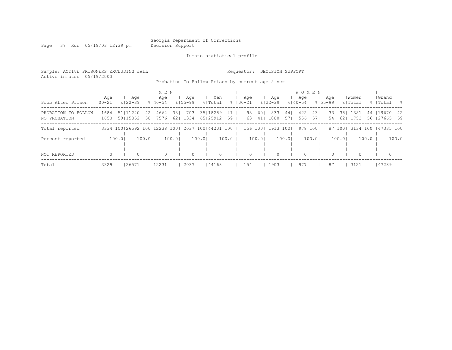Georgia Department of Corrections<br>Decision Support

Page 37 Run 05/19/03 12:39 pm

Inmate statistical profile

| Sample: ACTIVE PRISONERS EXCLUDING JAIL<br>Active inmates 05/19/2003 |              |          |                              |            |                    |            |                    |        |                                                 |            | Requestor:         |           | DECISION SUPPORT   |             |                    |            |                    |            |                  |         |                         |       |
|----------------------------------------------------------------------|--------------|----------|------------------------------|------------|--------------------|------------|--------------------|--------|-------------------------------------------------|------------|--------------------|-----------|--------------------|-------------|--------------------|------------|--------------------|------------|------------------|---------|-------------------------|-------|
|                                                                      |              |          |                              |            |                    |            |                    |        | Probation To Follow Prison by current age & sex |            |                    |           |                    |             |                    |            |                    |            |                  |         |                         |       |
|                                                                      |              |          |                              |            | M E N              |            |                    |        |                                                 |            |                    |           |                    |             | <b>WOMEN</b>       |            |                    |            |                  |         |                         |       |
| Prob After Prison                                                    | $100 - 21$   | Aqe      | Aqe<br>$8122 - 39$           |            | Aqe<br>$8140 - 54$ |            | Aqe<br>$8155 - 99$ |        | Men<br>% Total                                  |            | Aqe<br>$8100 - 21$ |           | Aqe<br>$8122 - 39$ |             | Aqe<br>$8140 - 54$ |            | Aqe<br>$8155 - 99$ |            | Women<br>% Total |         | Grand<br>%   Total      | - 옹   |
| PROBATION TO FOLLOW<br>NO PROBATION                                  | 1684<br>1650 |          | 51 11240<br>50115352         | 421<br>581 | 4662<br>7576       | 381<br>621 | 703<br>1334        |        | 35   18289<br>65125912                          | 41  <br>59 | 93<br>63           | 601<br>41 | 833<br>1080        | 44  <br>571 | 422<br>556         | 431<br>571 | 33<br>54           | 381<br>621 | 1381<br>1753     | 44      | 119670<br>56   27665 59 | - 42  |
| Total reported                                                       |              |          | 3334 100 26592 100 12238 100 |            |                    |            |                    |        | 2037 100144201 100 1                            |            | 156 1001           |           | 1913               | 1001        | 978                | 1001       |                    | 87 1001    | 3134 100         |         | 147335 100              |       |
| Percent reported                                                     |              | 100.01   |                              | 100.01     |                    | 100.01     |                    | 100.01 |                                                 | 100.0      |                    | 100.01    |                    | 100.01      |                    | 100.01     |                    | 100.01     |                  | $100.0$ |                         | 100.0 |
| NOT REPORTED                                                         |              | $\Omega$ | $\Omega$                     |            | $\Omega$           |            | $\circ$            |        | $\Omega$                                        |            | $\bigcap$          |           | $\Omega$           |             | $\Omega$           |            |                    |            |                  |         | $\Omega$                |       |
| Total                                                                | 3329         |          | 26571                        |            | 12231              |            | 2037               |        | 44168                                           |            | 154                |           | 1903               |             | 977                |            | 87                 |            | 3121             |         | 47289                   |       |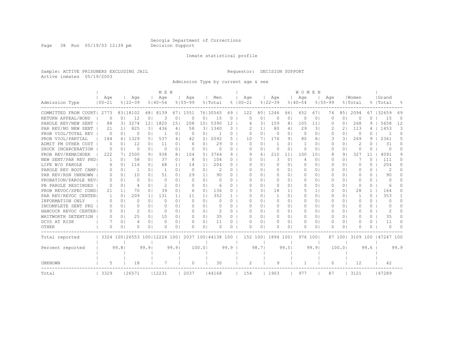Page 38 Run 05/19/03 12:39 pm Decision Support

#### Inmate statistical profile

Sample: ACTIVE PRISONERS EXCLUDING JAIL Requestor: DECISION SUPPORT Active inmates 05/19/2003

Admission Type by current age & sex

|                       |                |                |                                                         |                | M E N        |                |             |                |                |          |             |                |             |                | WOMEN          |                |             |                |           |              |                     |                |
|-----------------------|----------------|----------------|---------------------------------------------------------|----------------|--------------|----------------|-------------|----------------|----------------|----------|-------------|----------------|-------------|----------------|----------------|----------------|-------------|----------------|-----------|--------------|---------------------|----------------|
|                       | Age            |                | Age                                                     |                | Age          |                | Age         |                | Men            |          | Age         |                | Age         |                | Age            |                | Aqe         |                | Women     |              | Grand               |                |
| Admission Type        | $100 - 21$     |                | $8122 - 39$                                             |                | $8140 - 54$  |                | $8155 - 99$ |                | % Total        |          | $8100 - 21$ |                | $8122 - 39$ |                | $8140 - 54$    |                | $8155 - 99$ |                | % Total   |              | %   Total           | $\frac{6}{10}$ |
| COMMITTED FROM COURT  | 2773           |                | 83   18102                                              | 681            | 8139         | 67 I           | 1551        |                | 76130565       | 69       | 122         | 801            | 1246        | 661            | 652            | 67 I           | 74          | 851            | 2094      | 67           | 32659               | 69             |
| RETURN APPEAL/BOND    | 0              | 0              | 12                                                      | 0              | 3            | $\Omega$       | $\Omega$    | 01             | 15             | 0        | U           | 0 <sub>1</sub> | $\Omega$    | $\Omega$       | $\Omega$       | 0              | $\Omega$    | 0 <sub>1</sub> | $\Omega$  | 0            | 15                  | $\Omega$       |
| PAROLE REV/NEW SENT   | 88             | 3 <sup>1</sup> | 3274                                                    | 121            | 1820         | 151            | 208         | 101            | 5390           | 12       | 4           | 31             | 159         | 8 <sub>1</sub> | 105            | 11             | $\Omega$    | 0 <sub>1</sub> | 268       | 9            | 5658                | 12             |
| PAR REV/NO NEW SENT   | 21             | 1 <sub>1</sub> | 825                                                     | 31             | 436          | 4 <sup>1</sup> | 58          | 3 <sup>1</sup> | 1340           | 3        | 2           | 1 <sup>1</sup> | 80          | 4 <sub>1</sub> | 29             | 31             |             | 21             | 113       |              | 1453                | 3              |
| PROB VIOL/TOTAL REV   | $\circ$        | 0 <sub>1</sub> | $\Omega$                                                | 0 <sup>1</sup> | 1            | 0 <sub>1</sub> | $\Omega$    | 01             | $\overline{1}$ | 0        | $\Omega$    | 0 <sub>1</sub> | 0           | 0 <sub>1</sub> | $\Omega$       | 0 <sub>1</sub> | $\Omega$    | 0 <sub>1</sub> | 0         | 0            | -1                  | 0              |
| PROB VIOL/PARTIAL     | 184            |                | 6   1329                                                | 51             | 537          | 4              | 42          | 21             | 2092           | 5        | 10          | 71             | 176         | 91             | 80             | 81             | 3           | 3 I            | 269       | 9            | 2361                | 5.             |
| ADMIT FM OTHER CUST   | $\Omega$       | $\Omega$       | 12                                                      | 0 <sub>1</sub> | 11           | 0 <sup>1</sup> | 6           | 0 <sub>1</sub> | 29             | 0        | $\Omega$    | 0 <sub>1</sub> | -1          | 0 <sup>1</sup> | $\overline{1}$ | 0 <sub>1</sub> | 0           | 0 <sub>1</sub> | 2         | 0            | 31                  | 0              |
| SHOCK INCARCERATION   | 0              | 0 <sub>1</sub> | 0                                                       | 0 <sup>1</sup> | $\Omega$     | 0 <sup>1</sup> | 0           | 0 <sub>1</sub> | $\Omega$       | 0        | U           | 0 <sub>1</sub> | 0           | 0 <sub>1</sub> | 0              | $\circ$        | $\Omega$    | 0 <sub>1</sub> | 0         | $\Omega$     | $\Omega$            | 0              |
| PROB REV/REMAINDER    | 222            | 71             | 2500                                                    | 91             | 938          | 81             | 104         | 5 I            | 3764           | 9        | 9           | 61             | 210         | 11             | 100            | 101            | 8           | 9 <sub>1</sub> | 327       | 11           | 4091                | 9              |
| NEW SENT/PAR REV PND  | $\overline{1}$ | 0 <sub>1</sub> | 58                                                      | 0 <sup>1</sup> | 37           | 0 <sub>1</sub> | 8           | 0 <sub>1</sub> | 104            | $\Omega$ | 0           | 0 <sub>1</sub> | 3           | 0 <sub>1</sub> | 4              | 0 <sub>1</sub> | $\Omega$    | 0 <sup>1</sup> |           | $\Omega$     | 111                 | $\Omega$       |
| LIFE W/O PAROLE       | 6              | 0 <sub>1</sub> | 116                                                     | 0 <sup>1</sup> | 68           | 11             | 14          | 1 <sub>1</sub> | 204            | 0        | 0           | 0 <sub>1</sub> | $\Omega$    | 0 <sub>1</sub> | $\Omega$       | 0 <sub>1</sub> |             | 0 <sub>1</sub> | $\Omega$  | $\Omega$     | 204                 | $\Omega$       |
| PAROLE REV BOOT CAMP  | 0              | 0 <sub>1</sub> | -1                                                      | 0 <sub>1</sub> | $\mathbf{1}$ | 0 <sub>1</sub> | 0           | 0 <sub>1</sub> | 2              | $\Omega$ | n           | 0 <sub>1</sub> | $\Omega$    | 0 <sub>1</sub> | 0              | 0 <sub>1</sub> | O           | 0 <sub>1</sub> | O         | $\Omega$     | $\overline{c}$      | 0              |
| PAR REV/RSN UNKNOWN   | 0              | $\Omega$       | 10                                                      | 0 <sub>1</sub> | 51           | 0 <sub>1</sub> | 29          | 1 <sub>1</sub> | 90             | 0        | n           | 0 <sub>1</sub> | $\Omega$    | 0 <sub>1</sub> | $\Omega$       | 0 <sub>1</sub> | O           | 0 <sup>1</sup> | O         | $\Omega$     | 90                  | 0              |
| PROBATION/PAROLE REVI | 0              | $\Omega$       | $\Omega$                                                | 0 <sub>1</sub> | $\Omega$     | 0 <sub>1</sub> | $\Omega$    | 0 <sub>1</sub> | $\Omega$       | 0        | Ω           | 0 <sub>1</sub> | $\Omega$    | 0 <sub>1</sub> | $\Omega$       | $\Omega$       | $\Omega$    | 0 <sub>1</sub> | $\bigcap$ | $\Omega$     | $\bigcap$           | 0              |
| PB PAROLE RESCINDED   | $\Omega$       | $\Omega$       | 4                                                       | $\Omega$       | 2            | 0 <sub>1</sub> | $\Omega$    | 0 <sub>1</sub> | 6              | 0        | Ω           | 0 <sub>1</sub> | $\Omega$    | 0 <sub>1</sub> | $\Omega$       | 01             | ∩           | 0 <sub>1</sub> | $\Omega$  | 0            | 6                   | 0              |
| PROB REVOC/SPEC COND  | 21             | 1 <sup>1</sup> | 70                                                      | $\Omega$       | 39           | 0 <sub>1</sub> | 6           | 01             | 136            | 0        | 5           | 31             | 18          | 11             | 5.             | 1 <sub>1</sub> |             | 0 <sub>1</sub> | 28        | $\mathbf{1}$ | 164                 | 0              |
| PAR REV/REVOC CENTER  | -1             | 0 <sub>1</sub> | 209                                                     | -1 I           | 131          | 11             | 11          | 11             | 352            |          | Ω           | 0 <sup>1</sup> | -1          | 0 <sub>1</sub> | O.             | 0 <sub>1</sub> |             | 0 <sub>1</sub> | 1         | 0            | 353                 |                |
| INFORMATION ONLY      | $\Omega$       | 0              | $\Omega$                                                | 0 <sub>1</sub> | $\Omega$     | 0 <sub>1</sub> | $\Omega$    | $\Omega$       | $\Omega$       | 0        | U           | 0 <sup>1</sup> | $\Omega$    | 0 <sup>1</sup> | $\bigcap$      | 0 <sub>1</sub> | O           | 0 <sub>1</sub> | $\bigcap$ | 0            | $\Omega$            | 0              |
| INCOMPLETE SENT PKG   | 0              | 0 <sup>1</sup> | $\Omega$                                                | 0 <sup>1</sup> | $\Omega$     | 0 <sub>1</sub> | $\Omega$    | 0 <sub>1</sub> | $\Omega$       | 0        | n           | 0 <sup>1</sup> | $\Omega$    | 0 <sub>1</sub> | $\Omega$       | 0 <sub>1</sub> | O           | 0 <sub>1</sub> | $\bigcap$ | $\circ$      | $\Box$              | 0              |
| HANCOCK REVOC CENTER  | 0              | $\Omega$       | 2                                                       | 0 <sub>1</sub> | $\Omega$     | 0 <sub>1</sub> | $\Omega$    | 0 <sub>1</sub> | 2              | 0        | U           | 0 <sup>1</sup> | $\Omega$    | 0 <sup>1</sup> | $\Omega$       | 0 <sub>1</sub> | 0           | 0 <sup>1</sup> | O         | $\Omega$     | 2                   | 0              |
| WHITWORTH DETENTION   | $\Omega$       | 0 <sub>1</sub> | 25                                                      | 0 <sup>1</sup> | 10           | 0 <sup>1</sup> | $\Omega$    | 0 <sub>1</sub> | 35             | $\Omega$ | $\Omega$    | 0 <sup>1</sup> | 0           | 0 <sub>1</sub> | 0              | 0 <sub>1</sub> | $\Omega$    | 0 <sup>1</sup> | $\Omega$  | $\Omega$     | 35                  | $\Omega$       |
| DCYS AT RISK          |                | 0 <sub>1</sub> | 4                                                       | 0 <sup>1</sup> | $\Omega$     | 0 <sub>1</sub> | 0           | 0 <sub>1</sub> | 11             | 0        | U           | 0 <sub>1</sub> | 0           | 0 <sub>1</sub> | 0              | 0 <sub>1</sub> |             | 0 <sup>1</sup> | O         | $\Omega$     | 11                  | $\Omega$       |
| OTHER                 | O              | 0              | O                                                       | 0 <sup>1</sup> | O            | 0 <sub>1</sub> | $\Omega$    | 0 <sub>1</sub> | $\Omega$       | $\Omega$ | U           | 0 <sub>1</sub> | n           | 01             | $\Omega$       | $\Omega$       |             | 0 <sub>1</sub> | O         | 0            | $\bigcap$           | $\Omega$       |
| Total reported        |                |                | 3324 100   26553 100   12224 100   2037 100   44138 100 |                |              |                |             |                |                |          |             | 152 1001       | 1894 1001   |                | 976 1001       |                |             | 87 1001        |           |              | 3109 100 147247 100 |                |
|                       |                |                |                                                         |                |              |                |             |                |                |          |             |                |             |                |                |                |             |                |           |              |                     |                |
| Percent reported      |                | 99.8           |                                                         | 99.9           |              | 99.9           |             | 100.01         |                | 99.9     |             | 98.71          |             | 99.51          |                | 99.91          |             | 100.01         |           | 99.6         |                     | 99.9           |
|                       |                |                |                                                         |                |              |                |             |                |                |          |             |                |             |                |                |                |             |                |           |              |                     |                |
| UNKNOWN               | 5              |                | 18                                                      |                | 7            |                | $\circ$     |                | 30             |          | 2           |                | 9           |                |                |                | $\Omega$    |                | 12        |              | 42                  |                |
| Total                 | 3329           |                | 126571                                                  |                | 12231        |                | 2037        |                | 44168          |          | 154         |                | 1903        |                | 977            |                | 87          |                | 3121      |              | 147289              |                |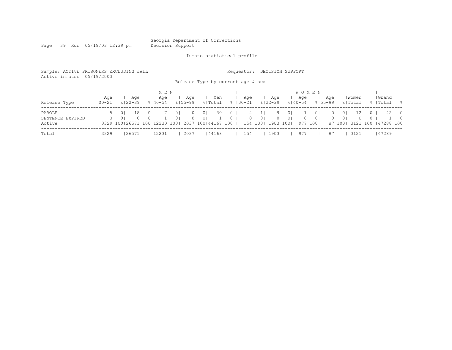Page 39 Run 05/19/03 12:39 pm

Inmate statistical profile

| Sample: ACTIVE PRISONERS EXCLUDING JAIL<br>Active inmates 05/19/2003 |                |                                  |                    |                                                                                             |            |                                  |                      | Release Type by current age & sex |                |                     | Requestor:                |                |                            | DECISION SUPPORT                 |                                    |                                              |                      |                            |                  |                     |                                    |                                  |
|----------------------------------------------------------------------|----------------|----------------------------------|--------------------|---------------------------------------------------------------------------------------------|------------|----------------------------------|----------------------|-----------------------------------|----------------|---------------------|---------------------------|----------------|----------------------------|----------------------------------|------------------------------------|----------------------------------------------|----------------------|----------------------------|------------------|---------------------|------------------------------------|----------------------------------|
| Release Type                                                         | Age<br>  00-21 |                                  | Aqe<br>$8122 - 39$ | $8140 - 54$                                                                                 | MEN<br>Age |                                  | Age<br>$8155 - 99$   |                                   | Men<br>% Total |                     | Age<br>%   00−21          |                | Aqe<br>$8122 - 39$         |                                  | <b>WOMEN</b><br>Age<br>$8140 - 54$ |                                              | Age<br>$8155 - 99$   |                            | Women<br>% Total |                     | Grand<br>%   Total                 | - 옹                              |
| PAROLE<br>SENTENCE EXPIRED<br>Active                                 | 5.<br>$\Omega$ | 0 <sup>1</sup><br>0 <sup>1</sup> | 18<br>$\Omega$     | 0 <sup>1</sup><br>0 <sup>1</sup><br>3329 100   26571 100   12230 100   2037 100   44167 100 |            | 0 <sup>1</sup><br>0 <sup>1</sup> | $\Omega$<br>$\Omega$ | 0 <sup>1</sup><br>0 <sup>1</sup>  | 30             | $\circ$<br>$\Omega$ | 2<br>$\Omega$<br>154 1001 | 0 <sup>1</sup> | 9<br>$\Omega$<br>1903 1001 | 0 <sup>1</sup><br>0 <sup>1</sup> | $\Omega$                           | 0 <sup>1</sup><br>0 <sup>1</sup><br>977 1001 | $\Omega$<br>$\Omega$ | 0 <sup>1</sup><br>$\Omega$ | 12<br>0          | $\circ$<br>$\Omega$ | 42<br>87 100  3121 100   47288 100 | $\overline{0}$<br>$\overline{0}$ |
| Total                                                                | 3329           |                                  | 26571              |                                                                                             | 12231      |                                  | 2037                 |                                   | 44168          |                     | 154                       |                | 1903                       |                                  | 977                                |                                              | 87                   |                            | 3121             |                     | 147289                             |                                  |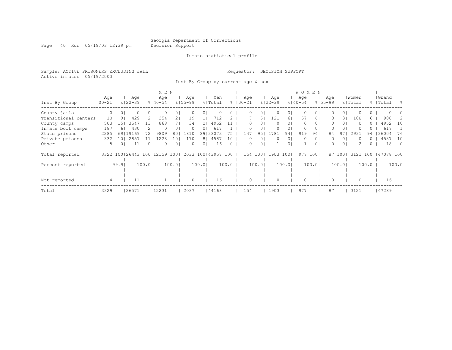Page 40 Run 05/19/03 12:39 pm Decision Support

#### Inmate statistical profile

Sample: ACTIVE PRISONERS EXCLUDING JAIL Requestor: DECISION SUPPORT Active inmates 05/19/2003

Inst By Group by current age & sex

|                      |            |                     |                        |                | M E N       |                |             |                |           |          |             |                |             |                | WOMEN       |          |             |                |          |          |           |            |
|----------------------|------------|---------------------|------------------------|----------------|-------------|----------------|-------------|----------------|-----------|----------|-------------|----------------|-------------|----------------|-------------|----------|-------------|----------------|----------|----------|-----------|------------|
|                      | Age        |                     | Age                    |                | Age         |                | Age         |                | Men       |          | Age         |                | Age         |                | Age         |          | Age         |                | Women    |          | Grand     |            |
| Inst By Group        | $100 - 21$ |                     | $8122 - 39$            |                | $8140 - 54$ |                | $8155 - 99$ |                | % Total   |          | $8100 - 21$ |                | $8122 - 39$ |                | $8140 - 54$ |          | $8155 - 99$ |                | % Total  |          | %   Total | - 옹        |
| County jails         |            | 0<br>$\circ$        |                        | 0 <sub>1</sub> |             | 01             |             | 0              |           |          |             | 01             | 0           | 01             | 0           | $\Omega$ | 0           | 01             |          | 0        |           |            |
| Transitional centers | 10         | $\Omega$            | 429                    | 21             | 254         | 21             | 19          |                | 712       |          |             | 5              | 121         | 61             | 57          | 6        | 3.          | 31             | 188      | 6.       | 900       |            |
| County camps         | 503        | 151                 | 3547                   | 131            | 868         |                | 34          | 2              | 4952      |          | 0           | 0 <sup>1</sup> | 0           | 01             | $\circ$     | $\circ$  | 0           | 0 <sub>1</sub> | $\Omega$ | $\Omega$ | 4952      | 10         |
| Inmate boot camps    | 187        | 61                  | 430                    | 2 I            | $\Omega$    | 01             | 0           | 01             | 61        |          |             | 0              |             | 01             | 0           | 0        |             | 01             |          | $\cup$   | 617       |            |
| State prisons        | 2285       |                     | 69119169               | 721            | 9809        | 80             | 1810        | 891            | 33073     | 75       | 147         | 951            | 1781        | 941            | 919         | 94       | 84          | 97             | 2931     | 94       | 136004    | 76         |
| Private prisons      | 332        | 101                 | 2857                   |                | 1228        | 10             | 170         | 81             | 4587      | 10       |             | 01             | 0           | 0 I            | 0           | 0        |             | 01             |          |          | 4587      | 10         |
| Other                |            | 01<br>$\mathcal{D}$ | -11                    | 0 <sup>1</sup> | $\Omega$    | 0 <sub>1</sub> | 0           | 0 <sub>1</sub> | 16        | $\Omega$ | 0           | 0 <sub>1</sub> |             | 0 <sub>1</sub> |             | $\Omega$ | 0.          | 0 <sub>1</sub> |          | ()       | 18        | $\bigcirc$ |
| Total reported       |            |                     | 3322 100 26443 100 121 |                | .59         | 1001           | 2033        |                | 100143957 | 100      | 154         | 100            | 1903        | 1001           | 977         | 1001     | 87          | 1001           | 3121     | 100      | 47078 100 |            |
|                      |            |                     |                        |                |             |                |             |                |           |          |             |                |             |                |             |          |             |                |          |          |           |            |
| Percent reported     |            | 99.9                |                        | 100.01         |             | 100.01         |             | 100.01         |           | 100.0    |             | 100.01         |             | 100.01         |             | 100.01   |             | 100.01         |          | 100.0    |           | 100.0      |
|                      |            |                     |                        |                |             |                |             |                |           |          |             |                |             |                |             |          |             |                |          |          |           |            |
|                      |            |                     |                        |                |             |                |             |                |           |          |             |                |             |                |             |          |             |                |          |          |           |            |
| Not reported         |            | 4                   |                        |                |             |                | $\Omega$    |                | 16        |          |             |                |             |                | $\Omega$    |          |             |                | 0        |          | 16        |            |
| Total                | 3329       |                     | 26571                  |                | 12231       |                | 2037        |                | 44168     |          | 154         |                | 1903        |                | 977         |          | 87          |                | 3121     |          | 47289     |            |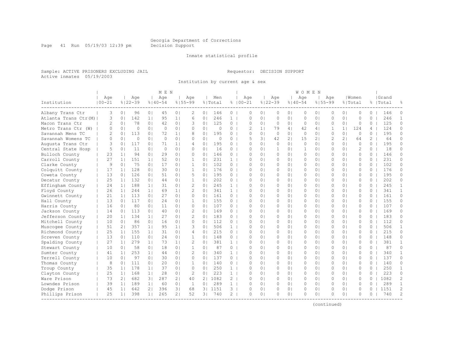Page 41 Run 05/19/03 12:39 pm Decision Support

#### Inmate statistical profile

Sample: ACTIVE PRISONERS EXCLUDING JAIL Requestor: DECISION SUPPORT Active inmates 05/19/2003

Institution by current age & sex

| Institution          | Age<br>$100 - 21$ |                | Age<br>$8122 - 39$ |                | Age<br>$8140 - 54$ |                | Age<br>$8155 - 99$ |                | Men<br>% Total |                | Age<br>$8100 - 21$ |                | Age<br>$8122 - 39$ |                | Age<br>$8140 - 54$ | $8155 - 99$    | Age            |                | Women<br>% Total |                | Grand<br>%   Total |                |
|----------------------|-------------------|----------------|--------------------|----------------|--------------------|----------------|--------------------|----------------|----------------|----------------|--------------------|----------------|--------------------|----------------|--------------------|----------------|----------------|----------------|------------------|----------------|--------------------|----------------|
| Albany Trans Ctr     | 3                 | 0 <sub>1</sub> | 96                 | 0 <sub>1</sub> | 45                 | 0 <sub>1</sub> | 2                  | 0 <sub>1</sub> | 146            | $\circ$        | $\Omega$           | 0 <sub>1</sub> | $\Omega$           | 0 <sub>1</sub> | $\Omega$           | 0 <sub>1</sub> | $\Omega$       | 0 <sup>1</sup> | $\Omega$         | $\Omega$       | 146                | $\Omega$       |
| Atlanta Trans Ctr(M) | 3                 | 0 <sub>1</sub> | 142                | 1 <sub>1</sub> | 95                 | 1 <sub>1</sub> | 6                  | 0 <sup>1</sup> | 246            | $\mathbf{1}$   | $\circ$            | 0 <sub>1</sub> | $\circ$            | 0 <sub>1</sub> | $\circ$            | 0 <sub>1</sub> | $\circ$        | 0 <sub>1</sub> | $\mathbf{0}$     | $\Omega$       | 246                | 1              |
| Macon Trans Ctr      | 2                 | 0 <sub>1</sub> | 78                 | 0 <sub>1</sub> | 42                 | 0 <sub>1</sub> | 3                  | 0 <sup>1</sup> | 125            | 0              | $\Omega$           | 0 <sub>1</sub> | $\circ$            | 0 <sub>1</sub> | $\circ$            | 0 <sub>1</sub> | $\Omega$       | 0 <sub>1</sub> | $\circ$          | 0              | 125                | 0              |
| Metro Trans Ctr (W)  | $\Omega$          | 0 <sub>1</sub> | $\Omega$           | 0 <sub>1</sub> | $\Omega$           | 0 <sub>1</sub> | $\Omega$           | $\Omega$       | $\Omega$       | $\Omega$       | $\mathcal{D}$      | 1 <sup>1</sup> | 79                 | 4              | 42                 | 4              | $\mathbf{1}$   | 11             | 124              | 4              | 124                | $\Omega$       |
| Savannah Mens TC     | 2                 | 0 <sub>1</sub> | 113                | 0 <sub>1</sub> | 72                 | 1 <sub>1</sub> | 8                  | 0 <sub>1</sub> | 195            | 0              | $\Omega$           | $\Omega$       | $\Omega$           | 0 <sub>1</sub> | $\Omega$           | 0 <sub>1</sub> | $\Omega$       | 0 <sup>1</sup> | $\Omega$         | $\Omega$       | 195                | $\Omega$       |
| Savannah Womens TC   | $\Omega$          | 0 <sub>1</sub> | $\circ$            | 0 <sub>1</sub> | $\Omega$           | 0 <sub>1</sub> | $\Omega$           | 0 <sup>1</sup> | $\Omega$       | 0              | 5                  | 31             | 42                 | 2 <sub>1</sub> | 15                 | 2 <sub>1</sub> | $\overline{2}$ | 2 <sub>1</sub> | 64               | $\overline{2}$ | 64                 | $\Omega$       |
| Augusta Trans Ctr    | 3                 | 0 <sub>1</sub> | 117                | 0 <sub>1</sub> | 71                 | 1 <sub>1</sub> | $\overline{4}$     | 0 <sub>1</sub> | 195            | $\Omega$       | $\Omega$           | $\Omega$       | $\Omega$           | 0 <sup>1</sup> | $\Omega$           | 0 <sub>1</sub> | $\Omega$       | 0 <sup>1</sup> | $\Omega$         | $\Omega$       | 195                | $\Omega$       |
| Central State Hosp   | 5                 | 0 <sub>1</sub> | 11                 | 0 <sub>1</sub> | $\Omega$           | 0 <sub>1</sub> | $\Omega$           | 0 <sub>1</sub> | 16             | 0 <sub>1</sub> | $\Omega$           | 0 <sub>1</sub> | $\mathbf{1}$       | 0 <sup>1</sup> | $\mathbf{1}$       | 0 <sub>1</sub> | $\Omega$       | 0 <sub>1</sub> | $\mathbf{2}$     | $\Omega$       | 18                 | $\Omega$       |
| Bulloch County       | 23                | 1 <sub>1</sub> | 94                 | 0 <sub>1</sub> | 29                 | 0 <sub>1</sub> | $\Omega$           | 0 <sup>1</sup> | 146            | $\circ$        | $\Omega$           | 0 <sub>1</sub> | $\circ$            | 0 <sub>1</sub> | $\circ$            | 0 <sub>1</sub> | $\Omega$       | 0 <sub>1</sub> | $\Omega$         | $\Omega$       | 146                | 0              |
| Carroll County       | 27                | 1 <sub>1</sub> | 151                | 1 <sub>1</sub> | 52                 | 0 <sub>1</sub> | $\mathbf{1}$       | $\Omega$       | 231            | $\mathbf{1}$   | $\cap$             | $\Omega$       | $\Omega$           | 0 <sub>1</sub> | $\Omega$           | $\Omega$       | $\Omega$       | 0 <sup>1</sup> | $\Omega$         | $\Omega$       | 231                | $\Omega$       |
| Clarke County        | 9                 | 0 <sub>1</sub> | 75                 | 0 <sub>1</sub> | 17                 | 0 <sub>1</sub> | $\mathbf{1}$       | 0              | 102            | $\Omega$       | O                  | $\Omega$       | $\circ$            | 0 <sub>1</sub> | $\Omega$           | 0 <sub>1</sub> | $\Omega$       | 0 <sup>1</sup> | $\Omega$         | $\Omega$       | 102                | $\Omega$       |
| Colquitt County      | 17                | 1 <sub>1</sub> | 128                | 0 <sub>1</sub> | 30                 | 0 <sub>1</sub> | 1                  | 0 <sub>1</sub> | 176            | $\circ$        | 0                  | 0 <sub>1</sub> | $\circ$            | 0 <sub>1</sub> | 0                  | 0 <sub>1</sub> | 0              | 0 <sup>1</sup> | $\circ$          | $\Omega$       | 176                | 0              |
| Coweta County        | 13                | 0 <sub>1</sub> | 126                | 0 <sub>1</sub> | 51                 | 0 <sub>1</sub> | 5                  | $\Omega$       | 195            | $\Omega$       | $\Omega$           | $\Omega$       | $\circ$            | 0 <sub>1</sub> | $\Omega$           | 0 <sub>1</sub> | $\Omega$       | 0 <sub>1</sub> | $\Omega$         | $\Omega$       | 195                | $\Omega$       |
| Decatur County       | 25                | 1 <sup>1</sup> | 132                | 0 <sub>1</sub> | 44                 | 0 <sub>1</sub> | $\mathbf{1}$       | 0 <sup>1</sup> | 202            | 0 <sub>1</sub> | $\Omega$           | 0 <sub>1</sub> | $\Omega$           | 0 <sub>1</sub> | $\Omega$           | 0 <sub>1</sub> | $\Omega$       | 0 <sub>1</sub> | $\Omega$         | $\Omega$       | 202                | $\Omega$       |
| Effingham County     | 24                | 1 <sub>1</sub> | 188                | 1 <sup>1</sup> | 31                 | 0 <sub>1</sub> | 2                  | 0 <sup>1</sup> | 245            | 1 <sup>1</sup> | $\Omega$           | 0 <sub>1</sub> | $\circ$            | 0 <sub>1</sub> | $\Omega$           | 0 <sub>1</sub> | $\circ$        | 0 <sub>1</sub> | $\Omega$         | $\Omega$       | 245                | $\mathbf{1}$   |
| Floyd County         | 26                | 1 <sub>1</sub> | 244                | 1 <sub>1</sub> | 69                 | 1 <sub>1</sub> | $\mathfrak{D}$     | $\Omega$       | 341            | $\mathbf{1}$   | $\Omega$           | $\Omega$       | $\Omega$           | 0 <sub>1</sub> | $\Omega$           | $\Omega$       | $\Omega$       | 0 <sub>1</sub> | $\Omega$         | $\Omega$       | 341                | $\mathbf{1}$   |
| Gwinnett County      | 21                | 1 <sup>1</sup> | 113                | 0 <sub>1</sub> | 2.7                | 0 <sub>1</sub> | $\Omega$           | $\Omega$       | 161            | $\Omega$       | U                  | $\Omega$       | $\Omega$           | $\Omega$       | $\Omega$           | $\Omega$       | $\Omega$       | 0 <sub>1</sub> | $\Omega$         | $\Omega$       | 161                | $\Omega$       |
| Hall County          | 13                | 0 <sup>1</sup> | 117                | 0 <sub>1</sub> | 24                 | 0 <sup>1</sup> | 1                  | 0 <sub>1</sub> | 155            | $\circ$        | 0                  | 0 <sup>1</sup> | $\circ$            | 0 <sub>1</sub> | 0                  | 0 <sub>1</sub> | 0              | 0 <sub>1</sub> | $\circ$          | $\Omega$       | 155                | 0              |
| Harris County        | 16                | 0 <sub>1</sub> | 80                 | 0 <sub>1</sub> | 11                 | 0 <sub>1</sub> | $\Omega$           | $\Omega$       | 107            | $\Omega$       | $\Omega$           | 0 <sub>1</sub> | $\circ$            | 0 <sub>1</sub> | $\circ$            | 0 <sub>1</sub> | $\Omega$       | 0 <sub>1</sub> | $\Omega$         | $\Omega$       | 107                | $\Omega$       |
| Jackson County       | 14                | 0 <sub>1</sub> | 113                | 0 <sub>1</sub> | 40                 | 0 <sub>1</sub> | 2                  | $\Omega$       | 169            | $\Omega$       | $\cap$             | 0 <sub>1</sub> | $\circ$            | 0 <sub>1</sub> | $\Omega$           | 0 <sub>1</sub> | $\Omega$       | 0 <sub>1</sub> | $\Omega$         | $\Omega$       | 169                | $\Omega$       |
| Jefferson County     | 20                | 1 <sup>1</sup> | 134                | 1 <sup>1</sup> | 27                 | 0 <sub>1</sub> | 2                  | 0 <sup>1</sup> | 183            | $\circ$        | $\Omega$           | 0 <sub>1</sub> | $\circ$            | 0 <sub>1</sub> | $\Omega$           | 0 <sub>1</sub> | $\Omega$       | 0 <sub>1</sub> | $\Omega$         | 0              | 183                | 0              |
| Mitchell County      | 10                | 0 <sub>1</sub> | 86                 | 0 <sub>1</sub> | 16                 | 0 <sub>1</sub> | $\Omega$           | $\Omega$       | 112            | $\Omega$       | $\Omega$           | $\Omega$       | $\Omega$           | 0 <sub>1</sub> | $\Omega$           | 0 <sub>1</sub> | $\Omega$       | 0 <sup>1</sup> | $\Omega$         | $\Omega$       | 112                | $\Omega$       |
| Muscogee County      | 51                | 21             | 357                | 1 <sub>1</sub> | 95                 | 1 <sub>1</sub> | 3                  | $\Omega$       | 506            | $\mathbf{1}$   | $\cap$             | $\Omega$       | $\Omega$           | $\Omega$       | $\Omega$           | $\Omega$       | $\cap$         | 0 <sup>1</sup> | $\Omega$         | $\Omega$       | 506                | 1              |
| Richmond County      | 25                | 1 <sub>1</sub> | 155                | 1 <sup>1</sup> | 31                 | 0 <sub>1</sub> | 4                  | 0 <sub>1</sub> | 215            | $\circ$        | 0                  | 0 <sub>1</sub> | 0                  | 0 <sub>1</sub> | 0                  | 0 <sub>1</sub> | 0              | 0 <sup>1</sup> | $\circ$          | $\Omega$       | 215                | $\Omega$       |
| Screven County       | 13                | 0 <sub>1</sub> | 110                | 0 <sub>1</sub> | 24                 | 0 <sub>1</sub> | $\mathbf{1}$       | 0 <sup>1</sup> | 148            | $\circ$        | 0                  | 0 <sub>1</sub> | $\circ$            | 0 <sub>1</sub> | 0                  | 0 <sub>1</sub> | $\Omega$       | 0 <sub>1</sub> | $\mathbf{0}$     | $\Omega$       | 148                | $\Omega$       |
| Spalding County      | 27                | 1 <sup>1</sup> | 279                | 1 <sub>1</sub> | 73                 | 1 <sub>1</sub> | 2                  | $\Omega$       | 381            | $\mathbf{1}$   | $\cap$             | 0 <sub>1</sub> | $\circ$            | 0 <sub>1</sub> | $\Omega$           | 0 <sub>1</sub> | $\Omega$       | 0 <sub>1</sub> | $\Omega$         | $\Omega$       | 381                | $\mathbf{1}$   |
| Stewart County       | 10                | 0 <sub>1</sub> | 58                 | 0 <sub>1</sub> | 18                 | 0 <sub>1</sub> | $\mathbf{1}$       | 0 <sup>1</sup> | 87             | $\circ$        | $\Omega$           | 0 <sub>1</sub> | $\circ$            | 0 <sub>1</sub> | $\Omega$           | 0 <sub>1</sub> | $\circ$        | 0 <sub>1</sub> | $\circ$          | 0              | 87                 | 0              |
| Sumter County        | 41                | 1 <sup>1</sup> | 253                | 1 <sub>1</sub> | 44                 | 0 <sub>1</sub> | $\mathcal{L}$      | 0 <sup>1</sup> | 340            | $\mathbf{1}$   | $\Omega$           | 0 <sub>1</sub> | $\Omega$           | 0 <sub>1</sub> | $\Omega$           | 0 <sub>1</sub> | $\Omega$       | 0 <sup>1</sup> | $\Omega$         | $\Omega$       | 340                | $\mathbf{1}$   |
| Terrell County       | 10                | $\Omega$       | 97                 | 0 <sub>1</sub> | 30                 | 0 <sub>1</sub> | $\Omega$           | $\Omega$       | 137            | $\Omega$       | $\cap$             | $\Omega$       | $\Omega$           | $\Omega$       | $\Omega$           | $\Omega$       | $\Omega$       | 0 <sup>1</sup> | $\Omega$         | $\Omega$       | 137                | $\Omega$       |
| Thomas County        | 8                 | 0 <sup>1</sup> | 111                | 0 <sub>1</sub> | 20                 | 0 <sub>1</sub> | 1                  | 0              | 140            | $\circ$        | O                  | 0 <sub>1</sub> | 0                  | 0 <sub>1</sub> | 0                  | 0 <sub>1</sub> | $\Omega$       | 0 <sup>1</sup> | $\circ$          | $\Omega$       | 140                | 0              |
| Troup County         | 35                | 1 <sub>1</sub> | 178                | 1 <sub>1</sub> | 37                 | 0 <sub>1</sub> | $\Omega$           | 0 <sup>1</sup> | 250            | 1 <sub>1</sub> | $\Omega$           | 0 <sub>1</sub> | $\circ$            | 0 <sub>1</sub> | 0                  | 0 <sub>1</sub> | $\Omega$       | 0 <sup>1</sup> | $\Omega$         | $\Omega$       | 250                | $\mathbf{1}$   |
| Clayton County       | 25                | 1 <sup>1</sup> | 168                | 1 <sub>1</sub> | 28                 | 0 <sub>1</sub> | $\overline{c}$     | 0 <sup>1</sup> | 223            | $\mathbf{1}$   | 0                  | 0 <sub>1</sub> | $\circ$            | 0 <sub>1</sub> | 0                  | 0 <sub>1</sub> | 0              | 0 <sup>1</sup> | $\mathbf{0}$     | 0              | 223                | 0              |
| Ware Prison          | 73                | 21             | 682                | 3 <sub>1</sub> | 287                | 21             | 40                 | 21             | 1082           | 2              | $\Omega$           | 0 <sub>1</sub> | $\circ$            | 0 <sub>1</sub> | $\circ$            | 0 <sup>1</sup> | $\Omega$       | 0 <sub>1</sub> | $\Omega$         | $\Omega$       | 1082               | $\overline{2}$ |
| Lowndes Prison       | 39                | 1 <sup>1</sup> | 189                | 1 <sub>1</sub> | 60                 | 0 <sub>1</sub> | $\mathbf{1}$       | 0 <sub>1</sub> | 289            | $\mathbf{1}$   | $\Omega$           | 0 <sub>1</sub> | $\Omega$           | 0 <sub>1</sub> | $\Omega$           | 0 <sub>1</sub> | $\Omega$       | 0 <sup>1</sup> | $\Omega$         | $\Omega$       | 289                | $\mathbf{1}$   |
| Dodge Prison         | 45                | 1 <sup>1</sup> | 642                | 2 <sub>1</sub> | 396                | 3 <sub>1</sub> | 68                 | 3              | 1151           | 3              | 0                  | 0 <sub>1</sub> | 0                  | 0 <sub>1</sub> | 0                  | 0 <sub>1</sub> | 0              | 0 <sub>1</sub> | $\Omega$         | 0              | 1151               | 2              |
| Phillips Prison      | 25                | 1 <sup>1</sup> | 398                | 11             | 265                | 21             | 52                 | 31             | 740            | $\mathcal{L}$  | $\Omega$           | 0 <sub>1</sub> | $\Omega$           | 0 <sup>1</sup> | $\Omega$           | 0 <sub>1</sub> | $\bigcap$      | 0 <sub>1</sub> | $\cap$           | <sup>n</sup>   | 740                | $\overline{2}$ |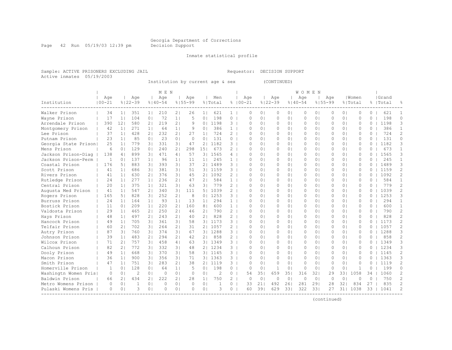Page 42 Run 05/19/03 12:39 pm Decision Support

#### Inmate statistical profile

Sample: ACTIVE PRISONERS EXCLUDING JAIL Requestor: DECISION SUPPORT Active inmates 05/19/2003

Institution by current age & sex (CONTINUED)

|                      |              |                |                |                  | M E N       |                |             |                |                |                 |             |                |              |                | <b>WOMEN</b> |                |             |                |              |          |           |                |
|----------------------|--------------|----------------|----------------|------------------|-------------|----------------|-------------|----------------|----------------|-----------------|-------------|----------------|--------------|----------------|--------------|----------------|-------------|----------------|--------------|----------|-----------|----------------|
|                      | Age          |                | Age            |                  | Aqe         |                | Age         |                | Men            |                 | Age         |                | Age          |                | Age          |                | Age         |                | l Women      |          | Grand     |                |
| Institution          | $100 - 21$   |                | $8122 - 39$    |                  | $8140 - 54$ |                | $8155 - 99$ |                | % Total        |                 | $8100 - 21$ |                | $8122 - 39$  |                | $8140 - 54$  |                | $8155 - 99$ |                | % Total      |          | %   Total |                |
| Walker Prison        | 34           | 11             | 351            | 1 <sub>1</sub>   | 210         | 21             | 26          | 1 <sup>1</sup> | 621            | 1 <sup>1</sup>  | $\Omega$    | 0 <sub>1</sub> | 0            | 0 <sub>1</sub> | $\Omega$     | 0 <sup>1</sup> | $\Omega$    | 0 <sub>1</sub> | $\Omega$     | $\Omega$ | 621       | -1             |
| Wayne Prison         | 17           | 1 <sup>1</sup> | 104            | 0 <sub>1</sub>   | 72          | 1 <sub>1</sub> | 5           | 0 <sub>1</sub> | 198            | 0               | $\circ$     | 0 <sub>1</sub> | $\circ$      | 0 <sub>1</sub> | $\Omega$     | 0 <sub>1</sub> | $\Omega$    | 0 <sub>1</sub> | $\circ$      | $\Omega$ | 198       | $\Omega$       |
| Arrendale Prison     | 390          | 12             | 580            | 2 <sub>1</sub>   | 219         | 2 <sub>1</sub> | 9           | 0 <sup>1</sup> | 1198           | 3 <sup>1</sup>  | $\Omega$    | 0 <sub>1</sub> | $\circ$      | 0 <sub>1</sub> | $\Omega$     | 0 <sub>1</sub> | $\Omega$    | 0 <sub>1</sub> | $\mathbf{0}$ | $\circ$  | 1198      | 3              |
| Montgomery Prison    | 42           | 1              | 271            | 1 <sub>1</sub>   | 64          | 1 <sub>1</sub> | 9           | 0 <sub>1</sub> | 386            | 1 <sup>1</sup>  | $\Omega$    | 0 <sub>1</sub> | $\circ$      | 0 <sub>1</sub> | $\Omega$     | 0 <sub>1</sub> | $\Omega$    | 0 <sub>1</sub> | $\Omega$     | $\Omega$ | 386       | $\mathbf{1}$   |
| Lee Prison           | 37           | 11             | 428            | 21               | 232         | 21             | 27          | 1 <sub>1</sub> | 724            | $2-1$           | $\bigcap$   | 0 <sub>1</sub> | $\Omega$     | 0 <sub>1</sub> | $\bigcap$    | 0 <sub>1</sub> | $\Omega$    | 0 <sub>1</sub> | $\Omega$     | $\Omega$ | 724       | $\overline{2}$ |
| Putnam Prison        | 23           | 11             | 85             | 0 <sub>1</sub>   | 23          | 0 <sup>1</sup> | $\Omega$    | 0 <sup>1</sup> | 131            | $0-1$           | ∩           | 0 <sub>1</sub> | 0            | 0 <sub>1</sub> | $\Omega$     | 0 <sub>1</sub> | $\Omega$    | 0 <sub>1</sub> | $\Omega$     | $\Omega$ | 131       | 0              |
| Georgia State Prison | 25           | 11             | 779            | $\overline{3}$ l | 331         | 3 <sub>1</sub> | 47          | 21             | 1182           | $3-1$           | ∩           | 0 <sub>1</sub> | $\Omega$     | 0 <sub>1</sub> | $\Omega$     | 0 <sub>1</sub> | 0           | 0 <sub>1</sub> | $\Omega$     | 0        | 1182      | 3              |
| Mens Prison          | 6            | $\Omega$       | 129            | $\Omega$         | 240         | 21             | 298         | 151            | 673            | $\overline{2}$  | ∩           | $\Omega$       | $\Omega$     | 0 <sub>1</sub> | $\Omega$     | 0 <sub>1</sub> | O           | 0 <sub>1</sub> | $\Omega$     | $\Omega$ | 673       | 1              |
| Jackson Prison-Diag  | 138          | 41             | 899            | 3 <sup>1</sup>   | 471         | 4              | 57          | 3 <sup>1</sup> | 1565           | 4               | $\cap$      | $\Omega$       | $\Omega$     | 0 <sub>1</sub> | $\Omega$     | 0 <sub>1</sub> | O           | 0 <sub>1</sub> | $\cap$       | $\Omega$ | 1565      | 3              |
| Jackson Prison-Perm  | $\mathbf{1}$ | $\bigcap$      | 137            | 1 <sub>1</sub>   | 96          | 1 <sub>1</sub> | 11          | 1 <sub>1</sub> | 245            | $1 \quad$       | ∩           | 0 <sub>1</sub> | $\Omega$     | 0 <sub>1</sub> | $\Omega$     | 0 <sup>1</sup> | $\Omega$    | 0 <sub>1</sub> | $\Omega$     | $\Omega$ | 245       | $\mathbf{1}$   |
| Coastal Prison       | 176          | 51             | 883            | 3 <sup>1</sup>   | 393         | 31             | 37          | 2 <sub>1</sub> | 1489           | $3-1$           | $\Omega$    | 0 <sub>1</sub> | $\circ$      | 0 <sub>1</sub> | 0            | 0 <sub>1</sub> | $\Omega$    | 0 <sub>1</sub> | $\mathbf{0}$ | $\Omega$ | 1489      | 3              |
| Scott Prison         | 41           | 11             | 686            | 31               | 381         | 3 <sub>1</sub> | 51          | 3 <sup>1</sup> | 1159           | 3 <sup>1</sup>  | $\Omega$    | 0 <sub>1</sub> | $\circ$      | 0 <sub>1</sub> | $\Omega$     | 0 <sub>1</sub> | 0           | 0 <sub>1</sub> | $\mathbf{0}$ | $\Omega$ | 1159      | $\overline{c}$ |
| Rivers Prison        | 41           | 1 <sub>1</sub> | 630            | 21               | 376         | 3 <sub>1</sub> | 45          | 21             | 1092           | $\overline{2}$  | $\cap$      | 0 <sub>1</sub> | $\circ$      | 0 <sub>1</sub> | $\Omega$     | 0 <sub>1</sub> | $\Omega$    | 0 <sub>1</sub> | $\Omega$     | $\Omega$ | 1092      | $\overline{2}$ |
| Rutledge Prison      | 24           | 11             | 277            | 1 <sub>1</sub>   | 236         | 21             | 47          | 21             | 584            | 1 <sup>1</sup>  | $\bigcap$   | 0 <sub>1</sub> | 0            | 0 <sub>1</sub> | $\Omega$     | 0 <sub>1</sub> | $\Omega$    | 0 <sub>1</sub> | $\Omega$     | 0        | 584       | $\mathbf{1}$   |
| Central Prison       | 2.0          | 11             | 375            | 1 <sub>1</sub>   | 321         | 31             | 63          | 3 <sub>1</sub> | 779            | $2-1$           | $\bigcap$   | $\cap$         | $\Omega$     | 0 <sub>1</sub> | $\bigcap$    | 0 <sup>1</sup> | $\Omega$    | 0 <sup>1</sup> | $\cap$       | $\Omega$ | 779       | $\overline{2}$ |
| Augusta Med Prison   | 41           | 11             | 547            | 21               | 340         | 31             | 111         | 5              | 1039           | $2-1$           | $\Omega$    | 0 <sub>1</sub> | $\Omega$     | 0 <sub>1</sub> | $\Omega$     | 0 <sup>1</sup> | $\Omega$    | 0 <sub>1</sub> | $\Omega$     | $\Omega$ | 1039      | $\overline{2}$ |
| Rogers Prison        | 165          | 51             | 828            | 3 <sup>1</sup>   | 252         | 2 <sub>1</sub> | 8           | 0 <sup>1</sup> | 1253           | 3               | $\cap$      | $\Omega$       | $\Omega$     | 0 <sub>1</sub> | $\Omega$     | 0 <sub>1</sub> | O           | 0 <sub>1</sub> | $\Omega$     | $\Omega$ | 1253      | 3              |
| Burruss Prison       | 24           | 11             | 164            | 1 <sub>1</sub>   | 93          | 1 <sub>1</sub> | 13          | 1 <sub>1</sub> | 294            | 1               | ∩           | $\Omega$       | $\Omega$     | 0 <sub>1</sub> | $\Omega$     | 0 <sub>1</sub> | O           | 0 <sub>1</sub> | $\cap$       | $\Omega$ | 294       | 1              |
| Bostick Prison       | 11           | $\Omega$       | 209            | 1 <sub>1</sub>   | 220         | 21             | 160         | 8              | 600            | 1 <sup>1</sup>  | ∩           | 0 <sub>1</sub> | $\Omega$     | 0 <sub>1</sub> | $\Omega$     | 0 <sub>1</sub> | $\Omega$    | 0 <sub>1</sub> | $\Omega$     | $\Omega$ | 600       | 1              |
| Valdosta Prison      | 29           | 11             | 465            | 21               | 250         | 21             | 46          | 21             | 790            | $\overline{2}$  | $\Omega$    | 0 <sub>1</sub> | 0            | 0 <sub>1</sub> | 0            | 0 <sub>1</sub> | $\Omega$    | 0 <sub>1</sub> | $\Omega$     | $\Omega$ | 790       | $\overline{2}$ |
| Hays Prison          | 48           | 11             | 497            | 21               | 243         | 21             | 40          | 21             | 828            | $2 \frac{1}{2}$ | $\Omega$    | 0 <sub>1</sub> | $\Omega$     | 0 <sub>1</sub> | $\Omega$     | 0 <sup>1</sup> | $\Omega$    | 0 <sup>1</sup> | $\Omega$     | $\Omega$ | 828       | $\overline{2}$ |
| Hancock Prison       | 49           | 1 <sup>1</sup> | 705            | 3 <sup>1</sup>   | 361         | 31             | 58          | 3 <sup>1</sup> | 1173           | $3-1$           | $\Omega$    | 0 <sub>1</sub> | $\circ$      | 0 <sub>1</sub> | $\Omega$     | 0 <sub>1</sub> | $\Omega$    | 0 <sub>1</sub> | $\Omega$     | $\Omega$ | 1173      | $\overline{2}$ |
| Telfair Prison       | 60           | 21             | 702            | 3 <sup>1</sup>   | 264         | 21             | 31          | 2 <sub>1</sub> | 1057           | $\overline{2}$  | $\bigcap$   | $\Omega$       | $\Omega$     | 0 <sub>1</sub> | $\bigcap$    | 0 <sup>1</sup> | $\bigcap$   | 0 <sub>1</sub> | $\Omega$     | $\Omega$ | 1057      | $\overline{c}$ |
| Autry Prison         | 87           | 31             | 760            | 3 <sup>1</sup>   | 374         | 3 <sub>1</sub> | 67          | 31             | 1288           | $3-1$           | $\bigcap$   | 0 <sub>1</sub> | $\Omega$     | 0 <sub>1</sub> | $\cap$       | 0 <sup>1</sup> | $\Omega$    | 0 <sub>1</sub> | $\Omega$     | $\Omega$ | 1288      | 3              |
| Johnson Prison       | 39           | 11             | 483            | 21               | 294         | 21             | 42          | 2 <sub>1</sub> | 858            | $2-1$           | $\Omega$    | 0 <sup>1</sup> | $\Omega$     | 0 <sub>1</sub> | $\Omega$     | 0 <sup>1</sup> | $\Omega$    | 0 <sup>1</sup> | $\Omega$     | $\Omega$ | 858       | 2              |
| Wilcox Prison        | 71           | 21             | 757            | 3 <sup>1</sup>   | 458         | 4              | 63          |                | 31 1349        | 31              | ∩           | 0 <sub>1</sub> | 0            | 01             | $\Omega$     | 0 <sub>1</sub> | $\Omega$    | 0 <sub>1</sub> | $\Omega$     | 0        | 1349      | 3              |
| Calhoun Prison       | 82           | 21             | 772            | 31               | 332         | 31             | 48          | 21             | 1234           | 3               | $\cap$      | $\Omega$       | $\Omega$     | 0 <sub>1</sub> | $\Omega$     | 0 <sub>1</sub> | Ω           | 0 <sub>1</sub> | $\Omega$     | 0        | 1234      | 3              |
| Dooly Prison         | 49           | 11             | 668            | 3 <sup>1</sup>   | 370         | 3 <sub>1</sub> | 58          |                | 31 1145        | 31              | $\bigcap$   | $\Omega$       | $\Omega$     | 01             | $\Omega$     | 0 <sub>1</sub> | $\bigcap$   | 0 <sub>1</sub> | $\Omega$     | 0        | 1145      | $\overline{2}$ |
| Macon Prison         | 36           | 11             | 900            | 3 <sup>1</sup>   | 356         | 3 <sub>1</sub> | 71          |                | 31 1363        | $3-1$           | $\Omega$    | 0 <sub>1</sub> | $\Omega$     | 0 <sub>1</sub> | $\Omega$     | 0 <sup>1</sup> | $\Omega$    | 0 <sub>1</sub> | $\Omega$     | 0        | 1363      | 3              |
| Smith Prison         | 47           | 11             | 751            | 31               | 283         | 2 <sub>1</sub> | 38          | 2 <sub>1</sub> | 1119           | $3-1$           | $\Omega$    | 0 <sub>1</sub> | 0            | 0 <sub>1</sub> | $\Omega$     | 0 <sub>1</sub> | $\Omega$    | 0 <sub>1</sub> | $\Omega$     | 0        | 1119      | $\overline{c}$ |
| Homerville Prison    | 1            | $\Omega$       | 128            | 0 <sub>1</sub>   | 64          | 1 <sub>1</sub> | 5           | 0 <sub>1</sub> | 198            | $0-1$           | $\Omega$    | $\circ$        | $\mathbf{1}$ | 0 <sub>1</sub> | $\Omega$     | 0 <sub>1</sub> | $\Omega$    | 0 <sub>1</sub> | 1            | $\Omega$ | 199       | $\Omega$       |
| Washingtn Women Pris | $\circ$      | 0 <sub>1</sub> | $\overline{2}$ | 0 <sub>1</sub>   | $\circ$     | 0 <sub>1</sub> | $\Omega$    | 0 <sub>1</sub> | $\overline{c}$ | $\circ$         | 54          | 351            | 659          | 351            | 316          | 321            | 29          | 331            | 1058         | 34       | 1060      | 2              |
| Baldwin Prison       | 66           | 2 <sub>1</sub> | 434            | 2 <sub>1</sub>   | 222         | 2 <sub>1</sub> | 28          | 1 <sub>1</sub> | 750            | $2-1$           | $\Omega$    | 0 <sup>1</sup> | $\circ$      | 0 <sub>1</sub> | $\Omega$     | 0 <sub>1</sub> | $\circ$     | 0 <sub>1</sub> | $\Omega$     | $\Omega$ | 750       | 2              |
| Metro Womens Prison  | $\Omega$     | 0 <sub>1</sub> | 1              | 0 <sub>1</sub>   | 0           | 0 <sub>1</sub> | $\Omega$    | 0 <sup>1</sup> | 1              | $0-1$           | 33          | 21             | 492          | 261            | 281          | 291            | 28          | 321            | 834          | 27       | 835       | $\overline{2}$ |
| Pulaski Womens Pris  | $\Omega$     | 0 <sub>1</sub> | 3              | 0 <sub>1</sub>   | $\Omega$    | 0 <sub>1</sub> | $\Omega$    | 0 <sub>1</sub> | 3              | $0-1$           | 60          | 391            | 629          | 331            | 322          | 331            | 27          | 311            | 1038         | 33       | 1041      | $\mathcal{D}$  |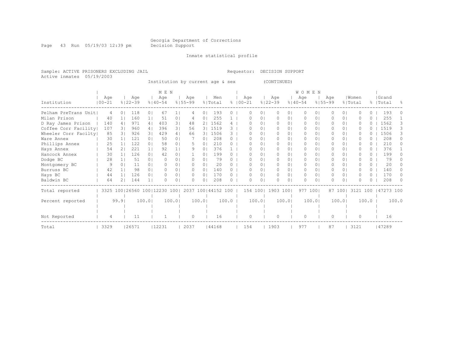Page 43 Run 05/19/03 12:39 pm Decision Support

#### Inmate statistical profile

Sample: ACTIVE PRISONERS EXCLUDING JAIL Requestor: DECISION SUPPORT Active inmates 05/19/2003

Institution by current age & sex (CONTINUED)

|                      |                   |          |                                  |                | M E N              |                |                      |                |                |              |                   |          |                    |            | <b>WOMEN</b>       |          |                    |                |                  |                  |                    |       |
|----------------------|-------------------|----------|----------------------------------|----------------|--------------------|----------------|----------------------|----------------|----------------|--------------|-------------------|----------|--------------------|------------|--------------------|----------|--------------------|----------------|------------------|------------------|--------------------|-------|
| Institution          | Age<br>$100 - 21$ |          | Age<br>$8122 - 39$               |                | Age<br>$8140 - 54$ |                | Age<br>$8155 - 99$   |                | Men<br>% Total | $\approx$    | Age<br>$100 - 21$ |          | Age<br>$8122 - 39$ |            | Age<br>$8140 - 54$ |          | Age<br>$8155 - 99$ |                | Women<br>% Total |                  | Grand<br>%   Total |       |
| Pelham PreTrans Unit | 4                 |          | 118                              | 0 <sub>1</sub> | 67                 |                | 4                    | 0 <sub>1</sub> | 193            |              | $^{(1)}$          | $\circ$  | $\Omega$           | 01         | $\Omega$           | 0        |                    | 0 <sup>1</sup> |                  | 0                | 193                |       |
| Milan Prison         | 40                |          | 160                              | 11             | 51                 | 0 <sup>1</sup> | 4                    | 0 I            | 255            |              | n                 | 01       | $\Omega$           | 01         | $\Omega$           | $\Omega$ | 0                  | $\Omega$       | O                | 0.               | 255                |       |
| D Ray James Prison   | 140               | 4        | 971                              | 4 <sub>1</sub> | 403                | 3 <sub>1</sub> | 48                   | 21             | 1562           | 4            |                   | $\Omega$ | $\circ$            | 01         | $\Omega$           | $\Omega$ |                    | 0 <sup>1</sup> | O                |                  | 1562               |       |
| Coffee Corr Facility | 107               | 3 I      | 960                              | 4              | 396                | 3 <sub>1</sub> | 56                   |                | 3   1519       | 3            |                   | $\Omega$ | $\Omega$           | 01         | $\Omega$           | $\Omega$ | 0                  | $\Omega$       | <sup>0</sup>     | $\left( \right)$ | 1519               | 3     |
| Wheeler Corr Facilty | 85                |          | 926                              | 31             | 429                | 4              | 66                   |                | 3  1506        | 3            | n                 | $\Omega$ | $\Omega$           | $\Omega$   | $\Omega$           | $\Omega$ | 0                  | 0 <sub>1</sub> |                  |                  | 1506               | 3     |
| Ware Annex           | 30                |          | 121                              | $\Omega$       | 50                 | 0 <sub>1</sub> |                      | 0 <sub>1</sub> | 208            | 0            |                   | 0        | $\bigcap$          | 01         | $\bigcap$          | 0        |                    | $\Omega$       | U                | $^{(1)}$         | 208                |       |
| Phillips Annex       | 25                |          | 122                              | 0 <sup>1</sup> | 58                 | 0 <sup>1</sup> | 5                    | 0              | 210            | 0            |                   | 0        | $\Omega$           | 01         | $\Omega$           | 0        |                    | $\Omega$       | O                | 0                | 210                | 0     |
| Hays Annex           | 54                | 21       | 221                              | 1 <sub>1</sub> | 92                 | 1 <sub>1</sub> | 9                    | $\Omega$       | 376            |              | n                 | $\Omega$ | $\Omega$           | 01         | $\Omega$           | 0        | 0                  | 0 <sup>1</sup> | U                | 0                | 376                |       |
| Hancock Annex        | 30                |          | 126                              | 0 <sub>1</sub> | 42                 | 0 <sub>1</sub> |                      | $\Omega$       | 199            |              |                   | $\Omega$ | $\Omega$           | $\Omega$   | $\Omega$           | 0        |                    | 0 <sub>1</sub> |                  | $\Omega$         | 199                |       |
| Dodge BC             | 2.8               |          | 51                               | 0 <sub>1</sub> | <sup>o</sup>       | 0 <sub>1</sub> |                      | $\Omega$       | 79             |              | n                 | $\Omega$ | $\bigcap$          | 01         | $\Omega$           | $\Omega$ | 0                  | $\Omega$       |                  | 0.               | 79                 |       |
| Montgomery BC        | 9                 | $\Omega$ | 11                               | $\Omega$       |                    | 0 <sub>1</sub> | $\Omega$             | $\Omega$       | 20             |              |                   | 0        | $\Omega$           | 01         | $\Omega$           | 0        |                    | $\Omega$       |                  | 0                | 20                 |       |
| Burruss BC           | 42                |          | 98                               | $\Omega$       | $\Omega$           | 0 <sub>1</sub> | $\Omega$             | $\Omega$       | 140            |              | n                 | 0        | $\Omega$           | 01         | $\Omega$           | 0        |                    | 0 I            | O                | $\Omega$         | 140                |       |
| Hays BC              | 44                |          | 126                              | $\Omega$ 1     | $\Omega$           | 0 <sub>1</sub> | $\Omega$             | $\Omega$       | 170            | $\Omega$     | 0                 | $\Omega$ | $\Omega$           | $\Omega$ I | $\Omega$           | $\Omega$ | 0                  | 0 <sup>1</sup> | O                | $\Omega$         | 170                | n.    |
| Baldwin BC           | 64                |          | 144                              | 1 <sub>1</sub> |                    | $\Omega$ 1     |                      | 01             | 208            | <sup>n</sup> | U                 | 0        | $\Omega$           | $\Omega$   | $\bigcap$          | $\Omega$ |                    | $\Omega$       | $\cap$           |                  | 208                |       |
| Total reported       |                   |          | 3325 100   26560 100   12230 100 |                |                    |                | 2037 100   44152 100 |                |                |              | 154 100           |          | 1903 100           |            | 977 1001           |          |                    | 87 1001        | 3121 100         |                  | 47273 100          |       |
| Percent reported     |                   | 99.91    |                                  | 100.0          |                    | 100.0          |                      | 100.01         |                | 100.0        | 100.0             |          |                    | 100.01     |                    | 100.0    |                    | 100.0          |                  | 100.0            |                    | 100.0 |
|                      |                   |          |                                  |                |                    |                |                      |                |                |              |                   |          |                    |            |                    |          |                    |                |                  |                  |                    |       |
| Not Reported         | 4                 |          | 11                               |                |                    |                | $\Omega$             |                | 16             |              | $\Omega$          |          | $\circ$            |            | $\circ$            |          | $\bigcap$          |                | $\cap$           |                  | 16                 |       |
| Total                | 3329              |          | 26571                            |                | 12231              |                | 2037                 |                | 44168          |              | 154               |          | 1903               |            | 977                |          | 87                 |                | 3121             |                  | 47289              |       |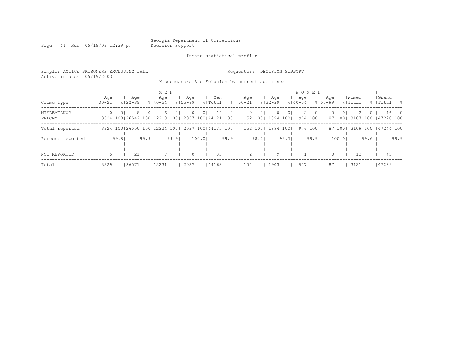Page 44 Run 05/19/03 12:39 pm

Inmate statistical profile

| Sample: ACTIVE PRISONERS EXCLUDING JAIL<br>Active inmates 05/19/2003 |                   |       |                                                                   |      |                             |       |                    |        |                                                |                   | Requestor:       |       | DECISION SUPPORT   |       |                                    |                            |                    |          |                  |        |                                  |      |
|----------------------------------------------------------------------|-------------------|-------|-------------------------------------------------------------------|------|-----------------------------|-------|--------------------|--------|------------------------------------------------|-------------------|------------------|-------|--------------------|-------|------------------------------------|----------------------------|--------------------|----------|------------------|--------|----------------------------------|------|
|                                                                      |                   |       |                                                                   |      |                             |       |                    |        | Misdemeanors And Felonies by current age & sex |                   |                  |       |                    |       |                                    |                            |                    |          |                  |        |                                  |      |
| Crime Type                                                           | Aqe<br>$100 - 21$ |       | Aqe<br>୫∣22-39                                                    |      | M E N<br>Aqe<br>$8140 - 54$ |       | Age<br>$8155 - 99$ |        | Men<br>% Total                                 |                   | Age<br>%   00−21 |       | Aqe<br>$8122 - 39$ |       | <b>WOMEN</b><br>Aqe<br>$8140 - 54$ |                            | Aqe<br>$8155 - 99$ |          | Women<br>% Total |        | Grand<br>%   Total               | - 양  |
| MISDEMEANOR<br>FELONY                                                |                   | ()    | 3324 100 26542 100 12218 100 2037 100 44121 100                   | () I | 6                           |       |                    | O I    | 14                                             |                   | 152 1001         |       | 1894 1001          |       |                                    | 0 <sup>1</sup><br>974 1001 |                    | $\Omega$ |                  |        | 16<br>87 100 3107 100 147228 100 |      |
| Total reported                                                       |                   |       | 3324 100   26550 100   12224 100   2037 100   44135 100   152 100 |      |                             |       |                    |        |                                                |                   |                  |       | 1894 1001          |       |                                    | 976 1001                   |                    | 87 1001  |                  |        | 3109 100 147244 100              |      |
| Percent reported                                                     |                   | 99.81 |                                                                   | 99.9 |                             | 99.91 |                    | 100.01 |                                                | 99.9 <sub>1</sub> |                  | 98.71 |                    | 99.51 |                                    | 99.91                      |                    | 100.01   |                  | $99.6$ |                                  | 99.9 |
| NOT REPORTED                                                         | 5.                |       | 21                                                                |      |                             |       |                    |        | 33                                             |                   | $\mathcal{P}$    |       | 9                  |       |                                    |                            |                    |          | 12.              |        | 4.5                              |      |
| Total                                                                | 3329              |       | 26571                                                             |      | 12231                       |       | 2037               |        | 44168                                          |                   | 154              |       | 1903               |       | 977                                |                            | 87                 |          | 3121             |        | 147289                           |      |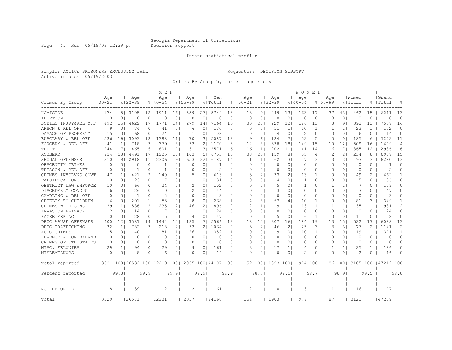Page 45 Run 05/19/03 12:39 pm Decision Support

#### Inmate statistical profile

Sample: ACTIVE PRISONERS EXCLUDING JAIL Requestor: DECISION SUPPORT Active inmates 05/19/2003

Crimes By Group by current age & sex

|                      |                   |                |                                  |                 | M E N              |                |                    |                |                      |              |                    |                 |                    |                | <b>WOMEN</b>       |                |                    |                |                  |              |                     |                |
|----------------------|-------------------|----------------|----------------------------------|-----------------|--------------------|----------------|--------------------|----------------|----------------------|--------------|--------------------|-----------------|--------------------|----------------|--------------------|----------------|--------------------|----------------|------------------|--------------|---------------------|----------------|
| Crimes By Group      | Age<br>$100 - 21$ |                | Age<br>$8122 - 39$               |                 | Age<br>$8140 - 54$ |                | Age<br>$8155 - 99$ |                | Men<br>% Total       |              | Age<br>$8100 - 21$ |                 | Age<br>$8122 - 39$ |                | Age<br>$8140 - 54$ |                | Age<br>$8155 - 99$ |                | Women<br>% Total |              | Grand<br> Total     | 욲              |
| HOMICIDE             | 174               | 51             | 3105                             | 12 <sub>1</sub> | 1911               | 161            | 559                | 271            | 5749                 | 13           | 13                 | 9 <sub>1</sub>  | 249                | 131            | 163                | 171            | 37                 | 431            | 462              | 15           | 6211                | 13             |
| ABORTION             | 0                 | 0 <sub>1</sub> | 0                                | 0               | $\Omega$           | 0              | $\circ$            | 0              | $\Omega$             | 0            | 0                  | $\circ$         | $\circ$            | $\circ$        | 0                  | $\circ$        | $\circ$            | 0 <sub>1</sub> | 0                | $\Omega$     | $\Omega$            | $\circ$        |
| BODILY INJRY&REL OFF | 492               | 151            | 4622                             | 171             | 1771               | 14             | 279                | 14             | 7164                 | 16           | 30                 | 201             | 229                | 12             | 126                | 13             | 8                  | 9 <sub>1</sub> | 393              | 13           | 7557                | 16             |
| ARSON & REL OFF      | 9                 | $\Omega$       | 74                               | 0 <sub>1</sub>  | 41                 | 0              | 6                  | 0              | 130                  | 0            | $\Omega$           | $\circ$         | 11                 | 1 <sup>1</sup> | 10                 | $1\vert$       |                    | 1 <sup>1</sup> | 22               | 1            | 152                 | $\Omega$       |
| DAMAGE OF PROPERTY   | -15               | 0              | 68                               | 0 <sub>1</sub>  | 24                 | $\circ$        | 1                  | 0              | 108                  | 0            | $\Omega$           | $\Omega$        | $\overline{4}$     | $\circ$        | 2                  | $\circ$        | $\Omega$           | 0 <sup>1</sup> | 6                | $\Omega$     | 114                 | $\Omega$       |
| BURGLARY & REL OFF   | 536               | 161            | 3093                             | 12 <sub>1</sub> | 1388               | 11             | 70                 | 31             | 5087                 | 12           | 9                  | 6               | 124                | 71             | 52                 | 5 <sub>1</sub> | 0                  | 0 <sup>1</sup> | 185              | 6            | 5272                | 11             |
| FORGERY & REL OFF    | 41                | 1 <sub>1</sub> | 718                              | 31              | 379                | 31             | 32                 | 2 <sub>1</sub> | 1170                 | 3            | 12                 | 8               | 338                | 181            | 149                | 151            | 10                 | 121            | 509              | 16           | 1679                | $\overline{4}$ |
| THEFT                | 244               | 71             | 1465                             | 61              | 801                | 71             | 61                 | 31             | 2571                 | 6            | 16                 | 11              | 202                | 11             | 141                | 14             | 6                  | 7 <sub>1</sub> | 365              | 12           | 2936                | 6              |
| <b>ROBBERY</b>       | 934               | 281            | 4491                             | 171             | 1225               | 101            | 103                | 5              | 6753                 | 15           | 38                 | 251             | 159                | 8 <sup>1</sup> | 35                 | 4 <sub>1</sub> | 2                  | 21             | 234              | 8            | 6987                | 15             |
| SEXUAL OFFENSES      | 310               | 9 <sub>1</sub> | 2918                             | 11              | 2306               | 19             | 653                | 32             | 6187                 | 14           | 1                  | 1 <sup>1</sup>  | 62                 | 31             | 27                 | 31             | 3                  | 31             | 93               | 3            | 6280                | 13             |
| OBSCENITY CRIMES     | $\Omega$          | $\Omega$       | Ω                                | 0               | 1                  | $\Omega$       | C                  | 0              |                      | $\Omega$     | O                  | $\Omega$        | $\Omega$           | 0 <sub>1</sub> | $\Omega$           | $\Omega$       | $\Omega$           | $\Omega$       | $\Omega$         | $\Omega$     |                     | $\Omega$       |
| TREASON & REL OFF    | 0                 | 01             | -1                               | 0 <sub>1</sub>  | 1                  | 0 <sub>1</sub> | 0                  | 01             | 2                    | 0            | O                  | 0 <sub>1</sub>  | 0                  | 0 <sup>1</sup> | 0                  | 0 <sub>1</sub> | 0                  | 01             | $\Omega$         | $\Omega$     | 2                   | $\Omega$       |
| CRIMES INVOLVNG GOVT | 47                | 1 <sub>1</sub> | 421                              | 21              | 140                | 1 <sub>1</sub> | 5                  | 01             | 613                  | $\mathbf{1}$ | 3                  | 2 <sub>1</sub>  | 33                 | 2 <sub>1</sub> | 13                 | 1 <sup>1</sup> | 0                  | 0 <sup>1</sup> | 49               | 2            | 662                 |                |
| FALSIFICATIONS       | 0                 | 0 <sub>1</sub> | 23                               | 0 <sub>1</sub>  | 7                  | 0 <sub>1</sub> | 1                  | 01             | 31                   | 0            | O                  | 0 <sub>1</sub>  | 4                  | 0 <sup>1</sup> | -1                 | $\circ$        | $\Omega$           | 0 <sup>1</sup> | 5                | $\Omega$     | 36                  | $\Omega$       |
| OBSTRUCT LAW ENFORCE | 10                | $\Omega$       | 66                               | 0 <sub>1</sub>  | 24                 | 01             | $\mathcal{D}$      | 0              | 102                  | $\Omega$     | O                  | 0 <sub>1</sub>  | .5                 | 0 <sub>1</sub> | $\mathbf{1}$       | 0 <sub>1</sub> | -1                 | 1 <sup>1</sup> | 7                | $\Omega$     | 109                 | $\Omega$       |
| DISORDERLY CONDUCT   | 6                 | $\Omega$       | 26                               | 0 <sub>1</sub>  | 10                 | 01             | 2                  | 0              | 44                   | 0            | O                  | $\circ$         | 3                  | 01             | 0                  | $\circ$        | 0                  | 0 <sup>1</sup> | 3                | 0            | 47                  | O              |
| GAMBLING & REL OFF   | $\Omega$          | $\Omega$       | -1                               | 0 <sub>1</sub>  | 2                  | $\Omega$       | $\Omega$           | 0              | 3                    | $\Omega$     | U                  | $\Omega$        | 0                  | 0 <sub>1</sub> | 0                  | $\circ$        | O                  | 0 <sup>1</sup> | $\Omega$         | $\Omega$     | 3                   | U              |
| CRUELTY TO CHILDREN  | 6                 | 01             | 201                              | 1 <sup>1</sup>  | 53                 | 0 <sub>1</sub> | 8                  | 0              | 268                  | $\mathbf{1}$ | 4                  | 31              | 67                 | 41             | 10                 | 1 <sup>1</sup> | 0                  | 0 <sup>1</sup> | 81               | 3            | 349                 | 1              |
| CRIMES WITH GUNS     | 29                | 1 <sub>1</sub> | 586                              | 2 <sub>1</sub>  | 235                | 2 <sub>1</sub> | 46                 | 2              | 896                  | 2            | 2                  | 11              | 19                 | 1 <sup>1</sup> | 13                 | 1 <sup>1</sup> |                    | 1 <sup>1</sup> | 35               | $\mathbf{1}$ | 931                 | $\mathcal{D}$  |
| INVASION PRIVACY     | $\overline{c}$    | 0 <sub>1</sub> | 14                               | 0 <sub>1</sub>  | 7                  | 0 <sup>1</sup> | $\mathbf{1}$       | 0              | 24                   | $\Omega$     | $\Omega$           | 0 <sub>1</sub>  | $\circ$            | 0 <sup>1</sup> | $\circ$            | $\circ$        | O                  | 0 <sub>1</sub> | $\circ$          | $\Omega$     | 24                  | $\Omega$       |
| RACKETEERING         | $\Omega$          | 0 <sub>1</sub> | 28                               | 0 <sub>1</sub>  | 15                 | 0 <sub>1</sub> | $\overline{4}$     | 0              | 47                   | 0            | 0                  | $\circ$         | 5                  | 0 <sup>1</sup> | 6                  | 1 <sup>1</sup> | 0                  | 0 <sup>1</sup> | 11               | 0            | 58                  | 0              |
| DRUG ABUSE OFFENSES  | 400               | 121            | 3587                             | 141             | 1444               | 12             | 135                | 71             | 5566                 | 13           | 18                 | 12 <sup>1</sup> | 307                | 161            | 184                | 191            | 13                 | 151            | 522              | 17           | 6088                | 13             |
| DRUG TRAFFICKING     | 32                | 1 <sup>1</sup> | 782                              | 31              | 218                | 2              | 32                 | 21             | 1064                 | 2            | 3                  | 2 <sub>1</sub>  | 46                 | $\overline{2}$ | 25                 | 3              | 3                  | 3              | 77               | 2            | 1141                | 2              |
| AUTO CRIMES          | 5                 | 01             | 140                              | 1 <sup>1</sup>  | 181                | 11             | 26                 | 11             | 352                  | $\mathbf{1}$ | O                  | 01              | -9                 | 01             | 10                 | 1 <sup>1</sup> | 0                  | 01             | 19               | 1.           | 371                 | 1              |
| REVENUE & CONTRABAND | $\Omega$          | 0 <sub>1</sub> | 0                                | 0 <sub>1</sub>  | 0                  | 0 <sub>1</sub> | 0                  | 0 <sub>1</sub> | 0                    | 0            | 0                  | 0 <sub>1</sub>  | 0                  | 0 <sup>1</sup> | 0                  | 0 <sub>1</sub> | 0                  | 0 <sup>1</sup> | 0                | 0            | 0                   | 0              |
| CRIMES OF OTH STATES | $\Omega$          | 0 <sub>1</sub> | 0                                | 0 <sub>1</sub>  | $\Omega$           | 0 <sub>1</sub> | $\Omega$           | 0              | $\Omega$             | $\Omega$     | $\Omega$           | $\circ$         | $\circ$            | 0 <sub>1</sub> | 0                  | 0 <sub>1</sub> | 0                  | 0 <sup>1</sup> | 0                | $\Omega$     | $\circ$             | $\Omega$       |
| MISC. FELONIES       | 29                | 1 <sub>1</sub> | 94                               | 0 <sub>1</sub>  | 29                 | 0 <sub>1</sub> | 9                  | 0              | 161                  | $\Omega$     | ς                  | 21              | 17                 | 1 <sup>1</sup> | 4                  | $\circ$        | -1                 | 1 <sup>1</sup> | 25               | $\mathbf{1}$ | 186                 | $\Omega$       |
| MISDEMEANORS         | $\Omega$          | 0 <sub>1</sub> | 8                                | 0 <sub>1</sub>  | 6                  | 0 <sub>1</sub> | 0                  | 0              | 14                   | 0            | O                  | $\circ$         | 0                  | 0 <sub>1</sub> | 2                  | 0              | O                  | 0 <sub>1</sub> | 2                | O            | 16                  | 0              |
| Total reported       |                   |                | 3321 100   26532 100   12219 100 |                 |                    |                |                    |                | 2035 100   44107 100 |              |                    | 152 1001        | 1893 1001          |                | 974 100            |                |                    | 86 1001        |                  |              | 3105 100 147212 100 |                |
| Percent reported     |                   | 99.81          |                                  | 99.9            |                    | 99.9           |                    | 99.9           |                      | 99.9         |                    | 98.71           |                    | 99.51          |                    | 99.71          |                    | 98.91          |                  | 99.5         |                     | 99.8           |
|                      |                   |                |                                  |                 |                    |                |                    |                |                      |              |                    |                 |                    |                |                    |                |                    |                |                  |              |                     |                |
| NOT REPORTED         | 8                 |                | 39                               |                 | 12                 |                | $\overline{c}$     |                | 61                   |              | 2                  |                 | 10                 |                | 3                  |                | 1                  |                | 16               |              | 77                  |                |
| Total                | 3329              |                | 126571                           |                 | 12231              |                | 2037               |                | 44168                |              | 154                |                 | 1903               |                | 977                |                | 87                 |                | 3121             |              | 147289              |                |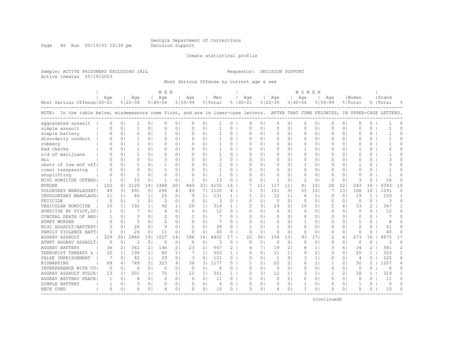Page 46 Run 05/19/03 12:39 pm Decision Support

#### Inmate statistical profile

Sample: ACTIVE PRISONERS EXCLUDING JAIL Requestor: DECISION SUPPORT Active inmates 05/19/2003

Most Serious Offense by current age & sex

|                                                                                                                                    |              |                  |             |                 | M E N          |                 |             |                 |         |              |             |                |                |                |                | WOMEN        |                 |               |                |                |                |                |               |
|------------------------------------------------------------------------------------------------------------------------------------|--------------|------------------|-------------|-----------------|----------------|-----------------|-------------|-----------------|---------|--------------|-------------|----------------|----------------|----------------|----------------|--------------|-----------------|---------------|----------------|----------------|----------------|----------------|---------------|
|                                                                                                                                    | Age          |                  | Aqe         |                 | Age            |                 | Age         |                 | Men     |              |             | Age            |                | Age            |                | Age          |                 | Age           |                | Women          |                | Grand          |               |
| Most Serious Offense   00-21                                                                                                       |              |                  | $8122 - 39$ |                 | $8140 - 54$    |                 | $8155 - 99$ |                 | % Total |              | $8100 - 21$ |                |                | $8122 - 39$    |                | $8140 - 54$  |                 | $8155 - 99$   |                | % Total        |                | %   Total      |               |
| NOTE: In the table below, misdemeanors come first, and are in lower-case letters. AFTER THAT COME FELONIES, IN UPPER-CASE LETTERS. |              |                  |             |                 |                |                 |             |                 |         |              |             |                |                |                |                |              |                 |               |                |                |                |                |               |
| aggravated assault                                                                                                                 |              | 0 <sub>1</sub>   |             | 0               | $\Omega$       | 0 <sub>1</sub>  | 0           | 0               |         | 0            |             | O              | $\circ$        | 0              | 0 <sub>1</sub> | 0            | 0               | 0             | 0 <sub>1</sub> | 0              | 0              |                | O             |
| simple assault                                                                                                                     |              | $\Omega$         |             | 0 <sup>1</sup>  | $\cap$         | $\Omega$        | $\Omega$    | $\Omega$        |         | $\Omega$     |             | $\cap$         | $\Omega$       | $\Omega$       | $\Omega$       | $\circ$      | $\Omega$        | $\Omega$      | 0 <sup>1</sup> | $\cap$         | $\Omega$       |                | $\cap$        |
| simple battery                                                                                                                     | $\Omega$     | 0 <sub>1</sub>   | $\Omega$    | 0 <sup>1</sup>  | -1             | 0 <sub>1</sub>  | $\Omega$    | $\Omega$        |         | $\Omega$     |             | O              | $\Omega$       | $\Omega$       | $\Omega$       | 0            | $\circ$         | $\Omega$      | 0 <sub>1</sub> | $\Omega$       | $\Omega$       | $\overline{1}$ | $\Omega$      |
| disorderly conduct                                                                                                                 | O            | 0 <sub>1</sub>   |             | $\Omega$        | $\Omega$       | 0 <sub>1</sub>  | $\Omega$    | 0 <sub>1</sub>  |         | $\Omega$     |             | 0              | $\Omega$       | 0              | 01             | $\Omega$     | 0 <sub>1</sub>  | $\Omega$      | 0 <sup>1</sup> | $\Omega$       | $\Omega$       |                | 0             |
| robbery                                                                                                                            |              | 0 <sub>1</sub>   |             | 0 <sub>1</sub>  | $\Omega$       | 01              | 0           | 0 <sub>1</sub>  |         | 0            |             | 0              | 0 <sub>1</sub> | 0              | 0 <sub>1</sub> | 0            | 0 <sub>1</sub>  | 0             | 0 <sup>1</sup> | 0              | 0              | -1             | $\cap$        |
| bad checks                                                                                                                         |              | 0 <sub>1</sub>   | -1          | 0 <sup>1</sup>  | $\Omega$       | 0 <sub>1</sub>  | $\Omega$    | 0 <sub>1</sub>  |         | $\Omega$     |             | $\Omega$       | $\Omega$       | $\circ$        | 0 <sub>1</sub> | $\mathbf{1}$ | 0 <sub>1</sub>  | $\Omega$      | 0 <sup>1</sup> | 1              | 0              | $\overline{2}$ | $\Omega$      |
| s/d of marijuana                                                                                                                   |              | 0 <sub>1</sub>   | 1           | 0 <sub>1</sub>  | $\Omega$       | 0 <sub>1</sub>  | $\Omega$    | 0 <sub>1</sub>  | 1       | $\Omega$     |             | $\Omega$       | $\Omega$       | $\Omega$       | $\Omega$       | $\Omega$     | 0 <sub>1</sub>  | $\Omega$      | 01             | $\cap$         | $\Omega$       | -1             | $\Omega$      |
| dui                                                                                                                                | $\Omega$     | 0 <sub>1</sub>   | $\Omega$    | 0 <sub>1</sub>  | 3              | 0 <sub>1</sub>  | $\Omega$    | 0 <sub>1</sub>  | 3       | $\Omega$     |             | $\Omega$       | $\cap$         | $\Omega$       | 01             | $\Omega$     | 0 <sub>1</sub>  | $\Omega$      | 01             | $\cap$         | 0              | 3              | $\Omega$      |
| obstr of law enf off!                                                                                                              |              | 0 <sup>1</sup>   |             | $\Omega$        |                | 0 <sub>1</sub>  | $\Omega$    | $\Omega$        |         | 0            |             | $\Omega$       | $\Omega$       | $\Omega$       | 0 <sup>1</sup> | -1           | 0 <sub>1</sub>  | $\Omega$      | 0 <sup>1</sup> | -1             | 0              | 3              | $\cap$        |
| crmnl trespassing                                                                                                                  | ∩            | 0 <sup>1</sup>   | O           | $\Omega$        |                | 0 <sup>1</sup>  | $\Omega$    | $\Omega$        |         | $\Omega$     |             | U              | $\Omega$       | $\Omega$       | $\Omega$       | $\Omega$     | $\Omega$        | $\Omega$      | $\Omega$       | $\bigcap$      | 0              |                | ∩             |
| shoplifting                                                                                                                        | $\Omega$     | 0 <sub>1</sub>   | -1          | $\Omega$        | $\Omega$       | 0 <sup>1</sup>  | $\Omega$    | 0               | -1.     | $\Omega$     |             | O              | $\Omega$       | 0              | 0 <sub>1</sub> | 0            | $\circ$         | $\Omega$      | 0 <sup>1</sup> | $\Omega$       | 0              | -1             | U             |
| MISC HOMICIDE OFFENS                                                                                                               | -1           | 0 <sub>1</sub>   | 10          | $\Omega$        | -1             | 0 <sub>1</sub>  | -1          | 0 <sup>1</sup>  | 13      | $\Omega$     |             | $\Omega$       | $\Omega$       | $\mathbf{1}$   | 0 <sup>1</sup> | 2            | 0 <sub>1</sub>  | $\Omega$      | 0 <sup>1</sup> | 3              | $\Omega$       | 16             | $\Omega$      |
| MURDER                                                                                                                             | 102          | 61               | 2120        | 14 <sub>1</sub> | 1488           | 201             | 440         | 331             | 4150    | 16           |             |                | 111            | 117            | 11             | 91           | 161             | 28            | 521            | 243            | 14             | 4393           | 16            |
| VOLUNTARY MANSLAUGHT                                                                                                               | 49           | $\overline{3}$ l | 691         | 51              | 296            | 4 <sub>1</sub>  | 89          | 71              | 1125    | 4            |             | ς              | 5 <sub>1</sub> | 101            | 9 <sub>1</sub> | 55           | 101             |               | 131            | 166            | 10             | 1291           | 5             |
| INVOLUNTARY MANSLAUG                                                                                                               | 11           | 1 <sup>1</sup>   | 86          | 11              | 2.5            | 0 <sub>1</sub>  | 9           | 11              | 131     | $\mathbf{1}$ |             | 1              | 21             | 12             | 1 <sup>1</sup> | 6            | 1 <sup>1</sup>  | $\Omega$      | $\Omega$       | 19             | $\mathbf{1}$   | 150            | $\mathbf{1}$  |
| FETICIDE                                                                                                                           | $\Omega$     | 0 <sub>1</sub>   | -1          | 0 <sub>1</sub>  | 2              | 0 <sub>1</sub>  | $\Omega$    | 0 <sub>1</sub>  | 3       | 0            |             | $\Omega$       | $\Omega$       | 0              | 0 <sup>1</sup> | 0            | 0 <sub>1</sub>  | $\Omega$      | 0 <sup>1</sup> | $\circ$        | 0              | 3              | $\Omega$      |
| VEHICULAR HOMICIDE                                                                                                                 | 10           | 1 <sub>1</sub>   | 192         | 1 <sup>1</sup>  | 92             | 1 <sub>1</sub>  | 20          | 11              | 314     | 1            |             | 2              | 31             | 19             | 2 <sub>1</sub> | 10           | 2 <sub>1</sub>  |               | 4              | 33             | $\mathbf{2}^-$ | 347            |               |
| HOMICIDE BY PILOT, DU                                                                                                              | 1            | $\Omega$         | 7           | $\Omega$        | $\overline{4}$ | 0 <sub>1</sub>  | $\Omega$    | $\Omega$        | 12      | $\Omega$     |             | $\cap$         | $\Omega$       | $\Omega$       | $\Omega$       | $\Omega$     | $\circ$         | $\Omega$      | 0 <sup>1</sup> | $\cap$         | $\Omega$       | 12             | $\Omega$      |
| CONCEAL DEATH OF ANO                                                                                                               | 1            | 0 <sub>1</sub>   | 3           | $\Omega$        | 2              | 0 <sub>1</sub>  | 1           | $\Omega$        | 7       | $\Omega$     |             | O              | $\Omega$       | $\Omega$       | $\Omega$       | $\Omega$     | $\circ$         | $\Omega$      | 0 <sup>1</sup> | $\Omega$       | $\Omega$       | 7              | <sup>n</sup>  |
| ATMPT MURDER                                                                                                                       | $\Omega$     | 0 <sub>1</sub>   | 5           | 0 <sub>1</sub>  | $\mathcal{D}$  | 0 <sub>1</sub>  | $\Omega$    | 0 <sub>1</sub>  | 7       | $\Omega$     |             | $\Omega$       | $\Omega$       | 0              | 0 <sup>1</sup> | $\mathbf{1}$ | 0 <sub>1</sub>  | $\Omega$      | 0 <sup>1</sup> | 1              | $\Omega$       | 8              | U             |
| MISC ASSAULT/BATTERY                                                                                                               | 2            | 0 <sub>1</sub>   | 26          | $\Omega$        | 9              | 0 <sub>1</sub>  | 2           | $\Omega$        | 39      | $\Omega$     |             | 1              | 2 <sub>1</sub> | 1              | 0 <sup>1</sup> | 0            | 0 <sub>1</sub>  | $\Omega$      | 0 <sup>1</sup> | 2              | $\Omega$       | 41             | O             |
| FAMILY VIOLENCE BATT                                                                                                               | 3            | 0 <sup>1</sup>   | 26          | 0 <sub>1</sub>  | 11             | 0 <sub>1</sub>  | $\Omega$    | $\Omega$        | 40      | $\Omega$     |             | $\Omega$       | $\Omega$       | $\circ$        | 0 <sup>1</sup> | $\Omega$     | $\circ$         | $\Omega$      | 0 <sup>1</sup> | $\Omega$       | $\Omega$       | 40             | $\Omega$      |
| <b>AGGRAV ASSAULT</b>                                                                                                              | 329          | 201              | 2860        | 191             | 1027           | 14 <sub>1</sub> | 186         | 14 <sub>1</sub> | 4402    | 17           |             | 22             | 361            | 156            | 151            | 93           | 17 <sup>1</sup> | $\mathcal{D}$ | 4              | 273            | 16             | 4675           | 17            |
| ATMPT AGGRAV ASSAULT                                                                                                               | $\Omega$     | 0 <sub>1</sub>   | 3           | 0 <sup>1</sup>  | $\Omega$       | 0 <sub>1</sub>  | $\Omega$    | 0 <sup>1</sup>  | 3       | $\circ$      |             | $\Omega$       | $\Omega$       | $\circ$        | 0 <sub>1</sub> | $\Omega$     | 0 <sub>1</sub>  | $\mathbf{0}$  | 0 <sup>1</sup> | $\Omega$       | $\circ$        | 3              | $\Omega$      |
| AGGRAV BATTERY                                                                                                                     | 36           | 21               | 342         | 2 <sub>1</sub>  | 146            | 2 <sub>1</sub>  | 23          | $\overline{2}$  | 547     | 2            |             | 4              | 71             | 19             | 2 <sub>1</sub> | 8            | 1 <sup>1</sup>  | 3             | 61             | 34             | $\overline{2}$ | 581            | $\mathcal{D}$ |
| TERRORIST THREATS &                                                                                                                | 22           | 1 <sub>1</sub>   | 194         | 1 <sup>1</sup>  | 80             | 1 <sup>1</sup>  | 7           | 1 <sup>1</sup>  | 303     | $\mathbf{1}$ |             | $\Omega$       | $\Omega$       | 11             | 1 <sup>1</sup> | 9            | $\overline{2}$  | $\cap$        | $\Omega$       | 20             | $\mathbf{1}$   | 323            | 1             |
| FALSE IMPRISONMENT                                                                                                                 | 7            | 0 <sub>1</sub>   | 82          | 11              | 29             | 0 <sub>1</sub>  | 3           | $\Omega$        | 121     | $\Omega$     |             | $\Omega$       | $\Omega$       | $\overline{1}$ | $\Omega$       | 3            | 1 <sup>1</sup>  | $\Omega$      | 0 <sub>1</sub> | $\overline{4}$ | $\Omega$       | 125            | $\Omega$      |
| KIDNAPPING                                                                                                                         | 69           | 4                | 749         | 5 <sub>1</sub>  | 323            | 4               | 36          | 31              | 1177    | 5            |             | 1              | 2 <sub>1</sub> | 22             | 2 <sub>1</sub> | 6            | 1 <sub>1</sub>  | -1            | 21             | 30             | $\overline{2}$ | 1207           | 4             |
| INTERFERENCE WITH CU                                                                                                               | 0            | 0 <sup>1</sup>   | 6           | 0 <sub>1</sub>  | $\Omega$       | 0 <sub>1</sub>  | $\circ$     | 0 <sub>1</sub>  | 6       | 0            |             | $\circ$        | $\circ$        | $\circ$        | 0 <sub>1</sub> | 0            | 0 <sub>1</sub>  | 0             | 0 <sub>1</sub> | $\circ$        | 0              | 6              | $\Omega$      |
| AGGRAV ASSAULT POLCE                                                                                                               | 13           | 1 <sup>1</sup>   | 201         | 11              | 75             | 1 <sub>1</sub>  | 12          | 1 <sup>1</sup>  | 301     | $\mathbf{1}$ |             | $\overline{c}$ | 31             | 12             | 1 <sub>1</sub> | 3            | 1 <sup>1</sup>  | $\mathbf{1}$  | 2 <sub>1</sub> | 18             | $\mathbf{1}$   | 319            | $\mathbf{1}$  |
| AGGRAV BATTERY PEACE                                                                                                               | $\mathbf{1}$ | 0 <sub>1</sub>   | 8           | 0 <sub>1</sub>  | $\mathcal{L}$  | 0 <sub>1</sub>  | $\Omega$    | 0 <sub>1</sub>  | 11      | $\Omega$     |             | $\Omega$       | $\Omega$       | $\Omega$       | 0 <sup>1</sup> | $\Omega$     | 0 <sub>1</sub>  | $\Omega$      | 0 <sup>1</sup> | $\Omega$       | $\Omega$       | 11             | $\Omega$      |
| SIMPLE BATTERY                                                                                                                     |              | 0 <sub>1</sub>   | 3           | 0 <sub>1</sub>  | $\Omega$       | 0 <sub>1</sub>  | $\Omega$    | 0 <sub>1</sub>  | 4       | $\Omega$     |             | $\Omega$       | $\Omega$       | $\Omega$       | 0 <sup>1</sup> | -1           | 0 <sub>1</sub>  | $\Omega$      | 0 <sup>1</sup> | 1              | $\Omega$       | 5              | $\Omega$      |
| RECK COND                                                                                                                          | 0            | 0 <sub>1</sub>   | 6           | 0 <sub>1</sub>  |                | 0 <sub>1</sub>  | $\Omega$    | 0               | 10      | 0            |             | O              | $\circ$        | 4              | 0 <sub>1</sub> | -1           | $\circ$         | $\Omega$      | 0 <sup>1</sup> | 5              | 0              | 15             | ∩             |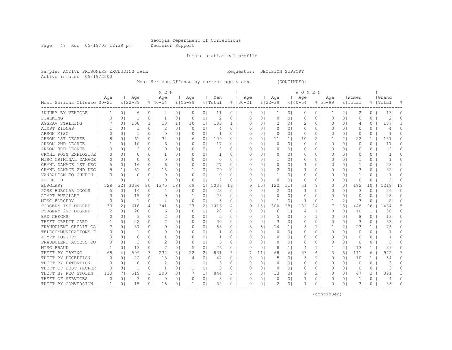Page 47 Run 05/19/03 12:39 pm Decision Support

Inmate statistical profile

Sample: ACTIVE PRISONERS EXCLUDING JAIL Requestor: DECISION SUPPORT Active inmates 05/19/2003

Most Serious Offense by current age & sex (CONTINUED)

| Age<br>Age<br>Age<br>  Women<br>  Grand<br>Aqe<br>Age<br>Men<br>Age<br>Age<br>Aqe<br>$8122 - 39$<br>Most Serious Offense   00-21<br>$8100 - 21$<br>$8122 - 39$<br>$8155 - 99$<br>$8140 - 54$<br>$8155 - 99$<br>% Total<br>$8140 - 54$<br>% Total<br>%   Total<br>INJURY BY VEHICLE<br>0 <sup>1</sup><br>0 <sub>1</sub><br>0 <sub>1</sub><br>11<br>$\circ$<br>0 <sub>1</sub><br>0<br>2 <sub>1</sub><br>2<br>$\Omega$<br>13<br>0 <sub>1</sub><br>0<br>$\Omega$<br>01<br>0<br>0<br>6<br>$\overline{4}$<br>1<br>STALKING<br>0 <sub>1</sub><br>1<br>0 <sup>1</sup><br>0 <sub>1</sub><br>0 <sub>1</sub><br>2<br>$\circ$<br>$\circ$<br>0<br>0 <sup>1</sup><br>$\Omega$<br>0<br>2<br>$\Omega$<br>1<br>$\Omega$<br>$\Omega$<br>01<br>01<br>0<br>0<br>U<br>$\overline{2}$<br>AGGRAV STALKING<br>0 <sub>1</sub><br>108<br>1 <sub>1</sub><br>58<br>1 <sub>1</sub><br>10<br>11<br>183<br>01<br>2<br>0<br>0 <sup>1</sup><br>$\Omega$<br>187<br>1<br>∩<br>$\Omega$ I<br>O<br>4<br>$\mathcal{D}$<br>ATMPT KIDNAP<br>$\Omega$<br>0 <sub>1</sub><br>$\Omega$  <br>$\Omega$<br>$\Omega$<br>-1<br>$\Omega$<br>0<br>$\Omega$ I<br>0<br>01<br>$\Omega$<br>0<br>O<br>$\Omega$<br>O<br>0<br>4<br>O<br>4<br>ARSON MISC<br>$\Omega$<br>$\Omega$<br>0 <sub>1</sub><br>0 <sub>1</sub><br>0<br>$\Omega$<br>$\Omega$<br>01<br>-1<br>0<br>01<br>0<br>01<br>0<br>01<br>$\Omega$<br>0 I<br>0<br>0<br>ARSON 1ST DEGREE<br>109<br>$\overline{2}$<br>22<br>131<br>0 <sub>1</sub><br>61<br>0 <sup>1</sup><br>34<br>0 <sub>1</sub><br>0 <sup>1</sup><br>0<br>$\Omega$<br>11<br>11<br>10<br>21<br>$\mathbf{1}$<br>O<br>8<br>0<br>6<br>17<br>10<br>6<br>0 <sub>1</sub><br>17<br>0 <sub>1</sub><br>0 <sub>1</sub><br>$\circ$<br>0<br>$\Omega$<br>ARSON 2ND DEGREE<br>0 <sub>1</sub><br>0 <sub>1</sub><br>0 <sub>1</sub><br>$\circ$<br>0 <sup>1</sup><br>0<br>0<br>0<br>0 <sup>1</sup><br>0<br>0<br>2<br>2<br>$\circ$<br>$\overline{2}$<br>$\Omega$<br>ARSON 3RD DEGREE<br>0 <sub>1</sub><br>0 <sub>1</sub><br>0<br>0 <sub>1</sub><br>0 <sub>1</sub><br>0<br>01<br>01<br>0 <sub>1</sub><br>0 <sup>1</sup><br>0<br>0<br>0<br>0<br>0<br>0<br>CRMNL POSS EXPLOSIVE<br>0 <sup>1</sup><br>0<br>0 <sub>1</sub><br>0 <sub>1</sub><br>$\circ$<br>0 <sub>1</sub><br>$\circ$<br>0 <sub>1</sub><br>$\circ$<br>0<br>$\mathbf{1}$<br>$\cap$<br>1<br>0 <sub>1</sub><br>$\Omega$<br>$\Omega$<br>01<br>0<br>0<br>0 <sup>1</sup><br>MISC CRIMINAL DAMAGE <br>0 <sub>1</sub><br>$\Omega$<br>0 <sub>1</sub><br>0<br>0 <sub>1</sub><br>$\Omega$<br>0 <sub>1</sub><br>0<br>$\circ$<br>$\Omega$<br>$\Omega$<br>1<br>0<br>0 <sup>1</sup><br>0 <sup>1</sup><br>1<br>0<br>$\overline{1}$<br>U<br>01<br>$\Omega$<br>27<br>28<br>CRMNL DAMAGE 1ST DEGI<br>0 <sub>1</sub><br>16<br>0 <sup>1</sup><br>0 <sub>1</sub><br>$\bigcap$<br>0 <sub>1</sub><br>$\circ$<br>$\Omega$<br>$\Omega$<br>0<br>0 <sup>1</sup><br>1<br>$\Omega$<br>$\Omega$<br>0 <sup>1</sup><br>1<br>$\Omega$<br>0<br>6<br>51<br>18<br>79<br>$\mathcal{D}$<br>3<br>82<br>CRMNL DAMAGE 2ND DEG<br>1 <sup>1</sup><br>0 <sup>1</sup><br>0 <sub>1</sub><br>0 <sub>1</sub><br>$\Omega$<br>$\Omega$<br>0 <sup>1</sup><br>$\mathbf{1}$<br>0 <sup>1</sup><br>$\Omega$<br>$\Omega$<br>0<br>9<br>-1<br>O<br>$\Omega$<br>0 <sub>1</sub><br>0 <sub>1</sub><br>0<br>VANDALISM TO CHURCH<br>$\Omega$<br>0 <sub>1</sub><br>0<br>$\Omega$<br>0 <sub>1</sub><br>$\Omega$<br>$\Omega$<br>$\circ$<br>0 <sub>1</sub><br>1<br>0 <sup>1</sup><br>0<br>0 <sup>1</sup><br>0 <sup>1</sup><br>-1<br>0<br>O<br>0<br>0 <sub>1</sub><br>0 <sub>1</sub><br>2<br>0 <sub>1</sub><br>$\circ$<br>$\Omega$<br>ALTER ID<br>0 <sub>1</sub><br>1<br>$\Omega$<br>0 <sub>1</sub><br>$\Omega$<br>$\circ$<br>$\Omega$<br>0<br>0 <sup>1</sup><br>0<br>0 <sup>1</sup><br>$\Omega$<br>0 <sup>1</sup><br>0<br>528<br>321<br>3064<br>201<br>1375<br>181<br>5036<br>19<br>151<br>122<br>9 <sub>1</sub><br>182<br>10<br>5218<br>19<br><b>BURGLARY</b><br>69<br>5 I<br>q<br>11  <br>51<br>0 <sup>1</sup><br>0<br>23<br>2<br>26<br>0 <sub>1</sub><br>0 <sub>1</sub><br>0 <sub>1</sub><br>0 <sub>1</sub><br>0<br>0 <sup>1</sup><br>0 <sup>1</sup><br>3<br>0<br>O<br>POSS BURGLAR TOOLS<br>5<br>14<br>4<br>$\Omega$<br>$\Omega$<br>1<br>0<br>0<br>0 <sup>1</sup><br>15<br>28<br>28<br>$\Omega$<br>ATMPT BURGLARY<br>3<br>0 <sub>1</sub><br>0 <sub>1</sub><br>01<br>0<br>$\circ$<br>0<br>01<br>0<br>0<br>0 <sub>1</sub><br>0<br>0 <sub>1</sub><br>9<br>$\Omega$<br>0<br>0<br>21<br>MISC FORGERY<br>$\Omega$<br>0 <sub>1</sub><br>-1<br>$\Omega$<br>0 <sub>1</sub><br>$\Omega$<br>0 <sub>1</sub><br>0<br>$\Omega$<br>$\Omega$<br>-1<br>0 <sup>1</sup><br>-1<br>0<br>3<br>$\Omega$<br>8<br>U<br>4<br>618<br>27<br>1016<br>300<br>281<br>132<br>241<br>131<br>448<br>5<br>FORGERY 1ST DEGREE<br>30<br>21<br>341<br>51<br>21<br>15  <br>26<br>1464<br>41<br>4<br>FORGERY 2ND DEGREE<br>2.0<br>28<br>$\Omega$<br>$\Omega$<br>0 <sup>1</sup><br>$\Omega$<br>01<br>0<br>$\Omega$<br>6<br>1 <sup>1</sup><br>O<br>$\Omega$<br>10<br>1.<br>38<br>0<br>6<br>O<br>$\mathbf{1}$<br>4<br>5<br><b>BAD CHECKS</b><br>3<br>2<br>5<br>1 <sup>1</sup><br>8<br>13<br>$\Omega$<br>0 <sub>1</sub><br>0 <sub>1</sub><br>0 <sub>1</sub><br>0<br>01<br>3<br>0<br>0 <sup>1</sup><br>0<br>O<br>01<br>O<br>O<br>01<br>22<br>33<br>THEFT CREDIT CARD<br>0 <sub>1</sub><br>30<br>$\circ$<br>3<br>0 <sub>1</sub><br>3<br>0<br>$\Omega$<br>0 <sub>1</sub><br>0 <sub>1</sub><br>0 <sub>1</sub><br>0 <sup>1</sup><br>01<br>0<br>0<br>0 <sup>1</sup><br>0<br>O<br>76<br>FRAUDULENT CREDIT CA<br>37<br>0 <sub>1</sub><br>9<br>0 <sub>1</sub><br>53<br>$\circ$<br>51<br>14<br>1 <sub>1</sub><br>2 <sub>1</sub><br>23<br>$\mathbf{1}$<br>O<br>0 <sub>1</sub><br>0 <sub>1</sub><br>0<br>3<br>$1\vert$<br>5<br>7<br>$\circ$<br>$\circ$<br>$\Omega$<br>TELECOMMUNICATIONS<br>0 <sub>1</sub><br>0<br>0 <sub>1</sub><br>$\circ$<br>$\Omega$ I<br>0<br>01<br>0 <sub>1</sub><br>0<br>0 <sup>1</sup><br>-1<br>0<br>0 <sub>1</sub><br>1<br>01<br>O<br>0<br>0<br>F<br>ATMPT FORGERY<br>$\Omega$<br>0 <sup>1</sup><br>$\circ$<br>0 <sub>1</sub><br>$\Omega$<br>0<br>$\Omega$<br>0 <sub>1</sub><br>0 <sub>1</sub><br>1<br>0 <sub>1</sub><br>$\Omega$<br>$\Omega$<br>$\Omega$<br>0<br>$\Omega$<br>0 <sup>1</sup><br>-1<br>0<br>01<br>3<br>0 <sub>1</sub><br>$\mathcal{D}$<br>0 <sup>1</sup><br>$\circ$<br>0 <sub>1</sub><br>0 <sub>1</sub><br>$\Omega$<br>$\Omega$<br>5<br>$\cap$<br>FRAUDULENT ACCESS CO<br>0 <sub>1</sub><br>0 <sub>1</sub><br>$\Omega$<br>5<br>$\Omega$<br>0<br>01<br>0<br>$\Omega$<br>0 <sup>1</sup><br>0<br>26<br>13<br>0 <sub>1</sub><br>7<br>5<br>0 <sub>1</sub><br>$\Omega$<br>$\Omega$<br>$\Omega$<br>8<br>1 <sup>1</sup><br>21<br>13<br>$\mathbf{1}$<br>39<br>$\cap$<br>MISC FRAUD<br>1<br>0 <sup>1</sup><br>0 <sub>1</sub><br>1 <sup>1</sup><br>$\overline{4}$<br>1<br>509<br>232<br>22<br>831<br>3 <sub>1</sub><br>3 <sup>1</sup><br>21<br>11 <br>68<br>33<br>3<br>111<br>942<br>3<br>THEFT BY TAKING<br>68<br>3<br>61<br>61<br>61<br>6<br>41<br>THEFT BY DECEPTION<br>22<br>18<br>0 <sub>1</sub><br>44<br>0 <sup>1</sup><br>5<br>5<br>1 <sub>1</sub><br>10<br>$\mathbf{1}$<br>54<br>0<br>0<br>0 <sub>1</sub><br>0 <sub>1</sub><br>0 <sub>1</sub><br>$\circ$<br>$\Omega$<br>0 <sup>1</sup><br>0<br>0 <sup>1</sup><br>4<br>THEFT BY EXTORTION<br>$\Omega$<br>0 <sub>1</sub><br>2<br>0 <sub>1</sub><br>0 <sub>1</sub><br>3<br>0 <sup>1</sup><br>0 <sup>1</sup><br>0<br>0<br>3<br>0<br>$\Omega$<br>0 <sub>1</sub><br>-1<br>$\circ$<br>$\Omega$<br>0 <sup>1</sup><br>0<br>0 <sup>1</sup><br>$\Omega$<br>0<br>THEFT OF LOST PROPER<br>0 <sup>1</sup><br>0 <sup>1</sup><br>1<br>0 <sub>1</sub><br>0 <sub>1</sub><br>3<br>0<br>$\Omega$<br>$\circ$<br>0 <sup>1</sup><br>$\Omega$<br>$\Omega$<br>3<br>O<br>O<br>-1<br>-1<br>0<br>0<br>0 <sub>1</sub><br>$\Omega$<br>0<br>519<br>3 <sub>1</sub><br>2<br>891<br>3<br>THEFT BY REC STOLEN<br>118<br>71<br>31<br>200<br>$1\vert$<br>844<br>3<br>5<br>8<br>33<br>31<br>9<br>0 <sup>1</sup><br>3<br>0<br>47<br>THEFT OF SERVICES<br>C<br>0 <sub>1</sub><br>3<br>0 <sub>1</sub><br>$\Omega$<br>0 <sub>1</sub><br>$\Omega$<br>0<br>3<br>0<br>$\Omega$<br>-1<br>0<br>-1<br>0<br>0<br>0<br>0<br>01<br>0 I<br>4<br>15<br>15<br>0 <sub>1</sub><br>$\mathbf{1}$<br>01<br>32<br>0<br>$\mathbf 1$<br>0<br>0 <sup>1</sup><br>3<br>35<br>$\cap$<br>THEFT BY CONVERSION<br>0 <sub>1</sub><br>01<br>$\Omega$<br>0<br>01<br>O<br>0<br>1<br>---------------------------- |  |  | M E N |  |  |  |  | W O M E N |  |  |  |  |
|---------------------------------------------------------------------------------------------------------------------------------------------------------------------------------------------------------------------------------------------------------------------------------------------------------------------------------------------------------------------------------------------------------------------------------------------------------------------------------------------------------------------------------------------------------------------------------------------------------------------------------------------------------------------------------------------------------------------------------------------------------------------------------------------------------------------------------------------------------------------------------------------------------------------------------------------------------------------------------------------------------------------------------------------------------------------------------------------------------------------------------------------------------------------------------------------------------------------------------------------------------------------------------------------------------------------------------------------------------------------------------------------------------------------------------------------------------------------------------------------------------------------------------------------------------------------------------------------------------------------------------------------------------------------------------------------------------------------------------------------------------------------------------------------------------------------------------------------------------------------------------------------------------------------------------------------------------------------------------------------------------------------------------------------------------------------------------------------------------------------------------------------------------------------------------------------------------------------------------------------------------------------------------------------------------------------------------------------------------------------------------------------------------------------------------------------------------------------------------------------------------------------------------------------------------------------------------------------------------------------------------------------------------------------------------------------------------------------------------------------------------------------------------------------------------------------------------------------------------------------------------------------------------------------------------------------------------------------------------------------------------------------------------------------------------------------------------------------------------------------------------------------------------------------------------------------------------------------------------------------------------------------------------------------------------------------------------------------------------------------------------------------------------------------------------------------------------------------------------------------------------------------------------------------------------------------------------------------------------------------------------------------------------------------------------------------------------------------------------------------------------------------------------------------------------------------------------------------------------------------------------------------------------------------------------------------------------------------------------------------------------------------------------------------------------------------------------------------------------------------------------------------------------------------------------------------------------------------------------------------------------------------------------------------------------------------------------------------------------------------------------------------------------------------------------------------------------------------------------------------------------------------------------------------------------------------------------------------------------------------------------------------------------------------------------------------------------------------------------------------------------------------------------------------------------------------------------------------------------------------------------------------------------------------------------------------------------------------------------------------------------------------------------------------------------------------------------------------------------------------------------------------------------------------------------------------------------------------------------------------------------------------------------------------------------------------------------------------------------------------------------------------------------------------------------------------------------------------------------------------------------------------------------------------------------------------------------------------------------------------------------------------------------------------------------------------------------------------------------------------------------------------------------------------------------------------------------------------------------------------------------------------------------------------------------------------------------------------------------------------------------------------------------------------------------------------------------------------------------------------------------------------------------------------------------------------------------------------------------------------------------------------------------------------------------------------------------------------------------------------------------------------------------------------------------------------------------------------------------------------------------------------------------------------------------------------------------------------------------------------------------------------------------------------------------------------------------------------------------------------------------------------------------------------------------------------------------------------------------------------------------------------------------------------------------------------------------------------------------------------------------------------------------------------------------------------------------------------------------------------------------------------------------------------------------------------------------------------------------------------------------------------------------------------------------------------------------------------------------------------------------------------------------------------------------------------------------------------------------------------------------------------------------------------------------------------------------------------------------------------------------------------------------------------------------------------------------------------------------------------------------------------------------------------------------------------------------------------------------------------------------------------------------------------------------------------------------------------------------------------------------------------------------------------------------------------------------------------------------------------------------------------------------------------------------------------------------------------------------------------------------------------------------------------------------------------------------------------------------------------------------------------------------|--|--|-------|--|--|--|--|-----------|--|--|--|--|
|                                                                                                                                                                                                                                                                                                                                                                                                                                                                                                                                                                                                                                                                                                                                                                                                                                                                                                                                                                                                                                                                                                                                                                                                                                                                                                                                                                                                                                                                                                                                                                                                                                                                                                                                                                                                                                                                                                                                                                                                                                                                                                                                                                                                                                                                                                                                                                                                                                                                                                                                                                                                                                                                                                                                                                                                                                                                                                                                                                                                                                                                                                                                                                                                                                                                                                                                                                                                                                                                                                                                                                                                                                                                                                                                                                                                                                                                                                                                                                                                                                                                                                                                                                                                                                                                                                                                                                                                                                                                                                                                                                                                                                                                                                                                                                                                                                                                                                                                                                                                                                                                                                                                                                                                                                                                                                                                                                                                                                                                                                                                                                                                                                                                                                                                                                                                                                                                                                                                                                                                                                                                                                                                                                                                                                                                                                                                                                                                                                                                                                                                                                                                                                                                                                                                                                                                                                                                                                                                                                                                                                                                                                                                                                                                                                                                                                                                                                                                                                                                                                                                                                                                                                                                                                                                                                                                                                                                                                                                                                                                                                                                                                                                                                                                                                                                                                                                                                                                         |  |  |       |  |  |  |  |           |  |  |  |  |
|                                                                                                                                                                                                                                                                                                                                                                                                                                                                                                                                                                                                                                                                                                                                                                                                                                                                                                                                                                                                                                                                                                                                                                                                                                                                                                                                                                                                                                                                                                                                                                                                                                                                                                                                                                                                                                                                                                                                                                                                                                                                                                                                                                                                                                                                                                                                                                                                                                                                                                                                                                                                                                                                                                                                                                                                                                                                                                                                                                                                                                                                                                                                                                                                                                                                                                                                                                                                                                                                                                                                                                                                                                                                                                                                                                                                                                                                                                                                                                                                                                                                                                                                                                                                                                                                                                                                                                                                                                                                                                                                                                                                                                                                                                                                                                                                                                                                                                                                                                                                                                                                                                                                                                                                                                                                                                                                                                                                                                                                                                                                                                                                                                                                                                                                                                                                                                                                                                                                                                                                                                                                                                                                                                                                                                                                                                                                                                                                                                                                                                                                                                                                                                                                                                                                                                                                                                                                                                                                                                                                                                                                                                                                                                                                                                                                                                                                                                                                                                                                                                                                                                                                                                                                                                                                                                                                                                                                                                                                                                                                                                                                                                                                                                                                                                                                                                                                                                                                         |  |  |       |  |  |  |  |           |  |  |  |  |
|                                                                                                                                                                                                                                                                                                                                                                                                                                                                                                                                                                                                                                                                                                                                                                                                                                                                                                                                                                                                                                                                                                                                                                                                                                                                                                                                                                                                                                                                                                                                                                                                                                                                                                                                                                                                                                                                                                                                                                                                                                                                                                                                                                                                                                                                                                                                                                                                                                                                                                                                                                                                                                                                                                                                                                                                                                                                                                                                                                                                                                                                                                                                                                                                                                                                                                                                                                                                                                                                                                                                                                                                                                                                                                                                                                                                                                                                                                                                                                                                                                                                                                                                                                                                                                                                                                                                                                                                                                                                                                                                                                                                                                                                                                                                                                                                                                                                                                                                                                                                                                                                                                                                                                                                                                                                                                                                                                                                                                                                                                                                                                                                                                                                                                                                                                                                                                                                                                                                                                                                                                                                                                                                                                                                                                                                                                                                                                                                                                                                                                                                                                                                                                                                                                                                                                                                                                                                                                                                                                                                                                                                                                                                                                                                                                                                                                                                                                                                                                                                                                                                                                                                                                                                                                                                                                                                                                                                                                                                                                                                                                                                                                                                                                                                                                                                                                                                                                                                         |  |  |       |  |  |  |  |           |  |  |  |  |
|                                                                                                                                                                                                                                                                                                                                                                                                                                                                                                                                                                                                                                                                                                                                                                                                                                                                                                                                                                                                                                                                                                                                                                                                                                                                                                                                                                                                                                                                                                                                                                                                                                                                                                                                                                                                                                                                                                                                                                                                                                                                                                                                                                                                                                                                                                                                                                                                                                                                                                                                                                                                                                                                                                                                                                                                                                                                                                                                                                                                                                                                                                                                                                                                                                                                                                                                                                                                                                                                                                                                                                                                                                                                                                                                                                                                                                                                                                                                                                                                                                                                                                                                                                                                                                                                                                                                                                                                                                                                                                                                                                                                                                                                                                                                                                                                                                                                                                                                                                                                                                                                                                                                                                                                                                                                                                                                                                                                                                                                                                                                                                                                                                                                                                                                                                                                                                                                                                                                                                                                                                                                                                                                                                                                                                                                                                                                                                                                                                                                                                                                                                                                                                                                                                                                                                                                                                                                                                                                                                                                                                                                                                                                                                                                                                                                                                                                                                                                                                                                                                                                                                                                                                                                                                                                                                                                                                                                                                                                                                                                                                                                                                                                                                                                                                                                                                                                                                                                         |  |  |       |  |  |  |  |           |  |  |  |  |
|                                                                                                                                                                                                                                                                                                                                                                                                                                                                                                                                                                                                                                                                                                                                                                                                                                                                                                                                                                                                                                                                                                                                                                                                                                                                                                                                                                                                                                                                                                                                                                                                                                                                                                                                                                                                                                                                                                                                                                                                                                                                                                                                                                                                                                                                                                                                                                                                                                                                                                                                                                                                                                                                                                                                                                                                                                                                                                                                                                                                                                                                                                                                                                                                                                                                                                                                                                                                                                                                                                                                                                                                                                                                                                                                                                                                                                                                                                                                                                                                                                                                                                                                                                                                                                                                                                                                                                                                                                                                                                                                                                                                                                                                                                                                                                                                                                                                                                                                                                                                                                                                                                                                                                                                                                                                                                                                                                                                                                                                                                                                                                                                                                                                                                                                                                                                                                                                                                                                                                                                                                                                                                                                                                                                                                                                                                                                                                                                                                                                                                                                                                                                                                                                                                                                                                                                                                                                                                                                                                                                                                                                                                                                                                                                                                                                                                                                                                                                                                                                                                                                                                                                                                                                                                                                                                                                                                                                                                                                                                                                                                                                                                                                                                                                                                                                                                                                                                                                         |  |  |       |  |  |  |  |           |  |  |  |  |
|                                                                                                                                                                                                                                                                                                                                                                                                                                                                                                                                                                                                                                                                                                                                                                                                                                                                                                                                                                                                                                                                                                                                                                                                                                                                                                                                                                                                                                                                                                                                                                                                                                                                                                                                                                                                                                                                                                                                                                                                                                                                                                                                                                                                                                                                                                                                                                                                                                                                                                                                                                                                                                                                                                                                                                                                                                                                                                                                                                                                                                                                                                                                                                                                                                                                                                                                                                                                                                                                                                                                                                                                                                                                                                                                                                                                                                                                                                                                                                                                                                                                                                                                                                                                                                                                                                                                                                                                                                                                                                                                                                                                                                                                                                                                                                                                                                                                                                                                                                                                                                                                                                                                                                                                                                                                                                                                                                                                                                                                                                                                                                                                                                                                                                                                                                                                                                                                                                                                                                                                                                                                                                                                                                                                                                                                                                                                                                                                                                                                                                                                                                                                                                                                                                                                                                                                                                                                                                                                                                                                                                                                                                                                                                                                                                                                                                                                                                                                                                                                                                                                                                                                                                                                                                                                                                                                                                                                                                                                                                                                                                                                                                                                                                                                                                                                                                                                                                                                         |  |  |       |  |  |  |  |           |  |  |  |  |
|                                                                                                                                                                                                                                                                                                                                                                                                                                                                                                                                                                                                                                                                                                                                                                                                                                                                                                                                                                                                                                                                                                                                                                                                                                                                                                                                                                                                                                                                                                                                                                                                                                                                                                                                                                                                                                                                                                                                                                                                                                                                                                                                                                                                                                                                                                                                                                                                                                                                                                                                                                                                                                                                                                                                                                                                                                                                                                                                                                                                                                                                                                                                                                                                                                                                                                                                                                                                                                                                                                                                                                                                                                                                                                                                                                                                                                                                                                                                                                                                                                                                                                                                                                                                                                                                                                                                                                                                                                                                                                                                                                                                                                                                                                                                                                                                                                                                                                                                                                                                                                                                                                                                                                                                                                                                                                                                                                                                                                                                                                                                                                                                                                                                                                                                                                                                                                                                                                                                                                                                                                                                                                                                                                                                                                                                                                                                                                                                                                                                                                                                                                                                                                                                                                                                                                                                                                                                                                                                                                                                                                                                                                                                                                                                                                                                                                                                                                                                                                                                                                                                                                                                                                                                                                                                                                                                                                                                                                                                                                                                                                                                                                                                                                                                                                                                                                                                                                                                         |  |  |       |  |  |  |  |           |  |  |  |  |
|                                                                                                                                                                                                                                                                                                                                                                                                                                                                                                                                                                                                                                                                                                                                                                                                                                                                                                                                                                                                                                                                                                                                                                                                                                                                                                                                                                                                                                                                                                                                                                                                                                                                                                                                                                                                                                                                                                                                                                                                                                                                                                                                                                                                                                                                                                                                                                                                                                                                                                                                                                                                                                                                                                                                                                                                                                                                                                                                                                                                                                                                                                                                                                                                                                                                                                                                                                                                                                                                                                                                                                                                                                                                                                                                                                                                                                                                                                                                                                                                                                                                                                                                                                                                                                                                                                                                                                                                                                                                                                                                                                                                                                                                                                                                                                                                                                                                                                                                                                                                                                                                                                                                                                                                                                                                                                                                                                                                                                                                                                                                                                                                                                                                                                                                                                                                                                                                                                                                                                                                                                                                                                                                                                                                                                                                                                                                                                                                                                                                                                                                                                                                                                                                                                                                                                                                                                                                                                                                                                                                                                                                                                                                                                                                                                                                                                                                                                                                                                                                                                                                                                                                                                                                                                                                                                                                                                                                                                                                                                                                                                                                                                                                                                                                                                                                                                                                                                                                         |  |  |       |  |  |  |  |           |  |  |  |  |
|                                                                                                                                                                                                                                                                                                                                                                                                                                                                                                                                                                                                                                                                                                                                                                                                                                                                                                                                                                                                                                                                                                                                                                                                                                                                                                                                                                                                                                                                                                                                                                                                                                                                                                                                                                                                                                                                                                                                                                                                                                                                                                                                                                                                                                                                                                                                                                                                                                                                                                                                                                                                                                                                                                                                                                                                                                                                                                                                                                                                                                                                                                                                                                                                                                                                                                                                                                                                                                                                                                                                                                                                                                                                                                                                                                                                                                                                                                                                                                                                                                                                                                                                                                                                                                                                                                                                                                                                                                                                                                                                                                                                                                                                                                                                                                                                                                                                                                                                                                                                                                                                                                                                                                                                                                                                                                                                                                                                                                                                                                                                                                                                                                                                                                                                                                                                                                                                                                                                                                                                                                                                                                                                                                                                                                                                                                                                                                                                                                                                                                                                                                                                                                                                                                                                                                                                                                                                                                                                                                                                                                                                                                                                                                                                                                                                                                                                                                                                                                                                                                                                                                                                                                                                                                                                                                                                                                                                                                                                                                                                                                                                                                                                                                                                                                                                                                                                                                                                         |  |  |       |  |  |  |  |           |  |  |  |  |
|                                                                                                                                                                                                                                                                                                                                                                                                                                                                                                                                                                                                                                                                                                                                                                                                                                                                                                                                                                                                                                                                                                                                                                                                                                                                                                                                                                                                                                                                                                                                                                                                                                                                                                                                                                                                                                                                                                                                                                                                                                                                                                                                                                                                                                                                                                                                                                                                                                                                                                                                                                                                                                                                                                                                                                                                                                                                                                                                                                                                                                                                                                                                                                                                                                                                                                                                                                                                                                                                                                                                                                                                                                                                                                                                                                                                                                                                                                                                                                                                                                                                                                                                                                                                                                                                                                                                                                                                                                                                                                                                                                                                                                                                                                                                                                                                                                                                                                                                                                                                                                                                                                                                                                                                                                                                                                                                                                                                                                                                                                                                                                                                                                                                                                                                                                                                                                                                                                                                                                                                                                                                                                                                                                                                                                                                                                                                                                                                                                                                                                                                                                                                                                                                                                                                                                                                                                                                                                                                                                                                                                                                                                                                                                                                                                                                                                                                                                                                                                                                                                                                                                                                                                                                                                                                                                                                                                                                                                                                                                                                                                                                                                                                                                                                                                                                                                                                                                                                         |  |  |       |  |  |  |  |           |  |  |  |  |
|                                                                                                                                                                                                                                                                                                                                                                                                                                                                                                                                                                                                                                                                                                                                                                                                                                                                                                                                                                                                                                                                                                                                                                                                                                                                                                                                                                                                                                                                                                                                                                                                                                                                                                                                                                                                                                                                                                                                                                                                                                                                                                                                                                                                                                                                                                                                                                                                                                                                                                                                                                                                                                                                                                                                                                                                                                                                                                                                                                                                                                                                                                                                                                                                                                                                                                                                                                                                                                                                                                                                                                                                                                                                                                                                                                                                                                                                                                                                                                                                                                                                                                                                                                                                                                                                                                                                                                                                                                                                                                                                                                                                                                                                                                                                                                                                                                                                                                                                                                                                                                                                                                                                                                                                                                                                                                                                                                                                                                                                                                                                                                                                                                                                                                                                                                                                                                                                                                                                                                                                                                                                                                                                                                                                                                                                                                                                                                                                                                                                                                                                                                                                                                                                                                                                                                                                                                                                                                                                                                                                                                                                                                                                                                                                                                                                                                                                                                                                                                                                                                                                                                                                                                                                                                                                                                                                                                                                                                                                                                                                                                                                                                                                                                                                                                                                                                                                                                                                         |  |  |       |  |  |  |  |           |  |  |  |  |
|                                                                                                                                                                                                                                                                                                                                                                                                                                                                                                                                                                                                                                                                                                                                                                                                                                                                                                                                                                                                                                                                                                                                                                                                                                                                                                                                                                                                                                                                                                                                                                                                                                                                                                                                                                                                                                                                                                                                                                                                                                                                                                                                                                                                                                                                                                                                                                                                                                                                                                                                                                                                                                                                                                                                                                                                                                                                                                                                                                                                                                                                                                                                                                                                                                                                                                                                                                                                                                                                                                                                                                                                                                                                                                                                                                                                                                                                                                                                                                                                                                                                                                                                                                                                                                                                                                                                                                                                                                                                                                                                                                                                                                                                                                                                                                                                                                                                                                                                                                                                                                                                                                                                                                                                                                                                                                                                                                                                                                                                                                                                                                                                                                                                                                                                                                                                                                                                                                                                                                                                                                                                                                                                                                                                                                                                                                                                                                                                                                                                                                                                                                                                                                                                                                                                                                                                                                                                                                                                                                                                                                                                                                                                                                                                                                                                                                                                                                                                                                                                                                                                                                                                                                                                                                                                                                                                                                                                                                                                                                                                                                                                                                                                                                                                                                                                                                                                                                                                         |  |  |       |  |  |  |  |           |  |  |  |  |
|                                                                                                                                                                                                                                                                                                                                                                                                                                                                                                                                                                                                                                                                                                                                                                                                                                                                                                                                                                                                                                                                                                                                                                                                                                                                                                                                                                                                                                                                                                                                                                                                                                                                                                                                                                                                                                                                                                                                                                                                                                                                                                                                                                                                                                                                                                                                                                                                                                                                                                                                                                                                                                                                                                                                                                                                                                                                                                                                                                                                                                                                                                                                                                                                                                                                                                                                                                                                                                                                                                                                                                                                                                                                                                                                                                                                                                                                                                                                                                                                                                                                                                                                                                                                                                                                                                                                                                                                                                                                                                                                                                                                                                                                                                                                                                                                                                                                                                                                                                                                                                                                                                                                                                                                                                                                                                                                                                                                                                                                                                                                                                                                                                                                                                                                                                                                                                                                                                                                                                                                                                                                                                                                                                                                                                                                                                                                                                                                                                                                                                                                                                                                                                                                                                                                                                                                                                                                                                                                                                                                                                                                                                                                                                                                                                                                                                                                                                                                                                                                                                                                                                                                                                                                                                                                                                                                                                                                                                                                                                                                                                                                                                                                                                                                                                                                                                                                                                                                         |  |  |       |  |  |  |  |           |  |  |  |  |
|                                                                                                                                                                                                                                                                                                                                                                                                                                                                                                                                                                                                                                                                                                                                                                                                                                                                                                                                                                                                                                                                                                                                                                                                                                                                                                                                                                                                                                                                                                                                                                                                                                                                                                                                                                                                                                                                                                                                                                                                                                                                                                                                                                                                                                                                                                                                                                                                                                                                                                                                                                                                                                                                                                                                                                                                                                                                                                                                                                                                                                                                                                                                                                                                                                                                                                                                                                                                                                                                                                                                                                                                                                                                                                                                                                                                                                                                                                                                                                                                                                                                                                                                                                                                                                                                                                                                                                                                                                                                                                                                                                                                                                                                                                                                                                                                                                                                                                                                                                                                                                                                                                                                                                                                                                                                                                                                                                                                                                                                                                                                                                                                                                                                                                                                                                                                                                                                                                                                                                                                                                                                                                                                                                                                                                                                                                                                                                                                                                                                                                                                                                                                                                                                                                                                                                                                                                                                                                                                                                                                                                                                                                                                                                                                                                                                                                                                                                                                                                                                                                                                                                                                                                                                                                                                                                                                                                                                                                                                                                                                                                                                                                                                                                                                                                                                                                                                                                                                         |  |  |       |  |  |  |  |           |  |  |  |  |
|                                                                                                                                                                                                                                                                                                                                                                                                                                                                                                                                                                                                                                                                                                                                                                                                                                                                                                                                                                                                                                                                                                                                                                                                                                                                                                                                                                                                                                                                                                                                                                                                                                                                                                                                                                                                                                                                                                                                                                                                                                                                                                                                                                                                                                                                                                                                                                                                                                                                                                                                                                                                                                                                                                                                                                                                                                                                                                                                                                                                                                                                                                                                                                                                                                                                                                                                                                                                                                                                                                                                                                                                                                                                                                                                                                                                                                                                                                                                                                                                                                                                                                                                                                                                                                                                                                                                                                                                                                                                                                                                                                                                                                                                                                                                                                                                                                                                                                                                                                                                                                                                                                                                                                                                                                                                                                                                                                                                                                                                                                                                                                                                                                                                                                                                                                                                                                                                                                                                                                                                                                                                                                                                                                                                                                                                                                                                                                                                                                                                                                                                                                                                                                                                                                                                                                                                                                                                                                                                                                                                                                                                                                                                                                                                                                                                                                                                                                                                                                                                                                                                                                                                                                                                                                                                                                                                                                                                                                                                                                                                                                                                                                                                                                                                                                                                                                                                                                                                         |  |  |       |  |  |  |  |           |  |  |  |  |
|                                                                                                                                                                                                                                                                                                                                                                                                                                                                                                                                                                                                                                                                                                                                                                                                                                                                                                                                                                                                                                                                                                                                                                                                                                                                                                                                                                                                                                                                                                                                                                                                                                                                                                                                                                                                                                                                                                                                                                                                                                                                                                                                                                                                                                                                                                                                                                                                                                                                                                                                                                                                                                                                                                                                                                                                                                                                                                                                                                                                                                                                                                                                                                                                                                                                                                                                                                                                                                                                                                                                                                                                                                                                                                                                                                                                                                                                                                                                                                                                                                                                                                                                                                                                                                                                                                                                                                                                                                                                                                                                                                                                                                                                                                                                                                                                                                                                                                                                                                                                                                                                                                                                                                                                                                                                                                                                                                                                                                                                                                                                                                                                                                                                                                                                                                                                                                                                                                                                                                                                                                                                                                                                                                                                                                                                                                                                                                                                                                                                                                                                                                                                                                                                                                                                                                                                                                                                                                                                                                                                                                                                                                                                                                                                                                                                                                                                                                                                                                                                                                                                                                                                                                                                                                                                                                                                                                                                                                                                                                                                                                                                                                                                                                                                                                                                                                                                                                                                         |  |  |       |  |  |  |  |           |  |  |  |  |
|                                                                                                                                                                                                                                                                                                                                                                                                                                                                                                                                                                                                                                                                                                                                                                                                                                                                                                                                                                                                                                                                                                                                                                                                                                                                                                                                                                                                                                                                                                                                                                                                                                                                                                                                                                                                                                                                                                                                                                                                                                                                                                                                                                                                                                                                                                                                                                                                                                                                                                                                                                                                                                                                                                                                                                                                                                                                                                                                                                                                                                                                                                                                                                                                                                                                                                                                                                                                                                                                                                                                                                                                                                                                                                                                                                                                                                                                                                                                                                                                                                                                                                                                                                                                                                                                                                                                                                                                                                                                                                                                                                                                                                                                                                                                                                                                                                                                                                                                                                                                                                                                                                                                                                                                                                                                                                                                                                                                                                                                                                                                                                                                                                                                                                                                                                                                                                                                                                                                                                                                                                                                                                                                                                                                                                                                                                                                                                                                                                                                                                                                                                                                                                                                                                                                                                                                                                                                                                                                                                                                                                                                                                                                                                                                                                                                                                                                                                                                                                                                                                                                                                                                                                                                                                                                                                                                                                                                                                                                                                                                                                                                                                                                                                                                                                                                                                                                                                                                         |  |  |       |  |  |  |  |           |  |  |  |  |
|                                                                                                                                                                                                                                                                                                                                                                                                                                                                                                                                                                                                                                                                                                                                                                                                                                                                                                                                                                                                                                                                                                                                                                                                                                                                                                                                                                                                                                                                                                                                                                                                                                                                                                                                                                                                                                                                                                                                                                                                                                                                                                                                                                                                                                                                                                                                                                                                                                                                                                                                                                                                                                                                                                                                                                                                                                                                                                                                                                                                                                                                                                                                                                                                                                                                                                                                                                                                                                                                                                                                                                                                                                                                                                                                                                                                                                                                                                                                                                                                                                                                                                                                                                                                                                                                                                                                                                                                                                                                                                                                                                                                                                                                                                                                                                                                                                                                                                                                                                                                                                                                                                                                                                                                                                                                                                                                                                                                                                                                                                                                                                                                                                                                                                                                                                                                                                                                                                                                                                                                                                                                                                                                                                                                                                                                                                                                                                                                                                                                                                                                                                                                                                                                                                                                                                                                                                                                                                                                                                                                                                                                                                                                                                                                                                                                                                                                                                                                                                                                                                                                                                                                                                                                                                                                                                                                                                                                                                                                                                                                                                                                                                                                                                                                                                                                                                                                                                                                         |  |  |       |  |  |  |  |           |  |  |  |  |
|                                                                                                                                                                                                                                                                                                                                                                                                                                                                                                                                                                                                                                                                                                                                                                                                                                                                                                                                                                                                                                                                                                                                                                                                                                                                                                                                                                                                                                                                                                                                                                                                                                                                                                                                                                                                                                                                                                                                                                                                                                                                                                                                                                                                                                                                                                                                                                                                                                                                                                                                                                                                                                                                                                                                                                                                                                                                                                                                                                                                                                                                                                                                                                                                                                                                                                                                                                                                                                                                                                                                                                                                                                                                                                                                                                                                                                                                                                                                                                                                                                                                                                                                                                                                                                                                                                                                                                                                                                                                                                                                                                                                                                                                                                                                                                                                                                                                                                                                                                                                                                                                                                                                                                                                                                                                                                                                                                                                                                                                                                                                                                                                                                                                                                                                                                                                                                                                                                                                                                                                                                                                                                                                                                                                                                                                                                                                                                                                                                                                                                                                                                                                                                                                                                                                                                                                                                                                                                                                                                                                                                                                                                                                                                                                                                                                                                                                                                                                                                                                                                                                                                                                                                                                                                                                                                                                                                                                                                                                                                                                                                                                                                                                                                                                                                                                                                                                                                                                         |  |  |       |  |  |  |  |           |  |  |  |  |
|                                                                                                                                                                                                                                                                                                                                                                                                                                                                                                                                                                                                                                                                                                                                                                                                                                                                                                                                                                                                                                                                                                                                                                                                                                                                                                                                                                                                                                                                                                                                                                                                                                                                                                                                                                                                                                                                                                                                                                                                                                                                                                                                                                                                                                                                                                                                                                                                                                                                                                                                                                                                                                                                                                                                                                                                                                                                                                                                                                                                                                                                                                                                                                                                                                                                                                                                                                                                                                                                                                                                                                                                                                                                                                                                                                                                                                                                                                                                                                                                                                                                                                                                                                                                                                                                                                                                                                                                                                                                                                                                                                                                                                                                                                                                                                                                                                                                                                                                                                                                                                                                                                                                                                                                                                                                                                                                                                                                                                                                                                                                                                                                                                                                                                                                                                                                                                                                                                                                                                                                                                                                                                                                                                                                                                                                                                                                                                                                                                                                                                                                                                                                                                                                                                                                                                                                                                                                                                                                                                                                                                                                                                                                                                                                                                                                                                                                                                                                                                                                                                                                                                                                                                                                                                                                                                                                                                                                                                                                                                                                                                                                                                                                                                                                                                                                                                                                                                                                         |  |  |       |  |  |  |  |           |  |  |  |  |
|                                                                                                                                                                                                                                                                                                                                                                                                                                                                                                                                                                                                                                                                                                                                                                                                                                                                                                                                                                                                                                                                                                                                                                                                                                                                                                                                                                                                                                                                                                                                                                                                                                                                                                                                                                                                                                                                                                                                                                                                                                                                                                                                                                                                                                                                                                                                                                                                                                                                                                                                                                                                                                                                                                                                                                                                                                                                                                                                                                                                                                                                                                                                                                                                                                                                                                                                                                                                                                                                                                                                                                                                                                                                                                                                                                                                                                                                                                                                                                                                                                                                                                                                                                                                                                                                                                                                                                                                                                                                                                                                                                                                                                                                                                                                                                                                                                                                                                                                                                                                                                                                                                                                                                                                                                                                                                                                                                                                                                                                                                                                                                                                                                                                                                                                                                                                                                                                                                                                                                                                                                                                                                                                                                                                                                                                                                                                                                                                                                                                                                                                                                                                                                                                                                                                                                                                                                                                                                                                                                                                                                                                                                                                                                                                                                                                                                                                                                                                                                                                                                                                                                                                                                                                                                                                                                                                                                                                                                                                                                                                                                                                                                                                                                                                                                                                                                                                                                                                         |  |  |       |  |  |  |  |           |  |  |  |  |
|                                                                                                                                                                                                                                                                                                                                                                                                                                                                                                                                                                                                                                                                                                                                                                                                                                                                                                                                                                                                                                                                                                                                                                                                                                                                                                                                                                                                                                                                                                                                                                                                                                                                                                                                                                                                                                                                                                                                                                                                                                                                                                                                                                                                                                                                                                                                                                                                                                                                                                                                                                                                                                                                                                                                                                                                                                                                                                                                                                                                                                                                                                                                                                                                                                                                                                                                                                                                                                                                                                                                                                                                                                                                                                                                                                                                                                                                                                                                                                                                                                                                                                                                                                                                                                                                                                                                                                                                                                                                                                                                                                                                                                                                                                                                                                                                                                                                                                                                                                                                                                                                                                                                                                                                                                                                                                                                                                                                                                                                                                                                                                                                                                                                                                                                                                                                                                                                                                                                                                                                                                                                                                                                                                                                                                                                                                                                                                                                                                                                                                                                                                                                                                                                                                                                                                                                                                                                                                                                                                                                                                                                                                                                                                                                                                                                                                                                                                                                                                                                                                                                                                                                                                                                                                                                                                                                                                                                                                                                                                                                                                                                                                                                                                                                                                                                                                                                                                                                         |  |  |       |  |  |  |  |           |  |  |  |  |
|                                                                                                                                                                                                                                                                                                                                                                                                                                                                                                                                                                                                                                                                                                                                                                                                                                                                                                                                                                                                                                                                                                                                                                                                                                                                                                                                                                                                                                                                                                                                                                                                                                                                                                                                                                                                                                                                                                                                                                                                                                                                                                                                                                                                                                                                                                                                                                                                                                                                                                                                                                                                                                                                                                                                                                                                                                                                                                                                                                                                                                                                                                                                                                                                                                                                                                                                                                                                                                                                                                                                                                                                                                                                                                                                                                                                                                                                                                                                                                                                                                                                                                                                                                                                                                                                                                                                                                                                                                                                                                                                                                                                                                                                                                                                                                                                                                                                                                                                                                                                                                                                                                                                                                                                                                                                                                                                                                                                                                                                                                                                                                                                                                                                                                                                                                                                                                                                                                                                                                                                                                                                                                                                                                                                                                                                                                                                                                                                                                                                                                                                                                                                                                                                                                                                                                                                                                                                                                                                                                                                                                                                                                                                                                                                                                                                                                                                                                                                                                                                                                                                                                                                                                                                                                                                                                                                                                                                                                                                                                                                                                                                                                                                                                                                                                                                                                                                                                                                         |  |  |       |  |  |  |  |           |  |  |  |  |
|                                                                                                                                                                                                                                                                                                                                                                                                                                                                                                                                                                                                                                                                                                                                                                                                                                                                                                                                                                                                                                                                                                                                                                                                                                                                                                                                                                                                                                                                                                                                                                                                                                                                                                                                                                                                                                                                                                                                                                                                                                                                                                                                                                                                                                                                                                                                                                                                                                                                                                                                                                                                                                                                                                                                                                                                                                                                                                                                                                                                                                                                                                                                                                                                                                                                                                                                                                                                                                                                                                                                                                                                                                                                                                                                                                                                                                                                                                                                                                                                                                                                                                                                                                                                                                                                                                                                                                                                                                                                                                                                                                                                                                                                                                                                                                                                                                                                                                                                                                                                                                                                                                                                                                                                                                                                                                                                                                                                                                                                                                                                                                                                                                                                                                                                                                                                                                                                                                                                                                                                                                                                                                                                                                                                                                                                                                                                                                                                                                                                                                                                                                                                                                                                                                                                                                                                                                                                                                                                                                                                                                                                                                                                                                                                                                                                                                                                                                                                                                                                                                                                                                                                                                                                                                                                                                                                                                                                                                                                                                                                                                                                                                                                                                                                                                                                                                                                                                                                         |  |  |       |  |  |  |  |           |  |  |  |  |
|                                                                                                                                                                                                                                                                                                                                                                                                                                                                                                                                                                                                                                                                                                                                                                                                                                                                                                                                                                                                                                                                                                                                                                                                                                                                                                                                                                                                                                                                                                                                                                                                                                                                                                                                                                                                                                                                                                                                                                                                                                                                                                                                                                                                                                                                                                                                                                                                                                                                                                                                                                                                                                                                                                                                                                                                                                                                                                                                                                                                                                                                                                                                                                                                                                                                                                                                                                                                                                                                                                                                                                                                                                                                                                                                                                                                                                                                                                                                                                                                                                                                                                                                                                                                                                                                                                                                                                                                                                                                                                                                                                                                                                                                                                                                                                                                                                                                                                                                                                                                                                                                                                                                                                                                                                                                                                                                                                                                                                                                                                                                                                                                                                                                                                                                                                                                                                                                                                                                                                                                                                                                                                                                                                                                                                                                                                                                                                                                                                                                                                                                                                                                                                                                                                                                                                                                                                                                                                                                                                                                                                                                                                                                                                                                                                                                                                                                                                                                                                                                                                                                                                                                                                                                                                                                                                                                                                                                                                                                                                                                                                                                                                                                                                                                                                                                                                                                                                                                         |  |  |       |  |  |  |  |           |  |  |  |  |
|                                                                                                                                                                                                                                                                                                                                                                                                                                                                                                                                                                                                                                                                                                                                                                                                                                                                                                                                                                                                                                                                                                                                                                                                                                                                                                                                                                                                                                                                                                                                                                                                                                                                                                                                                                                                                                                                                                                                                                                                                                                                                                                                                                                                                                                                                                                                                                                                                                                                                                                                                                                                                                                                                                                                                                                                                                                                                                                                                                                                                                                                                                                                                                                                                                                                                                                                                                                                                                                                                                                                                                                                                                                                                                                                                                                                                                                                                                                                                                                                                                                                                                                                                                                                                                                                                                                                                                                                                                                                                                                                                                                                                                                                                                                                                                                                                                                                                                                                                                                                                                                                                                                                                                                                                                                                                                                                                                                                                                                                                                                                                                                                                                                                                                                                                                                                                                                                                                                                                                                                                                                                                                                                                                                                                                                                                                                                                                                                                                                                                                                                                                                                                                                                                                                                                                                                                                                                                                                                                                                                                                                                                                                                                                                                                                                                                                                                                                                                                                                                                                                                                                                                                                                                                                                                                                                                                                                                                                                                                                                                                                                                                                                                                                                                                                                                                                                                                                                                         |  |  |       |  |  |  |  |           |  |  |  |  |
|                                                                                                                                                                                                                                                                                                                                                                                                                                                                                                                                                                                                                                                                                                                                                                                                                                                                                                                                                                                                                                                                                                                                                                                                                                                                                                                                                                                                                                                                                                                                                                                                                                                                                                                                                                                                                                                                                                                                                                                                                                                                                                                                                                                                                                                                                                                                                                                                                                                                                                                                                                                                                                                                                                                                                                                                                                                                                                                                                                                                                                                                                                                                                                                                                                                                                                                                                                                                                                                                                                                                                                                                                                                                                                                                                                                                                                                                                                                                                                                                                                                                                                                                                                                                                                                                                                                                                                                                                                                                                                                                                                                                                                                                                                                                                                                                                                                                                                                                                                                                                                                                                                                                                                                                                                                                                                                                                                                                                                                                                                                                                                                                                                                                                                                                                                                                                                                                                                                                                                                                                                                                                                                                                                                                                                                                                                                                                                                                                                                                                                                                                                                                                                                                                                                                                                                                                                                                                                                                                                                                                                                                                                                                                                                                                                                                                                                                                                                                                                                                                                                                                                                                                                                                                                                                                                                                                                                                                                                                                                                                                                                                                                                                                                                                                                                                                                                                                                                                         |  |  |       |  |  |  |  |           |  |  |  |  |
|                                                                                                                                                                                                                                                                                                                                                                                                                                                                                                                                                                                                                                                                                                                                                                                                                                                                                                                                                                                                                                                                                                                                                                                                                                                                                                                                                                                                                                                                                                                                                                                                                                                                                                                                                                                                                                                                                                                                                                                                                                                                                                                                                                                                                                                                                                                                                                                                                                                                                                                                                                                                                                                                                                                                                                                                                                                                                                                                                                                                                                                                                                                                                                                                                                                                                                                                                                                                                                                                                                                                                                                                                                                                                                                                                                                                                                                                                                                                                                                                                                                                                                                                                                                                                                                                                                                                                                                                                                                                                                                                                                                                                                                                                                                                                                                                                                                                                                                                                                                                                                                                                                                                                                                                                                                                                                                                                                                                                                                                                                                                                                                                                                                                                                                                                                                                                                                                                                                                                                                                                                                                                                                                                                                                                                                                                                                                                                                                                                                                                                                                                                                                                                                                                                                                                                                                                                                                                                                                                                                                                                                                                                                                                                                                                                                                                                                                                                                                                                                                                                                                                                                                                                                                                                                                                                                                                                                                                                                                                                                                                                                                                                                                                                                                                                                                                                                                                                                                         |  |  |       |  |  |  |  |           |  |  |  |  |
|                                                                                                                                                                                                                                                                                                                                                                                                                                                                                                                                                                                                                                                                                                                                                                                                                                                                                                                                                                                                                                                                                                                                                                                                                                                                                                                                                                                                                                                                                                                                                                                                                                                                                                                                                                                                                                                                                                                                                                                                                                                                                                                                                                                                                                                                                                                                                                                                                                                                                                                                                                                                                                                                                                                                                                                                                                                                                                                                                                                                                                                                                                                                                                                                                                                                                                                                                                                                                                                                                                                                                                                                                                                                                                                                                                                                                                                                                                                                                                                                                                                                                                                                                                                                                                                                                                                                                                                                                                                                                                                                                                                                                                                                                                                                                                                                                                                                                                                                                                                                                                                                                                                                                                                                                                                                                                                                                                                                                                                                                                                                                                                                                                                                                                                                                                                                                                                                                                                                                                                                                                                                                                                                                                                                                                                                                                                                                                                                                                                                                                                                                                                                                                                                                                                                                                                                                                                                                                                                                                                                                                                                                                                                                                                                                                                                                                                                                                                                                                                                                                                                                                                                                                                                                                                                                                                                                                                                                                                                                                                                                                                                                                                                                                                                                                                                                                                                                                                                         |  |  |       |  |  |  |  |           |  |  |  |  |
|                                                                                                                                                                                                                                                                                                                                                                                                                                                                                                                                                                                                                                                                                                                                                                                                                                                                                                                                                                                                                                                                                                                                                                                                                                                                                                                                                                                                                                                                                                                                                                                                                                                                                                                                                                                                                                                                                                                                                                                                                                                                                                                                                                                                                                                                                                                                                                                                                                                                                                                                                                                                                                                                                                                                                                                                                                                                                                                                                                                                                                                                                                                                                                                                                                                                                                                                                                                                                                                                                                                                                                                                                                                                                                                                                                                                                                                                                                                                                                                                                                                                                                                                                                                                                                                                                                                                                                                                                                                                                                                                                                                                                                                                                                                                                                                                                                                                                                                                                                                                                                                                                                                                                                                                                                                                                                                                                                                                                                                                                                                                                                                                                                                                                                                                                                                                                                                                                                                                                                                                                                                                                                                                                                                                                                                                                                                                                                                                                                                                                                                                                                                                                                                                                                                                                                                                                                                                                                                                                                                                                                                                                                                                                                                                                                                                                                                                                                                                                                                                                                                                                                                                                                                                                                                                                                                                                                                                                                                                                                                                                                                                                                                                                                                                                                                                                                                                                                                                         |  |  |       |  |  |  |  |           |  |  |  |  |
|                                                                                                                                                                                                                                                                                                                                                                                                                                                                                                                                                                                                                                                                                                                                                                                                                                                                                                                                                                                                                                                                                                                                                                                                                                                                                                                                                                                                                                                                                                                                                                                                                                                                                                                                                                                                                                                                                                                                                                                                                                                                                                                                                                                                                                                                                                                                                                                                                                                                                                                                                                                                                                                                                                                                                                                                                                                                                                                                                                                                                                                                                                                                                                                                                                                                                                                                                                                                                                                                                                                                                                                                                                                                                                                                                                                                                                                                                                                                                                                                                                                                                                                                                                                                                                                                                                                                                                                                                                                                                                                                                                                                                                                                                                                                                                                                                                                                                                                                                                                                                                                                                                                                                                                                                                                                                                                                                                                                                                                                                                                                                                                                                                                                                                                                                                                                                                                                                                                                                                                                                                                                                                                                                                                                                                                                                                                                                                                                                                                                                                                                                                                                                                                                                                                                                                                                                                                                                                                                                                                                                                                                                                                                                                                                                                                                                                                                                                                                                                                                                                                                                                                                                                                                                                                                                                                                                                                                                                                                                                                                                                                                                                                                                                                                                                                                                                                                                                                                         |  |  |       |  |  |  |  |           |  |  |  |  |
|                                                                                                                                                                                                                                                                                                                                                                                                                                                                                                                                                                                                                                                                                                                                                                                                                                                                                                                                                                                                                                                                                                                                                                                                                                                                                                                                                                                                                                                                                                                                                                                                                                                                                                                                                                                                                                                                                                                                                                                                                                                                                                                                                                                                                                                                                                                                                                                                                                                                                                                                                                                                                                                                                                                                                                                                                                                                                                                                                                                                                                                                                                                                                                                                                                                                                                                                                                                                                                                                                                                                                                                                                                                                                                                                                                                                                                                                                                                                                                                                                                                                                                                                                                                                                                                                                                                                                                                                                                                                                                                                                                                                                                                                                                                                                                                                                                                                                                                                                                                                                                                                                                                                                                                                                                                                                                                                                                                                                                                                                                                                                                                                                                                                                                                                                                                                                                                                                                                                                                                                                                                                                                                                                                                                                                                                                                                                                                                                                                                                                                                                                                                                                                                                                                                                                                                                                                                                                                                                                                                                                                                                                                                                                                                                                                                                                                                                                                                                                                                                                                                                                                                                                                                                                                                                                                                                                                                                                                                                                                                                                                                                                                                                                                                                                                                                                                                                                                                                         |  |  |       |  |  |  |  |           |  |  |  |  |
|                                                                                                                                                                                                                                                                                                                                                                                                                                                                                                                                                                                                                                                                                                                                                                                                                                                                                                                                                                                                                                                                                                                                                                                                                                                                                                                                                                                                                                                                                                                                                                                                                                                                                                                                                                                                                                                                                                                                                                                                                                                                                                                                                                                                                                                                                                                                                                                                                                                                                                                                                                                                                                                                                                                                                                                                                                                                                                                                                                                                                                                                                                                                                                                                                                                                                                                                                                                                                                                                                                                                                                                                                                                                                                                                                                                                                                                                                                                                                                                                                                                                                                                                                                                                                                                                                                                                                                                                                                                                                                                                                                                                                                                                                                                                                                                                                                                                                                                                                                                                                                                                                                                                                                                                                                                                                                                                                                                                                                                                                                                                                                                                                                                                                                                                                                                                                                                                                                                                                                                                                                                                                                                                                                                                                                                                                                                                                                                                                                                                                                                                                                                                                                                                                                                                                                                                                                                                                                                                                                                                                                                                                                                                                                                                                                                                                                                                                                                                                                                                                                                                                                                                                                                                                                                                                                                                                                                                                                                                                                                                                                                                                                                                                                                                                                                                                                                                                                                                         |  |  |       |  |  |  |  |           |  |  |  |  |
|                                                                                                                                                                                                                                                                                                                                                                                                                                                                                                                                                                                                                                                                                                                                                                                                                                                                                                                                                                                                                                                                                                                                                                                                                                                                                                                                                                                                                                                                                                                                                                                                                                                                                                                                                                                                                                                                                                                                                                                                                                                                                                                                                                                                                                                                                                                                                                                                                                                                                                                                                                                                                                                                                                                                                                                                                                                                                                                                                                                                                                                                                                                                                                                                                                                                                                                                                                                                                                                                                                                                                                                                                                                                                                                                                                                                                                                                                                                                                                                                                                                                                                                                                                                                                                                                                                                                                                                                                                                                                                                                                                                                                                                                                                                                                                                                                                                                                                                                                                                                                                                                                                                                                                                                                                                                                                                                                                                                                                                                                                                                                                                                                                                                                                                                                                                                                                                                                                                                                                                                                                                                                                                                                                                                                                                                                                                                                                                                                                                                                                                                                                                                                                                                                                                                                                                                                                                                                                                                                                                                                                                                                                                                                                                                                                                                                                                                                                                                                                                                                                                                                                                                                                                                                                                                                                                                                                                                                                                                                                                                                                                                                                                                                                                                                                                                                                                                                                                                         |  |  |       |  |  |  |  |           |  |  |  |  |
|                                                                                                                                                                                                                                                                                                                                                                                                                                                                                                                                                                                                                                                                                                                                                                                                                                                                                                                                                                                                                                                                                                                                                                                                                                                                                                                                                                                                                                                                                                                                                                                                                                                                                                                                                                                                                                                                                                                                                                                                                                                                                                                                                                                                                                                                                                                                                                                                                                                                                                                                                                                                                                                                                                                                                                                                                                                                                                                                                                                                                                                                                                                                                                                                                                                                                                                                                                                                                                                                                                                                                                                                                                                                                                                                                                                                                                                                                                                                                                                                                                                                                                                                                                                                                                                                                                                                                                                                                                                                                                                                                                                                                                                                                                                                                                                                                                                                                                                                                                                                                                                                                                                                                                                                                                                                                                                                                                                                                                                                                                                                                                                                                                                                                                                                                                                                                                                                                                                                                                                                                                                                                                                                                                                                                                                                                                                                                                                                                                                                                                                                                                                                                                                                                                                                                                                                                                                                                                                                                                                                                                                                                                                                                                                                                                                                                                                                                                                                                                                                                                                                                                                                                                                                                                                                                                                                                                                                                                                                                                                                                                                                                                                                                                                                                                                                                                                                                                                                         |  |  |       |  |  |  |  |           |  |  |  |  |
|                                                                                                                                                                                                                                                                                                                                                                                                                                                                                                                                                                                                                                                                                                                                                                                                                                                                                                                                                                                                                                                                                                                                                                                                                                                                                                                                                                                                                                                                                                                                                                                                                                                                                                                                                                                                                                                                                                                                                                                                                                                                                                                                                                                                                                                                                                                                                                                                                                                                                                                                                                                                                                                                                                                                                                                                                                                                                                                                                                                                                                                                                                                                                                                                                                                                                                                                                                                                                                                                                                                                                                                                                                                                                                                                                                                                                                                                                                                                                                                                                                                                                                                                                                                                                                                                                                                                                                                                                                                                                                                                                                                                                                                                                                                                                                                                                                                                                                                                                                                                                                                                                                                                                                                                                                                                                                                                                                                                                                                                                                                                                                                                                                                                                                                                                                                                                                                                                                                                                                                                                                                                                                                                                                                                                                                                                                                                                                                                                                                                                                                                                                                                                                                                                                                                                                                                                                                                                                                                                                                                                                                                                                                                                                                                                                                                                                                                                                                                                                                                                                                                                                                                                                                                                                                                                                                                                                                                                                                                                                                                                                                                                                                                                                                                                                                                                                                                                                                                         |  |  |       |  |  |  |  |           |  |  |  |  |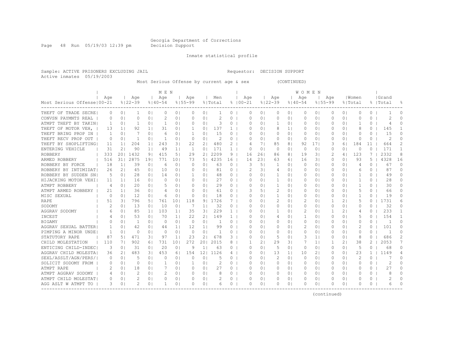Page 48 Run 05/19/03 12:39 pm Decision Support

Inmate statistical profile

Sample: ACTIVE PRISONERS EXCLUDING JAIL Requestor: DECISION SUPPORT Active inmates 05/19/2003

Most Serious Offense by current age & sex (CONTINUED)

| Age<br>Women<br>Grand<br>Age<br>Age<br>Age<br>Men<br>Age<br>Age<br>Aqe<br>Aqe<br>Most Serious Offense   00-21<br>$8122 - 39$<br>$8140 - 54$<br>$8155 - 99$<br>$8100 - 21$<br>$8122 - 39$<br>$8155 - 99$<br>% Total<br>$8140 - 54$<br>% Total<br>%  Total<br>욲<br>THEFT OF TRADE SECRE <br>0 <sub>1</sub><br>0 <sub>1</sub><br>$\Omega$<br>0 <sub>1</sub><br>0 <sub>1</sub><br>0<br>0<br>O<br>0<br>0<br>0<br>$\Omega$<br>0 <sup>1</sup><br>0<br>01<br>0<br>$\Omega$<br>0 <sub>1</sub><br>0<br>1<br>2<br>2<br>2<br>CONVSN PAYMNTS REAL<br>0 <sub>1</sub><br>0<br>0 <sub>1</sub><br>0 <sub>1</sub><br>$\Omega$<br>0 <sub>1</sub><br>0<br>$\Omega$<br>01<br>0<br>01<br>0<br>0 <sup>1</sup><br>0<br>0<br>O<br>0<br>0<br>O<br>1<br>3<br>ATMPT THEFT BY TAKIN<br>1<br>0 <sub>1</sub><br>0 <sub>1</sub><br>1<br>0 <sub>1</sub><br>$\Omega$<br>0 <sub>1</sub><br>0<br>$\Omega$<br>$\Omega$ I<br>-1<br>01<br>$\Omega$<br>0<br>O<br>0 <sup>1</sup><br>1<br>$\Omega$<br>0<br>4<br>92<br>137<br>8<br>8<br>145<br>THEFT OF MOTOR VEH,<br>13<br>1 <sup>1</sup><br>1 <sub>1</sub><br>31<br>0 <sub>1</sub><br>-1<br>01<br>$\mathbf{1}$<br>$\Omega$<br>$\Omega$ I<br>$1\,$<br>0<br>0<br>O<br>0 <sup>1</sup><br>0<br>THEFT BRING PROP IN<br>7<br>6<br>15<br>15<br>0 <sub>1</sub><br>0 <sub>1</sub><br>0 <sub>1</sub><br>-1<br>01<br>$\circ$<br>01<br>0<br>01<br>0 <sup>1</sup><br>0<br>0 <sup>1</sup><br>0<br>0<br>0<br>-1<br>O<br>0<br>THEFT RECV PROP OUT<br>0 <sub>1</sub><br>0<br>0 <sub>1</sub><br>2<br>0<br>0 <sup>1</sup><br>0<br>$\Omega$<br>2<br>O<br>0<br>0 <sub>1</sub><br>-1<br>0 <sub>1</sub><br>$\mathbf{1}$<br>$\Omega$<br>$\Omega$<br>0<br>01<br>0<br>0<br>0 <sup>1</sup><br>204<br>22<br>480<br>2<br>2<br>THEFT BY SHOPLIFTING<br>1 <sub>1</sub><br>243<br>31<br>21<br>71<br>85<br>81<br>92<br>171<br>3<br>184<br>11<br>664<br>11<br>11<br>61<br>4<br>171<br>171<br>21<br>90<br>1 <sup>1</sup><br>0 <sub>1</sub><br>$\Omega$<br>0 <sub>1</sub><br>$\Omega$<br>$\Omega$<br>ENTERING VEHICLE<br>31<br>49<br>1 <sub>1</sub><br>$\mathbf{1}$<br>$\mathbf{1}$<br>$\Omega$<br>$\Omega$<br>$\Omega$ I<br>$\Omega$<br>$\Omega$<br>0 <sup>1</sup><br>333<br>1432<br>415<br>29<br>2 <sub>1</sub><br>2209<br>31<br>2<br>123<br>7<br>2332<br>8<br>201<br>91<br>5 <sub>1</sub><br>9<br>16<br>26<br>86<br>81<br>19<br>ROBBERY<br>4<br>311<br>2875<br>191<br>771<br>5 <sub>1</sub><br>4235<br>16<br>23<br>3 <sub>1</sub><br>93<br>5<br>4328<br>16<br>ARMED ROBBERY<br>516<br>101<br>73<br>14<br>63<br>61<br>16<br>$\Omega$<br>0 <sup>1</sup><br>18<br>1 <sup>1</sup><br>39<br>$\Omega$<br>0 <sub>1</sub><br>0 <sub>1</sub><br>63<br>3<br>51<br>$\Omega$<br>ROBBERY BY FORCE<br>6<br>$\Omega$<br>$\Omega$<br>1<br>$\Omega$<br>$\Omega$<br>$\Omega$<br>$\Omega$<br>0 <sup>1</sup><br>$\Omega$<br>67<br>4<br>21<br>10<br>81<br>2<br>87<br>$\Omega$<br>ROBBERY BY INTIMIDAT<br>26<br>45<br>0 <sub>1</sub><br>0 <sub>1</sub><br>$\Omega$<br>0 <sub>1</sub><br>$\circ$<br>31<br>4<br>0 <sup>1</sup><br>0 <sup>1</sup><br>0<br>0 <sup>1</sup><br>0<br>0<br>6<br>ROBBERY BY SUDDEN SN<br>.5<br>28<br>0 <sub>1</sub><br>48<br>1<br>0 <sup>1</sup><br>0<br>49<br>$\Omega$<br>0 <sub>1</sub><br>0 <sup>1</sup><br>14<br>0 <sub>1</sub><br>-1<br>$\circ$<br>$\Omega$<br>$\Omega$<br>0 <sub>1</sub><br>$\Omega$<br>0<br>01<br>1<br>HIJACKING MOTOR VEHI<br>0 <sup>1</sup><br>$\Omega$<br>0 <sub>1</sub><br>0 <sub>1</sub><br>27<br>$\circ$<br>$\Omega$<br>$\Omega$<br>1<br>01<br>0 <sup>1</sup><br>0<br>28<br>0<br>11<br>11<br>16<br>0<br>$\Omega$<br>0<br>01<br>-1<br>29<br>ATMPT ROBBERY<br>4<br>0 <sub>1</sub><br>20<br>0 <sub>1</sub><br>5<br>0 <sub>1</sub><br>0 <sub>1</sub><br>$\Omega$<br>1<br>01<br>0 <sup>1</sup><br>0<br>30<br>0<br>0<br>0<br>01<br>$\Omega$<br>0<br>01<br>-1<br>0 <sub>1</sub><br>0 <sub>1</sub><br>2<br>$\Omega$<br>ATMPT ARMED ROBBERY<br>21<br>1 <sup>1</sup><br>36<br>0 <sub>1</sub><br>$\Omega$<br>61<br>$\circ$<br>51<br>01<br>0<br>0 <sup>1</sup><br>5<br>0<br>66<br>4<br>0<br>MISC SEXUAL<br>$\Omega$<br>12<br>0 <sub>1</sub><br>6<br>0 <sub>1</sub><br>$\circ$<br>0 <sup>1</sup><br>18<br>$\circ$<br>$\cap$<br>1<br>$\circ$<br>0<br>1<br>$\Omega$<br>19<br>$\Omega$<br>0 <sub>1</sub><br>$\Omega$ I<br>01<br>O<br>0 <sup>1</sup><br>1726<br>2<br>1731<br>RAPE<br>796<br>51<br>761<br>101<br>118<br>91<br>$\Omega$ I<br>2<br>$\Omega$<br>21<br>5<br>0<br>б<br>51<br>31<br>7<br>$\Omega$<br>$\Omega$ I<br>32<br>32<br>13<br>SODOMY<br>2<br>0 <sup>1</sup><br>10<br>$\Omega$<br>7<br>1 <sub>1</sub><br>0<br>$\Omega$<br>$\Omega$<br>$\Omega$<br>$\Omega$<br>$\Omega$<br>$\Omega$<br>$\Omega$<br>0<br>01<br>O<br>01<br>$\Omega$<br>229<br>233<br>85<br>103<br>35<br>31<br>2<br>21<br>AGGRAV SODOMY<br>1 <sup>1</sup><br>1 <sup>1</sup><br>$\Omega$ I<br>$\Omega$<br>$\Omega$<br>-1<br>01<br>1.<br>O<br>01<br>-1<br>4<br>6<br>154<br>53<br>0 <sub>1</sub><br>70<br>22<br>21<br>149<br>5<br>0<br>INCEST<br>1 <sub>1</sub><br>$\mathbf{1}$<br>01<br>01<br>1<br>0 <sup>1</sup><br>0<br>0 <sup>1</sup><br>0 <sub>1</sub><br>O<br>4<br>4<br>1<br>$\Omega$<br>0 <sub>1</sub><br>0<br>0 <sub>1</sub><br>0<br>01<br>0 <sub>1</sub><br>0<br>$\Omega$<br>O<br><b>BIGAMY</b><br>$\Omega$<br>0 <sub>1</sub><br>0 <sub>1</sub><br>$\Omega$<br>0 <sub>1</sub><br>0<br>0<br>0<br>0 <sup>1</sup><br>-1<br>$\overline{2}$<br>42<br>2<br>0 <sub>1</sub><br>101<br>$\Omega$<br>AGGRAV SEXUAL BATTER<br>0 <sub>1</sub><br>0 <sub>1</sub><br>12<br>$1\vert$<br>99<br>$\circ$<br>0 <sub>1</sub><br>0 <sup>1</sup><br>$\Omega$<br>44<br>11<br>0<br>0<br>01<br>0<br>0 <sup>1</sup><br>$\mathbf{1}$<br>$\Omega$<br>PIMPING A MINOR UNDE<br>0 <sub>1</sub><br>0<br>0 <sub>1</sub><br>$\circ$<br>0 <sup>1</sup><br>$\circ$<br>$\circ$<br>0 <sub>1</sub><br>$\circ$<br>$\circ$<br>0 <sub>1</sub><br>0 <sup>1</sup><br>$\circ$<br>0<br>$\mathbf{1}$<br>1<br>$\Omega$<br>01<br>$\Omega$<br>471<br>23<br>2 <sub>1</sub><br>678<br>5<br>8<br>686<br>2<br>STATUTORY RAPE<br>87<br>31<br>97<br>1 <sup>1</sup><br>3.<br>$\Omega$<br>$\Omega$<br>3<br>1 <sup>1</sup><br>0 <sup>1</sup><br>$\Omega$<br>5 <br>$\Omega$<br>$\Omega$<br>272<br>2015<br>29<br>2<br>2053<br>7<br>CHILD MOLESTATION<br>110<br>902<br>731<br>101<br>201<br>8<br>$\overline{2}$<br>31<br>7<br>1 <sub>1</sub><br>1<br>21<br>38<br>71<br>61<br>20<br>0 <sub>1</sub><br>9<br>1 <sup>1</sup><br>5<br>5<br>68<br>$\Omega$<br>ENTICING CHILD-INDEC<br>3<br>0 <sub>1</sub><br>31<br>0 <sub>1</sub><br>63<br>$\Omega$<br>$\Omega$<br>$\Omega$<br>$\Omega$<br>$\Omega$<br>0 <sup>1</sup><br>$\Omega$<br>$\Omega$<br>$\Omega$<br>AGGRAV CHILD MOLESTA<br>483<br>3 <sub>1</sub><br>453<br>154<br>121<br>1126<br>13<br>2 <sub>1</sub><br>23<br>1149<br>21<br>$\Omega$<br>10<br>0 <sup>1</sup><br>1<br>4<br>36<br>61<br>4<br>O<br>11<br>0<br>2<br>SEXL/ASSLT/AGN/PERS/I<br>5<br>0 <sub>1</sub><br>0 <sup>1</sup><br>2<br>0 <sub>1</sub><br>0 <sub>1</sub><br>0<br>$\Omega$<br>0<br>0 <sub>1</sub><br>$\Omega$<br>0 <sub>1</sub><br>0<br>5<br>0<br>$\Omega$<br>$\Omega$<br>$\Omega$<br>$\Omega$<br>0 <sup>1</sup><br>2<br>$\Omega$<br>SOLICIT SODOMY FROM<br>0 <sub>1</sub><br>0 <sub>1</sub><br>2<br>0<br>01<br>0 <sup>1</sup><br>O<br>0<br>0 <sub>1</sub><br>$\Omega$<br>1<br>0 <sub>1</sub><br>1<br>$\Omega$<br>$\Omega$ I<br>0<br>0<br>O<br>0 <sup>1</sup><br>0<br>2.7<br>ATMPT RAPE<br>18<br>27<br>0<br>0<br>$\Omega$<br>$\Omega$<br>0 <sub>1</sub><br>0 <sup>1</sup><br>0 <sub>1</sub><br>$\Omega$<br>0 <sub>1</sub><br>$\Omega$<br>$\Omega$ I<br>01<br>0<br>0<br>0 <sup>1</sup><br>0<br>0<br>ATMPT AGGRAV SODOMY<br>2<br>0 <sub>1</sub><br>0 <sub>1</sub><br>0<br>$\Omega$<br>$\Omega$<br>8<br>$\Omega$<br>0 <sub>1</sub><br>0 <sub>1</sub><br>$\Omega$<br>0<br>$\Omega$<br>$\Omega$ I<br>0<br>01<br>0<br>0<br>0 <sup>1</sup><br>2<br>0 <sup>1</sup><br>0<br>$\Omega$<br>ATMPT CHILD MOLESTAT<br>0 <sub>1</sub><br>0 <sub>1</sub><br>0<br>0 <sub>1</sub><br>0<br>∩<br>0<br>0<br>01<br>0<br>0<br>O<br>$\circ$<br>O<br>0<br>2<br>AGG ASLT W ATMPT TO<br>3<br>O<br>0 <sub>1</sub><br>0 <sub>1</sub><br>-1<br>0 <sup>1</sup><br>$\Omega$<br>0 <sub>1</sub><br>6<br>0<br>$\Omega$<br>$\circ$<br>$\Omega$<br>$\Omega$ I<br>O<br>0<br>Ω<br>$\circ$<br>$\Omega$<br>0<br>6 |  |  | M E N |  |  |  |  | WOMEN |  |  |  |  |
|-------------------------------------------------------------------------------------------------------------------------------------------------------------------------------------------------------------------------------------------------------------------------------------------------------------------------------------------------------------------------------------------------------------------------------------------------------------------------------------------------------------------------------------------------------------------------------------------------------------------------------------------------------------------------------------------------------------------------------------------------------------------------------------------------------------------------------------------------------------------------------------------------------------------------------------------------------------------------------------------------------------------------------------------------------------------------------------------------------------------------------------------------------------------------------------------------------------------------------------------------------------------------------------------------------------------------------------------------------------------------------------------------------------------------------------------------------------------------------------------------------------------------------------------------------------------------------------------------------------------------------------------------------------------------------------------------------------------------------------------------------------------------------------------------------------------------------------------------------------------------------------------------------------------------------------------------------------------------------------------------------------------------------------------------------------------------------------------------------------------------------------------------------------------------------------------------------------------------------------------------------------------------------------------------------------------------------------------------------------------------------------------------------------------------------------------------------------------------------------------------------------------------------------------------------------------------------------------------------------------------------------------------------------------------------------------------------------------------------------------------------------------------------------------------------------------------------------------------------------------------------------------------------------------------------------------------------------------------------------------------------------------------------------------------------------------------------------------------------------------------------------------------------------------------------------------------------------------------------------------------------------------------------------------------------------------------------------------------------------------------------------------------------------------------------------------------------------------------------------------------------------------------------------------------------------------------------------------------------------------------------------------------------------------------------------------------------------------------------------------------------------------------------------------------------------------------------------------------------------------------------------------------------------------------------------------------------------------------------------------------------------------------------------------------------------------------------------------------------------------------------------------------------------------------------------------------------------------------------------------------------------------------------------------------------------------------------------------------------------------------------------------------------------------------------------------------------------------------------------------------------------------------------------------------------------------------------------------------------------------------------------------------------------------------------------------------------------------------------------------------------------------------------------------------------------------------------------------------------------------------------------------------------------------------------------------------------------------------------------------------------------------------------------------------------------------------------------------------------------------------------------------------------------------------------------------------------------------------------------------------------------------------------------------------------------------------------------------------------------------------------------------------------------------------------------------------------------------------------------------------------------------------------------------------------------------------------------------------------------------------------------------------------------------------------------------------------------------------------------------------------------------------------------------------------------------------------------------------------------------------------------------------------------------------------------------------------------------------------------------------------------------------------------------------------------------------------------------------------------------------------------------------------------------------------------------------------------------------------------------------------------------------------------------------------------------------------------------------------------------------------------------------------------------------------------------------------------------------------------------------------------------------------------------------------------------------------------------------------------------------------------------------------------------------------------------------------------------------------------------------------------------------------------------------------------------------------------------------------------------------------------------------------------------------------------------------------------------------------------------------------------------------------------------------------------------------------------------------------------------------------------------------------------------------------------------------------------------------------------------------------------------------------------------------------------------------------------------------------------------------------------------------------------------------------------------------------------------------------------------------------------------------------------------------------------------------------------------------------------------------------------------------------------------------------------------------------------------------------------------------------------------------------------------------------------------------------------------------------------------------------------------------------------------------------------------------------------------------------------------------------------------------------------------------------------------------------------------------------------------------------------------------------------------------------------------------|--|--|-------|--|--|--|--|-------|--|--|--|--|
|                                                                                                                                                                                                                                                                                                                                                                                                                                                                                                                                                                                                                                                                                                                                                                                                                                                                                                                                                                                                                                                                                                                                                                                                                                                                                                                                                                                                                                                                                                                                                                                                                                                                                                                                                                                                                                                                                                                                                                                                                                                                                                                                                                                                                                                                                                                                                                                                                                                                                                                                                                                                                                                                                                                                                                                                                                                                                                                                                                                                                                                                                                                                                                                                                                                                                                                                                                                                                                                                                                                                                                                                                                                                                                                                                                                                                                                                                                                                                                                                                                                                                                                                                                                                                                                                                                                                                                                                                                                                                                                                                                                                                                                                                                                                                                                                                                                                                                                                                                                                                                                                                                                                                                                                                                                                                                                                                                                                                                                                                                                                                                                                                                                                                                                                                                                                                                                                                                                                                                                                                                                                                                                                                                                                                                                                                                                                                                                                                                                                                                                                                                                                                                                                                                                                                                                                                                                                                                                                                                                                                                                                                                                                                                                                                                                                                                                                                                                                                                                                                                                                                                                                                                                                                                                                                                                                                                                                                                                                                                                                                                                                                                                                                                                                 |  |  |       |  |  |  |  |       |  |  |  |  |
|                                                                                                                                                                                                                                                                                                                                                                                                                                                                                                                                                                                                                                                                                                                                                                                                                                                                                                                                                                                                                                                                                                                                                                                                                                                                                                                                                                                                                                                                                                                                                                                                                                                                                                                                                                                                                                                                                                                                                                                                                                                                                                                                                                                                                                                                                                                                                                                                                                                                                                                                                                                                                                                                                                                                                                                                                                                                                                                                                                                                                                                                                                                                                                                                                                                                                                                                                                                                                                                                                                                                                                                                                                                                                                                                                                                                                                                                                                                                                                                                                                                                                                                                                                                                                                                                                                                                                                                                                                                                                                                                                                                                                                                                                                                                                                                                                                                                                                                                                                                                                                                                                                                                                                                                                                                                                                                                                                                                                                                                                                                                                                                                                                                                                                                                                                                                                                                                                                                                                                                                                                                                                                                                                                                                                                                                                                                                                                                                                                                                                                                                                                                                                                                                                                                                                                                                                                                                                                                                                                                                                                                                                                                                                                                                                                                                                                                                                                                                                                                                                                                                                                                                                                                                                                                                                                                                                                                                                                                                                                                                                                                                                                                                                                                                 |  |  |       |  |  |  |  |       |  |  |  |  |
|                                                                                                                                                                                                                                                                                                                                                                                                                                                                                                                                                                                                                                                                                                                                                                                                                                                                                                                                                                                                                                                                                                                                                                                                                                                                                                                                                                                                                                                                                                                                                                                                                                                                                                                                                                                                                                                                                                                                                                                                                                                                                                                                                                                                                                                                                                                                                                                                                                                                                                                                                                                                                                                                                                                                                                                                                                                                                                                                                                                                                                                                                                                                                                                                                                                                                                                                                                                                                                                                                                                                                                                                                                                                                                                                                                                                                                                                                                                                                                                                                                                                                                                                                                                                                                                                                                                                                                                                                                                                                                                                                                                                                                                                                                                                                                                                                                                                                                                                                                                                                                                                                                                                                                                                                                                                                                                                                                                                                                                                                                                                                                                                                                                                                                                                                                                                                                                                                                                                                                                                                                                                                                                                                                                                                                                                                                                                                                                                                                                                                                                                                                                                                                                                                                                                                                                                                                                                                                                                                                                                                                                                                                                                                                                                                                                                                                                                                                                                                                                                                                                                                                                                                                                                                                                                                                                                                                                                                                                                                                                                                                                                                                                                                                                                 |  |  |       |  |  |  |  |       |  |  |  |  |
|                                                                                                                                                                                                                                                                                                                                                                                                                                                                                                                                                                                                                                                                                                                                                                                                                                                                                                                                                                                                                                                                                                                                                                                                                                                                                                                                                                                                                                                                                                                                                                                                                                                                                                                                                                                                                                                                                                                                                                                                                                                                                                                                                                                                                                                                                                                                                                                                                                                                                                                                                                                                                                                                                                                                                                                                                                                                                                                                                                                                                                                                                                                                                                                                                                                                                                                                                                                                                                                                                                                                                                                                                                                                                                                                                                                                                                                                                                                                                                                                                                                                                                                                                                                                                                                                                                                                                                                                                                                                                                                                                                                                                                                                                                                                                                                                                                                                                                                                                                                                                                                                                                                                                                                                                                                                                                                                                                                                                                                                                                                                                                                                                                                                                                                                                                                                                                                                                                                                                                                                                                                                                                                                                                                                                                                                                                                                                                                                                                                                                                                                                                                                                                                                                                                                                                                                                                                                                                                                                                                                                                                                                                                                                                                                                                                                                                                                                                                                                                                                                                                                                                                                                                                                                                                                                                                                                                                                                                                                                                                                                                                                                                                                                                                                 |  |  |       |  |  |  |  |       |  |  |  |  |
|                                                                                                                                                                                                                                                                                                                                                                                                                                                                                                                                                                                                                                                                                                                                                                                                                                                                                                                                                                                                                                                                                                                                                                                                                                                                                                                                                                                                                                                                                                                                                                                                                                                                                                                                                                                                                                                                                                                                                                                                                                                                                                                                                                                                                                                                                                                                                                                                                                                                                                                                                                                                                                                                                                                                                                                                                                                                                                                                                                                                                                                                                                                                                                                                                                                                                                                                                                                                                                                                                                                                                                                                                                                                                                                                                                                                                                                                                                                                                                                                                                                                                                                                                                                                                                                                                                                                                                                                                                                                                                                                                                                                                                                                                                                                                                                                                                                                                                                                                                                                                                                                                                                                                                                                                                                                                                                                                                                                                                                                                                                                                                                                                                                                                                                                                                                                                                                                                                                                                                                                                                                                                                                                                                                                                                                                                                                                                                                                                                                                                                                                                                                                                                                                                                                                                                                                                                                                                                                                                                                                                                                                                                                                                                                                                                                                                                                                                                                                                                                                                                                                                                                                                                                                                                                                                                                                                                                                                                                                                                                                                                                                                                                                                                                                 |  |  |       |  |  |  |  |       |  |  |  |  |
|                                                                                                                                                                                                                                                                                                                                                                                                                                                                                                                                                                                                                                                                                                                                                                                                                                                                                                                                                                                                                                                                                                                                                                                                                                                                                                                                                                                                                                                                                                                                                                                                                                                                                                                                                                                                                                                                                                                                                                                                                                                                                                                                                                                                                                                                                                                                                                                                                                                                                                                                                                                                                                                                                                                                                                                                                                                                                                                                                                                                                                                                                                                                                                                                                                                                                                                                                                                                                                                                                                                                                                                                                                                                                                                                                                                                                                                                                                                                                                                                                                                                                                                                                                                                                                                                                                                                                                                                                                                                                                                                                                                                                                                                                                                                                                                                                                                                                                                                                                                                                                                                                                                                                                                                                                                                                                                                                                                                                                                                                                                                                                                                                                                                                                                                                                                                                                                                                                                                                                                                                                                                                                                                                                                                                                                                                                                                                                                                                                                                                                                                                                                                                                                                                                                                                                                                                                                                                                                                                                                                                                                                                                                                                                                                                                                                                                                                                                                                                                                                                                                                                                                                                                                                                                                                                                                                                                                                                                                                                                                                                                                                                                                                                                                                 |  |  |       |  |  |  |  |       |  |  |  |  |
|                                                                                                                                                                                                                                                                                                                                                                                                                                                                                                                                                                                                                                                                                                                                                                                                                                                                                                                                                                                                                                                                                                                                                                                                                                                                                                                                                                                                                                                                                                                                                                                                                                                                                                                                                                                                                                                                                                                                                                                                                                                                                                                                                                                                                                                                                                                                                                                                                                                                                                                                                                                                                                                                                                                                                                                                                                                                                                                                                                                                                                                                                                                                                                                                                                                                                                                                                                                                                                                                                                                                                                                                                                                                                                                                                                                                                                                                                                                                                                                                                                                                                                                                                                                                                                                                                                                                                                                                                                                                                                                                                                                                                                                                                                                                                                                                                                                                                                                                                                                                                                                                                                                                                                                                                                                                                                                                                                                                                                                                                                                                                                                                                                                                                                                                                                                                                                                                                                                                                                                                                                                                                                                                                                                                                                                                                                                                                                                                                                                                                                                                                                                                                                                                                                                                                                                                                                                                                                                                                                                                                                                                                                                                                                                                                                                                                                                                                                                                                                                                                                                                                                                                                                                                                                                                                                                                                                                                                                                                                                                                                                                                                                                                                                                                 |  |  |       |  |  |  |  |       |  |  |  |  |
|                                                                                                                                                                                                                                                                                                                                                                                                                                                                                                                                                                                                                                                                                                                                                                                                                                                                                                                                                                                                                                                                                                                                                                                                                                                                                                                                                                                                                                                                                                                                                                                                                                                                                                                                                                                                                                                                                                                                                                                                                                                                                                                                                                                                                                                                                                                                                                                                                                                                                                                                                                                                                                                                                                                                                                                                                                                                                                                                                                                                                                                                                                                                                                                                                                                                                                                                                                                                                                                                                                                                                                                                                                                                                                                                                                                                                                                                                                                                                                                                                                                                                                                                                                                                                                                                                                                                                                                                                                                                                                                                                                                                                                                                                                                                                                                                                                                                                                                                                                                                                                                                                                                                                                                                                                                                                                                                                                                                                                                                                                                                                                                                                                                                                                                                                                                                                                                                                                                                                                                                                                                                                                                                                                                                                                                                                                                                                                                                                                                                                                                                                                                                                                                                                                                                                                                                                                                                                                                                                                                                                                                                                                                                                                                                                                                                                                                                                                                                                                                                                                                                                                                                                                                                                                                                                                                                                                                                                                                                                                                                                                                                                                                                                                                                 |  |  |       |  |  |  |  |       |  |  |  |  |
|                                                                                                                                                                                                                                                                                                                                                                                                                                                                                                                                                                                                                                                                                                                                                                                                                                                                                                                                                                                                                                                                                                                                                                                                                                                                                                                                                                                                                                                                                                                                                                                                                                                                                                                                                                                                                                                                                                                                                                                                                                                                                                                                                                                                                                                                                                                                                                                                                                                                                                                                                                                                                                                                                                                                                                                                                                                                                                                                                                                                                                                                                                                                                                                                                                                                                                                                                                                                                                                                                                                                                                                                                                                                                                                                                                                                                                                                                                                                                                                                                                                                                                                                                                                                                                                                                                                                                                                                                                                                                                                                                                                                                                                                                                                                                                                                                                                                                                                                                                                                                                                                                                                                                                                                                                                                                                                                                                                                                                                                                                                                                                                                                                                                                                                                                                                                                                                                                                                                                                                                                                                                                                                                                                                                                                                                                                                                                                                                                                                                                                                                                                                                                                                                                                                                                                                                                                                                                                                                                                                                                                                                                                                                                                                                                                                                                                                                                                                                                                                                                                                                                                                                                                                                                                                                                                                                                                                                                                                                                                                                                                                                                                                                                                                                 |  |  |       |  |  |  |  |       |  |  |  |  |
|                                                                                                                                                                                                                                                                                                                                                                                                                                                                                                                                                                                                                                                                                                                                                                                                                                                                                                                                                                                                                                                                                                                                                                                                                                                                                                                                                                                                                                                                                                                                                                                                                                                                                                                                                                                                                                                                                                                                                                                                                                                                                                                                                                                                                                                                                                                                                                                                                                                                                                                                                                                                                                                                                                                                                                                                                                                                                                                                                                                                                                                                                                                                                                                                                                                                                                                                                                                                                                                                                                                                                                                                                                                                                                                                                                                                                                                                                                                                                                                                                                                                                                                                                                                                                                                                                                                                                                                                                                                                                                                                                                                                                                                                                                                                                                                                                                                                                                                                                                                                                                                                                                                                                                                                                                                                                                                                                                                                                                                                                                                                                                                                                                                                                                                                                                                                                                                                                                                                                                                                                                                                                                                                                                                                                                                                                                                                                                                                                                                                                                                                                                                                                                                                                                                                                                                                                                                                                                                                                                                                                                                                                                                                                                                                                                                                                                                                                                                                                                                                                                                                                                                                                                                                                                                                                                                                                                                                                                                                                                                                                                                                                                                                                                                                 |  |  |       |  |  |  |  |       |  |  |  |  |
|                                                                                                                                                                                                                                                                                                                                                                                                                                                                                                                                                                                                                                                                                                                                                                                                                                                                                                                                                                                                                                                                                                                                                                                                                                                                                                                                                                                                                                                                                                                                                                                                                                                                                                                                                                                                                                                                                                                                                                                                                                                                                                                                                                                                                                                                                                                                                                                                                                                                                                                                                                                                                                                                                                                                                                                                                                                                                                                                                                                                                                                                                                                                                                                                                                                                                                                                                                                                                                                                                                                                                                                                                                                                                                                                                                                                                                                                                                                                                                                                                                                                                                                                                                                                                                                                                                                                                                                                                                                                                                                                                                                                                                                                                                                                                                                                                                                                                                                                                                                                                                                                                                                                                                                                                                                                                                                                                                                                                                                                                                                                                                                                                                                                                                                                                                                                                                                                                                                                                                                                                                                                                                                                                                                                                                                                                                                                                                                                                                                                                                                                                                                                                                                                                                                                                                                                                                                                                                                                                                                                                                                                                                                                                                                                                                                                                                                                                                                                                                                                                                                                                                                                                                                                                                                                                                                                                                                                                                                                                                                                                                                                                                                                                                                                 |  |  |       |  |  |  |  |       |  |  |  |  |
|                                                                                                                                                                                                                                                                                                                                                                                                                                                                                                                                                                                                                                                                                                                                                                                                                                                                                                                                                                                                                                                                                                                                                                                                                                                                                                                                                                                                                                                                                                                                                                                                                                                                                                                                                                                                                                                                                                                                                                                                                                                                                                                                                                                                                                                                                                                                                                                                                                                                                                                                                                                                                                                                                                                                                                                                                                                                                                                                                                                                                                                                                                                                                                                                                                                                                                                                                                                                                                                                                                                                                                                                                                                                                                                                                                                                                                                                                                                                                                                                                                                                                                                                                                                                                                                                                                                                                                                                                                                                                                                                                                                                                                                                                                                                                                                                                                                                                                                                                                                                                                                                                                                                                                                                                                                                                                                                                                                                                                                                                                                                                                                                                                                                                                                                                                                                                                                                                                                                                                                                                                                                                                                                                                                                                                                                                                                                                                                                                                                                                                                                                                                                                                                                                                                                                                                                                                                                                                                                                                                                                                                                                                                                                                                                                                                                                                                                                                                                                                                                                                                                                                                                                                                                                                                                                                                                                                                                                                                                                                                                                                                                                                                                                                                                 |  |  |       |  |  |  |  |       |  |  |  |  |
|                                                                                                                                                                                                                                                                                                                                                                                                                                                                                                                                                                                                                                                                                                                                                                                                                                                                                                                                                                                                                                                                                                                                                                                                                                                                                                                                                                                                                                                                                                                                                                                                                                                                                                                                                                                                                                                                                                                                                                                                                                                                                                                                                                                                                                                                                                                                                                                                                                                                                                                                                                                                                                                                                                                                                                                                                                                                                                                                                                                                                                                                                                                                                                                                                                                                                                                                                                                                                                                                                                                                                                                                                                                                                                                                                                                                                                                                                                                                                                                                                                                                                                                                                                                                                                                                                                                                                                                                                                                                                                                                                                                                                                                                                                                                                                                                                                                                                                                                                                                                                                                                                                                                                                                                                                                                                                                                                                                                                                                                                                                                                                                                                                                                                                                                                                                                                                                                                                                                                                                                                                                                                                                                                                                                                                                                                                                                                                                                                                                                                                                                                                                                                                                                                                                                                                                                                                                                                                                                                                                                                                                                                                                                                                                                                                                                                                                                                                                                                                                                                                                                                                                                                                                                                                                                                                                                                                                                                                                                                                                                                                                                                                                                                                                                 |  |  |       |  |  |  |  |       |  |  |  |  |
|                                                                                                                                                                                                                                                                                                                                                                                                                                                                                                                                                                                                                                                                                                                                                                                                                                                                                                                                                                                                                                                                                                                                                                                                                                                                                                                                                                                                                                                                                                                                                                                                                                                                                                                                                                                                                                                                                                                                                                                                                                                                                                                                                                                                                                                                                                                                                                                                                                                                                                                                                                                                                                                                                                                                                                                                                                                                                                                                                                                                                                                                                                                                                                                                                                                                                                                                                                                                                                                                                                                                                                                                                                                                                                                                                                                                                                                                                                                                                                                                                                                                                                                                                                                                                                                                                                                                                                                                                                                                                                                                                                                                                                                                                                                                                                                                                                                                                                                                                                                                                                                                                                                                                                                                                                                                                                                                                                                                                                                                                                                                                                                                                                                                                                                                                                                                                                                                                                                                                                                                                                                                                                                                                                                                                                                                                                                                                                                                                                                                                                                                                                                                                                                                                                                                                                                                                                                                                                                                                                                                                                                                                                                                                                                                                                                                                                                                                                                                                                                                                                                                                                                                                                                                                                                                                                                                                                                                                                                                                                                                                                                                                                                                                                                                 |  |  |       |  |  |  |  |       |  |  |  |  |
|                                                                                                                                                                                                                                                                                                                                                                                                                                                                                                                                                                                                                                                                                                                                                                                                                                                                                                                                                                                                                                                                                                                                                                                                                                                                                                                                                                                                                                                                                                                                                                                                                                                                                                                                                                                                                                                                                                                                                                                                                                                                                                                                                                                                                                                                                                                                                                                                                                                                                                                                                                                                                                                                                                                                                                                                                                                                                                                                                                                                                                                                                                                                                                                                                                                                                                                                                                                                                                                                                                                                                                                                                                                                                                                                                                                                                                                                                                                                                                                                                                                                                                                                                                                                                                                                                                                                                                                                                                                                                                                                                                                                                                                                                                                                                                                                                                                                                                                                                                                                                                                                                                                                                                                                                                                                                                                                                                                                                                                                                                                                                                                                                                                                                                                                                                                                                                                                                                                                                                                                                                                                                                                                                                                                                                                                                                                                                                                                                                                                                                                                                                                                                                                                                                                                                                                                                                                                                                                                                                                                                                                                                                                                                                                                                                                                                                                                                                                                                                                                                                                                                                                                                                                                                                                                                                                                                                                                                                                                                                                                                                                                                                                                                                                                 |  |  |       |  |  |  |  |       |  |  |  |  |
|                                                                                                                                                                                                                                                                                                                                                                                                                                                                                                                                                                                                                                                                                                                                                                                                                                                                                                                                                                                                                                                                                                                                                                                                                                                                                                                                                                                                                                                                                                                                                                                                                                                                                                                                                                                                                                                                                                                                                                                                                                                                                                                                                                                                                                                                                                                                                                                                                                                                                                                                                                                                                                                                                                                                                                                                                                                                                                                                                                                                                                                                                                                                                                                                                                                                                                                                                                                                                                                                                                                                                                                                                                                                                                                                                                                                                                                                                                                                                                                                                                                                                                                                                                                                                                                                                                                                                                                                                                                                                                                                                                                                                                                                                                                                                                                                                                                                                                                                                                                                                                                                                                                                                                                                                                                                                                                                                                                                                                                                                                                                                                                                                                                                                                                                                                                                                                                                                                                                                                                                                                                                                                                                                                                                                                                                                                                                                                                                                                                                                                                                                                                                                                                                                                                                                                                                                                                                                                                                                                                                                                                                                                                                                                                                                                                                                                                                                                                                                                                                                                                                                                                                                                                                                                                                                                                                                                                                                                                                                                                                                                                                                                                                                                                                 |  |  |       |  |  |  |  |       |  |  |  |  |
|                                                                                                                                                                                                                                                                                                                                                                                                                                                                                                                                                                                                                                                                                                                                                                                                                                                                                                                                                                                                                                                                                                                                                                                                                                                                                                                                                                                                                                                                                                                                                                                                                                                                                                                                                                                                                                                                                                                                                                                                                                                                                                                                                                                                                                                                                                                                                                                                                                                                                                                                                                                                                                                                                                                                                                                                                                                                                                                                                                                                                                                                                                                                                                                                                                                                                                                                                                                                                                                                                                                                                                                                                                                                                                                                                                                                                                                                                                                                                                                                                                                                                                                                                                                                                                                                                                                                                                                                                                                                                                                                                                                                                                                                                                                                                                                                                                                                                                                                                                                                                                                                                                                                                                                                                                                                                                                                                                                                                                                                                                                                                                                                                                                                                                                                                                                                                                                                                                                                                                                                                                                                                                                                                                                                                                                                                                                                                                                                                                                                                                                                                                                                                                                                                                                                                                                                                                                                                                                                                                                                                                                                                                                                                                                                                                                                                                                                                                                                                                                                                                                                                                                                                                                                                                                                                                                                                                                                                                                                                                                                                                                                                                                                                                                                 |  |  |       |  |  |  |  |       |  |  |  |  |
|                                                                                                                                                                                                                                                                                                                                                                                                                                                                                                                                                                                                                                                                                                                                                                                                                                                                                                                                                                                                                                                                                                                                                                                                                                                                                                                                                                                                                                                                                                                                                                                                                                                                                                                                                                                                                                                                                                                                                                                                                                                                                                                                                                                                                                                                                                                                                                                                                                                                                                                                                                                                                                                                                                                                                                                                                                                                                                                                                                                                                                                                                                                                                                                                                                                                                                                                                                                                                                                                                                                                                                                                                                                                                                                                                                                                                                                                                                                                                                                                                                                                                                                                                                                                                                                                                                                                                                                                                                                                                                                                                                                                                                                                                                                                                                                                                                                                                                                                                                                                                                                                                                                                                                                                                                                                                                                                                                                                                                                                                                                                                                                                                                                                                                                                                                                                                                                                                                                                                                                                                                                                                                                                                                                                                                                                                                                                                                                                                                                                                                                                                                                                                                                                                                                                                                                                                                                                                                                                                                                                                                                                                                                                                                                                                                                                                                                                                                                                                                                                                                                                                                                                                                                                                                                                                                                                                                                                                                                                                                                                                                                                                                                                                                                                 |  |  |       |  |  |  |  |       |  |  |  |  |
|                                                                                                                                                                                                                                                                                                                                                                                                                                                                                                                                                                                                                                                                                                                                                                                                                                                                                                                                                                                                                                                                                                                                                                                                                                                                                                                                                                                                                                                                                                                                                                                                                                                                                                                                                                                                                                                                                                                                                                                                                                                                                                                                                                                                                                                                                                                                                                                                                                                                                                                                                                                                                                                                                                                                                                                                                                                                                                                                                                                                                                                                                                                                                                                                                                                                                                                                                                                                                                                                                                                                                                                                                                                                                                                                                                                                                                                                                                                                                                                                                                                                                                                                                                                                                                                                                                                                                                                                                                                                                                                                                                                                                                                                                                                                                                                                                                                                                                                                                                                                                                                                                                                                                                                                                                                                                                                                                                                                                                                                                                                                                                                                                                                                                                                                                                                                                                                                                                                                                                                                                                                                                                                                                                                                                                                                                                                                                                                                                                                                                                                                                                                                                                                                                                                                                                                                                                                                                                                                                                                                                                                                                                                                                                                                                                                                                                                                                                                                                                                                                                                                                                                                                                                                                                                                                                                                                                                                                                                                                                                                                                                                                                                                                                                                 |  |  |       |  |  |  |  |       |  |  |  |  |
|                                                                                                                                                                                                                                                                                                                                                                                                                                                                                                                                                                                                                                                                                                                                                                                                                                                                                                                                                                                                                                                                                                                                                                                                                                                                                                                                                                                                                                                                                                                                                                                                                                                                                                                                                                                                                                                                                                                                                                                                                                                                                                                                                                                                                                                                                                                                                                                                                                                                                                                                                                                                                                                                                                                                                                                                                                                                                                                                                                                                                                                                                                                                                                                                                                                                                                                                                                                                                                                                                                                                                                                                                                                                                                                                                                                                                                                                                                                                                                                                                                                                                                                                                                                                                                                                                                                                                                                                                                                                                                                                                                                                                                                                                                                                                                                                                                                                                                                                                                                                                                                                                                                                                                                                                                                                                                                                                                                                                                                                                                                                                                                                                                                                                                                                                                                                                                                                                                                                                                                                                                                                                                                                                                                                                                                                                                                                                                                                                                                                                                                                                                                                                                                                                                                                                                                                                                                                                                                                                                                                                                                                                                                                                                                                                                                                                                                                                                                                                                                                                                                                                                                                                                                                                                                                                                                                                                                                                                                                                                                                                                                                                                                                                                                                 |  |  |       |  |  |  |  |       |  |  |  |  |
|                                                                                                                                                                                                                                                                                                                                                                                                                                                                                                                                                                                                                                                                                                                                                                                                                                                                                                                                                                                                                                                                                                                                                                                                                                                                                                                                                                                                                                                                                                                                                                                                                                                                                                                                                                                                                                                                                                                                                                                                                                                                                                                                                                                                                                                                                                                                                                                                                                                                                                                                                                                                                                                                                                                                                                                                                                                                                                                                                                                                                                                                                                                                                                                                                                                                                                                                                                                                                                                                                                                                                                                                                                                                                                                                                                                                                                                                                                                                                                                                                                                                                                                                                                                                                                                                                                                                                                                                                                                                                                                                                                                                                                                                                                                                                                                                                                                                                                                                                                                                                                                                                                                                                                                                                                                                                                                                                                                                                                                                                                                                                                                                                                                                                                                                                                                                                                                                                                                                                                                                                                                                                                                                                                                                                                                                                                                                                                                                                                                                                                                                                                                                                                                                                                                                                                                                                                                                                                                                                                                                                                                                                                                                                                                                                                                                                                                                                                                                                                                                                                                                                                                                                                                                                                                                                                                                                                                                                                                                                                                                                                                                                                                                                                                                 |  |  |       |  |  |  |  |       |  |  |  |  |
|                                                                                                                                                                                                                                                                                                                                                                                                                                                                                                                                                                                                                                                                                                                                                                                                                                                                                                                                                                                                                                                                                                                                                                                                                                                                                                                                                                                                                                                                                                                                                                                                                                                                                                                                                                                                                                                                                                                                                                                                                                                                                                                                                                                                                                                                                                                                                                                                                                                                                                                                                                                                                                                                                                                                                                                                                                                                                                                                                                                                                                                                                                                                                                                                                                                                                                                                                                                                                                                                                                                                                                                                                                                                                                                                                                                                                                                                                                                                                                                                                                                                                                                                                                                                                                                                                                                                                                                                                                                                                                                                                                                                                                                                                                                                                                                                                                                                                                                                                                                                                                                                                                                                                                                                                                                                                                                                                                                                                                                                                                                                                                                                                                                                                                                                                                                                                                                                                                                                                                                                                                                                                                                                                                                                                                                                                                                                                                                                                                                                                                                                                                                                                                                                                                                                                                                                                                                                                                                                                                                                                                                                                                                                                                                                                                                                                                                                                                                                                                                                                                                                                                                                                                                                                                                                                                                                                                                                                                                                                                                                                                                                                                                                                                                                 |  |  |       |  |  |  |  |       |  |  |  |  |
|                                                                                                                                                                                                                                                                                                                                                                                                                                                                                                                                                                                                                                                                                                                                                                                                                                                                                                                                                                                                                                                                                                                                                                                                                                                                                                                                                                                                                                                                                                                                                                                                                                                                                                                                                                                                                                                                                                                                                                                                                                                                                                                                                                                                                                                                                                                                                                                                                                                                                                                                                                                                                                                                                                                                                                                                                                                                                                                                                                                                                                                                                                                                                                                                                                                                                                                                                                                                                                                                                                                                                                                                                                                                                                                                                                                                                                                                                                                                                                                                                                                                                                                                                                                                                                                                                                                                                                                                                                                                                                                                                                                                                                                                                                                                                                                                                                                                                                                                                                                                                                                                                                                                                                                                                                                                                                                                                                                                                                                                                                                                                                                                                                                                                                                                                                                                                                                                                                                                                                                                                                                                                                                                                                                                                                                                                                                                                                                                                                                                                                                                                                                                                                                                                                                                                                                                                                                                                                                                                                                                                                                                                                                                                                                                                                                                                                                                                                                                                                                                                                                                                                                                                                                                                                                                                                                                                                                                                                                                                                                                                                                                                                                                                                                                 |  |  |       |  |  |  |  |       |  |  |  |  |
|                                                                                                                                                                                                                                                                                                                                                                                                                                                                                                                                                                                                                                                                                                                                                                                                                                                                                                                                                                                                                                                                                                                                                                                                                                                                                                                                                                                                                                                                                                                                                                                                                                                                                                                                                                                                                                                                                                                                                                                                                                                                                                                                                                                                                                                                                                                                                                                                                                                                                                                                                                                                                                                                                                                                                                                                                                                                                                                                                                                                                                                                                                                                                                                                                                                                                                                                                                                                                                                                                                                                                                                                                                                                                                                                                                                                                                                                                                                                                                                                                                                                                                                                                                                                                                                                                                                                                                                                                                                                                                                                                                                                                                                                                                                                                                                                                                                                                                                                                                                                                                                                                                                                                                                                                                                                                                                                                                                                                                                                                                                                                                                                                                                                                                                                                                                                                                                                                                                                                                                                                                                                                                                                                                                                                                                                                                                                                                                                                                                                                                                                                                                                                                                                                                                                                                                                                                                                                                                                                                                                                                                                                                                                                                                                                                                                                                                                                                                                                                                                                                                                                                                                                                                                                                                                                                                                                                                                                                                                                                                                                                                                                                                                                                                                 |  |  |       |  |  |  |  |       |  |  |  |  |
|                                                                                                                                                                                                                                                                                                                                                                                                                                                                                                                                                                                                                                                                                                                                                                                                                                                                                                                                                                                                                                                                                                                                                                                                                                                                                                                                                                                                                                                                                                                                                                                                                                                                                                                                                                                                                                                                                                                                                                                                                                                                                                                                                                                                                                                                                                                                                                                                                                                                                                                                                                                                                                                                                                                                                                                                                                                                                                                                                                                                                                                                                                                                                                                                                                                                                                                                                                                                                                                                                                                                                                                                                                                                                                                                                                                                                                                                                                                                                                                                                                                                                                                                                                                                                                                                                                                                                                                                                                                                                                                                                                                                                                                                                                                                                                                                                                                                                                                                                                                                                                                                                                                                                                                                                                                                                                                                                                                                                                                                                                                                                                                                                                                                                                                                                                                                                                                                                                                                                                                                                                                                                                                                                                                                                                                                                                                                                                                                                                                                                                                                                                                                                                                                                                                                                                                                                                                                                                                                                                                                                                                                                                                                                                                                                                                                                                                                                                                                                                                                                                                                                                                                                                                                                                                                                                                                                                                                                                                                                                                                                                                                                                                                                                                                 |  |  |       |  |  |  |  |       |  |  |  |  |
|                                                                                                                                                                                                                                                                                                                                                                                                                                                                                                                                                                                                                                                                                                                                                                                                                                                                                                                                                                                                                                                                                                                                                                                                                                                                                                                                                                                                                                                                                                                                                                                                                                                                                                                                                                                                                                                                                                                                                                                                                                                                                                                                                                                                                                                                                                                                                                                                                                                                                                                                                                                                                                                                                                                                                                                                                                                                                                                                                                                                                                                                                                                                                                                                                                                                                                                                                                                                                                                                                                                                                                                                                                                                                                                                                                                                                                                                                                                                                                                                                                                                                                                                                                                                                                                                                                                                                                                                                                                                                                                                                                                                                                                                                                                                                                                                                                                                                                                                                                                                                                                                                                                                                                                                                                                                                                                                                                                                                                                                                                                                                                                                                                                                                                                                                                                                                                                                                                                                                                                                                                                                                                                                                                                                                                                                                                                                                                                                                                                                                                                                                                                                                                                                                                                                                                                                                                                                                                                                                                                                                                                                                                                                                                                                                                                                                                                                                                                                                                                                                                                                                                                                                                                                                                                                                                                                                                                                                                                                                                                                                                                                                                                                                                                                 |  |  |       |  |  |  |  |       |  |  |  |  |
|                                                                                                                                                                                                                                                                                                                                                                                                                                                                                                                                                                                                                                                                                                                                                                                                                                                                                                                                                                                                                                                                                                                                                                                                                                                                                                                                                                                                                                                                                                                                                                                                                                                                                                                                                                                                                                                                                                                                                                                                                                                                                                                                                                                                                                                                                                                                                                                                                                                                                                                                                                                                                                                                                                                                                                                                                                                                                                                                                                                                                                                                                                                                                                                                                                                                                                                                                                                                                                                                                                                                                                                                                                                                                                                                                                                                                                                                                                                                                                                                                                                                                                                                                                                                                                                                                                                                                                                                                                                                                                                                                                                                                                                                                                                                                                                                                                                                                                                                                                                                                                                                                                                                                                                                                                                                                                                                                                                                                                                                                                                                                                                                                                                                                                                                                                                                                                                                                                                                                                                                                                                                                                                                                                                                                                                                                                                                                                                                                                                                                                                                                                                                                                                                                                                                                                                                                                                                                                                                                                                                                                                                                                                                                                                                                                                                                                                                                                                                                                                                                                                                                                                                                                                                                                                                                                                                                                                                                                                                                                                                                                                                                                                                                                                                 |  |  |       |  |  |  |  |       |  |  |  |  |
|                                                                                                                                                                                                                                                                                                                                                                                                                                                                                                                                                                                                                                                                                                                                                                                                                                                                                                                                                                                                                                                                                                                                                                                                                                                                                                                                                                                                                                                                                                                                                                                                                                                                                                                                                                                                                                                                                                                                                                                                                                                                                                                                                                                                                                                                                                                                                                                                                                                                                                                                                                                                                                                                                                                                                                                                                                                                                                                                                                                                                                                                                                                                                                                                                                                                                                                                                                                                                                                                                                                                                                                                                                                                                                                                                                                                                                                                                                                                                                                                                                                                                                                                                                                                                                                                                                                                                                                                                                                                                                                                                                                                                                                                                                                                                                                                                                                                                                                                                                                                                                                                                                                                                                                                                                                                                                                                                                                                                                                                                                                                                                                                                                                                                                                                                                                                                                                                                                                                                                                                                                                                                                                                                                                                                                                                                                                                                                                                                                                                                                                                                                                                                                                                                                                                                                                                                                                                                                                                                                                                                                                                                                                                                                                                                                                                                                                                                                                                                                                                                                                                                                                                                                                                                                                                                                                                                                                                                                                                                                                                                                                                                                                                                                                                 |  |  |       |  |  |  |  |       |  |  |  |  |
|                                                                                                                                                                                                                                                                                                                                                                                                                                                                                                                                                                                                                                                                                                                                                                                                                                                                                                                                                                                                                                                                                                                                                                                                                                                                                                                                                                                                                                                                                                                                                                                                                                                                                                                                                                                                                                                                                                                                                                                                                                                                                                                                                                                                                                                                                                                                                                                                                                                                                                                                                                                                                                                                                                                                                                                                                                                                                                                                                                                                                                                                                                                                                                                                                                                                                                                                                                                                                                                                                                                                                                                                                                                                                                                                                                                                                                                                                                                                                                                                                                                                                                                                                                                                                                                                                                                                                                                                                                                                                                                                                                                                                                                                                                                                                                                                                                                                                                                                                                                                                                                                                                                                                                                                                                                                                                                                                                                                                                                                                                                                                                                                                                                                                                                                                                                                                                                                                                                                                                                                                                                                                                                                                                                                                                                                                                                                                                                                                                                                                                                                                                                                                                                                                                                                                                                                                                                                                                                                                                                                                                                                                                                                                                                                                                                                                                                                                                                                                                                                                                                                                                                                                                                                                                                                                                                                                                                                                                                                                                                                                                                                                                                                                                                                 |  |  |       |  |  |  |  |       |  |  |  |  |
|                                                                                                                                                                                                                                                                                                                                                                                                                                                                                                                                                                                                                                                                                                                                                                                                                                                                                                                                                                                                                                                                                                                                                                                                                                                                                                                                                                                                                                                                                                                                                                                                                                                                                                                                                                                                                                                                                                                                                                                                                                                                                                                                                                                                                                                                                                                                                                                                                                                                                                                                                                                                                                                                                                                                                                                                                                                                                                                                                                                                                                                                                                                                                                                                                                                                                                                                                                                                                                                                                                                                                                                                                                                                                                                                                                                                                                                                                                                                                                                                                                                                                                                                                                                                                                                                                                                                                                                                                                                                                                                                                                                                                                                                                                                                                                                                                                                                                                                                                                                                                                                                                                                                                                                                                                                                                                                                                                                                                                                                                                                                                                                                                                                                                                                                                                                                                                                                                                                                                                                                                                                                                                                                                                                                                                                                                                                                                                                                                                                                                                                                                                                                                                                                                                                                                                                                                                                                                                                                                                                                                                                                                                                                                                                                                                                                                                                                                                                                                                                                                                                                                                                                                                                                                                                                                                                                                                                                                                                                                                                                                                                                                                                                                                                                 |  |  |       |  |  |  |  |       |  |  |  |  |
|                                                                                                                                                                                                                                                                                                                                                                                                                                                                                                                                                                                                                                                                                                                                                                                                                                                                                                                                                                                                                                                                                                                                                                                                                                                                                                                                                                                                                                                                                                                                                                                                                                                                                                                                                                                                                                                                                                                                                                                                                                                                                                                                                                                                                                                                                                                                                                                                                                                                                                                                                                                                                                                                                                                                                                                                                                                                                                                                                                                                                                                                                                                                                                                                                                                                                                                                                                                                                                                                                                                                                                                                                                                                                                                                                                                                                                                                                                                                                                                                                                                                                                                                                                                                                                                                                                                                                                                                                                                                                                                                                                                                                                                                                                                                                                                                                                                                                                                                                                                                                                                                                                                                                                                                                                                                                                                                                                                                                                                                                                                                                                                                                                                                                                                                                                                                                                                                                                                                                                                                                                                                                                                                                                                                                                                                                                                                                                                                                                                                                                                                                                                                                                                                                                                                                                                                                                                                                                                                                                                                                                                                                                                                                                                                                                                                                                                                                                                                                                                                                                                                                                                                                                                                                                                                                                                                                                                                                                                                                                                                                                                                                                                                                                                                 |  |  |       |  |  |  |  |       |  |  |  |  |
|                                                                                                                                                                                                                                                                                                                                                                                                                                                                                                                                                                                                                                                                                                                                                                                                                                                                                                                                                                                                                                                                                                                                                                                                                                                                                                                                                                                                                                                                                                                                                                                                                                                                                                                                                                                                                                                                                                                                                                                                                                                                                                                                                                                                                                                                                                                                                                                                                                                                                                                                                                                                                                                                                                                                                                                                                                                                                                                                                                                                                                                                                                                                                                                                                                                                                                                                                                                                                                                                                                                                                                                                                                                                                                                                                                                                                                                                                                                                                                                                                                                                                                                                                                                                                                                                                                                                                                                                                                                                                                                                                                                                                                                                                                                                                                                                                                                                                                                                                                                                                                                                                                                                                                                                                                                                                                                                                                                                                                                                                                                                                                                                                                                                                                                                                                                                                                                                                                                                                                                                                                                                                                                                                                                                                                                                                                                                                                                                                                                                                                                                                                                                                                                                                                                                                                                                                                                                                                                                                                                                                                                                                                                                                                                                                                                                                                                                                                                                                                                                                                                                                                                                                                                                                                                                                                                                                                                                                                                                                                                                                                                                                                                                                                                                 |  |  |       |  |  |  |  |       |  |  |  |  |
|                                                                                                                                                                                                                                                                                                                                                                                                                                                                                                                                                                                                                                                                                                                                                                                                                                                                                                                                                                                                                                                                                                                                                                                                                                                                                                                                                                                                                                                                                                                                                                                                                                                                                                                                                                                                                                                                                                                                                                                                                                                                                                                                                                                                                                                                                                                                                                                                                                                                                                                                                                                                                                                                                                                                                                                                                                                                                                                                                                                                                                                                                                                                                                                                                                                                                                                                                                                                                                                                                                                                                                                                                                                                                                                                                                                                                                                                                                                                                                                                                                                                                                                                                                                                                                                                                                                                                                                                                                                                                                                                                                                                                                                                                                                                                                                                                                                                                                                                                                                                                                                                                                                                                                                                                                                                                                                                                                                                                                                                                                                                                                                                                                                                                                                                                                                                                                                                                                                                                                                                                                                                                                                                                                                                                                                                                                                                                                                                                                                                                                                                                                                                                                                                                                                                                                                                                                                                                                                                                                                                                                                                                                                                                                                                                                                                                                                                                                                                                                                                                                                                                                                                                                                                                                                                                                                                                                                                                                                                                                                                                                                                                                                                                                                                 |  |  |       |  |  |  |  |       |  |  |  |  |
|                                                                                                                                                                                                                                                                                                                                                                                                                                                                                                                                                                                                                                                                                                                                                                                                                                                                                                                                                                                                                                                                                                                                                                                                                                                                                                                                                                                                                                                                                                                                                                                                                                                                                                                                                                                                                                                                                                                                                                                                                                                                                                                                                                                                                                                                                                                                                                                                                                                                                                                                                                                                                                                                                                                                                                                                                                                                                                                                                                                                                                                                                                                                                                                                                                                                                                                                                                                                                                                                                                                                                                                                                                                                                                                                                                                                                                                                                                                                                                                                                                                                                                                                                                                                                                                                                                                                                                                                                                                                                                                                                                                                                                                                                                                                                                                                                                                                                                                                                                                                                                                                                                                                                                                                                                                                                                                                                                                                                                                                                                                                                                                                                                                                                                                                                                                                                                                                                                                                                                                                                                                                                                                                                                                                                                                                                                                                                                                                                                                                                                                                                                                                                                                                                                                                                                                                                                                                                                                                                                                                                                                                                                                                                                                                                                                                                                                                                                                                                                                                                                                                                                                                                                                                                                                                                                                                                                                                                                                                                                                                                                                                                                                                                                                                 |  |  |       |  |  |  |  |       |  |  |  |  |
|                                                                                                                                                                                                                                                                                                                                                                                                                                                                                                                                                                                                                                                                                                                                                                                                                                                                                                                                                                                                                                                                                                                                                                                                                                                                                                                                                                                                                                                                                                                                                                                                                                                                                                                                                                                                                                                                                                                                                                                                                                                                                                                                                                                                                                                                                                                                                                                                                                                                                                                                                                                                                                                                                                                                                                                                                                                                                                                                                                                                                                                                                                                                                                                                                                                                                                                                                                                                                                                                                                                                                                                                                                                                                                                                                                                                                                                                                                                                                                                                                                                                                                                                                                                                                                                                                                                                                                                                                                                                                                                                                                                                                                                                                                                                                                                                                                                                                                                                                                                                                                                                                                                                                                                                                                                                                                                                                                                                                                                                                                                                                                                                                                                                                                                                                                                                                                                                                                                                                                                                                                                                                                                                                                                                                                                                                                                                                                                                                                                                                                                                                                                                                                                                                                                                                                                                                                                                                                                                                                                                                                                                                                                                                                                                                                                                                                                                                                                                                                                                                                                                                                                                                                                                                                                                                                                                                                                                                                                                                                                                                                                                                                                                                                                                 |  |  |       |  |  |  |  |       |  |  |  |  |
|                                                                                                                                                                                                                                                                                                                                                                                                                                                                                                                                                                                                                                                                                                                                                                                                                                                                                                                                                                                                                                                                                                                                                                                                                                                                                                                                                                                                                                                                                                                                                                                                                                                                                                                                                                                                                                                                                                                                                                                                                                                                                                                                                                                                                                                                                                                                                                                                                                                                                                                                                                                                                                                                                                                                                                                                                                                                                                                                                                                                                                                                                                                                                                                                                                                                                                                                                                                                                                                                                                                                                                                                                                                                                                                                                                                                                                                                                                                                                                                                                                                                                                                                                                                                                                                                                                                                                                                                                                                                                                                                                                                                                                                                                                                                                                                                                                                                                                                                                                                                                                                                                                                                                                                                                                                                                                                                                                                                                                                                                                                                                                                                                                                                                                                                                                                                                                                                                                                                                                                                                                                                                                                                                                                                                                                                                                                                                                                                                                                                                                                                                                                                                                                                                                                                                                                                                                                                                                                                                                                                                                                                                                                                                                                                                                                                                                                                                                                                                                                                                                                                                                                                                                                                                                                                                                                                                                                                                                                                                                                                                                                                                                                                                                                                 |  |  |       |  |  |  |  |       |  |  |  |  |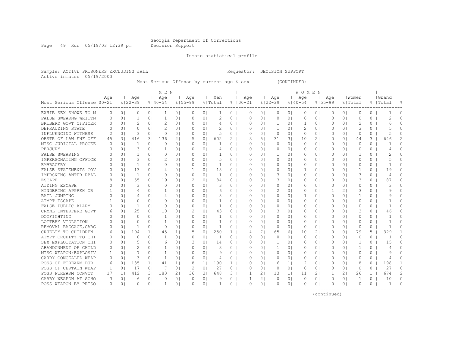Page 49 Run 05/19/03 12:39 pm Decision Support

Inmate statistical profile

Sample: ACTIVE PRISONERS EXCLUDING JAIL Requestor: DECISION SUPPORT Active inmates 05/19/2003

Most Serious Offense by current age & sex (CONTINUED)

|                              |           |                |                |                | M E N          |                |               |                |               |              |             |                |              |                | WOMEN       |                |          |                |              |              |                |          |
|------------------------------|-----------|----------------|----------------|----------------|----------------|----------------|---------------|----------------|---------------|--------------|-------------|----------------|--------------|----------------|-------------|----------------|----------|----------------|--------------|--------------|----------------|----------|
|                              | Age       |                | Age            |                | Age            |                | Age           |                | Men           |              | Age         |                | Age          |                | Age         |                | Aqe      |                | Women        |              | Grand          |          |
| Most Serious Offense   00-21 |           |                | $8122 - 39$    |                | $8140 - 54$    |                | $8155 - 99$   |                | % Total       |              | $8100 - 21$ |                | $8122 - 39$  |                | $8140 - 54$ | $8155 - 99$    |          |                | % Total      |              | %  Total       | 욲        |
| EXHIB SEX SHOWS TO M         | 0         | 0 <sub>1</sub> | 0              | 0 <sub>1</sub> | -1             | 0 <sub>1</sub> | 0             | 0 <sub>1</sub> |               | 0            | $\Omega$    | 0 <sub>1</sub> | 0            | 0 <sub>1</sub> | 0           | 0 <sub>1</sub> | 0        | 0 <sub>1</sub> | $\circ$      | 0            |                | $\Omega$ |
| FALSE SWEARNG WRITTN!        |           | 0 <sup>1</sup> | 1              | 0 <sub>1</sub> | 1              | 0 <sub>1</sub> | 0             | 0 <sub>1</sub> | 2             | $\circ$      | $\Omega$    | 0 <sub>1</sub> | $\circ$      | 0 <sub>1</sub> | 0           | 0 <sub>1</sub> | 0        | 0 <sup>1</sup> | $\circ$      | 0            | 2              | $\cap$   |
| BRIBERY GOVT OFFICER         | $\Omega$  | 0 <sub>1</sub> | 2              | 0 <sub>1</sub> | 2              | 0 <sub>1</sub> | $\Omega$      | 0 <sub>1</sub> | 4             | 0            | $\Omega$    | $\Omega$       | 1            | 01             | 1           | 0 <sup>1</sup> | O        | 0 <sup>1</sup> | 2            | 0            | 6              | 0        |
| DEFRAUDING STATE             | $\Omega$  | 0 <sub>1</sub> | $\Omega$       | $\Omega$       | $\mathcal{D}$  | 0 <sub>1</sub> | $\Omega$      | 0 <sub>1</sub> | $\mathcal{D}$ | 0            | $\Omega$    | $\Omega$ I     | 1            | $\Omega$ I     | 2           | 0 <sup>1</sup> | O        | $\Omega$       | 3            | 0            |                | 0        |
| INFLUENCING WITNESS          | 2         | 0 <sub>1</sub> | 3              | 0 <sub>1</sub> | 0              | 0 <sub>1</sub> | $\Omega$      | 0 <sub>1</sub> | .5            | 0            | 0           | 01             | $\mathbf{0}$ | 0 <sub>1</sub> | 0           | 0 <sub>1</sub> | 0        | 0 <sup>1</sup> | 0            | 0            | 5              | U        |
| OBSTR OF LAW ENF OFF         | 45        | 31             | 416            | 3              | 136            | 2 <sub>1</sub> | 5             | 0 <sub>1</sub> | 602           | 2            | 3           | 51             | 31           | 3 <sub>1</sub> | 10          | 2 <sub>1</sub> | 0        | 0 <sup>1</sup> | 44           | 3            | 646            | 2        |
| MISC JUDICIAL PROCEE         | 0         | 0 <sub>1</sub> | 1              | 0 <sub>1</sub> | $\Omega$       | 0 <sub>1</sub> | $\Omega$      | 0 <sub>1</sub> |               | 0            | $\Omega$    | $\Omega$       | 0            | 0 <sub>1</sub> | 0           | 0 <sub>1</sub> | 0        | 0 <sup>1</sup> | $\Omega$     | $\Omega$     |                | O        |
| PERJURY                      | O         | 0 <sub>1</sub> | 3              | 0 <sub>1</sub> | -1             | 0 <sub>1</sub> | $\Omega$      | 0 <sub>1</sub> | 4             | 0            | $\Omega$    | $\Omega$       | 0            | 0 <sub>1</sub> | 0           | 0 <sub>1</sub> | 0        | 0 <sup>1</sup> | $\Omega$     | $\Omega$     | 4              | Ω        |
| FALSE SWEARING               |           | 0 <sub>1</sub> | 1              | 0 <sub>1</sub> | $\circ$        | 0 <sub>1</sub> | $\Omega$      | 0 <sub>1</sub> |               | $\circ$      | 0           | 0 <sub>1</sub> | 1            | 01             | 0           | 0 <sub>1</sub> | 0        | 0 <sup>1</sup> | 1            | 0            | 2              | $\Omega$ |
| IMPERSONATING OFFICE         |           | 0 <sup>1</sup> | 3              | 0 <sub>1</sub> |                | 0 <sub>1</sub> | 0             | 0 <sub>1</sub> | 5             | $\circ$      | $\Omega$    | 0 <sub>1</sub> | $\circ$      | 01             | 0           | 0 <sub>1</sub> | $\Omega$ | 0 <sup>1</sup> | $\circ$      | 0            | 5              | $\cap$   |
| <b>EMBRACERY</b>             | $\Omega$  | 0 <sub>1</sub> | 1              | 0 <sub>1</sub> | $\Omega$       | 0 <sub>1</sub> | $\Omega$      | 0 <sub>1</sub> | 1             | $\circ$      | $\Omega$    | $\Omega$       | 0            | 0 <sub>1</sub> | 0           | 0 <sub>1</sub> | $\Omega$ | 0 <sup>1</sup> | $\Omega$     | $\Omega$     | -1             | 0        |
| FALSE STATEMENTS GOVI        | $\bigcap$ | 0 <sub>1</sub> | 13             | 0 <sub>1</sub> | $\overline{4}$ | 0 <sub>1</sub> | $\mathbf{1}$  | 0 <sub>1</sub> | 18            | $\circ$      | $\Omega$    | $\Omega$       | 0            | 0 <sub>1</sub> | 1           | 0 <sub>1</sub> | $\Omega$ | 01             | -1           | $\Omega$     | 19             | 0        |
| IMPRSNTNG ANTHR RBAL         | 0         | 0 <sub>1</sub> | $\overline{1}$ | 0 <sub>1</sub> | $\Omega$       | 0 <sub>1</sub> | $\Omega$      | 0 <sub>1</sub> | $\mathbf{1}$  | $\circ$      | $\Omega$    | 0 <sup>1</sup> | 3            | 01             | $\Omega$    | 0 <sub>1</sub> | $\Omega$ | 01             | 3            | $\Omega$     | 4              | 0        |
| <b>ESCAPE</b>                | 8         | 0 <sup>1</sup> | 55             | 0 <sub>1</sub> | 19             | 0 <sub>1</sub> | $\mathcal{D}$ | 0 <sub>1</sub> | 84            | $\circ$      | $\Omega$    | $\Omega$       | 3            | 0 <sub>1</sub> | $\Omega$    | 0 <sub>1</sub> | 0        | 0 <sup>1</sup> | 3            | 0            | 87             | $\Omega$ |
| AIDING ESCAPE                | $\Omega$  | 0 <sup>1</sup> | 3              | 0 <sub>1</sub> | 0              | 0 <sub>1</sub> | $\Omega$      | 0 <sub>1</sub> | 3             | $\circ$      | $\Omega$    | $\Omega$       | 0            | 0 <sub>1</sub> | 0           | 0 <sub>1</sub> | 0        | 0 <sup>1</sup> | $\Omega$     | 0            | 3              | O        |
| HINDERING APPREH OR          |           | 0 <sup>1</sup> | 4              | 0 <sub>1</sub> | 1              | 0 <sub>1</sub> | $\Omega$      | 0 <sub>1</sub> | 6             | 0            | $\Omega$    | $\Omega$       | 2            | 01             | 0           | 0 <sub>1</sub> |          | 2 <sub>1</sub> | 3            | 0            | q              | $\cap$   |
| <b>BAIL JUMPING</b>          | O         | 0 <sub>1</sub> | 4              | 0 <sub>1</sub> | $\overline{4}$ | 0 <sub>1</sub> | $\Omega$      | 0 <sub>1</sub> |               | 0            | $\Omega$    | 01             | 0            | 01             | 1           | 0 <sup>1</sup> | $\Omega$ | 0 <sup>1</sup> | -1           | 0            | 9              | $\Omega$ |
| ATMPT ESCAPE                 |           | $\Omega$       | $\Omega$       | 0 <sub>1</sub> | $\Omega$       | 0 <sub>1</sub> | $\Omega$      | 0 <sub>1</sub> | 1             | 0            | $\Omega$    | $\Omega$ I     | 0            | $\Omega$ I     | $\Omega$    | $\Omega$       | $\Omega$ | $\Omega$       | $\Omega$     | 0            |                | $\cap$   |
| FALSE PUBLIC ALARM           | O         | 0 <sup>1</sup> | 1              | 0 <sub>1</sub> | $\Omega$       | 0 <sub>1</sub> | $\Omega$      | 0 <sub>1</sub> | 1             | 0            | $\Omega$    | $\Omega$ I     | 0            | 01             | 0           | 0 <sup>1</sup> | $\Omega$ | 0 <sup>1</sup> | $\Omega$     | 0            | -1             | $\cap$   |
| CRMNL INTERFERE GOVT         | 6         | 0 <sub>1</sub> | 25             | 0 <sub>1</sub> | 10             | 0 <sub>1</sub> | 2             | 01             | 43            | 0            | $\Omega$    | $\Omega$ I     | 3            | 01             | 0           | 0 <sup>1</sup> | O        | 0 <sup>1</sup> | 3            | 0            | 46             | 0        |
| DOGFIGHTING                  | O         | 0 <sub>1</sub> | $\Omega$       | 0 <sub>1</sub> | $\mathbf{1}$   | 0 <sub>1</sub> | $\Omega$      | 0 <sub>1</sub> | 1             | $\circ$      | O           | 0 <sub>1</sub> | 0            | 01             | 0           | 0 <sub>1</sub> | $\Omega$ | 0 <sup>1</sup> | $\Omega$     | 0            | -1             | 0        |
| LOTTERY VIOLATION            | O         | 0 <sub>1</sub> | $\Omega$       | 0 <sub>1</sub> | -1             | 0 <sub>1</sub> | 0             | 0 <sub>1</sub> | -1            | $\Omega$     | O           | $\Omega$       | 0            | 01             | 0           | 0 <sub>1</sub> | $\Omega$ | 0 <sup>1</sup> | $\Omega$     | 0            |                | 0        |
| REMOVAL BAGGAGE, CARGI       | $\left($  | 0 <sup>1</sup> | 1              | 0 <sup>1</sup> | $\Omega$       | 0 <sub>1</sub> | $\Omega$      | 0 <sub>1</sub> | 1             | $\Omega$     | $\Omega$    | $\Omega$       | 0            | $\Omega$       | $\Omega$    | 0 <sup>1</sup> | $\Omega$ | 0 <sup>1</sup> | $\Omega$     | $\Omega$     |                | O        |
| CRUELTY TO CHILDREN          | 6         | 0 <sub>1</sub> | 194            | 1 <sup>1</sup> | 45             | 1 <sub>1</sub> | 5             | 0 <sub>1</sub> | 250           | $\mathbf{1}$ | 4           | 71             | 65           | 61             | 10          | 21             | $\Omega$ | 0 <sup>1</sup> | 79           | 5.           | 329            |          |
| ATMPT CRUELTY TO CHI         | 0         | 0 <sub>1</sub> | $\Omega$       | 0 <sub>1</sub> | 1              | 0 <sub>1</sub> | $\Omega$      | 0 <sup>1</sup> | -1            | $\circ$      | $\Omega$    | 0 <sup>1</sup> | 0            | 01             | $\circ$     | 0 <sub>1</sub> | 0        | 0 <sup>1</sup> | $\Omega$     | 0            | $\overline{1}$ | $\Omega$ |
| SEX EXPLOITATION CHI         | 0         | 0 <sub>1</sub> | 5              | 0 <sub>1</sub> | 6              | 0 <sub>1</sub> | 3             | 0 <sub>1</sub> | 14            | $\circ$      | $\Omega$    | 0 <sup>1</sup> | 1            | 0 <sub>1</sub> | 0           | 0 <sub>1</sub> | 0        | 0 <sup>1</sup> | 1            | $\Omega$     | 15             | 0        |
| ABANDONMENT OF CHILD         | $\Omega$  | 0 <sub>1</sub> | $\mathfrak{D}$ | 0 <sub>1</sub> | 1              | 0 <sub>1</sub> | $\Omega$      | 0 <sub>1</sub> | 3             | $\Omega$     | $\Omega$    | $\Omega$       | 1            | $\Omega$       | $\Omega$    | 0 <sub>1</sub> | $\Omega$ | 0 <sub>1</sub> | 1            | $\Omega$     | 4              | $\Omega$ |
| MISC WEAPON/EXPLOSIVI        | -1        | 0 <sub>1</sub> | 7              | 0 <sub>1</sub> | 1              | 0 <sub>1</sub> | $\Omega$      | 0 <sub>1</sub> | 9             | $\Omega$     | $\Omega$    | $\Omega$       | 0            | 0 <sup>1</sup> | $\Omega$    | 0 <sub>1</sub> | $\Omega$ | 0 <sub>1</sub> | $\Omega$     | $\Omega$     | 9              | $\Omega$ |
| CARRY CONCEALED WEAP!        | $\Omega$  | 0 <sub>1</sub> | 3              | 0 <sub>1</sub> | $\mathbf{1}$   | 0 <sup>1</sup> | $\Omega$      | 0 <sub>1</sub> | 4             | $\circ$      | $\Omega$    | 0 <sub>1</sub> | 0            | 0 <sup>1</sup> | $\Omega$    | 0 <sub>1</sub> | 0        | 0 <sup>1</sup> | $\Omega$     | 0            | 4              | $\Omega$ |
| POSS OF FIREARM DUR          | 6         | 0 <sub>1</sub> | 135            | 1 <sub>1</sub> | 41             | 1 <sub>1</sub> | 8             | $1\vert$       | 190           | 1            | $\Omega$    | 0 <sub>1</sub> | 6            | 1 <sub>1</sub> | 2           | 0 <sub>1</sub> | $\Omega$ | 0 <sup>1</sup> | 8            | 0            | 198            |          |
| POSS OF CERTAIN WEAP!        | 1         | 0 <sub>1</sub> | 17             | 0 <sub>1</sub> | 7              | 0 <sub>1</sub> | 2             | 0 <sub>1</sub> | 27            | $\circ$      | 0           | $\Omega$       | 0            | 0 <sub>1</sub> | 0           | 0 <sub>1</sub> | 0        | 0 <sup>1</sup> | $\Omega$     | 0            | 27             | $\Omega$ |
| POSS FIREARM CONVCT          | 17        | 11             | 412            | 31             | 183            | 2 <sub>1</sub> | 36            | 31             | 648           | 3.           | 1           | $\overline{2}$ | 13           | $1\vert$       | 11          | 2 <sub>1</sub> |          | 2 <sub>1</sub> | 26           | $\mathbf{1}$ | 674            | 2        |
| CARRY WEAPON AT SCHOL        | 3         | 0 <sub>1</sub> | 6              | 0 <sub>1</sub> | $\Omega$       | 0 <sub>1</sub> | $\circ$       | 0 <sup>1</sup> | 9             | $\circ$      | 1           | $\overline{2}$ | 0            | 01             | $\circ$     | 0 <sup>1</sup> | 0        | 0 <sup>1</sup> | $\mathbf{1}$ | 0            | 10             | 0        |
| POSS WEAPON BY PRISO         | $\Omega$  | 0 <sub>1</sub> | O              | 0 <sub>1</sub> | -1             | 0 <sub>1</sub> | $\Omega$      | 0 <sup>1</sup> | 1             | 0            | $\Omega$    | $\circ$        | 0            | 0 <sub>1</sub> | $\Omega$    | 0              | ∩        | 0 <sup>1</sup> | $\Omega$     | $\Omega$     | $\mathbf{1}$   | $\cap$   |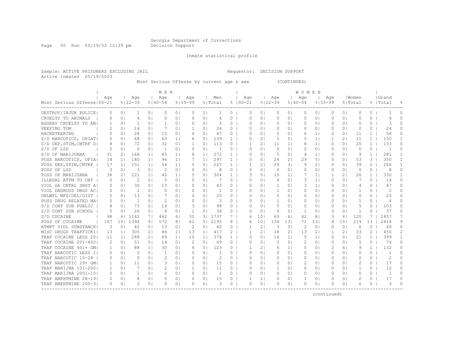Page 50 Run 05/19/03 12:39 pm Decision Support

Inmate statistical profile

Sample: ACTIVE PRISONERS EXCLUDING JAIL Requestor: DECISION SUPPORT Active inmates 05/19/2003

Most Serious Offense by current age & sex (CONTINUED)

| Age<br>Age<br>Men<br>Age<br>Age<br>Aqe<br>l Women<br>  Grand<br>Age<br>Age<br>Aqe<br>$8122 - 39$<br>Most Serious Offense   00-21<br>$8140 - 54$<br>$8100 - 21$<br>$8122 - 39$<br>$8155 - 99$<br>$8155 - 99$<br>% Total<br>$8140 - 54$<br>% Total<br>%   Total<br>DESTROY/INJUR POLICE<br>0 <sub>1</sub><br>0 <sub>1</sub><br>$\Omega$<br>0 <sub>1</sub><br>$\Omega$<br>0 <sub>1</sub><br>$\circ$<br>$\Omega$<br>0 <sub>1</sub><br>0<br>0 <sup>1</sup><br>0<br>0 <sup>1</sup><br>0 <sup>1</sup><br>$\Omega$<br>0<br>0<br>$\Omega$<br>-1<br>$\Omega$<br>1<br>CRUELTY TO ANIMALS<br>0 <sub>1</sub><br>0 <sub>1</sub><br>0<br>0 <sub>1</sub><br>$\Omega$<br>0 <sub>1</sub><br>0<br>$\Omega$<br>0 <sub>1</sub><br>0<br>01<br>0<br>0 <sup>1</sup><br>0<br>0 <sup>1</sup><br>$\Omega$<br>0<br>0<br>$\Omega$<br>4<br>4<br>4<br>AGGRAV CRUELTY TO ANI<br>3<br>$\circ$<br>$\Omega$<br>0 <sub>1</sub><br>1<br>0 <sub>1</sub><br>-1<br>0 <sub>1</sub><br>$\Omega$<br>0 <sub>1</sub><br>$\Omega$<br>0 <sub>1</sub><br>0<br>0 <sup>1</sup><br>0<br>0 <sup>1</sup><br>$\Omega$<br>0 <sup>1</sup><br>$\Omega$<br>0<br>3<br>1<br>24<br>PEEPING TOM<br>$\mathcal{D}$<br>14<br>7<br>0 <sub>1</sub><br>$\circ$<br>$\circ$<br>24<br>$\Omega$<br>0 <sub>1</sub><br>0 <sub>1</sub><br>0 <sub>1</sub><br>0 <sub>1</sub><br>0<br>01<br>0<br>0 <sup>1</sup><br>0<br>0 <sup>1</sup><br>0<br>1.<br>O<br>28<br>1.5<br>47<br>5<br>58<br>RACKETEERING<br>0 <sub>1</sub><br>0 <sub>1</sub><br>$\circ$<br>$\Omega$<br>1 <sup>1</sup><br>11<br>0<br>$\Omega$<br>0 <sub>1</sub><br>0 <sub>1</sub><br>$\Omega$<br>01<br>$\Omega$<br>0 <sup>1</sup><br>$\mathbf{1}$<br>4<br>6<br>68<br>139<br>5<br>1 <sup>1</sup><br>150<br>S/D NARCOTICS, OPIAT<br>0 <sub>1</sub><br>0 <sub>1</sub><br>60<br>1 <sub>1</sub><br>0 <sub>1</sub><br>$\mathbf{1}$<br>$\Omega$<br>01<br>5<br>21<br>11<br>$\mathbf{1}$<br>.5<br>6<br>0<br>-1<br>72<br>32<br>113<br>$\mathbf{1}$<br>133<br>S/D DEP, STIM, CNTRF D <br>0 <sub>1</sub><br>0 <sub>1</sub><br>$\circ$<br>21<br>1 <sup>1</sup><br>0 <sup>1</sup><br>20<br>$\Omega$<br>0 <sub>1</sub><br>0 <sub>1</sub><br>1<br>11<br>8<br>0<br>8<br>11<br>0<br>S/D OF LSD<br>$\Omega$<br>0 <sub>1</sub><br>$\mathbf{1}$<br>$\Omega$<br>0 <sub>1</sub><br>$\mathbf{1}$<br>$\circ$<br>0 <sub>1</sub><br>$\circ$<br>0 <sub>1</sub><br>$\circ$<br>-1<br>$\Omega$<br>$\Omega$<br>0 <sub>1</sub><br>0 <sub>1</sub><br>$\Omega$<br>01<br>0<br>$\Omega$<br>0 <sup>1</sup><br>272<br>S/D OF MARIJUANA<br>31<br>168<br>1 <sub>1</sub><br>5<br>9<br>$\mathbf{1}$<br>281<br>$\mathbf{1}$<br>2 <sub>1</sub><br>1 <sub>1</sub><br>65<br>1 <sup>1</sup><br>$\mathbf{1}$<br>$\Omega$<br>$\Omega$<br>$\Omega$<br>1 <sup>1</sup><br>$\Omega$<br>0 <sup>1</sup><br>$\overline{4}$<br>297<br>3<br>350<br>POSS NARCOTICS, OPIA<br>180<br>1 <sub>1</sub><br>2.4<br>21<br>29<br>51<br>53<br>$\mathbf{1}$<br>14<br>11<br>1 <sub>1</sub><br>96<br>1 <sub>1</sub><br>$\mathbf{1}$<br>$\Omega$<br>$\Omega$<br>$\Omega$<br>0 <sub>1</sub><br>227<br>29<br>$\mathbf{2}^{\circ}$<br>266<br>POSS DEP, STIM, CNTRF<br>17<br>151<br>1 <sup>1</sup><br>54<br>5<br>0 <sub>1</sub><br>21<br>31<br>9<br>21<br>39<br>$\mathbf{1}$<br>1 <sub>1</sub><br>1 <sub>1</sub><br>$\mathbf{1}$<br>1<br>0<br>0 <sup>1</sup><br>$\Omega$<br>POSS OF LSD<br>3<br>3<br>0 <sub>1</sub><br>2<br>0 <sub>1</sub><br>0 <sub>1</sub><br>8<br>$\circ$<br>$\Omega$<br>$\Omega$<br>$\mathbf{0}$<br>0 <sub>1</sub><br>$\Omega$<br>0 <sup>1</sup><br>0 <sub>1</sub><br>$\Omega$<br>0<br>8<br>0 <sub>1</sub><br>$\Omega$<br>0<br>221<br>304<br>POSS OF MARIJUANA<br>1 <sup>1</sup><br>5<br>0 <sub>1</sub><br>3<br>51<br>15<br>7<br>1 <sub>1</sub><br>21<br>26<br>330<br>36<br>21<br>42<br>1 <sub>1</sub><br>1<br>11<br>$\mathbf{1}$<br>2<br>3<br>1 <sup>1</sup><br>7<br>$\Omega$<br>ILLEGAL ATTM TO OBT<br>0 <sub>1</sub><br>5<br>0 <sub>1</sub><br>$\Omega$<br>0 <sub>1</sub><br>$\circ$<br>$\Omega$<br>01<br>0 <sub>1</sub><br>0 <sup>1</sup><br>0<br>14<br>0<br>01<br>4<br>0<br>VIOL GA CNTRL SBST AI<br>30<br>3<br>$\Omega$<br>0 <sub>1</sub><br>0 <sub>1</sub><br>13<br>0 <sub>1</sub><br>$\Omega$<br>0 <sub>1</sub><br>43<br>0<br>$\Omega$<br>01<br>1<br>01<br>1 <sup>1</sup><br>0 <sup>1</sup><br>0<br>47<br>0<br>4<br>2<br>VIOL DNGROUS DRGS ACI<br>$\overline{1}$<br>0 <sub>1</sub><br>$\Omega$<br>0 <sub>1</sub><br>$\Omega$<br>0 <sub>1</sub><br>-1<br>0<br>$\Omega$<br>$\mathbf{1}$<br>$\circ$<br>0 <sup>1</sup><br>0<br>$\cap$<br>$\Omega$<br>0 <sub>1</sub><br>$\Omega$ I<br>01<br>$\Omega$<br>0 <sup>1</sup><br>-1<br>13<br>25<br>UNLWFL MFG/DEL/DIST<br>0 <sup>1</sup><br>7<br>0 <sub>1</sub><br>$\bigcap$<br>0 <sub>1</sub><br>25<br>0<br>$\Omega$<br>0<br>$\Omega$<br>$\Omega$<br>$\bigcap$<br>0<br>0<br>0 <sub>1</sub><br>$\Omega$ I<br>$\Omega$<br>$\bigcap$<br>$\Omega$<br>$\mathcal{D}$<br>3<br>POSS DRUG RELATED MA<br>$\overline{1}$<br>0 <sub>1</sub><br>$\Omega$<br>0 <sub>1</sub><br>$\Omega$<br>$\mathbf{1}$<br>-1<br>0<br>0<br>0 <sub>1</sub><br>$\Omega$<br>O<br>01<br>$\Omega$<br>$\Omega$<br>$\Omega$<br>$\Omega$<br>01<br>0<br>4<br>S/D CONT SUB PUBLIC<br>73<br>14<br>3<br>0 <sub>1</sub><br>98<br>5<br>5<br>103<br>8<br>0 <sub>1</sub><br>0 <sub>1</sub><br>$\circ$<br>$\Omega$<br>0 <sub>1</sub><br>0<br>0 <sub>1</sub><br>0<br>0 <sup>1</sup><br>0<br>0<br>0 <sub>1</sub><br>∩<br>26<br>36<br>37<br>S/D CONT SUB SCHOOL<br>0 <sub>1</sub><br>$\circ$<br>0 <sub>1</sub><br>0 <sub>1</sub><br>1<br>0<br>$\Omega$<br>5<br>0 <sub>1</sub><br>$\overline{4}$<br>0 <sub>1</sub><br>1<br>0<br>0 <sub>1</sub><br>1<br>0<br>0 <sup>1</sup><br>0 <sub>1</sub><br>O<br>3   1737<br>120<br>1857<br>S/D COCAINE<br>98<br>1142<br>7  <br>462<br>35<br>7<br>101<br>69<br>61<br>42<br>8 <sup>1</sup><br>3<br>61<br>61<br>6  <br>13<br>167<br>1394<br>9 <sub>1</sub><br>572<br>5 <sub>1</sub><br>2195<br>8<br>10 <sup>°</sup><br>134<br>131<br>131<br>151<br>219<br>2414<br>9<br>POSS OF COCAINE<br>101<br>8 <sub>1</sub><br>62<br>71<br>8<br>6<br>60<br>$\overline{2}$<br>3<br>2<br>0 <sub>1</sub><br>0<br>0<br>3<br>0 <sup>1</sup><br>42<br>0 <sub>1</sub><br>13<br>0 <sup>1</sup><br>2<br>0 <sup>1</sup><br>$\circ$<br>1<br>0 <sub>1</sub><br>$\circ$<br>0 <sup>1</sup><br>6<br>66<br>ATMPT VIOL SUBSTANCE <br>2 <sub>1</sub><br>2 <sub>1</sub><br>$\mathbf{2}$<br>2<br>MISC DRUGS TRAFFICKI<br>11<br>305<br>86<br>1 <sub>1</sub><br>13<br>1 <sub>1</sub><br>417<br>2<br>1<br>$\overline{2}$<br>18<br>21<br>13<br>1<br>21<br>33<br>450<br>13<br>378<br>TRAF COCAINE LESS 201<br>288<br>2 <sub>1</sub><br>10<br>5<br>399<br>$\mathbf{1}$<br>11<br>69<br>1 <sub>1</sub><br>1 <sup>1</sup><br>$\Omega$<br>16<br>1 <sup>1</sup><br>0 <sub>1</sub><br>21<br>$\mathbf{1}$<br>11<br>$\mathbf{1}$<br>O<br>1 I<br>$\Omega$<br>TRAF COCAINE 201-4001<br>51<br>$\mathcal{L}$<br>0 <sub>1</sub><br>69<br>3<br>2<br>5<br>74<br>$\Omega$<br>2<br>0 <sub>1</sub><br>0 <sub>1</sub><br>14<br>0 <sub>1</sub><br>0 <sub>1</sub><br>$\Omega$<br>$\Omega$<br>0 <sub>1</sub><br>$\Omega$<br>0 <sub>1</sub><br>$\Omega$<br>0<br>123<br>132<br>TRAF COCAINE 401+ GM<br>88<br>30<br>21<br>0 <sub>1</sub><br>2<br>9<br>$\mathbf{1}$<br>0<br>0 <sub>1</sub><br>1 <sup>1</sup><br>0 <sub>1</sub><br>0 <sub>1</sub><br>$\circ$<br>1<br>6<br>1 <sup>1</sup><br>0<br>4<br>41<br>ı<br>TRAF NARCOTIC LESS 1<br>0 <sub>1</sub><br>0 <sub>1</sub><br>$\Omega$<br>$\circ$<br>$\Omega$<br>$\Omega$<br>0 <sub>1</sub><br>$\Omega$<br>0 <sub>1</sub><br>1<br>0 <sub>1</sub><br>$\Omega$<br>$\circ$<br>$\Omega$<br>$\Omega$<br>0<br>0 <sub>1</sub><br>$\Omega$<br>0<br>0 <sup>1</sup><br>2<br>$\Omega$<br>TRAF NARCOTIC 15-28<br>0 <sub>1</sub><br>2<br>0 <sub>1</sub><br>2<br>$\circ$<br>0 <sup>1</sup><br>$\Omega$<br>$\Omega$<br>0 <sub>1</sub><br>$\Omega$<br>0 <sub>1</sub><br>$\Omega$<br>$\Omega$<br>$\Omega$<br>0<br>01<br>0<br>$\Omega$<br>0 <sup>1</sup><br>0<br>TRAF NARCOTIC 29+ GM<br>11<br>$\Omega$<br>3<br>$\circ$<br>2<br>0 <sup>1</sup><br>2<br>17<br>$\Omega$<br>0 <sub>1</sub><br>0 <sub>1</sub><br>$\Omega$<br>0 <sub>1</sub><br>15<br>$\Omega$<br>0 <sub>1</sub><br>0<br>0 <sub>1</sub><br>$\Omega$<br>$\Omega$<br>$\Omega$<br>1<br>TRAF MARIJNA 101-2001<br>7<br>$\overline{c}$<br>0 <sub>1</sub><br>$\mathbf{1}$<br>0 <sub>1</sub><br>11<br>0<br>1<br>0<br>12<br>$\Omega$<br>1<br>0 <sub>1</sub><br>0 <sub>1</sub><br>$\Omega$<br>$\Omega$ I<br>1<br>0 <sub>1</sub><br>$\Omega$<br>0 <sup>1</sup><br>$\Omega$<br>0 <sup>1</sup><br>TRAF MARIJNA 2001-101<br>$\Omega$<br>0 <sub>1</sub><br>$\Omega$<br>0 <sub>1</sub><br>$\mathbf{1}$<br>0<br>$\Omega$<br>$\Omega$<br>0 <sub>1</sub><br>0 <sub>1</sub><br>$\Omega$<br>0<br>$\mathbf{1}$<br>$\Omega$<br>$\Omega$<br>0 <sub>1</sub><br>1<br>0 <sub>1</sub><br>0<br>0<br>$\Omega$<br>0 <sup>1</sup><br>TRAF AMPHTMINE 28-19 <br>2<br>17<br>8<br>.5<br>0 <sub>1</sub><br>0 <sub>1</sub><br>15<br>$\overline{2}$<br>0<br>2<br>0 <sub>1</sub><br>0 <sub>1</sub><br>0<br>$\circ$<br>1<br>0<br>0 <sub>1</sub><br>1<br>0 <sub>1</sub><br>O<br>0 <sup>1</sup><br>0<br>3<br>3<br>TRAF AMPHTMINE 200-31<br>0 <sub>1</sub><br>$\Omega$<br>$\Omega$<br>0 <sub>1</sub><br>3<br>$\Omega$<br>0 <sub>1</sub><br>0 <sup>1</sup><br>$\Omega$<br>O<br>$\Omega$<br>0 <sub>1</sub><br>0 <sup>1</sup><br>O<br>01<br>$\Omega$<br>01<br>$\Omega$<br>0<br>0<br>. <u>.</u> |  |  | M E N |  |  |  |  |  |  | W O M E N |  |  |  |  |  |  |
|-----------------------------------------------------------------------------------------------------------------------------------------------------------------------------------------------------------------------------------------------------------------------------------------------------------------------------------------------------------------------------------------------------------------------------------------------------------------------------------------------------------------------------------------------------------------------------------------------------------------------------------------------------------------------------------------------------------------------------------------------------------------------------------------------------------------------------------------------------------------------------------------------------------------------------------------------------------------------------------------------------------------------------------------------------------------------------------------------------------------------------------------------------------------------------------------------------------------------------------------------------------------------------------------------------------------------------------------------------------------------------------------------------------------------------------------------------------------------------------------------------------------------------------------------------------------------------------------------------------------------------------------------------------------------------------------------------------------------------------------------------------------------------------------------------------------------------------------------------------------------------------------------------------------------------------------------------------------------------------------------------------------------------------------------------------------------------------------------------------------------------------------------------------------------------------------------------------------------------------------------------------------------------------------------------------------------------------------------------------------------------------------------------------------------------------------------------------------------------------------------------------------------------------------------------------------------------------------------------------------------------------------------------------------------------------------------------------------------------------------------------------------------------------------------------------------------------------------------------------------------------------------------------------------------------------------------------------------------------------------------------------------------------------------------------------------------------------------------------------------------------------------------------------------------------------------------------------------------------------------------------------------------------------------------------------------------------------------------------------------------------------------------------------------------------------------------------------------------------------------------------------------------------------------------------------------------------------------------------------------------------------------------------------------------------------------------------------------------------------------------------------------------------------------------------------------------------------------------------------------------------------------------------------------------------------------------------------------------------------------------------------------------------------------------------------------------------------------------------------------------------------------------------------------------------------------------------------------------------------------------------------------------------------------------------------------------------------------------------------------------------------------------------------------------------------------------------------------------------------------------------------------------------------------------------------------------------------------------------------------------------------------------------------------------------------------------------------------------------------------------------------------------------------------------------------------------------------------------------------------------------------------------------------------------------------------------------------------------------------------------------------------------------------------------------------------------------------------------------------------------------------------------------------------------------------------------------------------------------------------------------------------------------------------------------------------------------------------------------------------------------------------------------------------------------------------------------------------------------------------------------------------------------------------------------------------------------------------------------------------------------------------------------------------------------------------------------------------------------------------------------------------------------------------------------------------------------------------------------------------------------------------------------------------------------------------------------------------------------------------------------------------------------------------------------------------------------------------------------------------------------------------------------------------------------------------------------------------------------------------------------------------------------------------------------------------------------------------------------------------------------------------------------------------------------------------------------------------------------------------------------------------------------------------------------------------------------------------------------------------------------------------------------------------------------------------------------------------------------------------------------------------------------------------------------------------------------------------------------------------------------------------------------------------------------------------------------------------------------------------------------------------------------------------------------------------------------------------------------------------------------------------------------------------------------------------------------------------------------------------------------------------------------------------------------------------------------------------------------------------------------------------------------------------------------------------------------------------------------------------------------------------------------------------------------------------------------------------------------------------------------------------------------------------------------------------------------------------------------------------------------------------------------------------------------------------------------------------------------------------------------------------------------------------------------------------------------------------------------------------------------------------------------------------------------------------------------------------------------------------------------------------------------------------------------------------------------------------------------------------------------------------------------------------------------------------------------------------------------------------------------------------------------------------------------------------------------------------------------------------------------------------------------------------------------------------------------------------------------------------------------------------------------------------------------------------------------------------------------------------------------------------------------------------------------------------------------------------------------------------------------------------------------------------------------------------------------------------------------------------------------------------------------------------------------------------------------------------------------------------------------------------------------------------------------------------------------------------------------------------------------------------------------------------------------------------------|--|--|-------|--|--|--|--|--|--|-----------|--|--|--|--|--|--|
|                                                                                                                                                                                                                                                                                                                                                                                                                                                                                                                                                                                                                                                                                                                                                                                                                                                                                                                                                                                                                                                                                                                                                                                                                                                                                                                                                                                                                                                                                                                                                                                                                                                                                                                                                                                                                                                                                                                                                                                                                                                                                                                                                                                                                                                                                                                                                                                                                                                                                                                                                                                                                                                                                                                                                                                                                                                                                                                                                                                                                                                                                                                                                                                                                                                                                                                                                                                                                                                                                                                                                                                                                                                                                                                                                                                                                                                                                                                                                                                                                                                                                                                                                                                                                                                                                                                                                                                                                                                                                                                                                                                                                                                                                                                                                                                                                                                                                                                                                                                                                                                                                                                                                                                                                                                                                                                                                                                                                                                                                                                                                                                                                                                                                                                                                                                                                                                                                                                                                                                                                                                                                                                                                                                                                                                                                                                                                                                                                                                                                                                                                                                                                                                                                                                                                                                                                                                                                                                                                                                                                                                                                                                                                                                                                                                                                                                                                                                                                                                                                                                                                                                                                                                                                                                                                                                                                                                                                                                                                                                                                                                                                                                                                                                                                                                                                                                                                                                                                                                                                                                                                                                                                                                                                                                                                                                                                                                                                                                                                                                                                                                                                                                                                                                                                                                                                                                       |  |  |       |  |  |  |  |  |  |           |  |  |  |  |  |  |
|                                                                                                                                                                                                                                                                                                                                                                                                                                                                                                                                                                                                                                                                                                                                                                                                                                                                                                                                                                                                                                                                                                                                                                                                                                                                                                                                                                                                                                                                                                                                                                                                                                                                                                                                                                                                                                                                                                                                                                                                                                                                                                                                                                                                                                                                                                                                                                                                                                                                                                                                                                                                                                                                                                                                                                                                                                                                                                                                                                                                                                                                                                                                                                                                                                                                                                                                                                                                                                                                                                                                                                                                                                                                                                                                                                                                                                                                                                                                                                                                                                                                                                                                                                                                                                                                                                                                                                                                                                                                                                                                                                                                                                                                                                                                                                                                                                                                                                                                                                                                                                                                                                                                                                                                                                                                                                                                                                                                                                                                                                                                                                                                                                                                                                                                                                                                                                                                                                                                                                                                                                                                                                                                                                                                                                                                                                                                                                                                                                                                                                                                                                                                                                                                                                                                                                                                                                                                                                                                                                                                                                                                                                                                                                                                                                                                                                                                                                                                                                                                                                                                                                                                                                                                                                                                                                                                                                                                                                                                                                                                                                                                                                                                                                                                                                                                                                                                                                                                                                                                                                                                                                                                                                                                                                                                                                                                                                                                                                                                                                                                                                                                                                                                                                                                                                                                                                                       |  |  |       |  |  |  |  |  |  |           |  |  |  |  |  |  |
|                                                                                                                                                                                                                                                                                                                                                                                                                                                                                                                                                                                                                                                                                                                                                                                                                                                                                                                                                                                                                                                                                                                                                                                                                                                                                                                                                                                                                                                                                                                                                                                                                                                                                                                                                                                                                                                                                                                                                                                                                                                                                                                                                                                                                                                                                                                                                                                                                                                                                                                                                                                                                                                                                                                                                                                                                                                                                                                                                                                                                                                                                                                                                                                                                                                                                                                                                                                                                                                                                                                                                                                                                                                                                                                                                                                                                                                                                                                                                                                                                                                                                                                                                                                                                                                                                                                                                                                                                                                                                                                                                                                                                                                                                                                                                                                                                                                                                                                                                                                                                                                                                                                                                                                                                                                                                                                                                                                                                                                                                                                                                                                                                                                                                                                                                                                                                                                                                                                                                                                                                                                                                                                                                                                                                                                                                                                                                                                                                                                                                                                                                                                                                                                                                                                                                                                                                                                                                                                                                                                                                                                                                                                                                                                                                                                                                                                                                                                                                                                                                                                                                                                                                                                                                                                                                                                                                                                                                                                                                                                                                                                                                                                                                                                                                                                                                                                                                                                                                                                                                                                                                                                                                                                                                                                                                                                                                                                                                                                                                                                                                                                                                                                                                                                                                                                                                                                       |  |  |       |  |  |  |  |  |  |           |  |  |  |  |  |  |
|                                                                                                                                                                                                                                                                                                                                                                                                                                                                                                                                                                                                                                                                                                                                                                                                                                                                                                                                                                                                                                                                                                                                                                                                                                                                                                                                                                                                                                                                                                                                                                                                                                                                                                                                                                                                                                                                                                                                                                                                                                                                                                                                                                                                                                                                                                                                                                                                                                                                                                                                                                                                                                                                                                                                                                                                                                                                                                                                                                                                                                                                                                                                                                                                                                                                                                                                                                                                                                                                                                                                                                                                                                                                                                                                                                                                                                                                                                                                                                                                                                                                                                                                                                                                                                                                                                                                                                                                                                                                                                                                                                                                                                                                                                                                                                                                                                                                                                                                                                                                                                                                                                                                                                                                                                                                                                                                                                                                                                                                                                                                                                                                                                                                                                                                                                                                                                                                                                                                                                                                                                                                                                                                                                                                                                                                                                                                                                                                                                                                                                                                                                                                                                                                                                                                                                                                                                                                                                                                                                                                                                                                                                                                                                                                                                                                                                                                                                                                                                                                                                                                                                                                                                                                                                                                                                                                                                                                                                                                                                                                                                                                                                                                                                                                                                                                                                                                                                                                                                                                                                                                                                                                                                                                                                                                                                                                                                                                                                                                                                                                                                                                                                                                                                                                                                                                                                                       |  |  |       |  |  |  |  |  |  |           |  |  |  |  |  |  |
|                                                                                                                                                                                                                                                                                                                                                                                                                                                                                                                                                                                                                                                                                                                                                                                                                                                                                                                                                                                                                                                                                                                                                                                                                                                                                                                                                                                                                                                                                                                                                                                                                                                                                                                                                                                                                                                                                                                                                                                                                                                                                                                                                                                                                                                                                                                                                                                                                                                                                                                                                                                                                                                                                                                                                                                                                                                                                                                                                                                                                                                                                                                                                                                                                                                                                                                                                                                                                                                                                                                                                                                                                                                                                                                                                                                                                                                                                                                                                                                                                                                                                                                                                                                                                                                                                                                                                                                                                                                                                                                                                                                                                                                                                                                                                                                                                                                                                                                                                                                                                                                                                                                                                                                                                                                                                                                                                                                                                                                                                                                                                                                                                                                                                                                                                                                                                                                                                                                                                                                                                                                                                                                                                                                                                                                                                                                                                                                                                                                                                                                                                                                                                                                                                                                                                                                                                                                                                                                                                                                                                                                                                                                                                                                                                                                                                                                                                                                                                                                                                                                                                                                                                                                                                                                                                                                                                                                                                                                                                                                                                                                                                                                                                                                                                                                                                                                                                                                                                                                                                                                                                                                                                                                                                                                                                                                                                                                                                                                                                                                                                                                                                                                                                                                                                                                                                                                       |  |  |       |  |  |  |  |  |  |           |  |  |  |  |  |  |
|                                                                                                                                                                                                                                                                                                                                                                                                                                                                                                                                                                                                                                                                                                                                                                                                                                                                                                                                                                                                                                                                                                                                                                                                                                                                                                                                                                                                                                                                                                                                                                                                                                                                                                                                                                                                                                                                                                                                                                                                                                                                                                                                                                                                                                                                                                                                                                                                                                                                                                                                                                                                                                                                                                                                                                                                                                                                                                                                                                                                                                                                                                                                                                                                                                                                                                                                                                                                                                                                                                                                                                                                                                                                                                                                                                                                                                                                                                                                                                                                                                                                                                                                                                                                                                                                                                                                                                                                                                                                                                                                                                                                                                                                                                                                                                                                                                                                                                                                                                                                                                                                                                                                                                                                                                                                                                                                                                                                                                                                                                                                                                                                                                                                                                                                                                                                                                                                                                                                                                                                                                                                                                                                                                                                                                                                                                                                                                                                                                                                                                                                                                                                                                                                                                                                                                                                                                                                                                                                                                                                                                                                                                                                                                                                                                                                                                                                                                                                                                                                                                                                                                                                                                                                                                                                                                                                                                                                                                                                                                                                                                                                                                                                                                                                                                                                                                                                                                                                                                                                                                                                                                                                                                                                                                                                                                                                                                                                                                                                                                                                                                                                                                                                                                                                                                                                                                                       |  |  |       |  |  |  |  |  |  |           |  |  |  |  |  |  |
|                                                                                                                                                                                                                                                                                                                                                                                                                                                                                                                                                                                                                                                                                                                                                                                                                                                                                                                                                                                                                                                                                                                                                                                                                                                                                                                                                                                                                                                                                                                                                                                                                                                                                                                                                                                                                                                                                                                                                                                                                                                                                                                                                                                                                                                                                                                                                                                                                                                                                                                                                                                                                                                                                                                                                                                                                                                                                                                                                                                                                                                                                                                                                                                                                                                                                                                                                                                                                                                                                                                                                                                                                                                                                                                                                                                                                                                                                                                                                                                                                                                                                                                                                                                                                                                                                                                                                                                                                                                                                                                                                                                                                                                                                                                                                                                                                                                                                                                                                                                                                                                                                                                                                                                                                                                                                                                                                                                                                                                                                                                                                                                                                                                                                                                                                                                                                                                                                                                                                                                                                                                                                                                                                                                                                                                                                                                                                                                                                                                                                                                                                                                                                                                                                                                                                                                                                                                                                                                                                                                                                                                                                                                                                                                                                                                                                                                                                                                                                                                                                                                                                                                                                                                                                                                                                                                                                                                                                                                                                                                                                                                                                                                                                                                                                                                                                                                                                                                                                                                                                                                                                                                                                                                                                                                                                                                                                                                                                                                                                                                                                                                                                                                                                                                                                                                                                                                       |  |  |       |  |  |  |  |  |  |           |  |  |  |  |  |  |
|                                                                                                                                                                                                                                                                                                                                                                                                                                                                                                                                                                                                                                                                                                                                                                                                                                                                                                                                                                                                                                                                                                                                                                                                                                                                                                                                                                                                                                                                                                                                                                                                                                                                                                                                                                                                                                                                                                                                                                                                                                                                                                                                                                                                                                                                                                                                                                                                                                                                                                                                                                                                                                                                                                                                                                                                                                                                                                                                                                                                                                                                                                                                                                                                                                                                                                                                                                                                                                                                                                                                                                                                                                                                                                                                                                                                                                                                                                                                                                                                                                                                                                                                                                                                                                                                                                                                                                                                                                                                                                                                                                                                                                                                                                                                                                                                                                                                                                                                                                                                                                                                                                                                                                                                                                                                                                                                                                                                                                                                                                                                                                                                                                                                                                                                                                                                                                                                                                                                                                                                                                                                                                                                                                                                                                                                                                                                                                                                                                                                                                                                                                                                                                                                                                                                                                                                                                                                                                                                                                                                                                                                                                                                                                                                                                                                                                                                                                                                                                                                                                                                                                                                                                                                                                                                                                                                                                                                                                                                                                                                                                                                                                                                                                                                                                                                                                                                                                                                                                                                                                                                                                                                                                                                                                                                                                                                                                                                                                                                                                                                                                                                                                                                                                                                                                                                                                                       |  |  |       |  |  |  |  |  |  |           |  |  |  |  |  |  |
|                                                                                                                                                                                                                                                                                                                                                                                                                                                                                                                                                                                                                                                                                                                                                                                                                                                                                                                                                                                                                                                                                                                                                                                                                                                                                                                                                                                                                                                                                                                                                                                                                                                                                                                                                                                                                                                                                                                                                                                                                                                                                                                                                                                                                                                                                                                                                                                                                                                                                                                                                                                                                                                                                                                                                                                                                                                                                                                                                                                                                                                                                                                                                                                                                                                                                                                                                                                                                                                                                                                                                                                                                                                                                                                                                                                                                                                                                                                                                                                                                                                                                                                                                                                                                                                                                                                                                                                                                                                                                                                                                                                                                                                                                                                                                                                                                                                                                                                                                                                                                                                                                                                                                                                                                                                                                                                                                                                                                                                                                                                                                                                                                                                                                                                                                                                                                                                                                                                                                                                                                                                                                                                                                                                                                                                                                                                                                                                                                                                                                                                                                                                                                                                                                                                                                                                                                                                                                                                                                                                                                                                                                                                                                                                                                                                                                                                                                                                                                                                                                                                                                                                                                                                                                                                                                                                                                                                                                                                                                                                                                                                                                                                                                                                                                                                                                                                                                                                                                                                                                                                                                                                                                                                                                                                                                                                                                                                                                                                                                                                                                                                                                                                                                                                                                                                                                                                       |  |  |       |  |  |  |  |  |  |           |  |  |  |  |  |  |
|                                                                                                                                                                                                                                                                                                                                                                                                                                                                                                                                                                                                                                                                                                                                                                                                                                                                                                                                                                                                                                                                                                                                                                                                                                                                                                                                                                                                                                                                                                                                                                                                                                                                                                                                                                                                                                                                                                                                                                                                                                                                                                                                                                                                                                                                                                                                                                                                                                                                                                                                                                                                                                                                                                                                                                                                                                                                                                                                                                                                                                                                                                                                                                                                                                                                                                                                                                                                                                                                                                                                                                                                                                                                                                                                                                                                                                                                                                                                                                                                                                                                                                                                                                                                                                                                                                                                                                                                                                                                                                                                                                                                                                                                                                                                                                                                                                                                                                                                                                                                                                                                                                                                                                                                                                                                                                                                                                                                                                                                                                                                                                                                                                                                                                                                                                                                                                                                                                                                                                                                                                                                                                                                                                                                                                                                                                                                                                                                                                                                                                                                                                                                                                                                                                                                                                                                                                                                                                                                                                                                                                                                                                                                                                                                                                                                                                                                                                                                                                                                                                                                                                                                                                                                                                                                                                                                                                                                                                                                                                                                                                                                                                                                                                                                                                                                                                                                                                                                                                                                                                                                                                                                                                                                                                                                                                                                                                                                                                                                                                                                                                                                                                                                                                                                                                                                                                                       |  |  |       |  |  |  |  |  |  |           |  |  |  |  |  |  |
|                                                                                                                                                                                                                                                                                                                                                                                                                                                                                                                                                                                                                                                                                                                                                                                                                                                                                                                                                                                                                                                                                                                                                                                                                                                                                                                                                                                                                                                                                                                                                                                                                                                                                                                                                                                                                                                                                                                                                                                                                                                                                                                                                                                                                                                                                                                                                                                                                                                                                                                                                                                                                                                                                                                                                                                                                                                                                                                                                                                                                                                                                                                                                                                                                                                                                                                                                                                                                                                                                                                                                                                                                                                                                                                                                                                                                                                                                                                                                                                                                                                                                                                                                                                                                                                                                                                                                                                                                                                                                                                                                                                                                                                                                                                                                                                                                                                                                                                                                                                                                                                                                                                                                                                                                                                                                                                                                                                                                                                                                                                                                                                                                                                                                                                                                                                                                                                                                                                                                                                                                                                                                                                                                                                                                                                                                                                                                                                                                                                                                                                                                                                                                                                                                                                                                                                                                                                                                                                                                                                                                                                                                                                                                                                                                                                                                                                                                                                                                                                                                                                                                                                                                                                                                                                                                                                                                                                                                                                                                                                                                                                                                                                                                                                                                                                                                                                                                                                                                                                                                                                                                                                                                                                                                                                                                                                                                                                                                                                                                                                                                                                                                                                                                                                                                                                                                                                       |  |  |       |  |  |  |  |  |  |           |  |  |  |  |  |  |
|                                                                                                                                                                                                                                                                                                                                                                                                                                                                                                                                                                                                                                                                                                                                                                                                                                                                                                                                                                                                                                                                                                                                                                                                                                                                                                                                                                                                                                                                                                                                                                                                                                                                                                                                                                                                                                                                                                                                                                                                                                                                                                                                                                                                                                                                                                                                                                                                                                                                                                                                                                                                                                                                                                                                                                                                                                                                                                                                                                                                                                                                                                                                                                                                                                                                                                                                                                                                                                                                                                                                                                                                                                                                                                                                                                                                                                                                                                                                                                                                                                                                                                                                                                                                                                                                                                                                                                                                                                                                                                                                                                                                                                                                                                                                                                                                                                                                                                                                                                                                                                                                                                                                                                                                                                                                                                                                                                                                                                                                                                                                                                                                                                                                                                                                                                                                                                                                                                                                                                                                                                                                                                                                                                                                                                                                                                                                                                                                                                                                                                                                                                                                                                                                                                                                                                                                                                                                                                                                                                                                                                                                                                                                                                                                                                                                                                                                                                                                                                                                                                                                                                                                                                                                                                                                                                                                                                                                                                                                                                                                                                                                                                                                                                                                                                                                                                                                                                                                                                                                                                                                                                                                                                                                                                                                                                                                                                                                                                                                                                                                                                                                                                                                                                                                                                                                                                                       |  |  |       |  |  |  |  |  |  |           |  |  |  |  |  |  |
|                                                                                                                                                                                                                                                                                                                                                                                                                                                                                                                                                                                                                                                                                                                                                                                                                                                                                                                                                                                                                                                                                                                                                                                                                                                                                                                                                                                                                                                                                                                                                                                                                                                                                                                                                                                                                                                                                                                                                                                                                                                                                                                                                                                                                                                                                                                                                                                                                                                                                                                                                                                                                                                                                                                                                                                                                                                                                                                                                                                                                                                                                                                                                                                                                                                                                                                                                                                                                                                                                                                                                                                                                                                                                                                                                                                                                                                                                                                                                                                                                                                                                                                                                                                                                                                                                                                                                                                                                                                                                                                                                                                                                                                                                                                                                                                                                                                                                                                                                                                                                                                                                                                                                                                                                                                                                                                                                                                                                                                                                                                                                                                                                                                                                                                                                                                                                                                                                                                                                                                                                                                                                                                                                                                                                                                                                                                                                                                                                                                                                                                                                                                                                                                                                                                                                                                                                                                                                                                                                                                                                                                                                                                                                                                                                                                                                                                                                                                                                                                                                                                                                                                                                                                                                                                                                                                                                                                                                                                                                                                                                                                                                                                                                                                                                                                                                                                                                                                                                                                                                                                                                                                                                                                                                                                                                                                                                                                                                                                                                                                                                                                                                                                                                                                                                                                                                                                       |  |  |       |  |  |  |  |  |  |           |  |  |  |  |  |  |
|                                                                                                                                                                                                                                                                                                                                                                                                                                                                                                                                                                                                                                                                                                                                                                                                                                                                                                                                                                                                                                                                                                                                                                                                                                                                                                                                                                                                                                                                                                                                                                                                                                                                                                                                                                                                                                                                                                                                                                                                                                                                                                                                                                                                                                                                                                                                                                                                                                                                                                                                                                                                                                                                                                                                                                                                                                                                                                                                                                                                                                                                                                                                                                                                                                                                                                                                                                                                                                                                                                                                                                                                                                                                                                                                                                                                                                                                                                                                                                                                                                                                                                                                                                                                                                                                                                                                                                                                                                                                                                                                                                                                                                                                                                                                                                                                                                                                                                                                                                                                                                                                                                                                                                                                                                                                                                                                                                                                                                                                                                                                                                                                                                                                                                                                                                                                                                                                                                                                                                                                                                                                                                                                                                                                                                                                                                                                                                                                                                                                                                                                                                                                                                                                                                                                                                                                                                                                                                                                                                                                                                                                                                                                                                                                                                                                                                                                                                                                                                                                                                                                                                                                                                                                                                                                                                                                                                                                                                                                                                                                                                                                                                                                                                                                                                                                                                                                                                                                                                                                                                                                                                                                                                                                                                                                                                                                                                                                                                                                                                                                                                                                                                                                                                                                                                                                                                                       |  |  |       |  |  |  |  |  |  |           |  |  |  |  |  |  |
|                                                                                                                                                                                                                                                                                                                                                                                                                                                                                                                                                                                                                                                                                                                                                                                                                                                                                                                                                                                                                                                                                                                                                                                                                                                                                                                                                                                                                                                                                                                                                                                                                                                                                                                                                                                                                                                                                                                                                                                                                                                                                                                                                                                                                                                                                                                                                                                                                                                                                                                                                                                                                                                                                                                                                                                                                                                                                                                                                                                                                                                                                                                                                                                                                                                                                                                                                                                                                                                                                                                                                                                                                                                                                                                                                                                                                                                                                                                                                                                                                                                                                                                                                                                                                                                                                                                                                                                                                                                                                                                                                                                                                                                                                                                                                                                                                                                                                                                                                                                                                                                                                                                                                                                                                                                                                                                                                                                                                                                                                                                                                                                                                                                                                                                                                                                                                                                                                                                                                                                                                                                                                                                                                                                                                                                                                                                                                                                                                                                                                                                                                                                                                                                                                                                                                                                                                                                                                                                                                                                                                                                                                                                                                                                                                                                                                                                                                                                                                                                                                                                                                                                                                                                                                                                                                                                                                                                                                                                                                                                                                                                                                                                                                                                                                                                                                                                                                                                                                                                                                                                                                                                                                                                                                                                                                                                                                                                                                                                                                                                                                                                                                                                                                                                                                                                                                                                       |  |  |       |  |  |  |  |  |  |           |  |  |  |  |  |  |
|                                                                                                                                                                                                                                                                                                                                                                                                                                                                                                                                                                                                                                                                                                                                                                                                                                                                                                                                                                                                                                                                                                                                                                                                                                                                                                                                                                                                                                                                                                                                                                                                                                                                                                                                                                                                                                                                                                                                                                                                                                                                                                                                                                                                                                                                                                                                                                                                                                                                                                                                                                                                                                                                                                                                                                                                                                                                                                                                                                                                                                                                                                                                                                                                                                                                                                                                                                                                                                                                                                                                                                                                                                                                                                                                                                                                                                                                                                                                                                                                                                                                                                                                                                                                                                                                                                                                                                                                                                                                                                                                                                                                                                                                                                                                                                                                                                                                                                                                                                                                                                                                                                                                                                                                                                                                                                                                                                                                                                                                                                                                                                                                                                                                                                                                                                                                                                                                                                                                                                                                                                                                                                                                                                                                                                                                                                                                                                                                                                                                                                                                                                                                                                                                                                                                                                                                                                                                                                                                                                                                                                                                                                                                                                                                                                                                                                                                                                                                                                                                                                                                                                                                                                                                                                                                                                                                                                                                                                                                                                                                                                                                                                                                                                                                                                                                                                                                                                                                                                                                                                                                                                                                                                                                                                                                                                                                                                                                                                                                                                                                                                                                                                                                                                                                                                                                                                                       |  |  |       |  |  |  |  |  |  |           |  |  |  |  |  |  |
|                                                                                                                                                                                                                                                                                                                                                                                                                                                                                                                                                                                                                                                                                                                                                                                                                                                                                                                                                                                                                                                                                                                                                                                                                                                                                                                                                                                                                                                                                                                                                                                                                                                                                                                                                                                                                                                                                                                                                                                                                                                                                                                                                                                                                                                                                                                                                                                                                                                                                                                                                                                                                                                                                                                                                                                                                                                                                                                                                                                                                                                                                                                                                                                                                                                                                                                                                                                                                                                                                                                                                                                                                                                                                                                                                                                                                                                                                                                                                                                                                                                                                                                                                                                                                                                                                                                                                                                                                                                                                                                                                                                                                                                                                                                                                                                                                                                                                                                                                                                                                                                                                                                                                                                                                                                                                                                                                                                                                                                                                                                                                                                                                                                                                                                                                                                                                                                                                                                                                                                                                                                                                                                                                                                                                                                                                                                                                                                                                                                                                                                                                                                                                                                                                                                                                                                                                                                                                                                                                                                                                                                                                                                                                                                                                                                                                                                                                                                                                                                                                                                                                                                                                                                                                                                                                                                                                                                                                                                                                                                                                                                                                                                                                                                                                                                                                                                                                                                                                                                                                                                                                                                                                                                                                                                                                                                                                                                                                                                                                                                                                                                                                                                                                                                                                                                                                                                       |  |  |       |  |  |  |  |  |  |           |  |  |  |  |  |  |
|                                                                                                                                                                                                                                                                                                                                                                                                                                                                                                                                                                                                                                                                                                                                                                                                                                                                                                                                                                                                                                                                                                                                                                                                                                                                                                                                                                                                                                                                                                                                                                                                                                                                                                                                                                                                                                                                                                                                                                                                                                                                                                                                                                                                                                                                                                                                                                                                                                                                                                                                                                                                                                                                                                                                                                                                                                                                                                                                                                                                                                                                                                                                                                                                                                                                                                                                                                                                                                                                                                                                                                                                                                                                                                                                                                                                                                                                                                                                                                                                                                                                                                                                                                                                                                                                                                                                                                                                                                                                                                                                                                                                                                                                                                                                                                                                                                                                                                                                                                                                                                                                                                                                                                                                                                                                                                                                                                                                                                                                                                                                                                                                                                                                                                                                                                                                                                                                                                                                                                                                                                                                                                                                                                                                                                                                                                                                                                                                                                                                                                                                                                                                                                                                                                                                                                                                                                                                                                                                                                                                                                                                                                                                                                                                                                                                                                                                                                                                                                                                                                                                                                                                                                                                                                                                                                                                                                                                                                                                                                                                                                                                                                                                                                                                                                                                                                                                                                                                                                                                                                                                                                                                                                                                                                                                                                                                                                                                                                                                                                                                                                                                                                                                                                                                                                                                                                                       |  |  |       |  |  |  |  |  |  |           |  |  |  |  |  |  |
|                                                                                                                                                                                                                                                                                                                                                                                                                                                                                                                                                                                                                                                                                                                                                                                                                                                                                                                                                                                                                                                                                                                                                                                                                                                                                                                                                                                                                                                                                                                                                                                                                                                                                                                                                                                                                                                                                                                                                                                                                                                                                                                                                                                                                                                                                                                                                                                                                                                                                                                                                                                                                                                                                                                                                                                                                                                                                                                                                                                                                                                                                                                                                                                                                                                                                                                                                                                                                                                                                                                                                                                                                                                                                                                                                                                                                                                                                                                                                                                                                                                                                                                                                                                                                                                                                                                                                                                                                                                                                                                                                                                                                                                                                                                                                                                                                                                                                                                                                                                                                                                                                                                                                                                                                                                                                                                                                                                                                                                                                                                                                                                                                                                                                                                                                                                                                                                                                                                                                                                                                                                                                                                                                                                                                                                                                                                                                                                                                                                                                                                                                                                                                                                                                                                                                                                                                                                                                                                                                                                                                                                                                                                                                                                                                                                                                                                                                                                                                                                                                                                                                                                                                                                                                                                                                                                                                                                                                                                                                                                                                                                                                                                                                                                                                                                                                                                                                                                                                                                                                                                                                                                                                                                                                                                                                                                                                                                                                                                                                                                                                                                                                                                                                                                                                                                                                                                       |  |  |       |  |  |  |  |  |  |           |  |  |  |  |  |  |
|                                                                                                                                                                                                                                                                                                                                                                                                                                                                                                                                                                                                                                                                                                                                                                                                                                                                                                                                                                                                                                                                                                                                                                                                                                                                                                                                                                                                                                                                                                                                                                                                                                                                                                                                                                                                                                                                                                                                                                                                                                                                                                                                                                                                                                                                                                                                                                                                                                                                                                                                                                                                                                                                                                                                                                                                                                                                                                                                                                                                                                                                                                                                                                                                                                                                                                                                                                                                                                                                                                                                                                                                                                                                                                                                                                                                                                                                                                                                                                                                                                                                                                                                                                                                                                                                                                                                                                                                                                                                                                                                                                                                                                                                                                                                                                                                                                                                                                                                                                                                                                                                                                                                                                                                                                                                                                                                                                                                                                                                                                                                                                                                                                                                                                                                                                                                                                                                                                                                                                                                                                                                                                                                                                                                                                                                                                                                                                                                                                                                                                                                                                                                                                                                                                                                                                                                                                                                                                                                                                                                                                                                                                                                                                                                                                                                                                                                                                                                                                                                                                                                                                                                                                                                                                                                                                                                                                                                                                                                                                                                                                                                                                                                                                                                                                                                                                                                                                                                                                                                                                                                                                                                                                                                                                                                                                                                                                                                                                                                                                                                                                                                                                                                                                                                                                                                                                                       |  |  |       |  |  |  |  |  |  |           |  |  |  |  |  |  |
|                                                                                                                                                                                                                                                                                                                                                                                                                                                                                                                                                                                                                                                                                                                                                                                                                                                                                                                                                                                                                                                                                                                                                                                                                                                                                                                                                                                                                                                                                                                                                                                                                                                                                                                                                                                                                                                                                                                                                                                                                                                                                                                                                                                                                                                                                                                                                                                                                                                                                                                                                                                                                                                                                                                                                                                                                                                                                                                                                                                                                                                                                                                                                                                                                                                                                                                                                                                                                                                                                                                                                                                                                                                                                                                                                                                                                                                                                                                                                                                                                                                                                                                                                                                                                                                                                                                                                                                                                                                                                                                                                                                                                                                                                                                                                                                                                                                                                                                                                                                                                                                                                                                                                                                                                                                                                                                                                                                                                                                                                                                                                                                                                                                                                                                                                                                                                                                                                                                                                                                                                                                                                                                                                                                                                                                                                                                                                                                                                                                                                                                                                                                                                                                                                                                                                                                                                                                                                                                                                                                                                                                                                                                                                                                                                                                                                                                                                                                                                                                                                                                                                                                                                                                                                                                                                                                                                                                                                                                                                                                                                                                                                                                                                                                                                                                                                                                                                                                                                                                                                                                                                                                                                                                                                                                                                                                                                                                                                                                                                                                                                                                                                                                                                                                                                                                                                                                       |  |  |       |  |  |  |  |  |  |           |  |  |  |  |  |  |
|                                                                                                                                                                                                                                                                                                                                                                                                                                                                                                                                                                                                                                                                                                                                                                                                                                                                                                                                                                                                                                                                                                                                                                                                                                                                                                                                                                                                                                                                                                                                                                                                                                                                                                                                                                                                                                                                                                                                                                                                                                                                                                                                                                                                                                                                                                                                                                                                                                                                                                                                                                                                                                                                                                                                                                                                                                                                                                                                                                                                                                                                                                                                                                                                                                                                                                                                                                                                                                                                                                                                                                                                                                                                                                                                                                                                                                                                                                                                                                                                                                                                                                                                                                                                                                                                                                                                                                                                                                                                                                                                                                                                                                                                                                                                                                                                                                                                                                                                                                                                                                                                                                                                                                                                                                                                                                                                                                                                                                                                                                                                                                                                                                                                                                                                                                                                                                                                                                                                                                                                                                                                                                                                                                                                                                                                                                                                                                                                                                                                                                                                                                                                                                                                                                                                                                                                                                                                                                                                                                                                                                                                                                                                                                                                                                                                                                                                                                                                                                                                                                                                                                                                                                                                                                                                                                                                                                                                                                                                                                                                                                                                                                                                                                                                                                                                                                                                                                                                                                                                                                                                                                                                                                                                                                                                                                                                                                                                                                                                                                                                                                                                                                                                                                                                                                                                                                                       |  |  |       |  |  |  |  |  |  |           |  |  |  |  |  |  |
|                                                                                                                                                                                                                                                                                                                                                                                                                                                                                                                                                                                                                                                                                                                                                                                                                                                                                                                                                                                                                                                                                                                                                                                                                                                                                                                                                                                                                                                                                                                                                                                                                                                                                                                                                                                                                                                                                                                                                                                                                                                                                                                                                                                                                                                                                                                                                                                                                                                                                                                                                                                                                                                                                                                                                                                                                                                                                                                                                                                                                                                                                                                                                                                                                                                                                                                                                                                                                                                                                                                                                                                                                                                                                                                                                                                                                                                                                                                                                                                                                                                                                                                                                                                                                                                                                                                                                                                                                                                                                                                                                                                                                                                                                                                                                                                                                                                                                                                                                                                                                                                                                                                                                                                                                                                                                                                                                                                                                                                                                                                                                                                                                                                                                                                                                                                                                                                                                                                                                                                                                                                                                                                                                                                                                                                                                                                                                                                                                                                                                                                                                                                                                                                                                                                                                                                                                                                                                                                                                                                                                                                                                                                                                                                                                                                                                                                                                                                                                                                                                                                                                                                                                                                                                                                                                                                                                                                                                                                                                                                                                                                                                                                                                                                                                                                                                                                                                                                                                                                                                                                                                                                                                                                                                                                                                                                                                                                                                                                                                                                                                                                                                                                                                                                                                                                                                                                       |  |  |       |  |  |  |  |  |  |           |  |  |  |  |  |  |
|                                                                                                                                                                                                                                                                                                                                                                                                                                                                                                                                                                                                                                                                                                                                                                                                                                                                                                                                                                                                                                                                                                                                                                                                                                                                                                                                                                                                                                                                                                                                                                                                                                                                                                                                                                                                                                                                                                                                                                                                                                                                                                                                                                                                                                                                                                                                                                                                                                                                                                                                                                                                                                                                                                                                                                                                                                                                                                                                                                                                                                                                                                                                                                                                                                                                                                                                                                                                                                                                                                                                                                                                                                                                                                                                                                                                                                                                                                                                                                                                                                                                                                                                                                                                                                                                                                                                                                                                                                                                                                                                                                                                                                                                                                                                                                                                                                                                                                                                                                                                                                                                                                                                                                                                                                                                                                                                                                                                                                                                                                                                                                                                                                                                                                                                                                                                                                                                                                                                                                                                                                                                                                                                                                                                                                                                                                                                                                                                                                                                                                                                                                                                                                                                                                                                                                                                                                                                                                                                                                                                                                                                                                                                                                                                                                                                                                                                                                                                                                                                                                                                                                                                                                                                                                                                                                                                                                                                                                                                                                                                                                                                                                                                                                                                                                                                                                                                                                                                                                                                                                                                                                                                                                                                                                                                                                                                                                                                                                                                                                                                                                                                                                                                                                                                                                                                                                                       |  |  |       |  |  |  |  |  |  |           |  |  |  |  |  |  |
|                                                                                                                                                                                                                                                                                                                                                                                                                                                                                                                                                                                                                                                                                                                                                                                                                                                                                                                                                                                                                                                                                                                                                                                                                                                                                                                                                                                                                                                                                                                                                                                                                                                                                                                                                                                                                                                                                                                                                                                                                                                                                                                                                                                                                                                                                                                                                                                                                                                                                                                                                                                                                                                                                                                                                                                                                                                                                                                                                                                                                                                                                                                                                                                                                                                                                                                                                                                                                                                                                                                                                                                                                                                                                                                                                                                                                                                                                                                                                                                                                                                                                                                                                                                                                                                                                                                                                                                                                                                                                                                                                                                                                                                                                                                                                                                                                                                                                                                                                                                                                                                                                                                                                                                                                                                                                                                                                                                                                                                                                                                                                                                                                                                                                                                                                                                                                                                                                                                                                                                                                                                                                                                                                                                                                                                                                                                                                                                                                                                                                                                                                                                                                                                                                                                                                                                                                                                                                                                                                                                                                                                                                                                                                                                                                                                                                                                                                                                                                                                                                                                                                                                                                                                                                                                                                                                                                                                                                                                                                                                                                                                                                                                                                                                                                                                                                                                                                                                                                                                                                                                                                                                                                                                                                                                                                                                                                                                                                                                                                                                                                                                                                                                                                                                                                                                                                                                       |  |  |       |  |  |  |  |  |  |           |  |  |  |  |  |  |
|                                                                                                                                                                                                                                                                                                                                                                                                                                                                                                                                                                                                                                                                                                                                                                                                                                                                                                                                                                                                                                                                                                                                                                                                                                                                                                                                                                                                                                                                                                                                                                                                                                                                                                                                                                                                                                                                                                                                                                                                                                                                                                                                                                                                                                                                                                                                                                                                                                                                                                                                                                                                                                                                                                                                                                                                                                                                                                                                                                                                                                                                                                                                                                                                                                                                                                                                                                                                                                                                                                                                                                                                                                                                                                                                                                                                                                                                                                                                                                                                                                                                                                                                                                                                                                                                                                                                                                                                                                                                                                                                                                                                                                                                                                                                                                                                                                                                                                                                                                                                                                                                                                                                                                                                                                                                                                                                                                                                                                                                                                                                                                                                                                                                                                                                                                                                                                                                                                                                                                                                                                                                                                                                                                                                                                                                                                                                                                                                                                                                                                                                                                                                                                                                                                                                                                                                                                                                                                                                                                                                                                                                                                                                                                                                                                                                                                                                                                                                                                                                                                                                                                                                                                                                                                                                                                                                                                                                                                                                                                                                                                                                                                                                                                                                                                                                                                                                                                                                                                                                                                                                                                                                                                                                                                                                                                                                                                                                                                                                                                                                                                                                                                                                                                                                                                                                                                                       |  |  |       |  |  |  |  |  |  |           |  |  |  |  |  |  |
|                                                                                                                                                                                                                                                                                                                                                                                                                                                                                                                                                                                                                                                                                                                                                                                                                                                                                                                                                                                                                                                                                                                                                                                                                                                                                                                                                                                                                                                                                                                                                                                                                                                                                                                                                                                                                                                                                                                                                                                                                                                                                                                                                                                                                                                                                                                                                                                                                                                                                                                                                                                                                                                                                                                                                                                                                                                                                                                                                                                                                                                                                                                                                                                                                                                                                                                                                                                                                                                                                                                                                                                                                                                                                                                                                                                                                                                                                                                                                                                                                                                                                                                                                                                                                                                                                                                                                                                                                                                                                                                                                                                                                                                                                                                                                                                                                                                                                                                                                                                                                                                                                                                                                                                                                                                                                                                                                                                                                                                                                                                                                                                                                                                                                                                                                                                                                                                                                                                                                                                                                                                                                                                                                                                                                                                                                                                                                                                                                                                                                                                                                                                                                                                                                                                                                                                                                                                                                                                                                                                                                                                                                                                                                                                                                                                                                                                                                                                                                                                                                                                                                                                                                                                                                                                                                                                                                                                                                                                                                                                                                                                                                                                                                                                                                                                                                                                                                                                                                                                                                                                                                                                                                                                                                                                                                                                                                                                                                                                                                                                                                                                                                                                                                                                                                                                                                                                       |  |  |       |  |  |  |  |  |  |           |  |  |  |  |  |  |
|                                                                                                                                                                                                                                                                                                                                                                                                                                                                                                                                                                                                                                                                                                                                                                                                                                                                                                                                                                                                                                                                                                                                                                                                                                                                                                                                                                                                                                                                                                                                                                                                                                                                                                                                                                                                                                                                                                                                                                                                                                                                                                                                                                                                                                                                                                                                                                                                                                                                                                                                                                                                                                                                                                                                                                                                                                                                                                                                                                                                                                                                                                                                                                                                                                                                                                                                                                                                                                                                                                                                                                                                                                                                                                                                                                                                                                                                                                                                                                                                                                                                                                                                                                                                                                                                                                                                                                                                                                                                                                                                                                                                                                                                                                                                                                                                                                                                                                                                                                                                                                                                                                                                                                                                                                                                                                                                                                                                                                                                                                                                                                                                                                                                                                                                                                                                                                                                                                                                                                                                                                                                                                                                                                                                                                                                                                                                                                                                                                                                                                                                                                                                                                                                                                                                                                                                                                                                                                                                                                                                                                                                                                                                                                                                                                                                                                                                                                                                                                                                                                                                                                                                                                                                                                                                                                                                                                                                                                                                                                                                                                                                                                                                                                                                                                                                                                                                                                                                                                                                                                                                                                                                                                                                                                                                                                                                                                                                                                                                                                                                                                                                                                                                                                                                                                                                                                                       |  |  |       |  |  |  |  |  |  |           |  |  |  |  |  |  |
|                                                                                                                                                                                                                                                                                                                                                                                                                                                                                                                                                                                                                                                                                                                                                                                                                                                                                                                                                                                                                                                                                                                                                                                                                                                                                                                                                                                                                                                                                                                                                                                                                                                                                                                                                                                                                                                                                                                                                                                                                                                                                                                                                                                                                                                                                                                                                                                                                                                                                                                                                                                                                                                                                                                                                                                                                                                                                                                                                                                                                                                                                                                                                                                                                                                                                                                                                                                                                                                                                                                                                                                                                                                                                                                                                                                                                                                                                                                                                                                                                                                                                                                                                                                                                                                                                                                                                                                                                                                                                                                                                                                                                                                                                                                                                                                                                                                                                                                                                                                                                                                                                                                                                                                                                                                                                                                                                                                                                                                                                                                                                                                                                                                                                                                                                                                                                                                                                                                                                                                                                                                                                                                                                                                                                                                                                                                                                                                                                                                                                                                                                                                                                                                                                                                                                                                                                                                                                                                                                                                                                                                                                                                                                                                                                                                                                                                                                                                                                                                                                                                                                                                                                                                                                                                                                                                                                                                                                                                                                                                                                                                                                                                                                                                                                                                                                                                                                                                                                                                                                                                                                                                                                                                                                                                                                                                                                                                                                                                                                                                                                                                                                                                                                                                                                                                                                                                       |  |  |       |  |  |  |  |  |  |           |  |  |  |  |  |  |
|                                                                                                                                                                                                                                                                                                                                                                                                                                                                                                                                                                                                                                                                                                                                                                                                                                                                                                                                                                                                                                                                                                                                                                                                                                                                                                                                                                                                                                                                                                                                                                                                                                                                                                                                                                                                                                                                                                                                                                                                                                                                                                                                                                                                                                                                                                                                                                                                                                                                                                                                                                                                                                                                                                                                                                                                                                                                                                                                                                                                                                                                                                                                                                                                                                                                                                                                                                                                                                                                                                                                                                                                                                                                                                                                                                                                                                                                                                                                                                                                                                                                                                                                                                                                                                                                                                                                                                                                                                                                                                                                                                                                                                                                                                                                                                                                                                                                                                                                                                                                                                                                                                                                                                                                                                                                                                                                                                                                                                                                                                                                                                                                                                                                                                                                                                                                                                                                                                                                                                                                                                                                                                                                                                                                                                                                                                                                                                                                                                                                                                                                                                                                                                                                                                                                                                                                                                                                                                                                                                                                                                                                                                                                                                                                                                                                                                                                                                                                                                                                                                                                                                                                                                                                                                                                                                                                                                                                                                                                                                                                                                                                                                                                                                                                                                                                                                                                                                                                                                                                                                                                                                                                                                                                                                                                                                                                                                                                                                                                                                                                                                                                                                                                                                                                                                                                                                                       |  |  |       |  |  |  |  |  |  |           |  |  |  |  |  |  |
|                                                                                                                                                                                                                                                                                                                                                                                                                                                                                                                                                                                                                                                                                                                                                                                                                                                                                                                                                                                                                                                                                                                                                                                                                                                                                                                                                                                                                                                                                                                                                                                                                                                                                                                                                                                                                                                                                                                                                                                                                                                                                                                                                                                                                                                                                                                                                                                                                                                                                                                                                                                                                                                                                                                                                                                                                                                                                                                                                                                                                                                                                                                                                                                                                                                                                                                                                                                                                                                                                                                                                                                                                                                                                                                                                                                                                                                                                                                                                                                                                                                                                                                                                                                                                                                                                                                                                                                                                                                                                                                                                                                                                                                                                                                                                                                                                                                                                                                                                                                                                                                                                                                                                                                                                                                                                                                                                                                                                                                                                                                                                                                                                                                                                                                                                                                                                                                                                                                                                                                                                                                                                                                                                                                                                                                                                                                                                                                                                                                                                                                                                                                                                                                                                                                                                                                                                                                                                                                                                                                                                                                                                                                                                                                                                                                                                                                                                                                                                                                                                                                                                                                                                                                                                                                                                                                                                                                                                                                                                                                                                                                                                                                                                                                                                                                                                                                                                                                                                                                                                                                                                                                                                                                                                                                                                                                                                                                                                                                                                                                                                                                                                                                                                                                                                                                                                                                       |  |  |       |  |  |  |  |  |  |           |  |  |  |  |  |  |
|                                                                                                                                                                                                                                                                                                                                                                                                                                                                                                                                                                                                                                                                                                                                                                                                                                                                                                                                                                                                                                                                                                                                                                                                                                                                                                                                                                                                                                                                                                                                                                                                                                                                                                                                                                                                                                                                                                                                                                                                                                                                                                                                                                                                                                                                                                                                                                                                                                                                                                                                                                                                                                                                                                                                                                                                                                                                                                                                                                                                                                                                                                                                                                                                                                                                                                                                                                                                                                                                                                                                                                                                                                                                                                                                                                                                                                                                                                                                                                                                                                                                                                                                                                                                                                                                                                                                                                                                                                                                                                                                                                                                                                                                                                                                                                                                                                                                                                                                                                                                                                                                                                                                                                                                                                                                                                                                                                                                                                                                                                                                                                                                                                                                                                                                                                                                                                                                                                                                                                                                                                                                                                                                                                                                                                                                                                                                                                                                                                                                                                                                                                                                                                                                                                                                                                                                                                                                                                                                                                                                                                                                                                                                                                                                                                                                                                                                                                                                                                                                                                                                                                                                                                                                                                                                                                                                                                                                                                                                                                                                                                                                                                                                                                                                                                                                                                                                                                                                                                                                                                                                                                                                                                                                                                                                                                                                                                                                                                                                                                                                                                                                                                                                                                                                                                                                                                                       |  |  |       |  |  |  |  |  |  |           |  |  |  |  |  |  |
|                                                                                                                                                                                                                                                                                                                                                                                                                                                                                                                                                                                                                                                                                                                                                                                                                                                                                                                                                                                                                                                                                                                                                                                                                                                                                                                                                                                                                                                                                                                                                                                                                                                                                                                                                                                                                                                                                                                                                                                                                                                                                                                                                                                                                                                                                                                                                                                                                                                                                                                                                                                                                                                                                                                                                                                                                                                                                                                                                                                                                                                                                                                                                                                                                                                                                                                                                                                                                                                                                                                                                                                                                                                                                                                                                                                                                                                                                                                                                                                                                                                                                                                                                                                                                                                                                                                                                                                                                                                                                                                                                                                                                                                                                                                                                                                                                                                                                                                                                                                                                                                                                                                                                                                                                                                                                                                                                                                                                                                                                                                                                                                                                                                                                                                                                                                                                                                                                                                                                                                                                                                                                                                                                                                                                                                                                                                                                                                                                                                                                                                                                                                                                                                                                                                                                                                                                                                                                                                                                                                                                                                                                                                                                                                                                                                                                                                                                                                                                                                                                                                                                                                                                                                                                                                                                                                                                                                                                                                                                                                                                                                                                                                                                                                                                                                                                                                                                                                                                                                                                                                                                                                                                                                                                                                                                                                                                                                                                                                                                                                                                                                                                                                                                                                                                                                                                                                       |  |  |       |  |  |  |  |  |  |           |  |  |  |  |  |  |
|                                                                                                                                                                                                                                                                                                                                                                                                                                                                                                                                                                                                                                                                                                                                                                                                                                                                                                                                                                                                                                                                                                                                                                                                                                                                                                                                                                                                                                                                                                                                                                                                                                                                                                                                                                                                                                                                                                                                                                                                                                                                                                                                                                                                                                                                                                                                                                                                                                                                                                                                                                                                                                                                                                                                                                                                                                                                                                                                                                                                                                                                                                                                                                                                                                                                                                                                                                                                                                                                                                                                                                                                                                                                                                                                                                                                                                                                                                                                                                                                                                                                                                                                                                                                                                                                                                                                                                                                                                                                                                                                                                                                                                                                                                                                                                                                                                                                                                                                                                                                                                                                                                                                                                                                                                                                                                                                                                                                                                                                                                                                                                                                                                                                                                                                                                                                                                                                                                                                                                                                                                                                                                                                                                                                                                                                                                                                                                                                                                                                                                                                                                                                                                                                                                                                                                                                                                                                                                                                                                                                                                                                                                                                                                                                                                                                                                                                                                                                                                                                                                                                                                                                                                                                                                                                                                                                                                                                                                                                                                                                                                                                                                                                                                                                                                                                                                                                                                                                                                                                                                                                                                                                                                                                                                                                                                                                                                                                                                                                                                                                                                                                                                                                                                                                                                                                                                                       |  |  |       |  |  |  |  |  |  |           |  |  |  |  |  |  |
|                                                                                                                                                                                                                                                                                                                                                                                                                                                                                                                                                                                                                                                                                                                                                                                                                                                                                                                                                                                                                                                                                                                                                                                                                                                                                                                                                                                                                                                                                                                                                                                                                                                                                                                                                                                                                                                                                                                                                                                                                                                                                                                                                                                                                                                                                                                                                                                                                                                                                                                                                                                                                                                                                                                                                                                                                                                                                                                                                                                                                                                                                                                                                                                                                                                                                                                                                                                                                                                                                                                                                                                                                                                                                                                                                                                                                                                                                                                                                                                                                                                                                                                                                                                                                                                                                                                                                                                                                                                                                                                                                                                                                                                                                                                                                                                                                                                                                                                                                                                                                                                                                                                                                                                                                                                                                                                                                                                                                                                                                                                                                                                                                                                                                                                                                                                                                                                                                                                                                                                                                                                                                                                                                                                                                                                                                                                                                                                                                                                                                                                                                                                                                                                                                                                                                                                                                                                                                                                                                                                                                                                                                                                                                                                                                                                                                                                                                                                                                                                                                                                                                                                                                                                                                                                                                                                                                                                                                                                                                                                                                                                                                                                                                                                                                                                                                                                                                                                                                                                                                                                                                                                                                                                                                                                                                                                                                                                                                                                                                                                                                                                                                                                                                                                                                                                                                                                       |  |  |       |  |  |  |  |  |  |           |  |  |  |  |  |  |
|                                                                                                                                                                                                                                                                                                                                                                                                                                                                                                                                                                                                                                                                                                                                                                                                                                                                                                                                                                                                                                                                                                                                                                                                                                                                                                                                                                                                                                                                                                                                                                                                                                                                                                                                                                                                                                                                                                                                                                                                                                                                                                                                                                                                                                                                                                                                                                                                                                                                                                                                                                                                                                                                                                                                                                                                                                                                                                                                                                                                                                                                                                                                                                                                                                                                                                                                                                                                                                                                                                                                                                                                                                                                                                                                                                                                                                                                                                                                                                                                                                                                                                                                                                                                                                                                                                                                                                                                                                                                                                                                                                                                                                                                                                                                                                                                                                                                                                                                                                                                                                                                                                                                                                                                                                                                                                                                                                                                                                                                                                                                                                                                                                                                                                                                                                                                                                                                                                                                                                                                                                                                                                                                                                                                                                                                                                                                                                                                                                                                                                                                                                                                                                                                                                                                                                                                                                                                                                                                                                                                                                                                                                                                                                                                                                                                                                                                                                                                                                                                                                                                                                                                                                                                                                                                                                                                                                                                                                                                                                                                                                                                                                                                                                                                                                                                                                                                                                                                                                                                                                                                                                                                                                                                                                                                                                                                                                                                                                                                                                                                                                                                                                                                                                                                                                                                                                                       |  |  |       |  |  |  |  |  |  |           |  |  |  |  |  |  |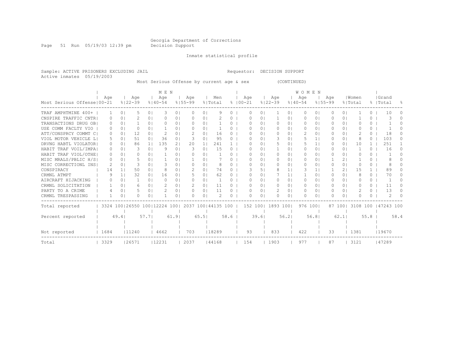Page 51 Run 05/19/03 12:39 pm Decision Support

Inmate statistical profile

Sample: ACTIVE PRISONERS EXCLUDING JAIL Requestor: DECISION SUPPORT Active inmates 05/19/2003

Most Serious Offense by current age & sex (CONTINUED)

|                              |                  |                |                                                         |                | M F. N        |                |             |                |         |      | <b>WOMEN</b> |            |             |            |             |          |             |                |         |          |                     |           |
|------------------------------|------------------|----------------|---------------------------------------------------------|----------------|---------------|----------------|-------------|----------------|---------|------|--------------|------------|-------------|------------|-------------|----------|-------------|----------------|---------|----------|---------------------|-----------|
|                              | Age              |                | Age                                                     |                | Age           |                | Age         |                | Men     |      | Age          |            | Age         |            | Age         |          | Aqe         |                | Women   |          | Grand               |           |
| Most Serious Offense   00-21 |                  |                | $8122 - 39$                                             |                | $8140 - 54$   |                | $8155 - 99$ |                | % Total |      | $8100 - 21$  |            | $8122 - 39$ |            | $8140 - 54$ |          | $8155 - 99$ |                | % Total |          | %   Total           | $\approx$ |
| TRAF AMPHTMINE 400+          |                  | $\Omega$       | 5                                                       | $\Omega$       | 3             | 0 <sub>1</sub> | $\Omega$    | 0 <sup>1</sup> | 9       | 0    | O            | 0          |             | 01         | $\Omega$    | $\Omega$ | 0           | $\circ$        |         | 0        | 10                  |           |
| CNSPIRE TRAFFIC CNTRI        | $\left( \right)$ | $\Omega$       | 2                                                       | 0 <sub>1</sub> | O             | 01             | O.          | 0 <sub>1</sub> |         | 0    | O            | $\Omega$   |             | 01         | $\Omega$    | $\Omega$ | 0           | 0 <sup>1</sup> |         | $\Omega$ |                     |           |
| TRANSACTIONS DRUG OB         | O.               | 0 <sub>1</sub> |                                                         | 0 <sub>1</sub> |               | 01             | O.          | 0 <sup>1</sup> |         |      |              | $\Omega$ I | $\Omega$    | 01         | $\Omega$    | 0        |             | $\Omega$       |         | $\Omega$ |                     |           |
| USE COMM FACLTY VIO          | O                | $\Omega$       | O.                                                      | 0 <sub>1</sub> |               | 0 <sub>1</sub> | O.          | 0 <sub>1</sub> |         | 0    | ∩            | $\Omega$ I | $\Omega$    | 01         | $\Box$      | 0        |             | 0 I            | U       | 0        |                     |           |
| ATT/CONSPRCY COMMT CI        | $\Omega$         | 01             | 12                                                      | $\Omega$       |               | 01             |             | 01             | 16      | 0    |              | $\Omega$ I | $\Omega$    | 0.         |             | 0        |             | $\Omega$       |         | 0        | 18                  |           |
| VIOL MOTOR VEHICLE LI        | 5                | 0 <sub>1</sub> | 51                                                      | 0 <sub>1</sub> | 36            | 0 <sub>1</sub> |             | 0 <sub>1</sub> | 95      | 0    | ∩            | $\Omega$ I | 3           | 01         | 5           | 1        | 0           | 01             | 8       | $\Omega$ | 103                 | 0         |
| DRVNG HABTL VIOLATOR         | 0                | 0 <sub>1</sub> | 86                                                      | 1 <sup>1</sup> | 135           | 21             | 20          | 1 <sub>1</sub> | 241     |      |              | $\Omega$ I | 5           | 01         | 5           |          | O           | $\Omega$       | 10      |          | 251                 |           |
| HABIT TRAF VOIL/IMPA!        | $\Omega$         | $\Omega$       | 3                                                       | 0 <sup>1</sup> | 9             | 0 <sub>1</sub> | 3           | 0 <sub>1</sub> | 15      | 0    | ∩            | $\Omega$ I |             | 01         | $\Omega$    | 0        | 0           | 0 I            |         | $\Omega$ | 16                  | $\Omega$  |
| HABIT TRAF VIOL/OTHE!        | $\Omega$         | $\Omega$       | Λ                                                       | $\Omega$       |               | 0              |             | 01             |         | 0    | ∩            | $\Omega$ I | $\Omega$    | 01         | $\Omega$    | 0        | 0           | $\Omega$       | U       | 0.       |                     |           |
| MISC MRALS/PBLIC H/SI        | $\Omega$         | $\Omega$       | 5                                                       | $\Omega$       |               | 01             |             | 01             |         | 0    | ∩            | $\Omega$   | $\Omega$    | 01         | $\Omega$    | 0        |             | 21             |         | 0        |                     |           |
| MISC CORRECTIONL INS         | 2                | $\Omega$       | 3                                                       | $\Omega$       |               | 01             |             | 01             | 8       | 0    |              | $\Omega$   | $\Omega$    | 0.         | $\Omega$    | 0        |             | $\Omega$       | O       | $\Omega$ | 8                   |           |
| CONSPIRACY                   | 14               | 1 <sup>1</sup> | 50                                                      | 0 <sup>1</sup> | 8             | 0 <sub>1</sub> | 2           | 0 <sup>1</sup> | 74      | 0    |              | 51         | 8           |            | 3           | 1.       |             | 21             | 1.5     |          | 89                  |           |
| CRMNL ATMPT                  | 9                |                | 32                                                      | 0 <sup>1</sup> | 16            | 01             |             | 01             | 62      |      | ∩            | 01         |             | 1.         |             | 0        | 0           | $\Omega$       | 8       | 0        | 70                  |           |
| AIRCRAFT HIJACKING           |                  | $\Omega$       |                                                         | 0 <sub>1</sub> | ∩             | 0 <sub>1</sub> | n.          | 0 <sub>1</sub> |         | 0.   | ∩            | $\Omega$ I | $\Omega$    | 01         | $\Omega$    | 0        | 0           | 0 I            | O       | 0        |                     |           |
| CRMNL SOLICITATION           |                  | 0 <sup>1</sup> | 6                                                       | $\Omega$       |               | 0 <sub>1</sub> |             | 01             | 11      | 0    | $\bigcap$    | $\Omega$ I | $\Omega$    | $\Omega$   | $\bigcap$   | 0        | 0           | $\Omega$       | U       | $\Omega$ | 11                  | 0         |
| PARTY TO A CRIME             |                  | $\Omega$       | 5                                                       | 0 <sup>1</sup> | $\mathcal{D}$ | 0 <sub>1</sub> | $\bigcap$   | 0 <sup>1</sup> | 11      | 0    | ∩            | $\Omega$   | 2           | $\Omega$ I | $\Omega$    | $\Omega$ | 0           | $\Omega$       | 2       | $\Omega$ | 13                  | $\Omega$  |
| CRMNL TRESPASSING            |                  | 01             | Λ                                                       | 01             |               | 01             | O.          | 0 <sub>1</sub> |         | 0    | ∩            | 01         | $\Omega$    | 01         | $\Box$      | 0        | n.          | 01             | U       | 0        |                     |           |
| Total reported               |                  |                | 3324 100   26550 100   12224 100   2037 100   44135 100 |                |               |                |             |                |         |      |              | 152 1001   | 1893 1001   |            | 976 1001    |          |             | 87 1001        |         |          | 3108 100 147243 100 |           |
|                              |                  |                |                                                         |                |               |                |             |                |         |      |              |            |             |            |             |          |             |                |         |          |                     |           |
| Percent reported             |                  | 49.41          |                                                         | 57.71          |               | 61.91          |             | 65.51          |         | 58.6 |              | 39.61      |             | 56.21      |             | 56.81    |             | 62.1           |         | 55.8     |                     | 58.4      |
|                              |                  |                |                                                         |                |               |                |             |                |         |      |              |            |             |            |             |          |             |                |         |          |                     |           |
| Not reported                 |                  | 1684<br>11240  |                                                         |                | 4662          |                | 703         |                | 18289   |      | 93           |            | 833         |            | 422         |          | 33          |                | 1381    |          | 119670              |           |
| Total                        | 3329<br>26571    |                |                                                         | 12231          |               | 2037           |             | 44168          |         | 154  |              | 1903       |             | 977        |             | 87       |             | 3121           |         | 147289   |                     |           |